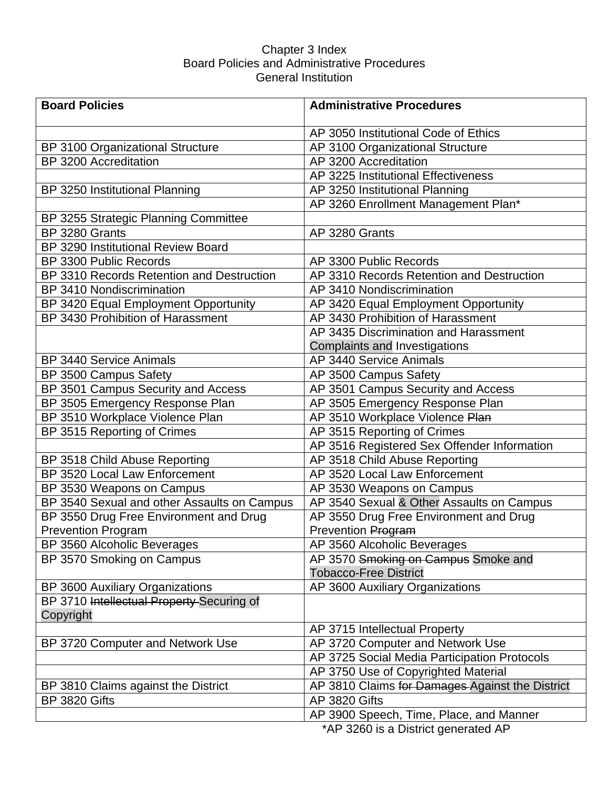### Chapter 3 Index Board Policies and Administrative Procedures General Institution

| <b>Board Policies</b>                       | <b>Administrative Procedures</b>                                                   |
|---------------------------------------------|------------------------------------------------------------------------------------|
|                                             | AP 3050 Institutional Code of Ethics                                               |
| BP 3100 Organizational Structure            | AP 3100 Organizational Structure                                                   |
| BP 3200 Accreditation                       | AP 3200 Accreditation                                                              |
|                                             | AP 3225 Institutional Effectiveness                                                |
| BP 3250 Institutional Planning              | AP 3250 Institutional Planning                                                     |
|                                             | AP 3260 Enrollment Management Plan*                                                |
| BP 3255 Strategic Planning Committee        |                                                                                    |
| BP 3280 Grants                              | AP 3280 Grants                                                                     |
| BP 3290 Institutional Review Board          |                                                                                    |
| BP 3300 Public Records                      | AP 3300 Public Records                                                             |
| BP 3310 Records Retention and Destruction   | AP 3310 Records Retention and Destruction                                          |
| BP 3410 Nondiscrimination                   | AP 3410 Nondiscrimination                                                          |
| BP 3420 Equal Employment Opportunity        | AP 3420 Equal Employment Opportunity                                               |
| BP 3430 Prohibition of Harassment           | AP 3430 Prohibition of Harassment                                                  |
|                                             | AP 3435 Discrimination and Harassment                                              |
|                                             | <b>Complaints and Investigations</b>                                               |
| <b>BP 3440 Service Animals</b>              | AP 3440 Service Animals                                                            |
| BP 3500 Campus Safety                       | AP 3500 Campus Safety                                                              |
| BP 3501 Campus Security and Access          | AP 3501 Campus Security and Access                                                 |
| BP 3505 Emergency Response Plan             | AP 3505 Emergency Response Plan                                                    |
| BP 3510 Workplace Violence Plan             | AP 3510 Workplace Violence Plan                                                    |
| BP 3515 Reporting of Crimes                 | AP 3515 Reporting of Crimes                                                        |
|                                             | AP 3516 Registered Sex Offender Information                                        |
| BP 3518 Child Abuse Reporting               | AP 3518 Child Abuse Reporting                                                      |
| BP 3520 Local Law Enforcement               | AP 3520 Local Law Enforcement                                                      |
| BP 3530 Weapons on Campus                   | AP 3530 Weapons on Campus                                                          |
| BP 3540 Sexual and other Assaults on Campus | AP 3540 Sexual & Other Assaults on Campus                                          |
| BP 3550 Drug Free Environment and Drug      | AP 3550 Drug Free Environment and Drug                                             |
| <b>Prevention Program</b>                   | Prevention Program                                                                 |
| BP 3560 Alcoholic Beverages                 | AP 3560 Alcoholic Beverages                                                        |
| BP 3570 Smoking on Campus                   | AP 3570 Smoking on Campus Smoke and                                                |
|                                             | <b>Tobacco-Free District</b>                                                       |
| BP 3600 Auxiliary Organizations             | AP 3600 Auxiliary Organizations                                                    |
| BP 3710 Intellectual Property Securing of   |                                                                                    |
| Copyright                                   |                                                                                    |
|                                             | AP 3715 Intellectual Property                                                      |
| BP 3720 Computer and Network Use            | AP 3720 Computer and Network Use                                                   |
|                                             | AP 3725 Social Media Participation Protocols                                       |
|                                             | AP 3750 Use of Copyrighted Material                                                |
| BP 3810 Claims against the District         | AP 3810 Claims for Damages-Against the District                                    |
| <b>BP 3820 Gifts</b>                        | AP 3820 Gifts                                                                      |
|                                             | AP 3900 Speech, Time, Place, and Manner<br>$*AD$ 2200 is a District generated $AD$ |

\*AP 3260 is a District generated AP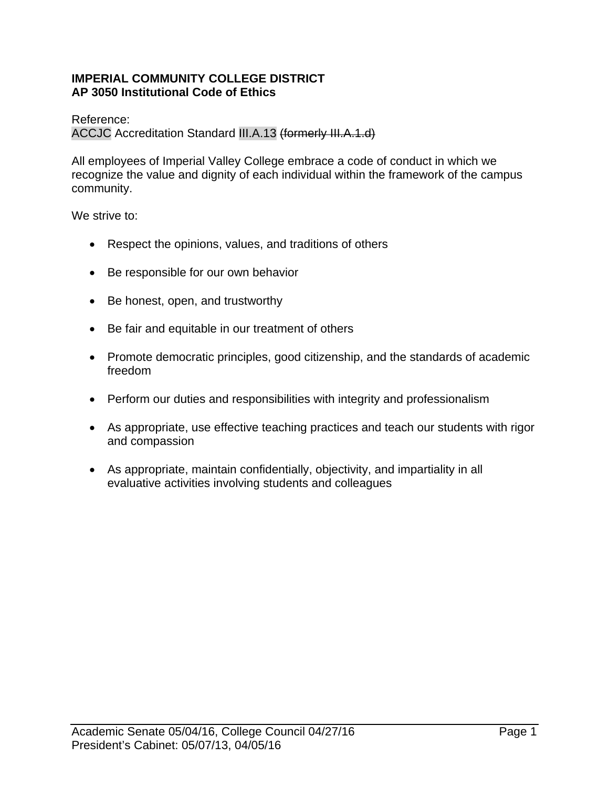### **IMPERIAL COMMUNITY COLLEGE DISTRICT AP 3050 Institutional Code of Ethics**

Reference:

ACCJC Accreditation Standard III.A.13 (formerly III.A.1.d)

All employees of Imperial Valley College embrace a code of conduct in which we recognize the value and dignity of each individual within the framework of the campus community.

We strive to:

- Respect the opinions, values, and traditions of others
- Be responsible for our own behavior
- Be honest, open, and trustworthy
- Be fair and equitable in our treatment of others
- Promote democratic principles, good citizenship, and the standards of academic freedom
- Perform our duties and responsibilities with integrity and professionalism
- As appropriate, use effective teaching practices and teach our students with rigor and compassion
- As appropriate, maintain confidentially, objectivity, and impartiality in all evaluative activities involving students and colleagues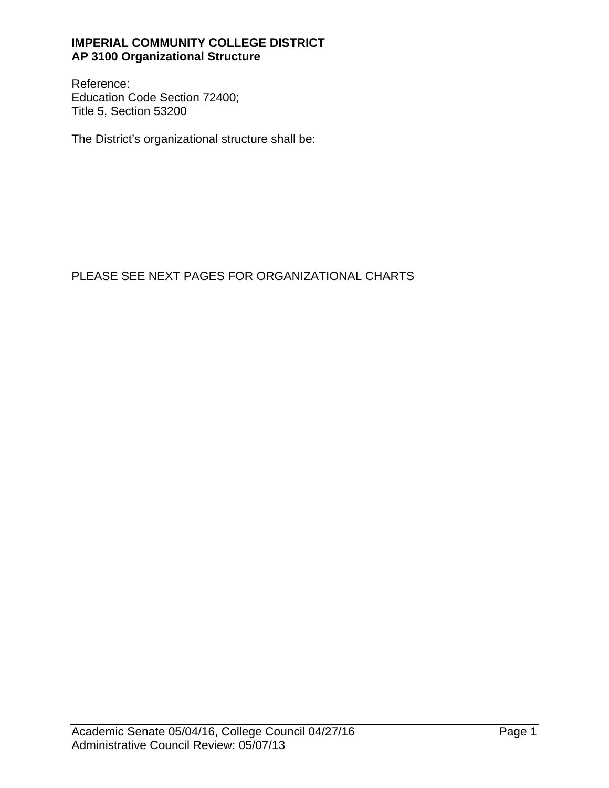### **IMPERIAL COMMUNITY COLLEGE DISTRICT AP 3100 Organizational Structure**

Reference: Education Code Section 72400; Title 5, Section 53200

The District's organizational structure shall be:

# PLEASE SEE NEXT PAGES FOR ORGANIZATIONAL CHARTS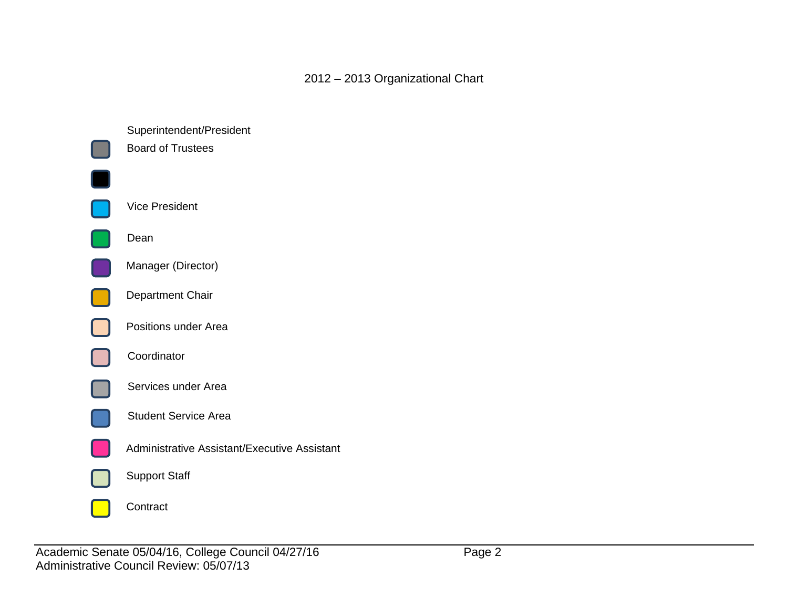2012 – 2013 Organizational Chart

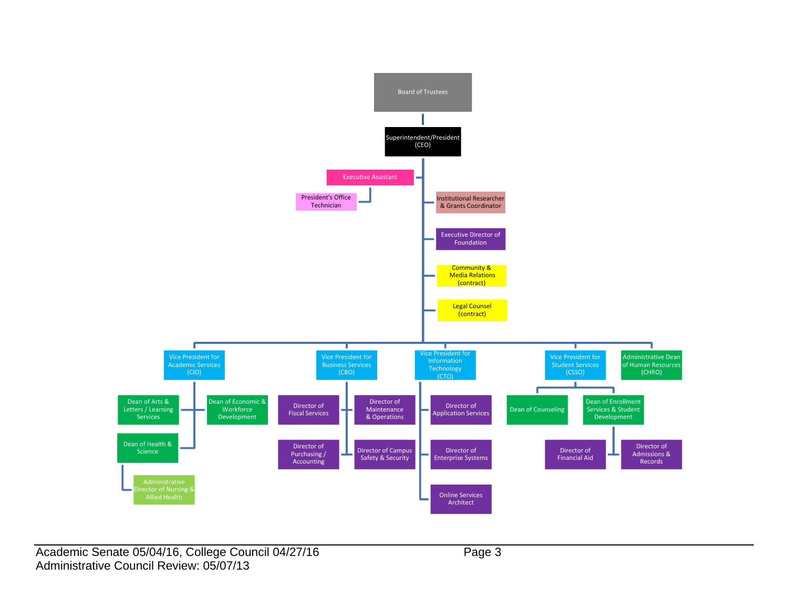

Academic Senate 05/04/16, College Council 04/27/16 Page 3 Administrative Council Review: 05/07/13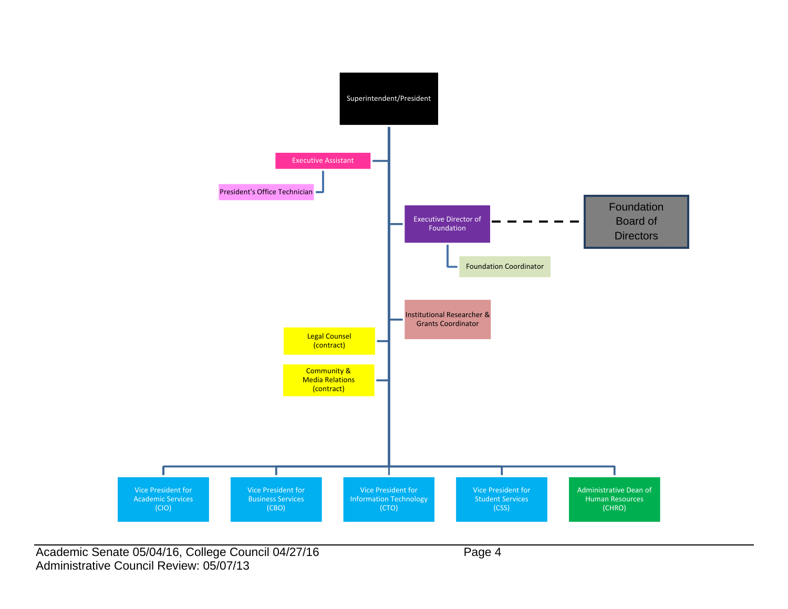

Academic Senate 05/04/16, College Council 04/27/16 Page 4 Administrative Council Review: 05/07/13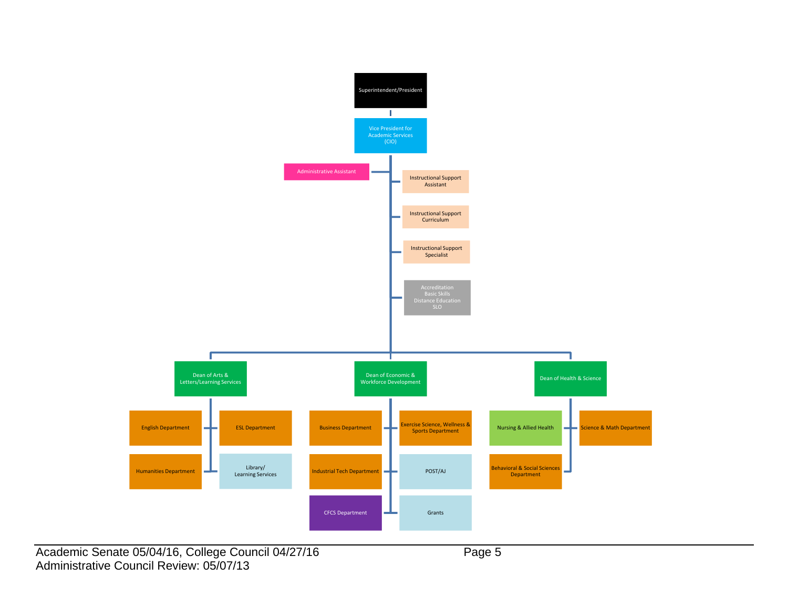

Academic Senate 05/04/16, College Council 04/27/16 Page 5 Administrative Council Review: 05/07/13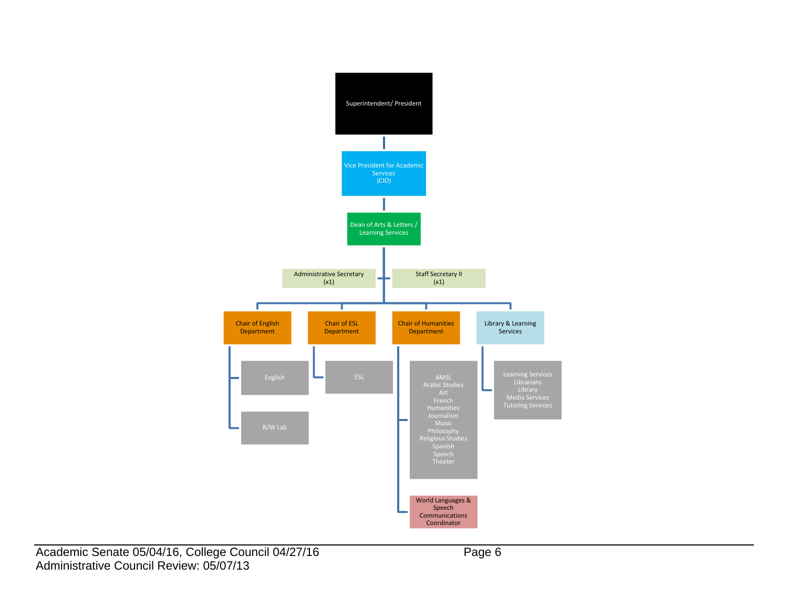

Academic Senate 05/04/16, College Council 04/27/16 Page 6 Administrative Council Review: 05/07/13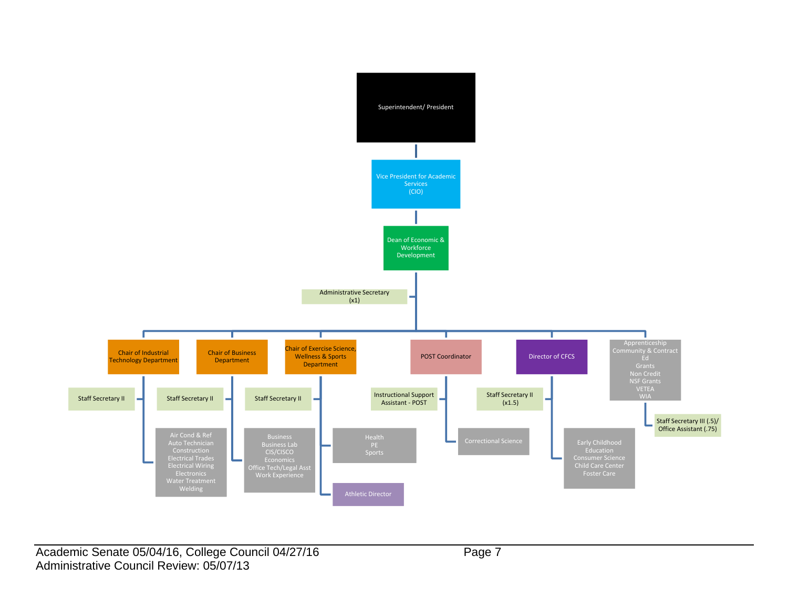

Academic Senate 05/04/16, College Council 04/27/16 Page 7 Administrative Council Review: 05/07/13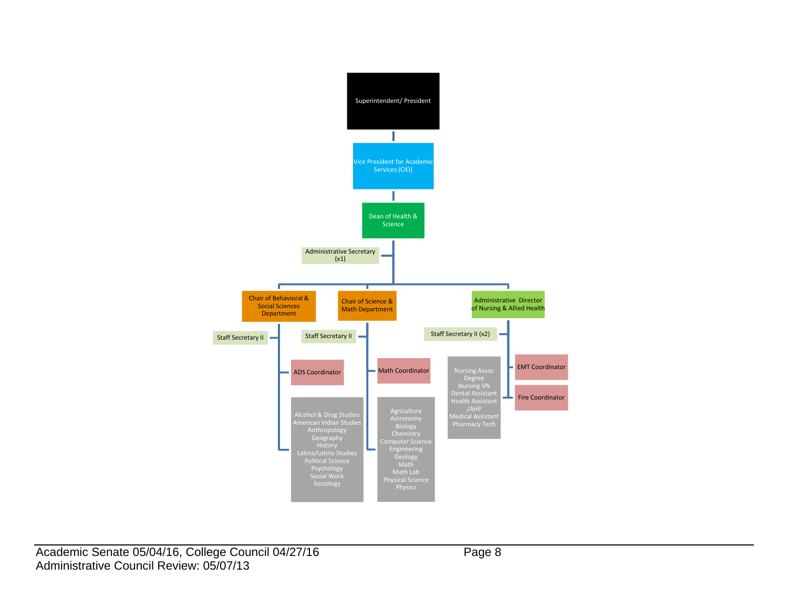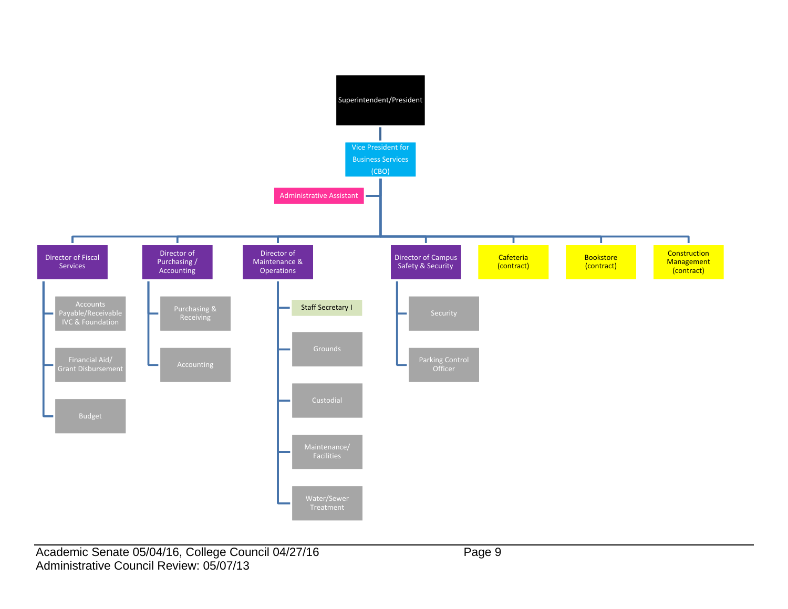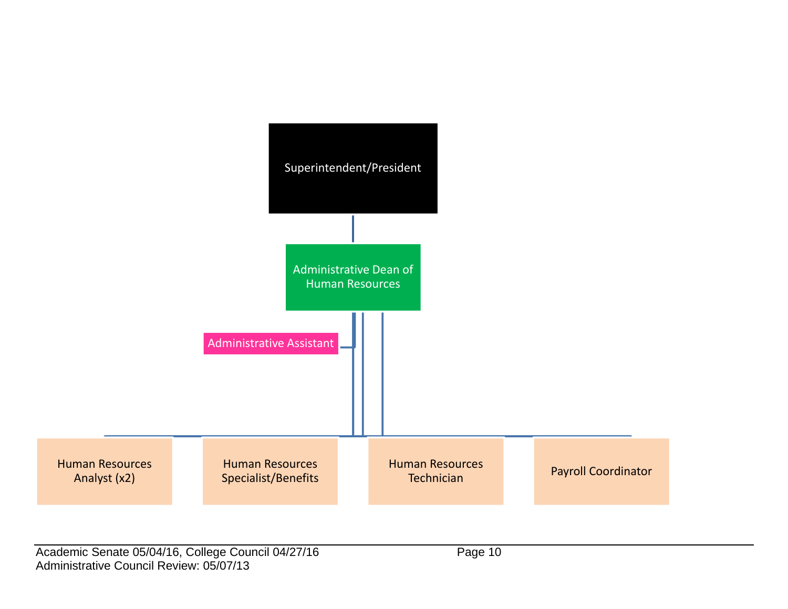

Academic Senate 05/04/16, College Council 04/27/16 Page 10 Administrative Council Review: 05/07/13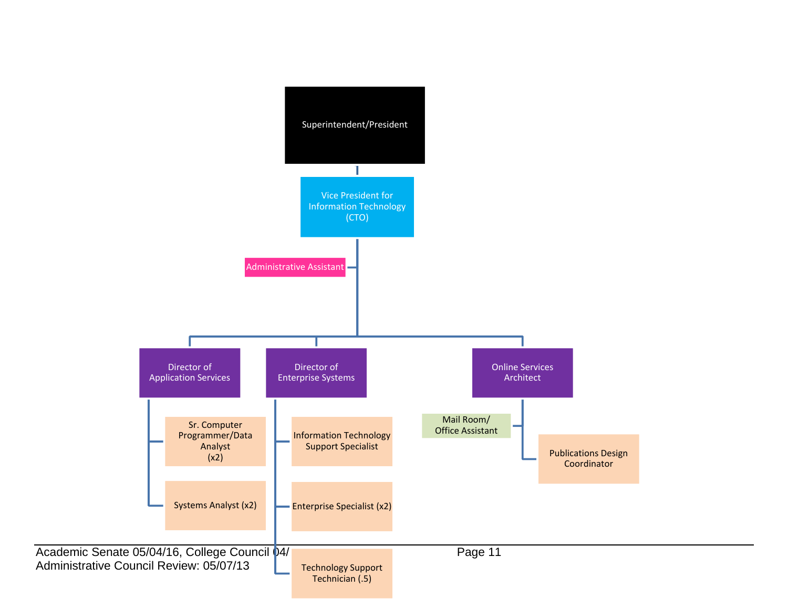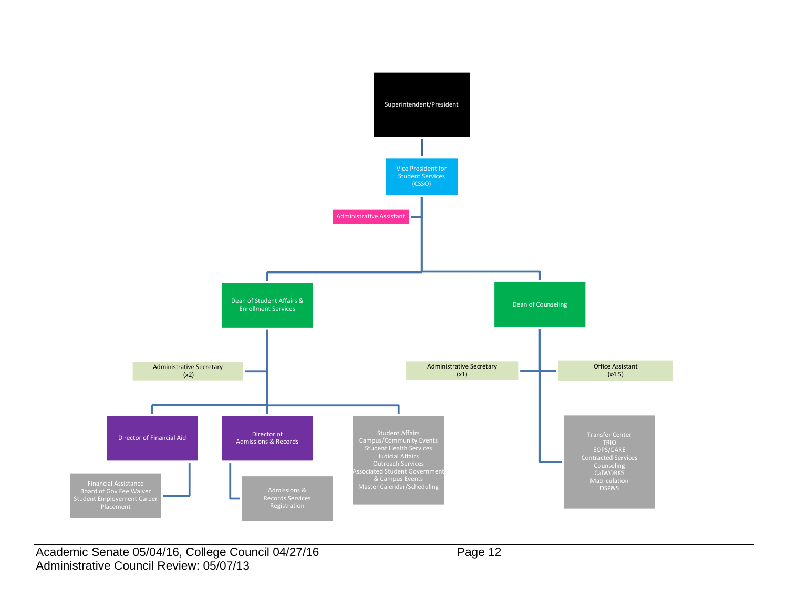

Academic Senate 05/04/16, College Council 04/27/16 Page 12 Administrative Council Review: 05/07/13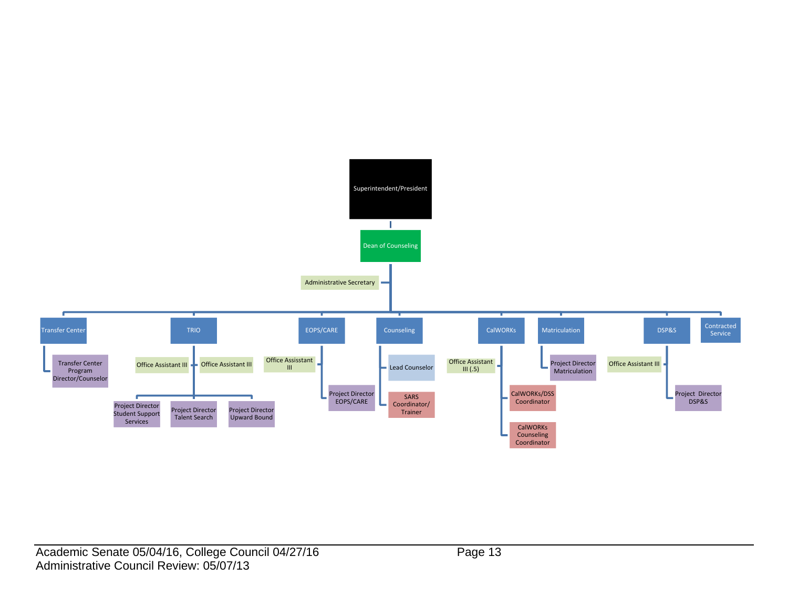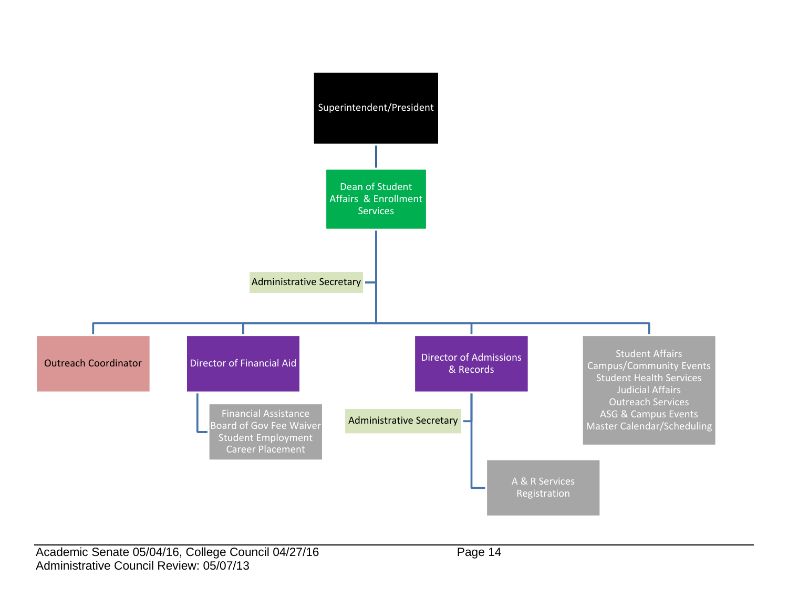

Academic Senate 05/04/16, College Council 04/27/16 Page 14 Administrative Council Review: 05/07/13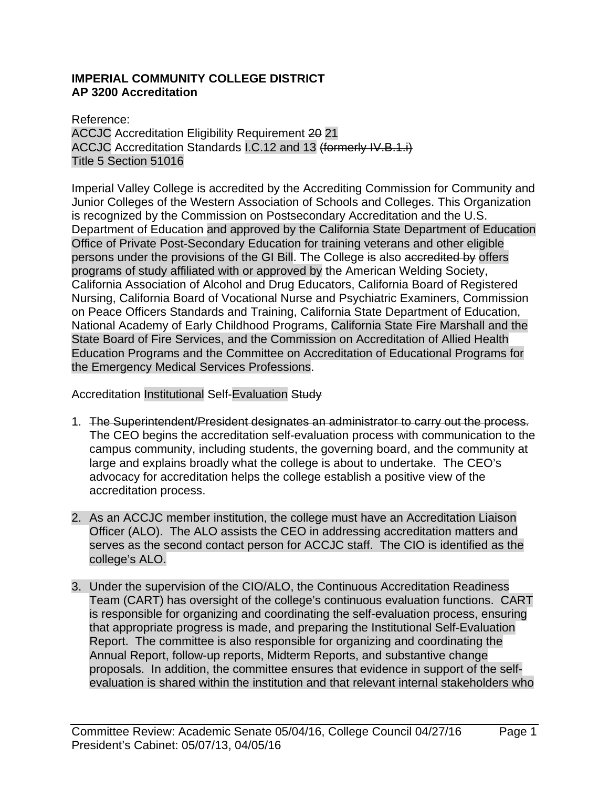### **IMPERIAL COMMUNITY COLLEGE DISTRICT AP 3200 Accreditation**

Reference: ACCJC Accreditation Eligibility Requirement 20 21 ACCJC Accreditation Standards I.C.12 and 13 (formerly IV.B.1.i) Title 5 Section 51016

Imperial Valley College is accredited by the Accrediting Commission for Community and Junior Colleges of the Western Association of Schools and Colleges. This Organization is recognized by the Commission on Postsecondary Accreditation and the U.S. Department of Education and approved by the California State Department of Education Office of Private Post-Secondary Education for training veterans and other eligible persons under the provisions of the GI Bill. The College is also accredited by offers programs of study affiliated with or approved by the American Welding Society, California Association of Alcohol and Drug Educators, California Board of Registered Nursing, California Board of Vocational Nurse and Psychiatric Examiners, Commission on Peace Officers Standards and Training, California State Department of Education, National Academy of Early Childhood Programs, California State Fire Marshall and the State Board of Fire Services, and the Commission on Accreditation of Allied Health Education Programs and the Committee on Accreditation of Educational Programs for the Emergency Medical Services Professions.

Accreditation Institutional Self-Evaluation Study

- 1. The Superintendent/President designates an administrator to carry out the process. The CEO begins the accreditation self-evaluation process with communication to the campus community, including students, the governing board, and the community at large and explains broadly what the college is about to undertake. The CEO's advocacy for accreditation helps the college establish a positive view of the accreditation process.
- 2. As an ACCJC member institution, the college must have an Accreditation Liaison Officer (ALO). The ALO assists the CEO in addressing accreditation matters and serves as the second contact person for ACCJC staff. The CIO is identified as the college's ALO.
- 3. Under the supervision of the CIO/ALO, the Continuous Accreditation Readiness Team (CART) has oversight of the college's continuous evaluation functions. CART is responsible for organizing and coordinating the self-evaluation process, ensuring that appropriate progress is made, and preparing the Institutional Self-Evaluation Report. The committee is also responsible for organizing and coordinating the Annual Report, follow-up reports, Midterm Reports, and substantive change proposals. In addition, the committee ensures that evidence in support of the selfevaluation is shared within the institution and that relevant internal stakeholders who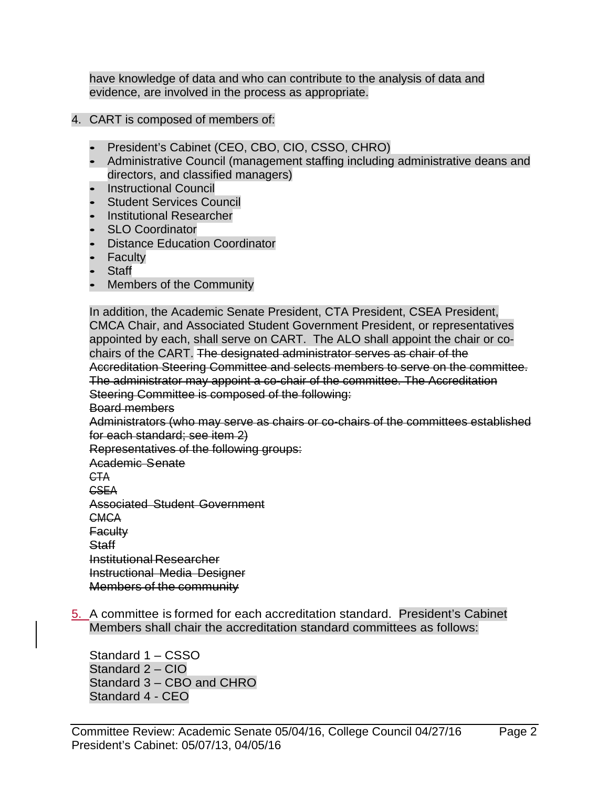have knowledge of data and who can contribute to the analysis of data and evidence, are involved in the process as appropriate.

- 4. CART is composed of members of:
	- President's Cabinet (CEO, CBO, CIO, CSSO, CHRO)
	- Administrative Council (management staffing including administrative deans and directors, and classified managers)
	- Instructional Council
	- Student Services Council
	- Institutional Researcher
	- SLO Coordinator
	- Distance Education Coordinator
	- Faculty
	- Staff
	- Members of the Community

In addition, the Academic Senate President, CTA President, CSEA President, CMCA Chair, and Associated Student Government President, or representatives appointed by each, shall serve on CART. The ALO shall appoint the chair or cochairs of the CART. The designated administrator serves as chair of the Accreditation Steering Committee and selects members to serve on the committee. The administrator may appoint a co-chair of the committee. The Accreditation Steering Committee is composed of the following:

Board members

Administrators (who may serve as chairs or co-chairs of the committees established for each standard; see item 2)

Representatives of the following groups:

Academic Senate

CTA

CSEA

Associated Student Government

**CMCA** 

**Faculty** 

Staff

Institutional Researcher Instructional Media Designer

Members of the community

5. A committee is formed for each accreditation standard. President's Cabinet Members shall chair the accreditation standard committees as follows:

Standard 1 – CSSO Standard 2 – CIO Standard 3 – CBO and CHRO Standard 4 - CEO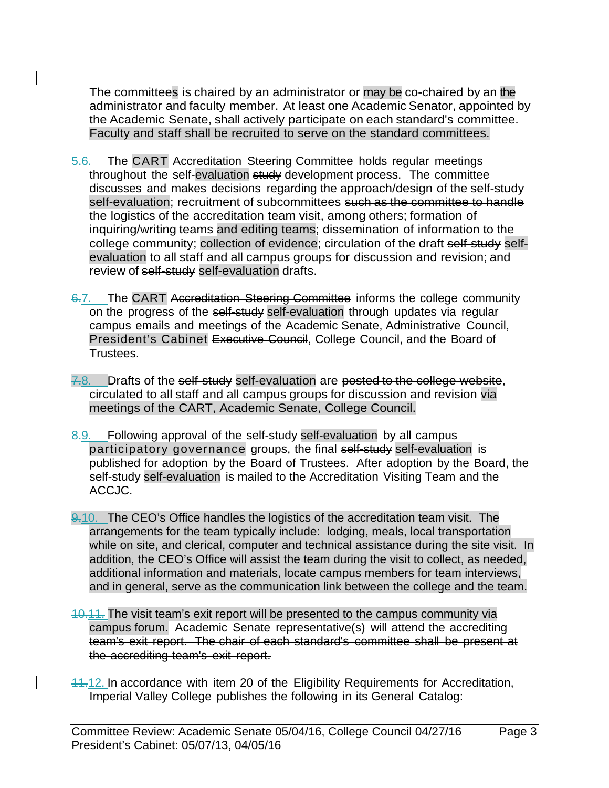The committees is chaired by an administrator or may be co-chaired by an the administrator and faculty member. At least one Academic Senator, appointed by the Academic Senate, shall actively participate on each standard's committee. Faculty and staff shall be recruited to serve on the standard committees.

- 5.6. The CART Accreditation Steering Committee holds regular meetings throughout the self-evaluation study development process. The committee discusses and makes decisions regarding the approach/design of the self-study self-evaluation; recruitment of subcommittees such as the committee to handle the logistics of the accreditation team visit, among others; formation of inquiring/writing teams and editing teams; dissemination of information to the college community; collection of evidence; circulation of the draft self-study selfevaluation to all staff and all campus groups for discussion and revision; and review of self-study self-evaluation drafts.
- 6.7. The CART Accreditation Steering Committee informs the college community on the progress of the self-study self-evaluation through updates via regular campus emails and meetings of the Academic Senate, Administrative Council, President's Cabinet Executive Council, College Council, and the Board of Trustees.
- 7.8. Drafts of the self-study self-evaluation are posted to the college website, circulated to all staff and all campus groups for discussion and revision via meetings of the CART, Academic Senate, College Council.
- 8.9. Following approval of the self-study self-evaluation by all campus participatory governance groups, the final self-study self-evaluation is published for adoption by the Board of Trustees. After adoption by the Board, the self-study self-evaluation is mailed to the Accreditation Visiting Team and the ACCJC.
- 9.10. The CEO's Office handles the logistics of the accreditation team visit. The arrangements for the team typically include: lodging, meals, local transportation while on site, and clerical, computer and technical assistance during the site visit. In addition, the CEO's Office will assist the team during the visit to collect, as needed, additional information and materials, locate campus members for team interviews, and in general, serve as the communication link between the college and the team.
- 10.11. The visit team's exit report will be presented to the campus community via campus forum. Academic Senate representative(s) will attend the accrediting team's exit report. The chair of each standard's committee shall be present at the accrediting team's exit report.
- 11.12. In accordance with item 20 of the Eligibility Requirements for Accreditation, Imperial Valley College publishes the following in its General Catalog: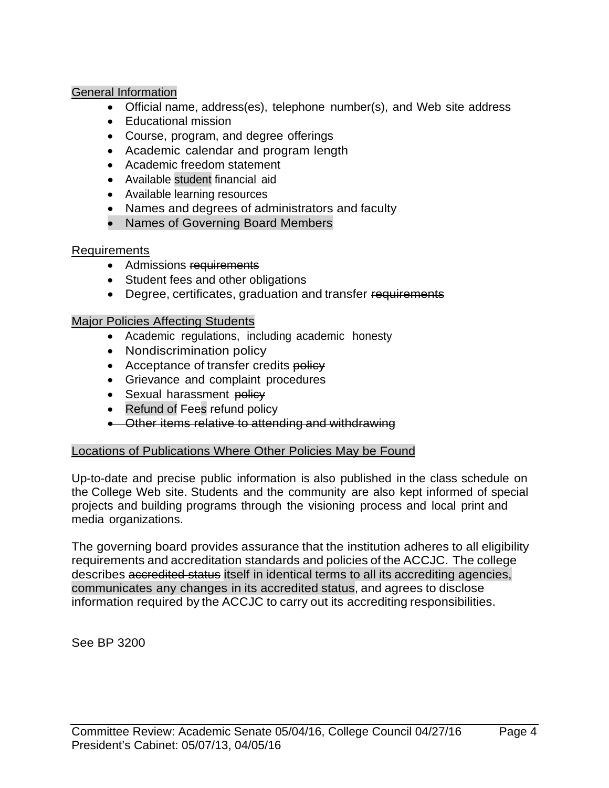### General Information

- Official name, address(es), telephone number(s), and Web site address
- Educational mission
- Course, program, and degree offerings
- Academic calendar and program length
- Academic freedom statement
- Available student financial aid
- Available learning resources
- Names and degrees of administrators and faculty
- Names of Governing Board Members

# Requirements

- Admissions requirements
- Student fees and other obligations
- Degree, certificates, graduation and transfer requirements

### Major Policies Affecting Students

- Academic regulations, including academic honesty
- Nondiscrimination policy
- Acceptance of transfer credits policy
- Grievance and complaint procedures
- Sexual harassment policy
- Refund of Fees refund policy
- Other items relative to attending and withdrawing

# Locations of Publications Where Other Policies May be Found

Up-to-date and precise public information is also published in the class schedule on the College Web site. Students and the community are also kept informed of special projects and building programs through the visioning process and local print and media organizations.

The governing board provides assurance that the institution adheres to all eligibility requirements and accreditation standards and policies of the ACCJC. The college describes accredited status itself in identical terms to all its accrediting agencies, communicates any changes in its accredited status, and agrees to disclose information required by the ACCJC to carry out its accrediting responsibilities.

See BP 3200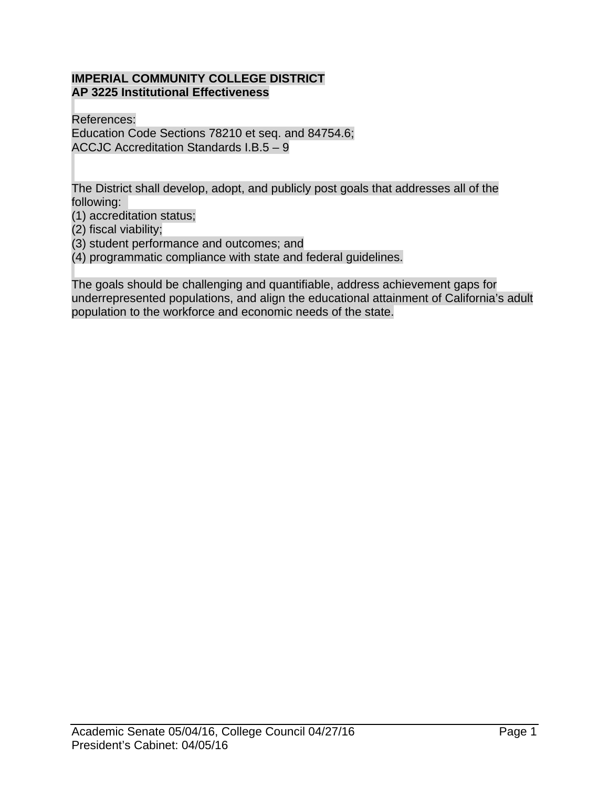### **IMPERIAL COMMUNITY COLLEGE DISTRICT AP 3225 Institutional Effectiveness**

References: Education Code Sections 78210 et seq. and 84754.6; ACCJC Accreditation Standards I.B.5 – 9

The District shall develop, adopt, and publicly post goals that addresses all of the following:

(1) accreditation status;

(2) fiscal viability;

(3) student performance and outcomes; and

(4) programmatic compliance with state and federal guidelines.

The goals should be challenging and quantifiable, address achievement gaps for underrepresented populations, and align the educational attainment of California's adult population to the workforce and economic needs of the state.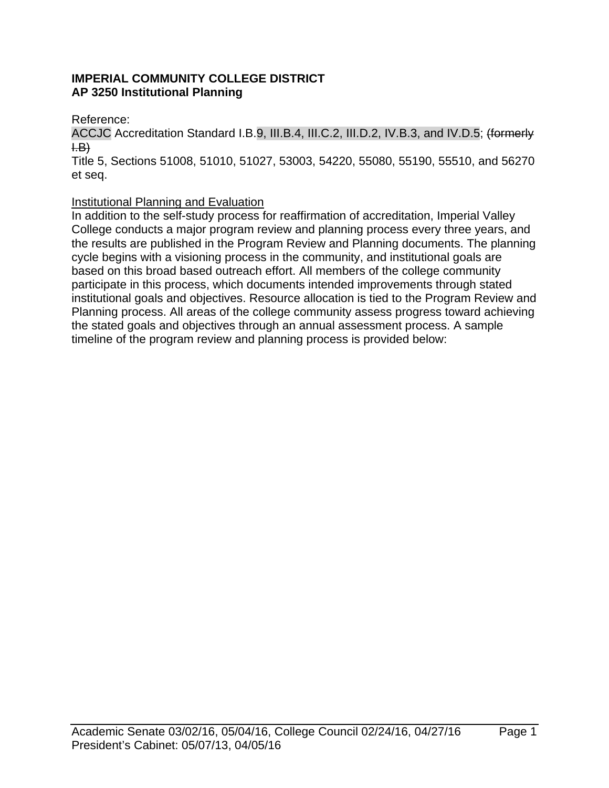# **IMPERIAL COMMUNITY COLLEGE DISTRICT AP 3250 Institutional Planning**

Reference:

ACCJC Accreditation Standard I.B.9, III.B.4, III.C.2, III.D.2, IV.B.3, and IV.D.5; (formerly  $H(B)$ 

Title 5, Sections 51008, 51010, 51027, 53003, 54220, 55080, 55190, 55510, and 56270 et seq.

# Institutional Planning and Evaluation

In addition to the self-study process for reaffirmation of accreditation, Imperial Valley College conducts a major program review and planning process every three years, and the results are published in the Program Review and Planning documents. The planning cycle begins with a visioning process in the community, and institutional goals are based on this broad based outreach effort. All members of the college community participate in this process, which documents intended improvements through stated institutional goals and objectives. Resource allocation is tied to the Program Review and Planning process. All areas of the college community assess progress toward achieving the stated goals and objectives through an annual assessment process. A sample timeline of the program review and planning process is provided below: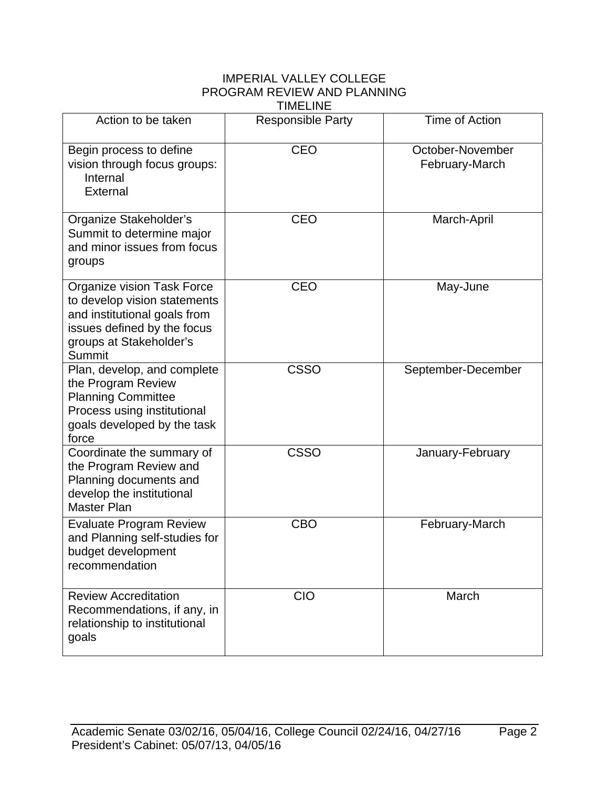### IMPERIAL VALLEY COLLEGE PROGRAM REVIEW AND PLANNING TIMELINE

| Action to be taken                                                                                                                                             | <b>Responsible Party</b> | Time of Action                     |
|----------------------------------------------------------------------------------------------------------------------------------------------------------------|--------------------------|------------------------------------|
|                                                                                                                                                                |                          |                                    |
| Begin process to define<br>vision through focus groups:<br>Internal<br>External                                                                                | <b>CEO</b>               | October-November<br>February-March |
| Organize Stakeholder's<br>Summit to determine major<br>and minor issues from focus<br>groups                                                                   | <b>CEO</b>               | March-April                        |
| Organize vision Task Force<br>to develop vision statements<br>and institutional goals from<br>issues defined by the focus<br>groups at Stakeholder's<br>Summit | <b>CEO</b>               | May-June                           |
| Plan, develop, and complete<br>the Program Review<br><b>Planning Committee</b><br>Process using institutional<br>goals developed by the task<br>force          | <b>CSSO</b>              | September-December                 |
| Coordinate the summary of<br>the Program Review and<br>Planning documents and<br>develop the institutional<br>Master Plan                                      | <b>CSSO</b>              | January-February                   |
| <b>Evaluate Program Review</b><br>and Planning self-studies for<br>budget development<br>recommendation                                                        | <b>CBO</b>               | February-March                     |
| <b>Review Accreditation</b><br>Recommendations, if any, in<br>relationship to institutional<br>goals                                                           | <b>CIO</b>               | March                              |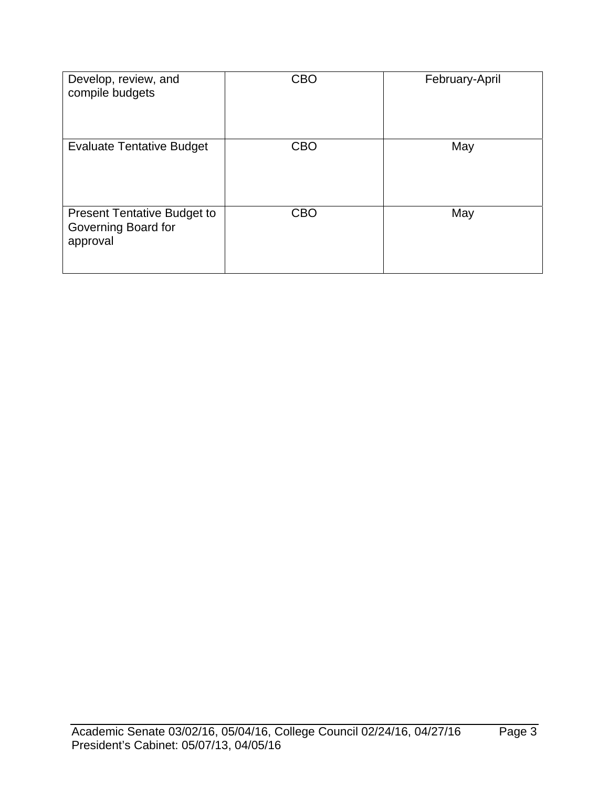| Develop, review, and<br>compile budgets                               | <b>CBO</b> | February-April |
|-----------------------------------------------------------------------|------------|----------------|
| <b>Evaluate Tentative Budget</b>                                      | <b>CBO</b> | May            |
| <b>Present Tentative Budget to</b><br>Governing Board for<br>approval | <b>CBO</b> | May            |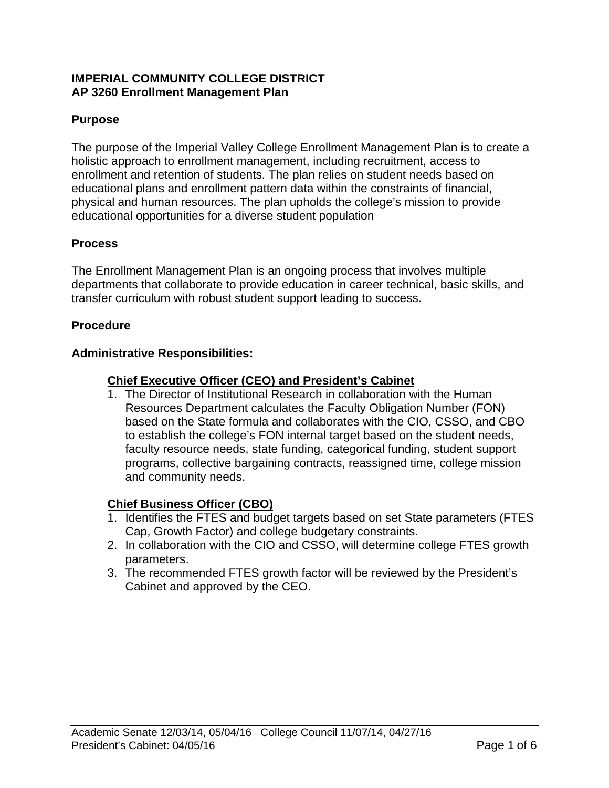### **IMPERIAL COMMUNITY COLLEGE DISTRICT AP 3260 Enrollment Management Plan**

# **Purpose**

The purpose of the Imperial Valley College Enrollment Management Plan is to create a holistic approach to enrollment management, including recruitment, access to enrollment and retention of students. The plan relies on student needs based on educational plans and enrollment pattern data within the constraints of financial, physical and human resources. The plan upholds the college's mission to provide educational opportunities for a diverse student population

# **Process**

The Enrollment Management Plan is an ongoing process that involves multiple departments that collaborate to provide education in career technical, basic skills, and transfer curriculum with robust student support leading to success.

# **Procedure**

# **Administrative Responsibilities:**

# **Chief Executive Officer (CEO) and President's Cabinet**

1. The Director of Institutional Research in collaboration with the Human Resources Department calculates the Faculty Obligation Number (FON) based on the State formula and collaborates with the CIO, CSSO, and CBO to establish the college's FON internal target based on the student needs, faculty resource needs, state funding, categorical funding, student support programs, collective bargaining contracts, reassigned time, college mission and community needs.

# **Chief Business Officer (CBO)**

- 1. Identifies the FTES and budget targets based on set State parameters (FTES Cap, Growth Factor) and college budgetary constraints.
- 2. In collaboration with the CIO and CSSO, will determine college FTES growth parameters.
- 3. The recommended FTES growth factor will be reviewed by the President's Cabinet and approved by the CEO.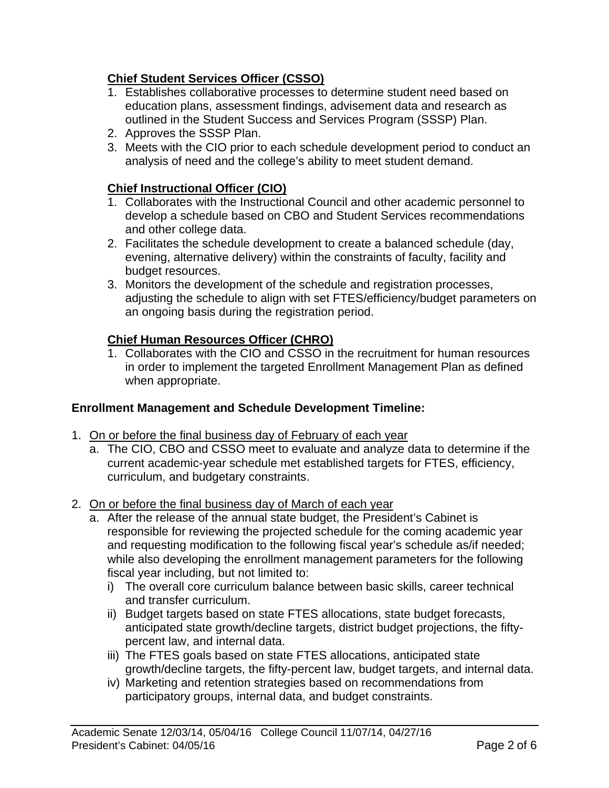# **Chief Student Services Officer (CSSO)**

- 1. Establishes collaborative processes to determine student need based on education plans, assessment findings, advisement data and research as outlined in the Student Success and Services Program (SSSP) Plan.
- 2. Approves the SSSP Plan.
- 3. Meets with the CIO prior to each schedule development period to conduct an analysis of need and the college's ability to meet student demand.

# **Chief Instructional Officer (CIO)**

- 1. Collaborates with the Instructional Council and other academic personnel to develop a schedule based on CBO and Student Services recommendations and other college data.
- 2. Facilitates the schedule development to create a balanced schedule (day, evening, alternative delivery) within the constraints of faculty, facility and budget resources.
- 3. Monitors the development of the schedule and registration processes, adjusting the schedule to align with set FTES/efficiency/budget parameters on an ongoing basis during the registration period.

# **Chief Human Resources Officer (CHRO)**

1. Collaborates with the CIO and CSSO in the recruitment for human resources in order to implement the targeted Enrollment Management Plan as defined when appropriate.

# **Enrollment Management and Schedule Development Timeline:**

- 1. On or before the final business day of February of each year
	- a. The CIO, CBO and CSSO meet to evaluate and analyze data to determine if the current academic-year schedule met established targets for FTES, efficiency, curriculum, and budgetary constraints.
- 2. On or before the final business day of March of each year
	- a. After the release of the annual state budget, the President's Cabinet is responsible for reviewing the projected schedule for the coming academic year and requesting modification to the following fiscal year's schedule as/if needed; while also developing the enrollment management parameters for the following fiscal year including, but not limited to:
		- i) The overall core curriculum balance between basic skills, career technical and transfer curriculum.
		- ii) Budget targets based on state FTES allocations, state budget forecasts, anticipated state growth/decline targets, district budget projections, the fiftypercent law, and internal data.
		- iii) The FTES goals based on state FTES allocations, anticipated state growth/decline targets, the fifty-percent law, budget targets, and internal data.
		- iv) Marketing and retention strategies based on recommendations from participatory groups, internal data, and budget constraints.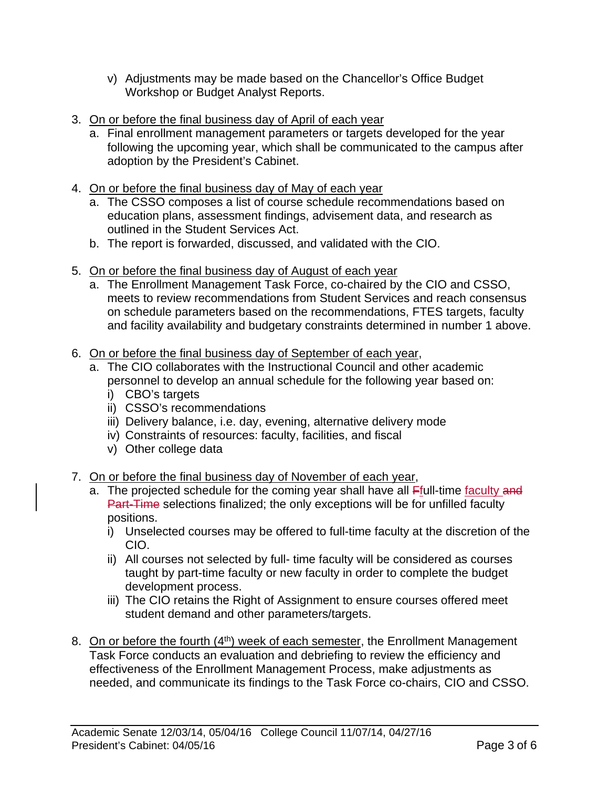- v) Adjustments may be made based on the Chancellor's Office Budget Workshop or Budget Analyst Reports.
- 3. On or before the final business day of April of each year
	- a. Final enrollment management parameters or targets developed for the year following the upcoming year, which shall be communicated to the campus after adoption by the President's Cabinet.
- 4. On or before the final business day of May of each year
	- a. The CSSO composes a list of course schedule recommendations based on education plans, assessment findings, advisement data, and research as outlined in the Student Services Act.
	- b. The report is forwarded, discussed, and validated with the CIO.
- 5. On or before the final business day of August of each year
	- a. The Enrollment Management Task Force, co-chaired by the CIO and CSSO, meets to review recommendations from Student Services and reach consensus on schedule parameters based on the recommendations, FTES targets, faculty and facility availability and budgetary constraints determined in number 1 above.
- 6. On or before the final business day of September of each year,
	- a. The CIO collaborates with the Instructional Council and other academic personnel to develop an annual schedule for the following year based on:
		- i) CBO's targets
		- ii) CSSO's recommendations
		- iii) Delivery balance, i.e. day, evening, alternative delivery mode
		- iv) Constraints of resources: faculty, facilities, and fiscal
		- v) Other college data
- 7. On or before the final business day of November of each year,
	- a. The projected schedule for the coming year shall have all Ffull-time faculty and Part-Time selections finalized; the only exceptions will be for unfilled faculty positions.
		- i) Unselected courses may be offered to full-time faculty at the discretion of the CIO.
		- ii) All courses not selected by full- time faculty will be considered as courses taught by part-time faculty or new faculty in order to complete the budget development process.
		- iii) The CIO retains the Right of Assignment to ensure courses offered meet student demand and other parameters/targets.
- 8. On or before the fourth (4<sup>th</sup>) week of each semester, the Enrollment Management Task Force conducts an evaluation and debriefing to review the efficiency and effectiveness of the Enrollment Management Process, make adjustments as needed, and communicate its findings to the Task Force co-chairs, CIO and CSSO.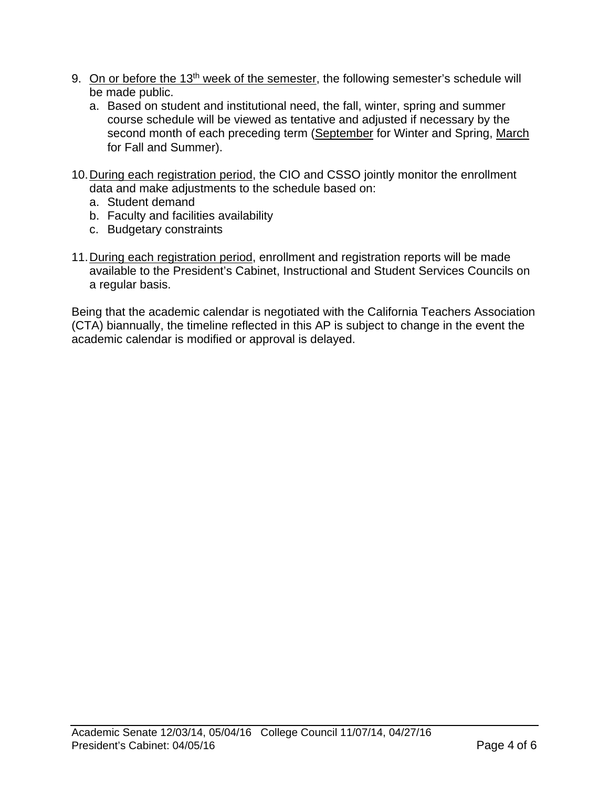- 9. On or before the 13<sup>th</sup> week of the semester, the following semester's schedule will be made public.
	- a. Based on student and institutional need, the fall, winter, spring and summer course schedule will be viewed as tentative and adjusted if necessary by the second month of each preceding term (September for Winter and Spring, March for Fall and Summer).
- 10. During each registration period, the CIO and CSSO jointly monitor the enrollment data and make adjustments to the schedule based on:
	- a. Student demand
	- b. Faculty and facilities availability
	- c. Budgetary constraints
- 11. During each registration period, enrollment and registration reports will be made available to the President's Cabinet, Instructional and Student Services Councils on a regular basis.

Being that the academic calendar is negotiated with the California Teachers Association (CTA) biannually, the timeline reflected in this AP is subject to change in the event the academic calendar is modified or approval is delayed.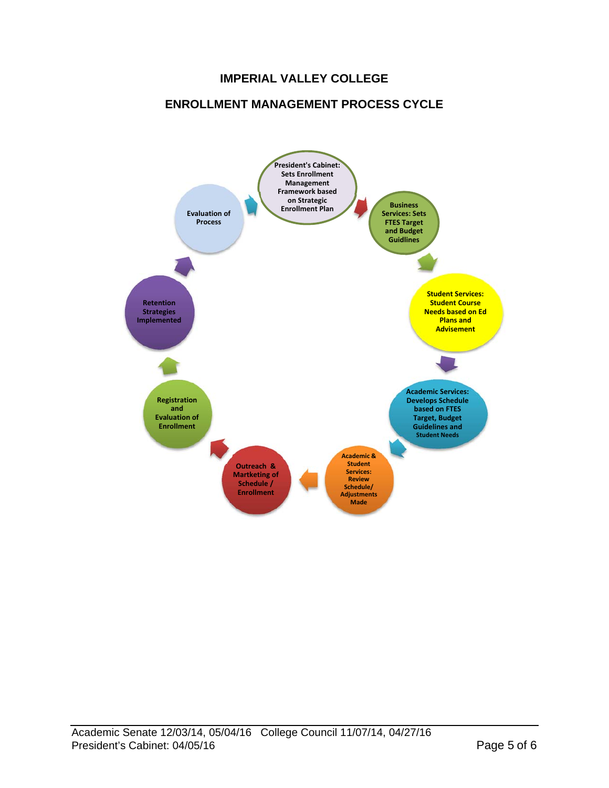# **IMPERIAL VALLEY COLLEGE**

### **ENROLLMENT MANAGEMENT PROCESS CYCLE**

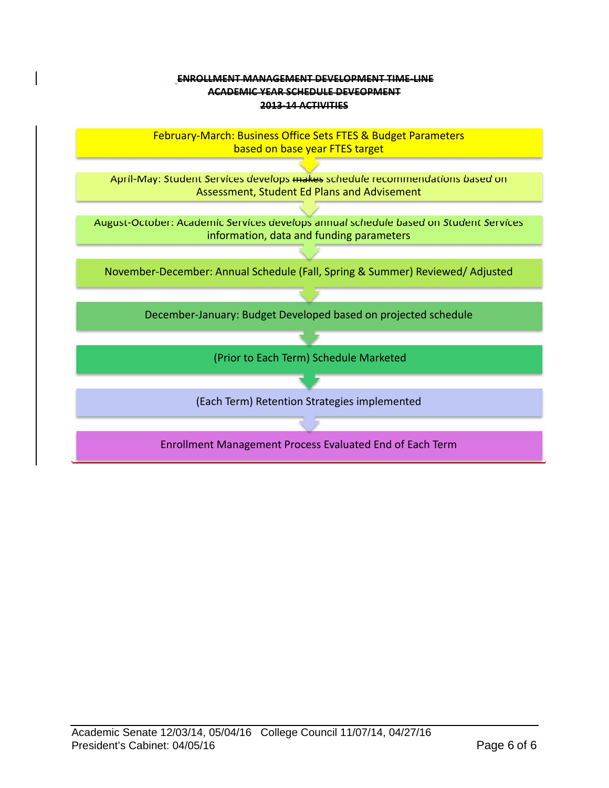#### **ENROLLMENT MANAGEMENT DEVELOPMENT TIME‐LINE ACADEMIC YEAR SCHEDULE DEVEOPMENT 2013‐14 ACTIVITIES**

February‐March: Business Office Sets FTES & Budget Parameters based on base year FTES target

April-May: Student Services develops makes schedule recommendations based on Assessment, Student Ed Plans and Advisement

August‐October: Academic Services develops annual schedule based on Student Services information, data and funding parameters

November‐December: Annual Schedule (Fall, Spring & Summer) Reviewed/ Adjusted

December‐January: Budget Developed based on projected schedule

(Prior to Each Term) Schedule Marketed

(Each Term) Retention Strategies implemented

Enrollment Management Process Evaluated End of Each Term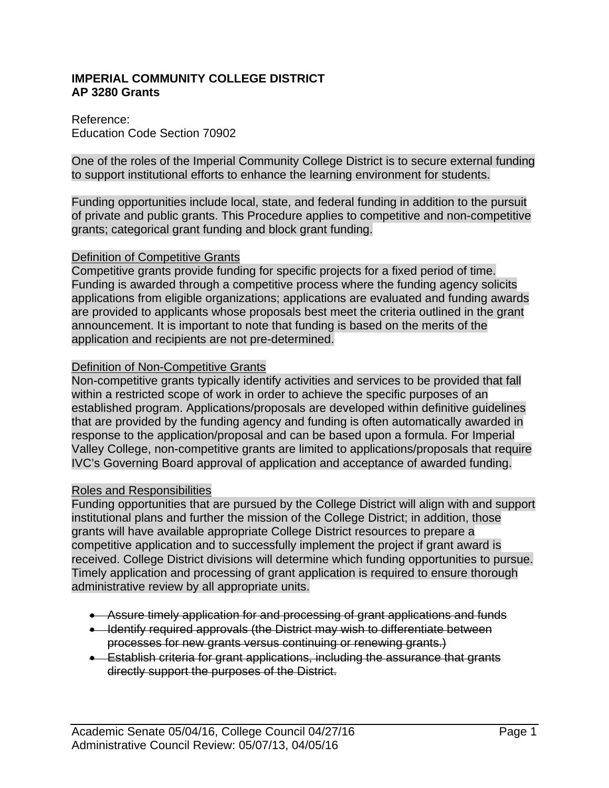### **IMPERIAL COMMUNITY COLLEGE DISTRICT AP 3280 Grants**

### Reference: Education Code Section 70902

One of the roles of the Imperial Community College District is to secure external funding to support institutional efforts to enhance the learning environment for students.

Funding opportunities include local, state, and federal funding in addition to the pursuit of private and public grants. This Procedure applies to competitive and non-competitive grants; categorical grant funding and block grant funding.

### Definition of Competitive Grants

Competitive grants provide funding for specific projects for a fixed period of time. Funding is awarded through a competitive process where the funding agency solicits applications from eligible organizations; applications are evaluated and funding awards are provided to applicants whose proposals best meet the criteria outlined in the grant announcement. It is important to note that funding is based on the merits of the application and recipients are not pre-determined.

### Definition of Non-Competitive Grants

Non-competitive grants typically identify activities and services to be provided that fall within a restricted scope of work in order to achieve the specific purposes of an established program. Applications/proposals are developed within definitive guidelines that are provided by the funding agency and funding is often automatically awarded in response to the application/proposal and can be based upon a formula. For Imperial Valley College, non-competitive grants are limited to applications/proposals that require IVC's Governing Board approval of application and acceptance of awarded funding.

### Roles and Responsibilities

Funding opportunities that are pursued by the College District will align with and support institutional plans and further the mission of the College District; in addition, those grants will have available appropriate College District resources to prepare a competitive application and to successfully implement the project if grant award is received. College District divisions will determine which funding opportunities to pursue. Timely application and processing of grant application is required to ensure thorough administrative review by all appropriate units.

- Assure timely application for and processing of grant applications and funds
- Identify required approvals (the District may wish to differentiate between processes for new grants versus continuing or renewing grants.)
- Establish criteria for grant applications, including the assurance that grants directly support the purposes of the District.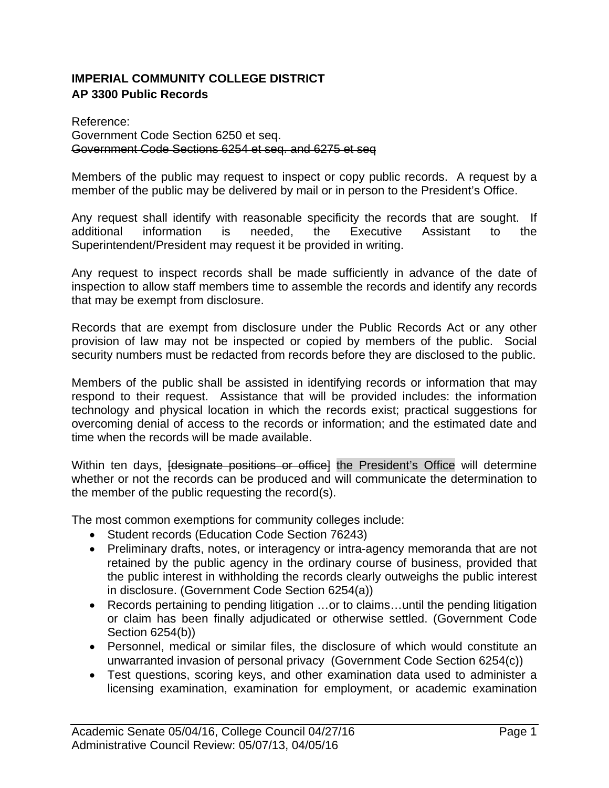# **IMPERIAL COMMUNITY COLLEGE DISTRICT AP 3300 Public Records**

Reference: Government Code Section 6250 et seq. Government Code Sections 6254 et seq. and 6275 et seq

Members of the public may request to inspect or copy public records. A request by a member of the public may be delivered by mail or in person to the President's Office.

Any request shall identify with reasonable specificity the records that are sought. If additional information is needed, the Executive Assistant to the Superintendent/President may request it be provided in writing.

Any request to inspect records shall be made sufficiently in advance of the date of inspection to allow staff members time to assemble the records and identify any records that may be exempt from disclosure.

Records that are exempt from disclosure under the Public Records Act or any other provision of law may not be inspected or copied by members of the public. Social security numbers must be redacted from records before they are disclosed to the public.

Members of the public shall be assisted in identifying records or information that may respond to their request. Assistance that will be provided includes: the information technology and physical location in which the records exist; practical suggestions for overcoming denial of access to the records or information; and the estimated date and time when the records will be made available.

Within ten days, *designate positions or office* the President's Office will determine whether or not the records can be produced and will communicate the determination to the member of the public requesting the record(s).

The most common exemptions for community colleges include:

- Student records (Education Code Section 76243)
- Preliminary drafts, notes, or interagency or intra-agency memoranda that are not retained by the public agency in the ordinary course of business, provided that the public interest in withholding the records clearly outweighs the public interest in disclosure. (Government Code Section 6254(a))
- Records pertaining to pending litigation …or to claims…until the pending litigation or claim has been finally adjudicated or otherwise settled. (Government Code Section 6254(b))
- Personnel, medical or similar files, the disclosure of which would constitute an unwarranted invasion of personal privacy (Government Code Section 6254(c))
- Test questions, scoring keys, and other examination data used to administer a licensing examination, examination for employment, or academic examination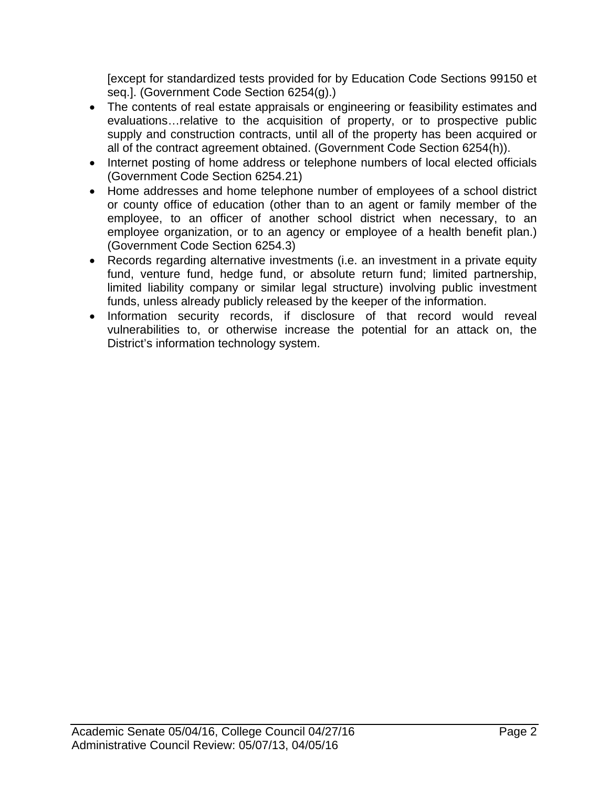[except for standardized tests provided for by Education Code Sections 99150 et seq.]. (Government Code Section 6254(g).)

- The contents of real estate appraisals or engineering or feasibility estimates and evaluations…relative to the acquisition of property, or to prospective public supply and construction contracts, until all of the property has been acquired or all of the contract agreement obtained. (Government Code Section 6254(h)).
- Internet posting of home address or telephone numbers of local elected officials (Government Code Section 6254.21)
- Home addresses and home telephone number of employees of a school district or county office of education (other than to an agent or family member of the employee, to an officer of another school district when necessary, to an employee organization, or to an agency or employee of a health benefit plan.) (Government Code Section 6254.3)
- Records regarding alternative investments (i.e. an investment in a private equity fund, venture fund, hedge fund, or absolute return fund; limited partnership, limited liability company or similar legal structure) involving public investment funds, unless already publicly released by the keeper of the information.
- Information security records, if disclosure of that record would reveal vulnerabilities to, or otherwise increase the potential for an attack on, the District's information technology system.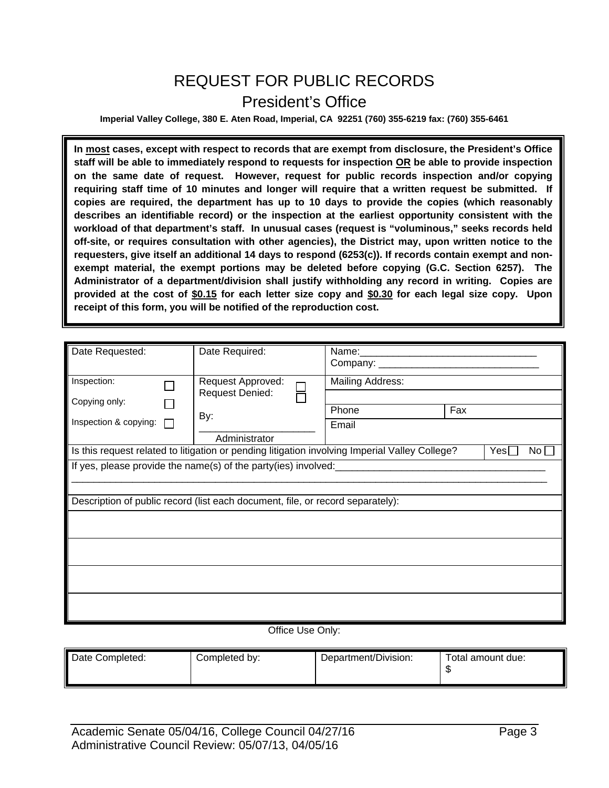# REQUEST FOR PUBLIC RECORDS President's Office

**Imperial Valley College, 380 E. Aten Road, Imperial, CA 92251 (760) 355-6219 fax: (760) 355-6461** 

**In most cases, except with respect to records that are exempt from disclosure, the President's Office staff will be able to immediately respond to requests for inspection OR be able to provide inspection on the same date of request. However, request for public records inspection and/or copying requiring staff time of 10 minutes and longer will require that a written request be submitted. If copies are required, the department has up to 10 days to provide the copies (which reasonably describes an identifiable record) or the inspection at the earliest opportunity consistent with the workload of that department's staff. In unusual cases (request is "voluminous," seeks records held off-site, or requires consultation with other agencies), the District may, upon written notice to the requesters, give itself an additional 14 days to respond (6253(c)). If records contain exempt and nonexempt material, the exempt portions may be deleted before copying (G.C. Section 6257). The Administrator of a department/division shall justify withholding any record in writing. Copies are provided at the cost of \$0.15 for each letter size copy and \$0.30 for each legal size copy. Upon receipt of this form, you will be notified of the reproduction cost.** 

| Date Requested:                                                                                                                                      |                                                                                                                      | Date Required:                              |  |                         |     |  |  |
|------------------------------------------------------------------------------------------------------------------------------------------------------|----------------------------------------------------------------------------------------------------------------------|---------------------------------------------|--|-------------------------|-----|--|--|
| Inspection:                                                                                                                                          |                                                                                                                      | Request Approved:<br><b>Request Denied:</b> |  | <b>Mailing Address:</b> |     |  |  |
| Copying only:                                                                                                                                        |                                                                                                                      | By:                                         |  | Phone                   | Fax |  |  |
| Inspection & copying:                                                                                                                                |                                                                                                                      | Administrator                               |  | Email                   |     |  |  |
|                                                                                                                                                      | Is this request related to litigation or pending litigation involving Imperial Valley College?<br>Yes<br>$No$ $\Box$ |                                             |  |                         |     |  |  |
| If yes, please provide the name(s) of the party(ies) involved:<br>[2015]<br>If yes, please provide the name(s) of the party(ies) involved:<br>[2022] |                                                                                                                      |                                             |  |                         |     |  |  |
| Description of public record (list each document, file, or record separately):                                                                       |                                                                                                                      |                                             |  |                         |     |  |  |
|                                                                                                                                                      |                                                                                                                      |                                             |  |                         |     |  |  |
|                                                                                                                                                      |                                                                                                                      |                                             |  |                         |     |  |  |
|                                                                                                                                                      |                                                                                                                      |                                             |  |                         |     |  |  |
|                                                                                                                                                      |                                                                                                                      |                                             |  |                         |     |  |  |
| Office Use Only:                                                                                                                                     |                                                                                                                      |                                             |  |                         |     |  |  |

| Date Completed: | Completed by: | Department/Division: | Total amount due:<br>мD |
|-----------------|---------------|----------------------|-------------------------|
|-----------------|---------------|----------------------|-------------------------|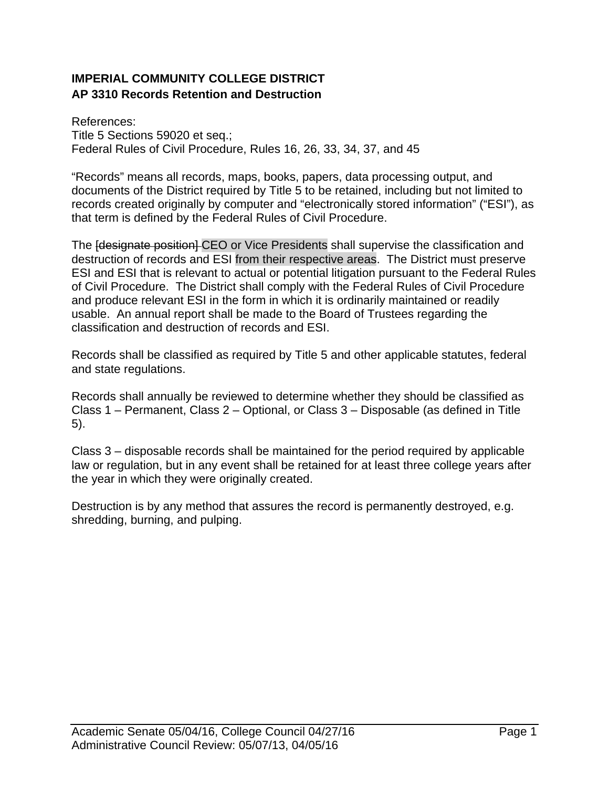# **IMPERIAL COMMUNITY COLLEGE DISTRICT AP 3310 Records Retention and Destruction**

References: Title 5 Sections 59020 et seq.; Federal Rules of Civil Procedure, Rules 16, 26, 33, 34, 37, and 45

"Records" means all records, maps, books, papers, data processing output, and documents of the District required by Title 5 to be retained, including but not limited to records created originally by computer and "electronically stored information" ("ESI"), as that term is defined by the Federal Rules of Civil Procedure.

The **[designate position]** CEO or Vice Presidents shall supervise the classification and destruction of records and ESI from their respective areas. The District must preserve ESI and ESI that is relevant to actual or potential litigation pursuant to the Federal Rules of Civil Procedure. The District shall comply with the Federal Rules of Civil Procedure and produce relevant ESI in the form in which it is ordinarily maintained or readily usable. An annual report shall be made to the Board of Trustees regarding the classification and destruction of records and ESI.

Records shall be classified as required by Title 5 and other applicable statutes, federal and state regulations.

Records shall annually be reviewed to determine whether they should be classified as Class 1 – Permanent, Class 2 – Optional, or Class 3 – Disposable (as defined in Title 5).

Class 3 – disposable records shall be maintained for the period required by applicable law or regulation, but in any event shall be retained for at least three college years after the year in which they were originally created.

Destruction is by any method that assures the record is permanently destroyed, e.g. shredding, burning, and pulping.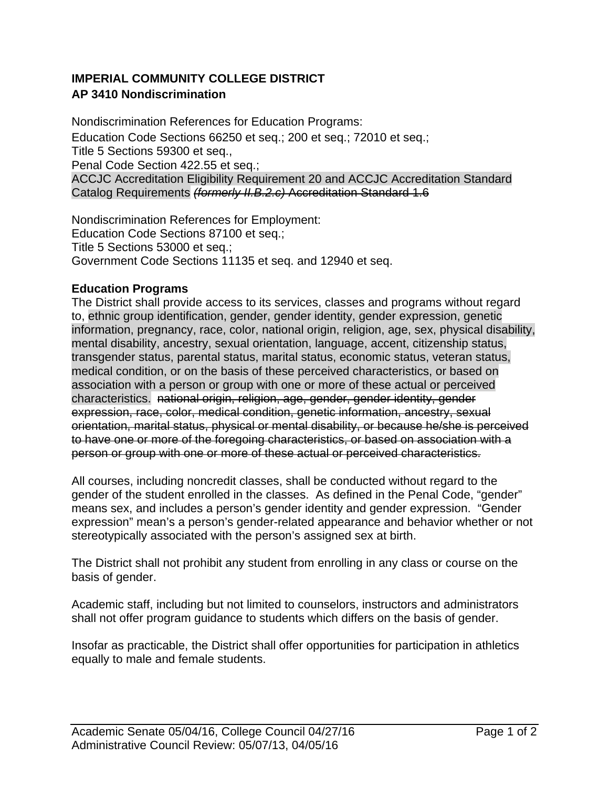# **IMPERIAL COMMUNITY COLLEGE DISTRICT AP 3410 Nondiscrimination**

Nondiscrimination References for Education Programs: Education Code Sections 66250 et seq.; 200 et seq.; 72010 et seq.; Title 5 Sections 59300 et seq., Penal Code Section 422.55 et seq.; ACCJC Accreditation Eligibility Requirement 20 and ACCJC Accreditation Standard Catalog Requirements *(formerly II.B.2.c)* Accreditation Standard 1.6

Nondiscrimination References for Employment: Education Code Sections 87100 et seq.; Title 5 Sections 53000 et seq.; Government Code Sections 11135 et seq. and 12940 et seq.

# **Education Programs**

The District shall provide access to its services, classes and programs without regard to, ethnic group identification, gender, gender identity, gender expression, genetic information, pregnancy, race, color, national origin, religion, age, sex, physical disability, mental disability, ancestry, sexual orientation, language, accent, citizenship status, transgender status, parental status, marital status, economic status, veteran status, medical condition, or on the basis of these perceived characteristics, or based on association with a person or group with one or more of these actual or perceived characteristics.national origin, religion, age, gender, gender identity, gender expression, race, color, medical condition, genetic information, ancestry, sexual orientation, marital status, physical or mental disability, or because he/she is perceived to have one or more of the foregoing characteristics, or based on association with a person or group with one or more of these actual or perceived characteristics.

All courses, including noncredit classes, shall be conducted without regard to the gender of the student enrolled in the classes. As defined in the Penal Code, "gender" means sex, and includes a person's gender identity and gender expression. "Gender expression" mean's a person's gender-related appearance and behavior whether or not stereotypically associated with the person's assigned sex at birth.

The District shall not prohibit any student from enrolling in any class or course on the basis of gender.

Academic staff, including but not limited to counselors, instructors and administrators shall not offer program guidance to students which differs on the basis of gender.

Insofar as practicable, the District shall offer opportunities for participation in athletics equally to male and female students.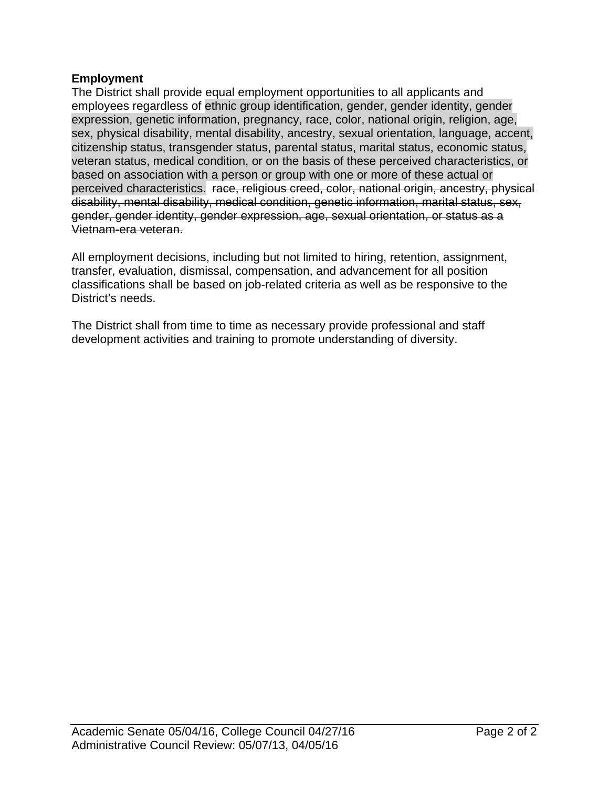### **Employment**

The District shall provide equal employment opportunities to all applicants and employees regardless of ethnic group identification, gender, gender identity, gender expression, genetic information, pregnancy, race, color, national origin, religion, age, sex, physical disability, mental disability, ancestry, sexual orientation, language, accent, citizenship status, transgender status, parental status, marital status, economic status, veteran status, medical condition, or on the basis of these perceived characteristics, or based on association with a person or group with one or more of these actual or perceived characteristics.race, religious creed, color, national origin, ancestry, physical disability, mental disability, medical condition, genetic information, marital status, sex, gender, gender identity, gender expression, age, sexual orientation, or status as a Vietnam-era veteran.

All employment decisions, including but not limited to hiring, retention, assignment, transfer, evaluation, dismissal, compensation, and advancement for all position classifications shall be based on job-related criteria as well as be responsive to the District's needs.

The District shall from time to time as necessary provide professional and staff development activities and training to promote understanding of diversity.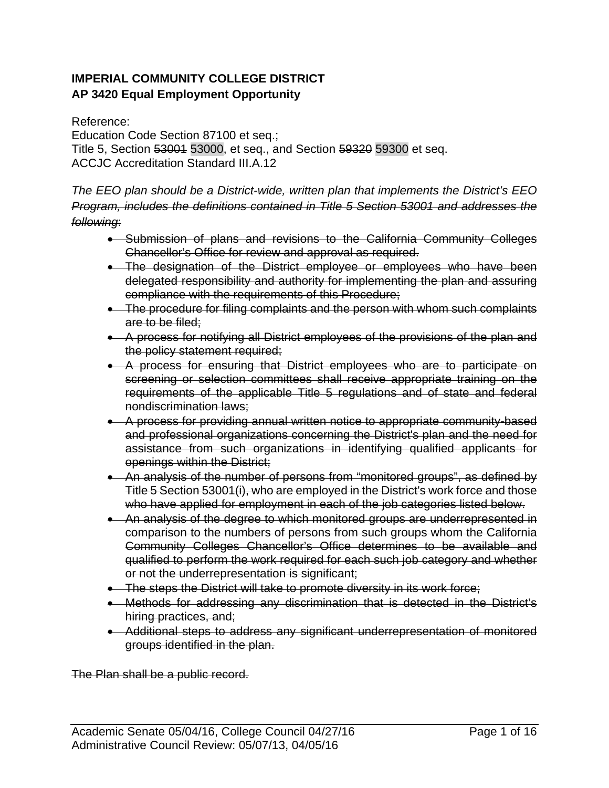# **IMPERIAL COMMUNITY COLLEGE DISTRICT AP 3420 Equal Employment Opportunity**

Reference: Education Code Section 87100 et seq.; Title 5, Section 53001 53000, et seq., and Section 59320 59300 et seq. ACCJC Accreditation Standard III.A.12

*The EEO plan should be a District-wide, written plan that implements the District's EEO Program, includes the definitions contained in Title 5 Section 53001 and addresses the following*:

- Submission of plans and revisions to the California Community Colleges Chancellor's Office for review and approval as required.
- The designation of the District employee or employees who have been delegated responsibility and authority for implementing the plan and assuring compliance with the requirements of this Procedure;
- The procedure for filing complaints and the person with whom such complaints are to be filed;
- A process for notifying all District employees of the provisions of the plan and the policy statement required;
- A process for ensuring that District employees who are to participate on screening or selection committees shall receive appropriate training on the requirements of the applicable Title 5 regulations and of state and federal nondiscrimination laws;
- A process for providing annual written notice to appropriate community-based and professional organizations concerning the District's plan and the need for assistance from such organizations in identifying qualified applicants for openings within the District;
- An analysis of the number of persons from "monitored groups", as defined by Title 5 Section 53001(i), who are employed in the District's work force and those who have applied for employment in each of the job categories listed below.
- An analysis of the degree to which monitored groups are underrepresented in comparison to the numbers of persons from such groups whom the California Community Colleges Chancellor's Office determines to be available and qualified to perform the work required for each such job category and whether or not the underrepresentation is significant;
- The steps the District will take to promote diversity in its work force;
- Methods for addressing any discrimination that is detected in the District's hiring practices, and;
- Additional steps to address any significant underrepresentation of monitored groups identified in the plan.

The Plan shall be a public record.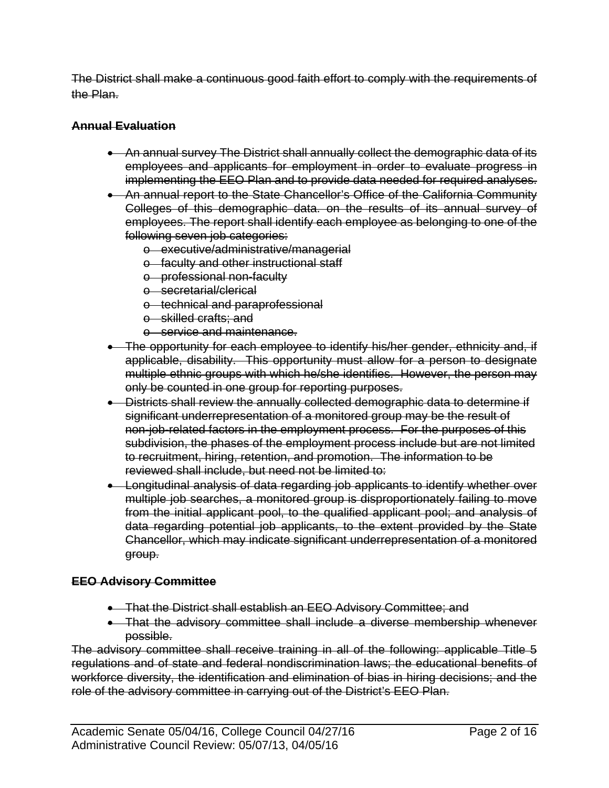The District shall make a continuous good faith effort to comply with the requirements of the Plan.

# **Annual Evaluation**

- An annual survey The District shall annually collect the demographic data of its employees and applicants for employment in order to evaluate progress in implementing the EEO Plan and to provide data needed for required analyses.
- An annual report to the State Chancellor's Office of the California Community Colleges of this demographic data. on the results of its annual survey of employees. The report shall identify each employee as belonging to one of the following seven job categories:
	- o executive/administrative/managerial
	- o faculty and other instructional staff
	- o professional non-faculty
	- o secretarial/clerical
	- o technical and paraprofessional
	- o skilled crafts; and
	- o service and maintenance.
- The opportunity for each employee to identify his/her gender, ethnicity and, if applicable, disability. This opportunity must allow for a person to designate multiple ethnic groups with which he/she identifies. However, the person may only be counted in one group for reporting purposes.
- Districts shall review the annually collected demographic data to determine if significant underrepresentation of a monitored group may be the result of non-job-related factors in the employment process. For the purposes of this subdivision, the phases of the employment process include but are not limited to recruitment, hiring, retention, and promotion. The information to be reviewed shall include, but need not be limited to:
- Longitudinal analysis of data regarding job applicants to identify whether over multiple job searches, a monitored group is disproportionately failing to move from the initial applicant pool, to the qualified applicant pool; and analysis of data regarding potential job applicants, to the extent provided by the State Chancellor, which may indicate significant underrepresentation of a monitored group.

# **EEO Advisory Committee**

- **•** That the District shall establish an EEO Advisory Committee; and
- That the advisory committee shall include a diverse membership whenever possible.

The advisory committee shall receive training in all of the following: applicable Title 5 regulations and of state and federal nondiscrimination laws; the educational benefits of workforce diversity, the identification and elimination of bias in hiring decisions; and the role of the advisory committee in carrying out of the District's EEO Plan.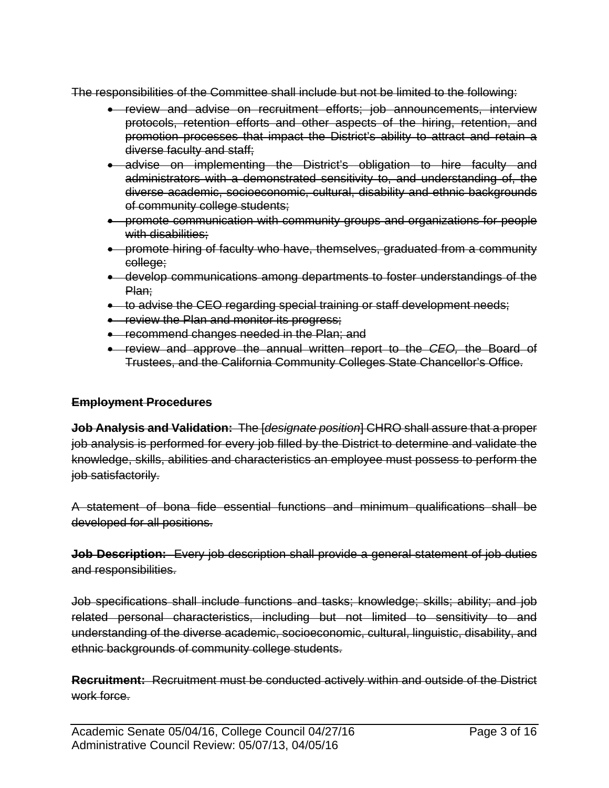The responsibilities of the Committee shall include but not be limited to the following:

- review and advise on recruitment efforts; job announcements, interview protocols, retention efforts and other aspects of the hiring, retention, and promotion processes that impact the District's ability to attract and retain a diverse faculty and staff;
- advise on implementing the District's obligation to hire faculty and administrators with a demonstrated sensitivity to, and understanding of, the diverse academic, socioeconomic, cultural, disability and ethnic backgrounds of community college students;
- promote communication with community groups and organizations for people with disabilities:
- promote hiring of faculty who have, themselves, graduated from a community college;
- develop communications among departments to foster understandings of the Plan:
- to advise the CEO regarding special training or staff development needs;
- **•** review the Plan and monitor its progress;
- **•** recommend changes needed in the Plan; and
- review and approve the annual written report to the *CEO,* the Board of Trustees, and the California Community Colleges State Chancellor's Office.

# **Employment Procedures**

**Job Analysis and Validation:** The [*designate position*] CHRO shall assure that a proper job analysis is performed for every job filled by the District to determine and validate the knowledge, skills, abilities and characteristics an employee must possess to perform the job satisfactorily.

A statement of bona fide essential functions and minimum qualifications shall be developed for all positions.

**Job Description:** Every job description shall provide a general statement of job duties and responsibilities.

Job specifications shall include functions and tasks; knowledge; skills; ability; and job related personal characteristics, including but not limited to sensitivity to and understanding of the diverse academic, socioeconomic, cultural, linguistic, disability, and ethnic backgrounds of community college students.

**Recruitment:** Recruitment must be conducted actively within and outside of the District work force.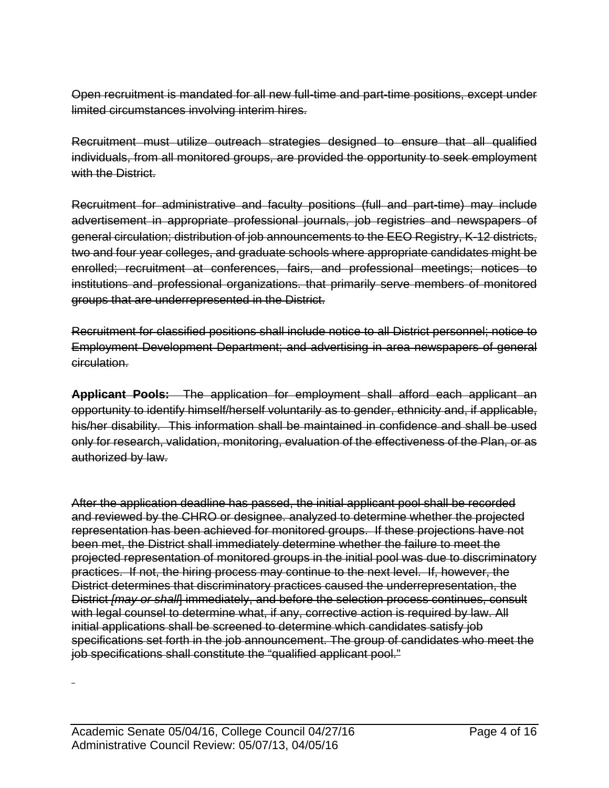Open recruitment is mandated for all new full-time and part-time positions, except under limited circumstances involving interim hires.

Recruitment must utilize outreach strategies designed to ensure that all qualified individuals, from all monitored groups, are provided the opportunity to seek employment with the District.

Recruitment for administrative and faculty positions (full and part-time) may include advertisement in appropriate professional journals, job registries and newspapers of general circulation; distribution of job announcements to the EEO Registry, K-12 districts, two and four year colleges, and graduate schools where appropriate candidates might be enrolled; recruitment at conferences, fairs, and professional meetings; notices to institutions and professional organizations. that primarily serve members of monitored groups that are underrepresented in the District.

Recruitment for classified positions shall include notice to all District personnel; notice to Employment Development Department; and advertising in area newspapers of general circulation.

**Applicant Pools:** The application for employment shall afford each applicant an opportunity to identify himself/herself voluntarily as to gender, ethnicity and, if applicable, his/her disability. This information shall be maintained in confidence and shall be used only for research, validation, monitoring, evaluation of the effectiveness of the Plan, or as authorized by law.

After the application deadline has passed, the initial applicant pool shall be recorded and reviewed by the CHRO or designee. analyzed to determine whether the projected representation has been achieved for monitored groups. If these projections have not been met, the District shall immediately determine whether the failure to meet the projected representation of monitored groups in the initial pool was due to discriminatory practices. If not, the hiring process may continue to the next level. If, however, the District determines that discriminatory practices caused the underrepresentation, the District *[may or shall*] immediately, and before the selection process continues, consult with legal counsel to determine what, if any, corrective action is required by law. All initial applications shall be screened to determine which candidates satisfy job specifications set forth in the job announcement. The group of candidates who meet the job specifications shall constitute the "qualified applicant pool."

 $\overline{a}$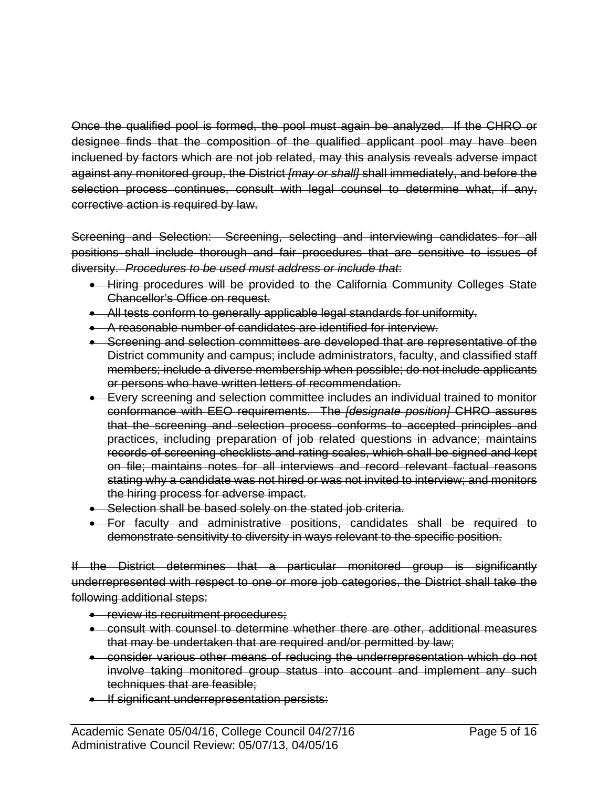Once the qualified pool is formed, the pool must again be analyzed. If the CHRO or designee finds that the composition of the qualified applicant pool may have been incluened by factors which are not job related, may this analysis reveals adverse impact against any monitored group, the District *[may or shall]* shall immediately, and before the selection process continues, consult with legal counsel to determine what, if any, corrective action is required by law.

Screening and Selection: Screening, selecting and interviewing candidates for all positions shall include thorough and fair procedures that are sensitive to issues of diversity. *Procedures to be used must address or include that*:

- Hiring procedures will be provided to the California Community Colleges State Chancellor's Office on request.
- All tests conform to generally applicable legal standards for uniformity.
- A reasonable number of candidates are identified for interview.
- Screening and selection committees are developed that are representative of the District community and campus; include administrators, faculty, and classified staff members; include a diverse membership when possible; do not include applicants or persons who have written letters of recommendation.
- Every screening and selection committee includes an individual trained to monitor conformance with EEO requirements. The *[designate position]* CHRO assures that the screening and selection process conforms to accepted principles and practices, including preparation of job related questions in advance; maintains records of screening checklists and rating scales, which shall be signed and kept on file; maintains notes for all interviews and record relevant factual reasons stating why a candidate was not hired or was not invited to interview; and monitors the hiring process for adverse impact.
- Selection shall be based solely on the stated job criteria.
- For faculty and administrative positions, candidates shall be required to demonstrate sensitivity to diversity in ways relevant to the specific position.

If the District determines that a particular monitored group is significantly underrepresented with respect to one or more job categories, the District shall take the following additional steps:

- **•** review its recruitment procedures;
- consult with counsel to determine whether there are other, additional measures that may be undertaken that are required and/or permitted by law;
- consider various other means of reducing the underrepresentation which do not involve taking monitored group status into account and implement any such techniques that are feasible;
- **If significant underrepresentation persists:**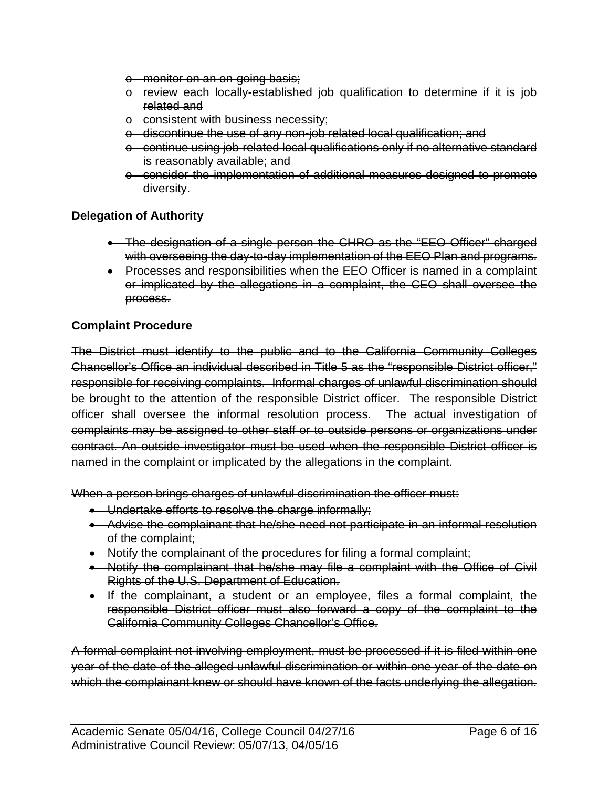- o monitor on an on-going basis;
- o review each locally-established job qualification to determine if it is job related and
- o consistent with business necessity;
- o discontinue the use of any non-job related local qualification; and
- o continue using job-related local qualifications only if no alternative standard is reasonably available; and
- o consider the implementation of additional measures designed to promote diversity.

### **Delegation of Authority**

- The designation of a single person the CHRO as the "EEO Officer" charged with overseeing the day-to-day implementation of the EEO Plan and programs.
- **•** Processes and responsibilities when the EEO Officer is named in a complaint or implicated by the allegations in a complaint, the CEO shall oversee the process.

### **Complaint Procedure**

The District must identify to the public and to the California Community Colleges Chancellor's Office an individual described in Title 5 as the "responsible District officer," responsible for receiving complaints. Informal charges of unlawful discrimination should be brought to the attention of the responsible District officer. The responsible District officer shall oversee the informal resolution process. The actual investigation of complaints may be assigned to other staff or to outside persons or organizations under contract. An outside investigator must be used when the responsible District officer is named in the complaint or implicated by the allegations in the complaint.

When a person brings charges of unlawful discrimination the officer must:

- Undertake efforts to resolve the charge informally;
- Advise the complainant that he/she need not participate in an informal resolution of the complaint;
- Notify the complainant of the procedures for filing a formal complaint;
- Notify the complainant that he/she may file a complaint with the Office of Civil Rights of the U.S. Department of Education.
- If the complainant, a student or an employee, files a formal complaint, the responsible District officer must also forward a copy of the complaint to the California Community Colleges Chancellor's Office.

A formal complaint not involving employment, must be processed if it is filed within one year of the date of the alleged unlawful discrimination or within one year of the date on which the complainant knew or should have known of the facts underlying the allegation.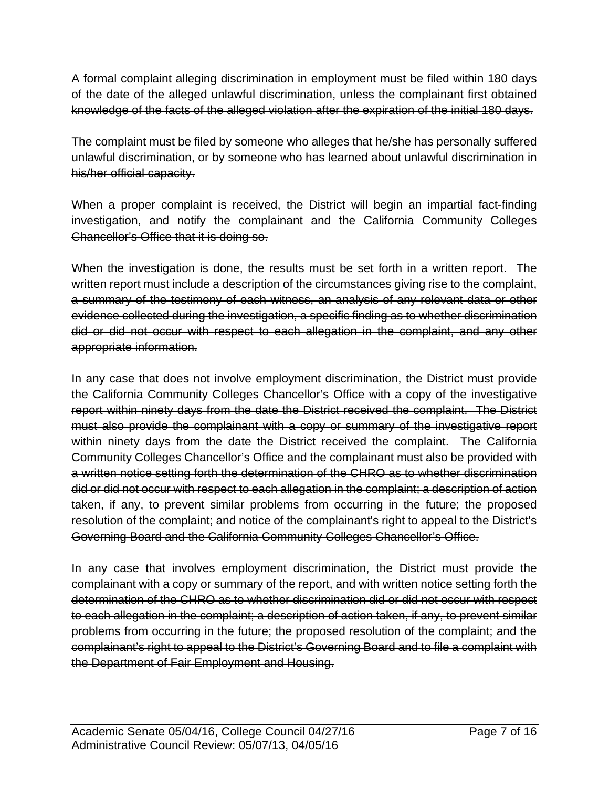A formal complaint alleging discrimination in employment must be filed within 180 days of the date of the alleged unlawful discrimination, unless the complainant first obtained knowledge of the facts of the alleged violation after the expiration of the initial 180 days.

The complaint must be filed by someone who alleges that he/she has personally suffered unlawful discrimination, or by someone who has learned about unlawful discrimination in his/her official capacity.

When a proper complaint is received, the District will begin an impartial fact-finding investigation, and notify the complainant and the California Community Colleges Chancellor's Office that it is doing so.

When the investigation is done, the results must be set forth in a written report. The written report must include a description of the circumstances giving rise to the complaint, a summary of the testimony of each witness, an analysis of any relevant data or other evidence collected during the investigation, a specific finding as to whether discrimination did or did not occur with respect to each allegation in the complaint, and any other appropriate information.

In any case that does not involve employment discrimination, the District must provide the California Community Colleges Chancellor's Office with a copy of the investigative report within ninety days from the date the District received the complaint. The District must also provide the complainant with a copy or summary of the investigative report within ninety days from the date the District received the complaint. The California Community Colleges Chancellor's Office and the complainant must also be provided with a written notice setting forth the determination of the CHRO as to whether discrimination did or did not occur with respect to each allegation in the complaint; a description of action taken, if any, to prevent similar problems from occurring in the future; the proposed resolution of the complaint; and notice of the complainant's right to appeal to the District's Governing Board and the California Community Colleges Chancellor's Office.

In any case that involves employment discrimination, the District must provide the complainant with a copy or summary of the report, and with written notice setting forth the determination of the CHRO as to whether discrimination did or did not occur with respect to each allegation in the complaint; a description of action taken, if any, to prevent similar problems from occurring in the future; the proposed resolution of the complaint; and the complainant's right to appeal to the District's Governing Board and to file a complaint with the Department of Fair Employment and Housing.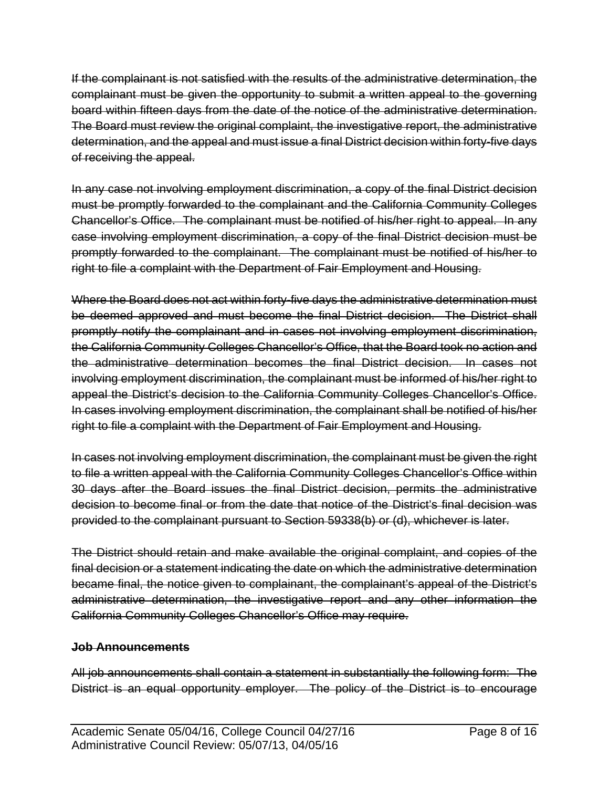If the complainant is not satisfied with the results of the administrative determination, the complainant must be given the opportunity to submit a written appeal to the governing board within fifteen days from the date of the notice of the administrative determination. The Board must review the original complaint, the investigative report, the administrative determination, and the appeal and must issue a final District decision within forty-five days of receiving the appeal.

In any case not involving employment discrimination, a copy of the final District decision must be promptly forwarded to the complainant and the California Community Colleges Chancellor's Office. The complainant must be notified of his/her right to appeal. In any case involving employment discrimination, a copy of the final District decision must be promptly forwarded to the complainant. The complainant must be notified of his/her to right to file a complaint with the Department of Fair Employment and Housing.

Where the Board does not act within forty-five days the administrative determination must be deemed approved and must become the final District decision. The District shall promptly notify the complainant and in cases not involving employment discrimination, the California Community Colleges Chancellor's Office, that the Board took no action and the administrative determination becomes the final District decision. In cases not involving employment discrimination, the complainant must be informed of his/her right to appeal the District's decision to the California Community Colleges Chancellor's Office. In cases involving employment discrimination, the complainant shall be notified of his/her right to file a complaint with the Department of Fair Employment and Housing.

In cases not involving employment discrimination, the complainant must be given the right to file a written appeal with the California Community Colleges Chancellor's Office within 30 days after the Board issues the final District decision, permits the administrative decision to become final or from the date that notice of the District's final decision was provided to the complainant pursuant to Section 59338(b) or (d), whichever is later.

The District should retain and make available the original complaint, and copies of the final decision or a statement indicating the date on which the administrative determination became final, the notice given to complainant, the complainant's appeal of the District's administrative determination, the investigative report and any other information the California Community Colleges Chancellor's Office may require.

# **Job Announcements**

All job announcements shall contain a statement in substantially the following form: The District is an equal opportunity employer. The policy of the District is to encourage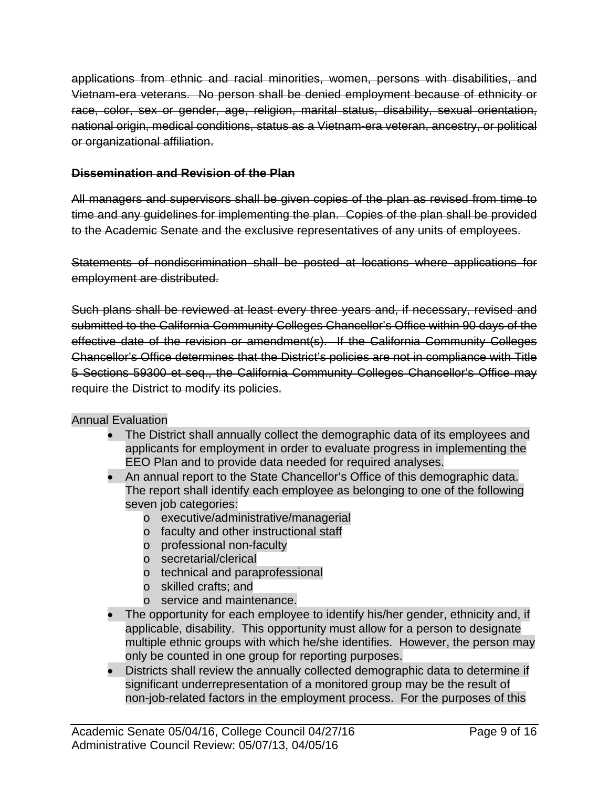applications from ethnic and racial minorities, women, persons with disabilities, and Vietnam-era veterans. No person shall be denied employment because of ethnicity or race, color, sex or gender, age, religion, marital status, disability, sexual orientation, national origin, medical conditions, status as a Vietnam-era veteran, ancestry, or political or organizational affiliation.

## **Dissemination and Revision of the Plan**

All managers and supervisors shall be given copies of the plan as revised from time to time and any guidelines for implementing the plan. Copies of the plan shall be provided to the Academic Senate and the exclusive representatives of any units of employees.

Statements of nondiscrimination shall be posted at locations where applications for employment are distributed.

Such plans shall be reviewed at least every three years and, if necessary, revised and submitted to the California Community Colleges Chancellor's Office within 90 days of the effective date of the revision or amendment(s). If the California Community Colleges Chancellor's Office determines that the District's policies are not in compliance with Title 5 Sections 59300 et seq., the California Community Colleges Chancellor's Office may require the District to modify its policies.

# Annual Evaluation

- The District shall annually collect the demographic data of its employees and applicants for employment in order to evaluate progress in implementing the EEO Plan and to provide data needed for required analyses.
- An annual report to the State Chancellor's Office of this demographic data. The report shall identify each employee as belonging to one of the following seven job categories:
	- o executive/administrative/managerial
	- o faculty and other instructional staff
	- o professional non-faculty
	- o secretarial/clerical
	- o technical and paraprofessional
	- o skilled crafts; and
	- o service and maintenance.
- The opportunity for each employee to identify his/her gender, ethnicity and, if applicable, disability. This opportunity must allow for a person to designate multiple ethnic groups with which he/she identifies. However, the person may only be counted in one group for reporting purposes.
- Districts shall review the annually collected demographic data to determine if significant underrepresentation of a monitored group may be the result of non-job-related factors in the employment process. For the purposes of this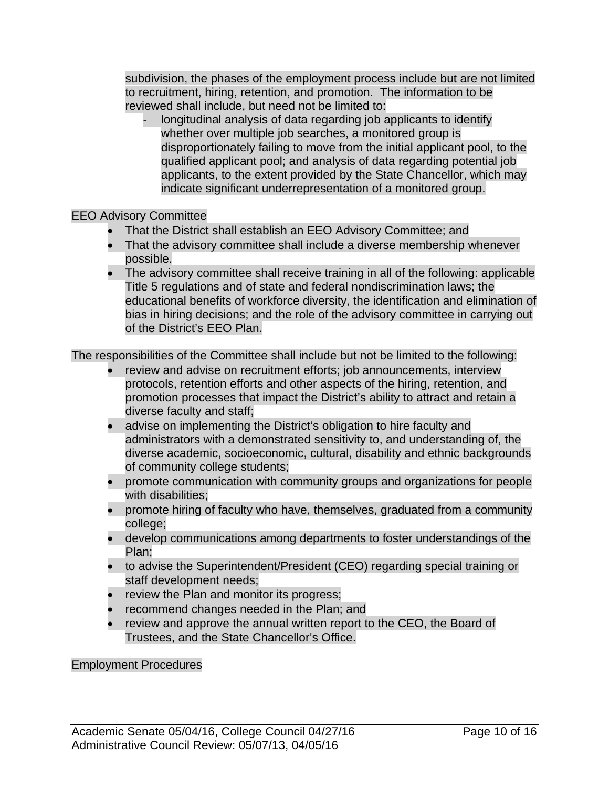subdivision, the phases of the employment process include but are not limited to recruitment, hiring, retention, and promotion. The information to be reviewed shall include, but need not be limited to:

longitudinal analysis of data regarding job applicants to identify whether over multiple job searches, a monitored group is disproportionately failing to move from the initial applicant pool, to the qualified applicant pool; and analysis of data regarding potential job applicants, to the extent provided by the State Chancellor, which may indicate significant underrepresentation of a monitored group.

# EEO Advisory Committee

- That the District shall establish an EEO Advisory Committee; and
- That the advisory committee shall include a diverse membership whenever possible.
- The advisory committee shall receive training in all of the following: applicable Title 5 regulations and of state and federal nondiscrimination laws; the educational benefits of workforce diversity, the identification and elimination of bias in hiring decisions; and the role of the advisory committee in carrying out of the District's EEO Plan.

The responsibilities of the Committee shall include but not be limited to the following:

- review and advise on recruitment efforts; job announcements, interview protocols, retention efforts and other aspects of the hiring, retention, and promotion processes that impact the District's ability to attract and retain a diverse faculty and staff;
- advise on implementing the District's obligation to hire faculty and administrators with a demonstrated sensitivity to, and understanding of, the diverse academic, socioeconomic, cultural, disability and ethnic backgrounds of community college students;
- promote communication with community groups and organizations for people with disabilities;
- promote hiring of faculty who have, themselves, graduated from a community college;
- develop communications among departments to foster understandings of the Plan;
- to advise the Superintendent/President (CEO) regarding special training or staff development needs;
- review the Plan and monitor its progress;
- recommend changes needed in the Plan; and
- review and approve the annual written report to the CEO, the Board of Trustees, and the State Chancellor's Office.

#### Employment Procedures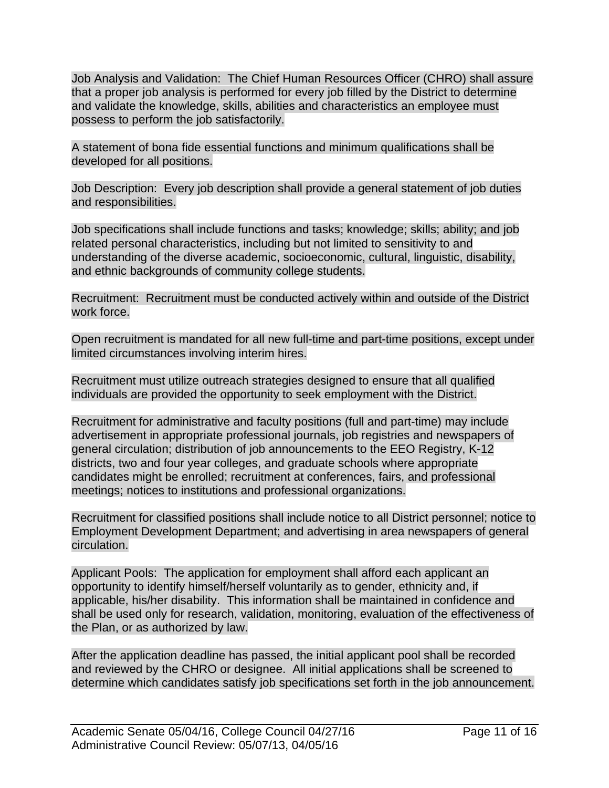Job Analysis and Validation: The Chief Human Resources Officer (CHRO) shall assure that a proper job analysis is performed for every job filled by the District to determine and validate the knowledge, skills, abilities and characteristics an employee must possess to perform the job satisfactorily.

A statement of bona fide essential functions and minimum qualifications shall be developed for all positions.

Job Description: Every job description shall provide a general statement of job duties and responsibilities.

Job specifications shall include functions and tasks; knowledge; skills; ability; and job related personal characteristics, including but not limited to sensitivity to and understanding of the diverse academic, socioeconomic, cultural, linguistic, disability, and ethnic backgrounds of community college students.

Recruitment: Recruitment must be conducted actively within and outside of the District work force.

Open recruitment is mandated for all new full-time and part-time positions, except under limited circumstances involving interim hires.

Recruitment must utilize outreach strategies designed to ensure that all qualified individuals are provided the opportunity to seek employment with the District.

Recruitment for administrative and faculty positions (full and part-time) may include advertisement in appropriate professional journals, job registries and newspapers of general circulation; distribution of job announcements to the EEO Registry, K-12 districts, two and four year colleges, and graduate schools where appropriate candidates might be enrolled; recruitment at conferences, fairs, and professional meetings; notices to institutions and professional organizations.

Recruitment for classified positions shall include notice to all District personnel; notice to Employment Development Department; and advertising in area newspapers of general circulation.

Applicant Pools: The application for employment shall afford each applicant an opportunity to identify himself/herself voluntarily as to gender, ethnicity and, if applicable, his/her disability. This information shall be maintained in confidence and shall be used only for research, validation, monitoring, evaluation of the effectiveness of the Plan, or as authorized by law.

After the application deadline has passed, the initial applicant pool shall be recorded and reviewed by the CHRO or designee. All initial applications shall be screened to determine which candidates satisfy job specifications set forth in the job announcement.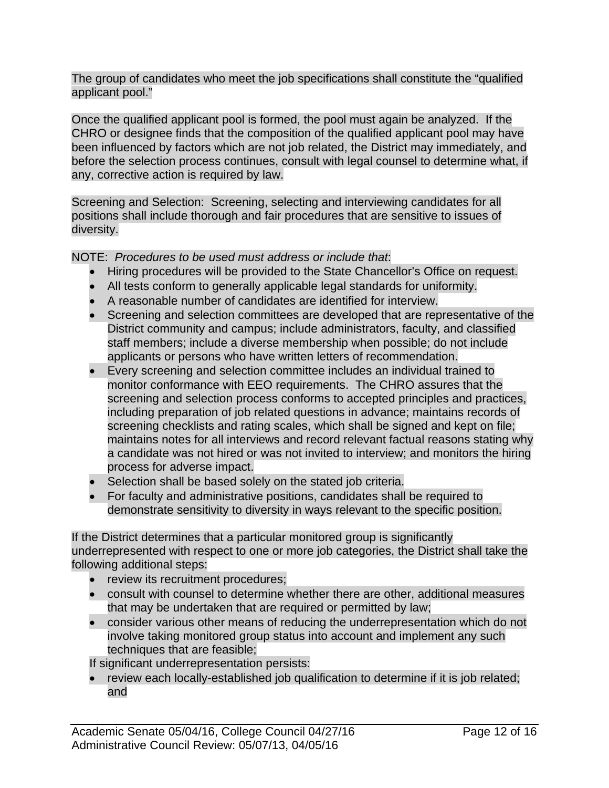The group of candidates who meet the job specifications shall constitute the "qualified applicant pool."

Once the qualified applicant pool is formed, the pool must again be analyzed. If the CHRO or designee finds that the composition of the qualified applicant pool may have been influenced by factors which are not job related, the District may immediately, and before the selection process continues, consult with legal counsel to determine what, if any, corrective action is required by law.

Screening and Selection: Screening, selecting and interviewing candidates for all positions shall include thorough and fair procedures that are sensitive to issues of diversity.

# NOTE: *Procedures to be used must address or include that*:

- Hiring procedures will be provided to the State Chancellor's Office on request.
- All tests conform to generally applicable legal standards for uniformity.
- A reasonable number of candidates are identified for interview.
- Screening and selection committees are developed that are representative of the District community and campus; include administrators, faculty, and classified staff members; include a diverse membership when possible; do not include applicants or persons who have written letters of recommendation.
- Every screening and selection committee includes an individual trained to monitor conformance with EEO requirements. The CHRO assures that the screening and selection process conforms to accepted principles and practices, including preparation of job related questions in advance; maintains records of screening checklists and rating scales, which shall be signed and kept on file; maintains notes for all interviews and record relevant factual reasons stating why a candidate was not hired or was not invited to interview; and monitors the hiring process for adverse impact.
- Selection shall be based solely on the stated job criteria.
- For faculty and administrative positions, candidates shall be required to demonstrate sensitivity to diversity in ways relevant to the specific position.

If the District determines that a particular monitored group is significantly underrepresented with respect to one or more job categories, the District shall take the following additional steps:

- review its recruitment procedures;
- consult with counsel to determine whether there are other, additional measures that may be undertaken that are required or permitted by law;
- consider various other means of reducing the underrepresentation which do not involve taking monitored group status into account and implement any such techniques that are feasible;

If significant underrepresentation persists:

 review each locally-established job qualification to determine if it is job related; and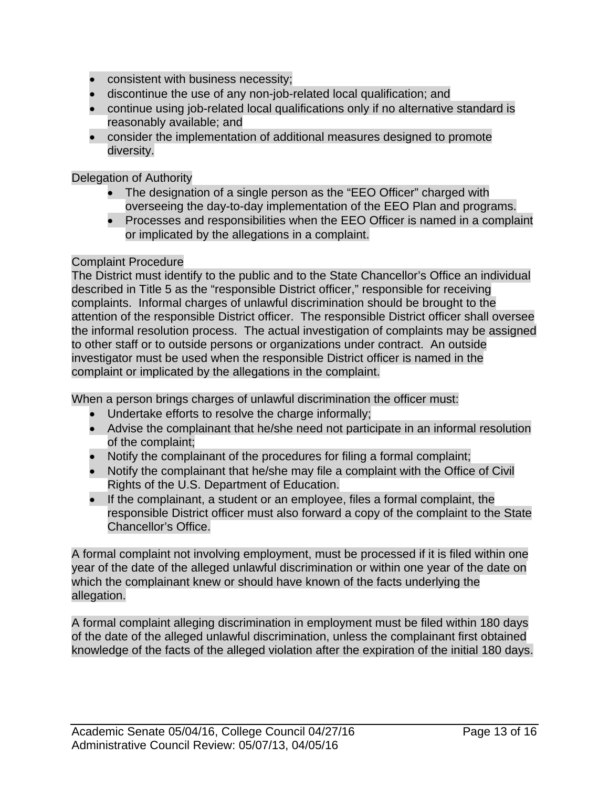- consistent with business necessity;
- discontinue the use of any non-job-related local qualification; and
- continue using job-related local qualifications only if no alternative standard is reasonably available; and
- consider the implementation of additional measures designed to promote diversity.

Delegation of Authority

- The designation of a single person as the "EEO Officer" charged with overseeing the day-to-day implementation of the EEO Plan and programs.
- Processes and responsibilities when the EEO Officer is named in a complaint or implicated by the allegations in a complaint.

### Complaint Procedure

The District must identify to the public and to the State Chancellor's Office an individual described in Title 5 as the "responsible District officer," responsible for receiving complaints. Informal charges of unlawful discrimination should be brought to the attention of the responsible District officer. The responsible District officer shall oversee the informal resolution process. The actual investigation of complaints may be assigned to other staff or to outside persons or organizations under contract. An outside investigator must be used when the responsible District officer is named in the complaint or implicated by the allegations in the complaint.

When a person brings charges of unlawful discrimination the officer must:

- Undertake efforts to resolve the charge informally;
- Advise the complainant that he/she need not participate in an informal resolution of the complaint;
- Notify the complainant of the procedures for filing a formal complaint;
- Notify the complainant that he/she may file a complaint with the Office of Civil Rights of the U.S. Department of Education.
- If the complainant, a student or an employee, files a formal complaint, the responsible District officer must also forward a copy of the complaint to the State Chancellor's Office.

A formal complaint not involving employment, must be processed if it is filed within one year of the date of the alleged unlawful discrimination or within one year of the date on which the complainant knew or should have known of the facts underlying the allegation.

A formal complaint alleging discrimination in employment must be filed within 180 days of the date of the alleged unlawful discrimination, unless the complainant first obtained knowledge of the facts of the alleged violation after the expiration of the initial 180 days.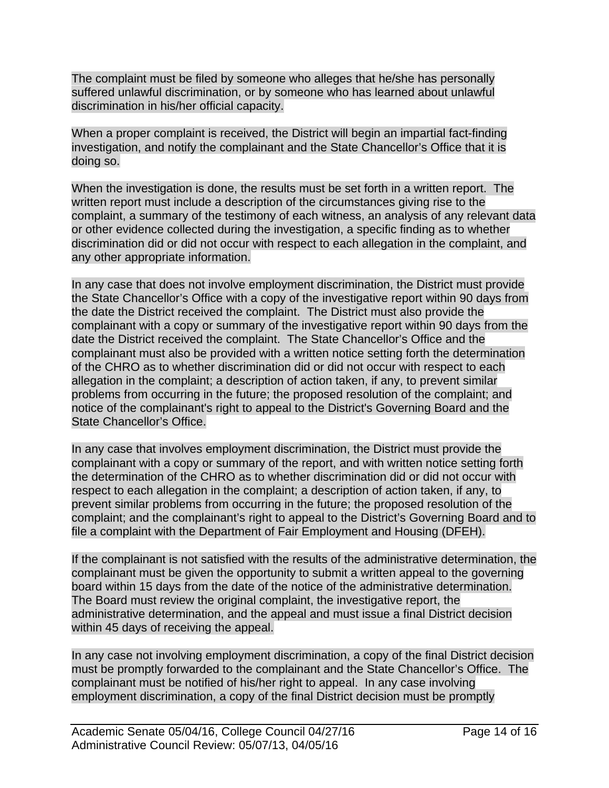The complaint must be filed by someone who alleges that he/she has personally suffered unlawful discrimination, or by someone who has learned about unlawful discrimination in his/her official capacity.

When a proper complaint is received, the District will begin an impartial fact-finding investigation, and notify the complainant and the State Chancellor's Office that it is doing so.

When the investigation is done, the results must be set forth in a written report. The written report must include a description of the circumstances giving rise to the complaint, a summary of the testimony of each witness, an analysis of any relevant data or other evidence collected during the investigation, a specific finding as to whether discrimination did or did not occur with respect to each allegation in the complaint, and any other appropriate information.

In any case that does not involve employment discrimination, the District must provide the State Chancellor's Office with a copy of the investigative report within 90 days from the date the District received the complaint. The District must also provide the complainant with a copy or summary of the investigative report within 90 days from the date the District received the complaint. The State Chancellor's Office and the complainant must also be provided with a written notice setting forth the determination of the CHRO as to whether discrimination did or did not occur with respect to each allegation in the complaint; a description of action taken, if any, to prevent similar problems from occurring in the future; the proposed resolution of the complaint; and notice of the complainant's right to appeal to the District's Governing Board and the State Chancellor's Office.

In any case that involves employment discrimination, the District must provide the complainant with a copy or summary of the report, and with written notice setting forth the determination of the CHRO as to whether discrimination did or did not occur with respect to each allegation in the complaint; a description of action taken, if any, to prevent similar problems from occurring in the future; the proposed resolution of the complaint; and the complainant's right to appeal to the District's Governing Board and to file a complaint with the Department of Fair Employment and Housing (DFEH).

If the complainant is not satisfied with the results of the administrative determination, the complainant must be given the opportunity to submit a written appeal to the governing board within 15 days from the date of the notice of the administrative determination. The Board must review the original complaint, the investigative report, the administrative determination, and the appeal and must issue a final District decision within 45 days of receiving the appeal.

In any case not involving employment discrimination, a copy of the final District decision must be promptly forwarded to the complainant and the State Chancellor's Office. The complainant must be notified of his/her right to appeal. In any case involving employment discrimination, a copy of the final District decision must be promptly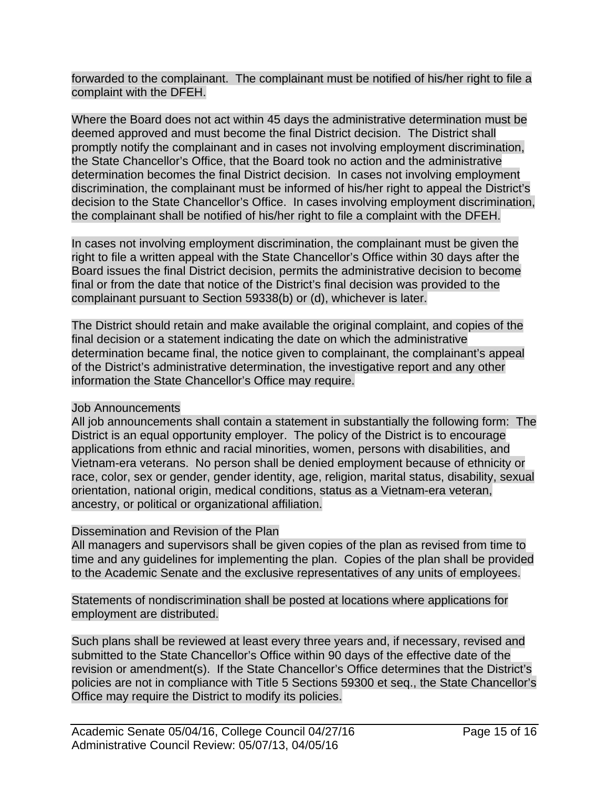forwarded to the complainant. The complainant must be notified of his/her right to file a complaint with the DFEH.

Where the Board does not act within 45 days the administrative determination must be deemed approved and must become the final District decision. The District shall promptly notify the complainant and in cases not involving employment discrimination, the State Chancellor's Office, that the Board took no action and the administrative determination becomes the final District decision. In cases not involving employment discrimination, the complainant must be informed of his/her right to appeal the District's decision to the State Chancellor's Office. In cases involving employment discrimination, the complainant shall be notified of his/her right to file a complaint with the DFEH.

In cases not involving employment discrimination, the complainant must be given the right to file a written appeal with the State Chancellor's Office within 30 days after the Board issues the final District decision, permits the administrative decision to become final or from the date that notice of the District's final decision was provided to the complainant pursuant to Section 59338(b) or (d), whichever is later.

The District should retain and make available the original complaint, and copies of the final decision or a statement indicating the date on which the administrative determination became final, the notice given to complainant, the complainant's appeal of the District's administrative determination, the investigative report and any other information the State Chancellor's Office may require.

# Job Announcements

All job announcements shall contain a statement in substantially the following form: The District is an equal opportunity employer. The policy of the District is to encourage applications from ethnic and racial minorities, women, persons with disabilities, and Vietnam-era veterans. No person shall be denied employment because of ethnicity or race, color, sex or gender, gender identity, age, religion, marital status, disability, sexual orientation, national origin, medical conditions, status as a Vietnam-era veteran, ancestry, or political or organizational affiliation.

# Dissemination and Revision of the Plan

All managers and supervisors shall be given copies of the plan as revised from time to time and any guidelines for implementing the plan. Copies of the plan shall be provided to the Academic Senate and the exclusive representatives of any units of employees.

Statements of nondiscrimination shall be posted at locations where applications for employment are distributed.

Such plans shall be reviewed at least every three years and, if necessary, revised and submitted to the State Chancellor's Office within 90 days of the effective date of the revision or amendment(s). If the State Chancellor's Office determines that the District's policies are not in compliance with Title 5 Sections 59300 et seq., the State Chancellor's Office may require the District to modify its policies.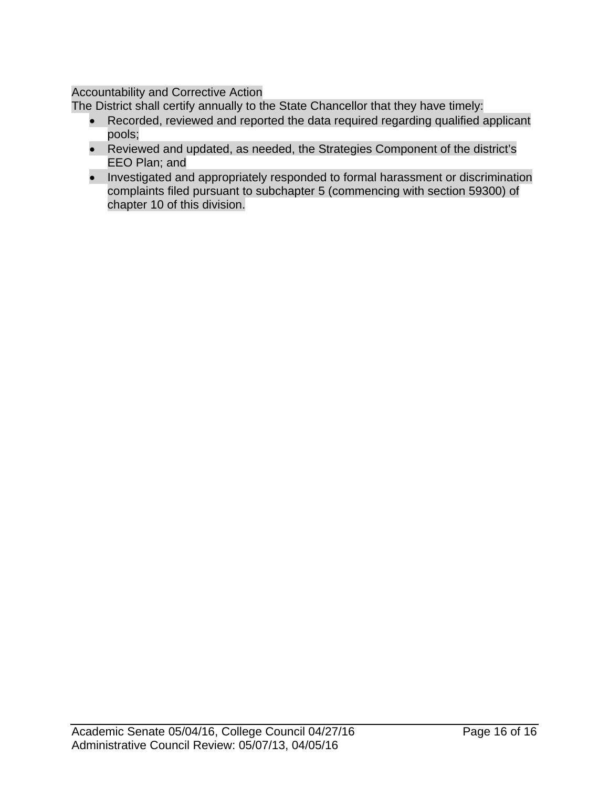# Accountability and Corrective Action

The District shall certify annually to the State Chancellor that they have timely:

- Recorded, reviewed and reported the data required regarding qualified applicant pools;
- Reviewed and updated, as needed, the Strategies Component of the district's EEO Plan; and
- Investigated and appropriately responded to formal harassment or discrimination complaints filed pursuant to subchapter 5 (commencing with section 59300) of chapter 10 of this division.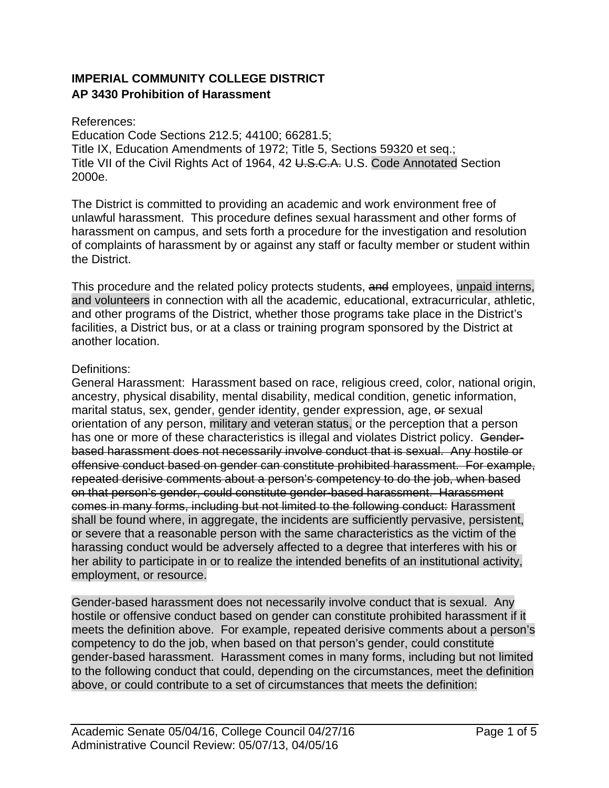# **IMPERIAL COMMUNITY COLLEGE DISTRICT AP 3430 Prohibition of Harassment**

#### References:

Education Code Sections 212.5; 44100; 66281.5; Title IX, Education Amendments of 1972; Title 5, Sections 59320 et seq.; Title VII of the Civil Rights Act of 1964, 42 U.S.C.A. U.S. Code Annotated Section 2000e.

The District is committed to providing an academic and work environment free of unlawful harassment. This procedure defines sexual harassment and other forms of harassment on campus, and sets forth a procedure for the investigation and resolution of complaints of harassment by or against any staff or faculty member or student within the District.

This procedure and the related policy protects students, and employees, unpaid interns, and volunteers in connection with all the academic, educational, extracurricular, athletic, and other programs of the District, whether those programs take place in the District's facilities, a District bus, or at a class or training program sponsored by the District at another location.

### Definitions:

General Harassment: Harassment based on race, religious creed, color, national origin, ancestry, physical disability, mental disability, medical condition, genetic information, marital status, sex, gender, gender identity, gender expression, age, or sexual orientation of any person, military and veteran status, or the perception that a person has one or more of these characteristics is illegal and violates District policy. Genderbased harassment does not necessarily involve conduct that is sexual. Any hostile or offensive conduct based on gender can constitute prohibited harassment. For example, repeated derisive comments about a person's competency to do the job, when based on that person's gender, could constitute gender-based harassment. Harassment comes in many forms, including but not limited to the following conduct: Harassment shall be found where, in aggregate, the incidents are sufficiently pervasive, persistent, or severe that a reasonable person with the same characteristics as the victim of the harassing conduct would be adversely affected to a degree that interferes with his or her ability to participate in or to realize the intended benefits of an institutional activity, employment, or resource.

Gender-based harassment does not necessarily involve conduct that is sexual. Any hostile or offensive conduct based on gender can constitute prohibited harassment if it meets the definition above. For example, repeated derisive comments about a person's competency to do the job, when based on that person's gender, could constitute gender-based harassment. Harassment comes in many forms, including but not limited to the following conduct that could, depending on the circumstances, meet the definition above, or could contribute to a set of circumstances that meets the definition: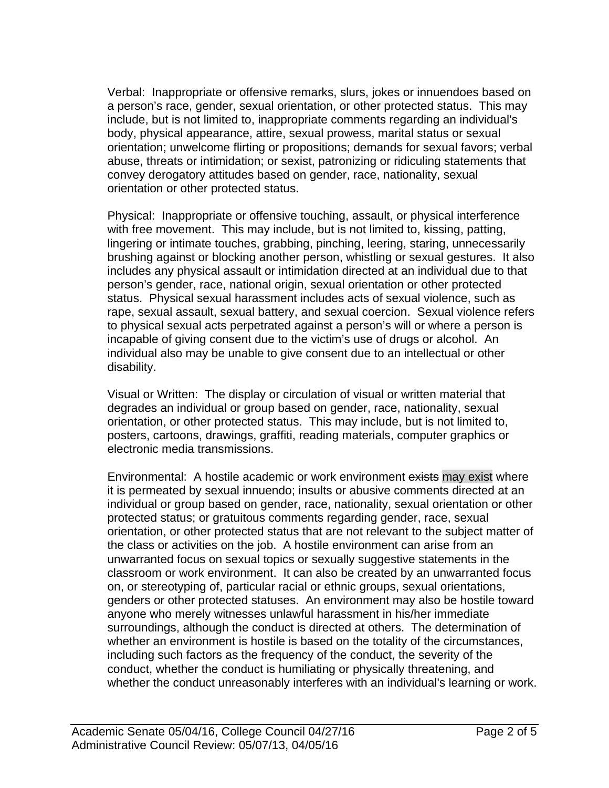Verbal: Inappropriate or offensive remarks, slurs, jokes or innuendoes based on a person's race, gender, sexual orientation, or other protected status. This may include, but is not limited to, inappropriate comments regarding an individual's body, physical appearance, attire, sexual prowess, marital status or sexual orientation; unwelcome flirting or propositions; demands for sexual favors; verbal abuse, threats or intimidation; or sexist, patronizing or ridiculing statements that convey derogatory attitudes based on gender, race, nationality, sexual orientation or other protected status.

Physical: Inappropriate or offensive touching, assault, or physical interference with free movement. This may include, but is not limited to, kissing, patting, lingering or intimate touches, grabbing, pinching, leering, staring, unnecessarily brushing against or blocking another person, whistling or sexual gestures. It also includes any physical assault or intimidation directed at an individual due to that person's gender, race, national origin, sexual orientation or other protected status. Physical sexual harassment includes acts of sexual violence, such as rape, sexual assault, sexual battery, and sexual coercion. Sexual violence refers to physical sexual acts perpetrated against a person's will or where a person is incapable of giving consent due to the victim's use of drugs or alcohol. An individual also may be unable to give consent due to an intellectual or other disability.

Visual or Written: The display or circulation of visual or written material that degrades an individual or group based on gender, race, nationality, sexual orientation, or other protected status. This may include, but is not limited to, posters, cartoons, drawings, graffiti, reading materials, computer graphics or electronic media transmissions.

Environmental: A hostile academic or work environment exists may exist where it is permeated by sexual innuendo; insults or abusive comments directed at an individual or group based on gender, race, nationality, sexual orientation or other protected status; or gratuitous comments regarding gender, race, sexual orientation, or other protected status that are not relevant to the subject matter of the class or activities on the job. A hostile environment can arise from an unwarranted focus on sexual topics or sexually suggestive statements in the classroom or work environment. It can also be created by an unwarranted focus on, or stereotyping of, particular racial or ethnic groups, sexual orientations, genders or other protected statuses. An environment may also be hostile toward anyone who merely witnesses unlawful harassment in his/her immediate surroundings, although the conduct is directed at others. The determination of whether an environment is hostile is based on the totality of the circumstances, including such factors as the frequency of the conduct, the severity of the conduct, whether the conduct is humiliating or physically threatening, and whether the conduct unreasonably interferes with an individual's learning or work.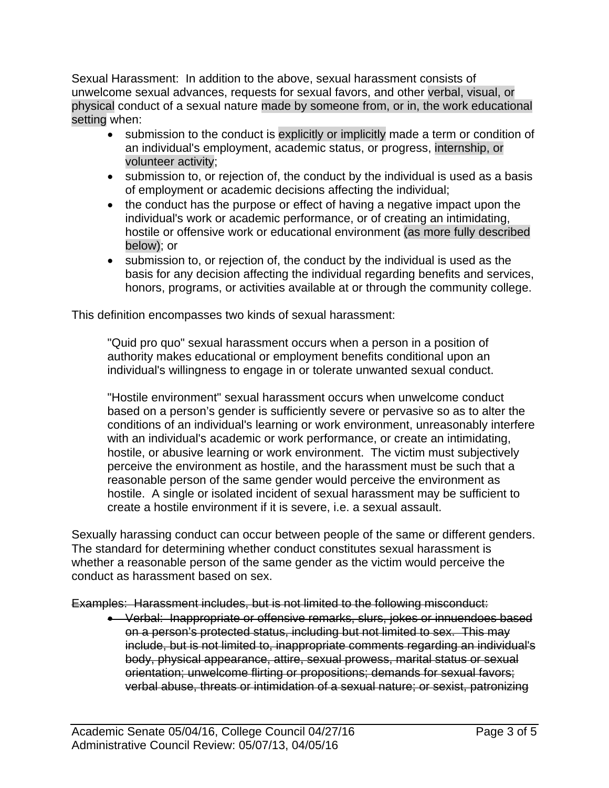Sexual Harassment: In addition to the above, sexual harassment consists of unwelcome sexual advances, requests for sexual favors, and other verbal, visual, or physical conduct of a sexual nature made by someone from, or in, the work educational setting when:

- submission to the conduct is explicitly or implicitly made a term or condition of an individual's employment, academic status, or progress, internship, or volunteer activity;
- submission to, or rejection of, the conduct by the individual is used as a basis of employment or academic decisions affecting the individual;
- the conduct has the purpose or effect of having a negative impact upon the individual's work or academic performance, or of creating an intimidating, hostile or offensive work or educational environment (as more fully described below); or
- submission to, or rejection of, the conduct by the individual is used as the basis for any decision affecting the individual regarding benefits and services, honors, programs, or activities available at or through the community college.

This definition encompasses two kinds of sexual harassment:

"Quid pro quo" sexual harassment occurs when a person in a position of authority makes educational or employment benefits conditional upon an individual's willingness to engage in or tolerate unwanted sexual conduct.

"Hostile environment" sexual harassment occurs when unwelcome conduct based on a person's gender is sufficiently severe or pervasive so as to alter the conditions of an individual's learning or work environment, unreasonably interfere with an individual's academic or work performance, or create an intimidating, hostile, or abusive learning or work environment. The victim must subjectively perceive the environment as hostile, and the harassment must be such that a reasonable person of the same gender would perceive the environment as hostile. A single or isolated incident of sexual harassment may be sufficient to create a hostile environment if it is severe, i.e. a sexual assault.

Sexually harassing conduct can occur between people of the same or different genders. The standard for determining whether conduct constitutes sexual harassment is whether a reasonable person of the same gender as the victim would perceive the conduct as harassment based on sex.

Examples: Harassment includes, but is not limited to the following misconduct:

 Verbal: Inappropriate or offensive remarks, slurs, jokes or innuendoes based on a person's protected status, including but not limited to sex. This may include, but is not limited to, inappropriate comments regarding an individual's body, physical appearance, attire, sexual prowess, marital status or sexual orientation; unwelcome flirting or propositions; demands for sexual favors; verbal abuse, threats or intimidation of a sexual nature; or sexist, patronizing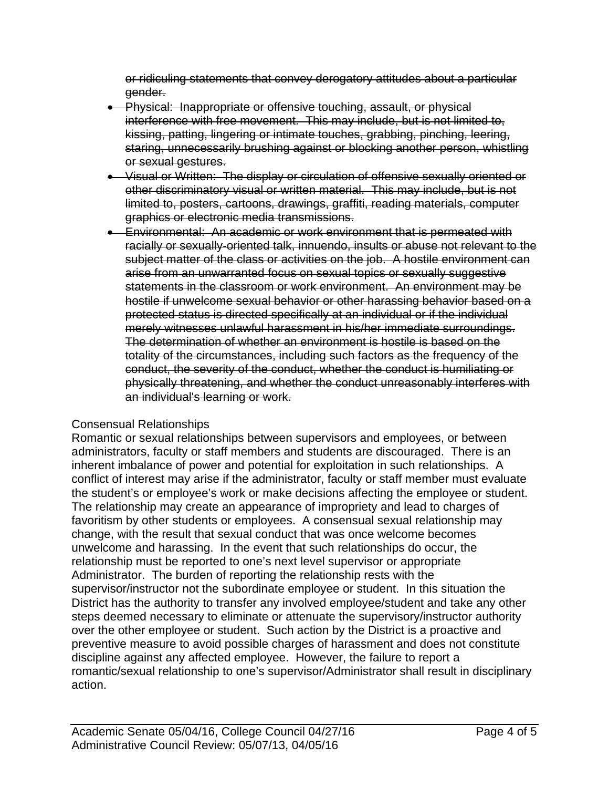or ridiculing statements that convey derogatory attitudes about a particular gender.

- Physical: Inappropriate or offensive touching, assault, or physical interference with free movement. This may include, but is not limited to, kissing, patting, lingering or intimate touches, grabbing, pinching, leering, staring, unnecessarily brushing against or blocking another person, whistling or sexual gestures.
- Visual or Written: The display or circulation of offensive sexually oriented or other discriminatory visual or written material. This may include, but is not limited to, posters, cartoons, drawings, graffiti, reading materials, computer graphics or electronic media transmissions.
- **Environmental: An academic or work environment that is permeated with** racially or sexually-oriented talk, innuendo, insults or abuse not relevant to the subject matter of the class or activities on the job. A hostile environment can arise from an unwarranted focus on sexual topics or sexually suggestive statements in the classroom or work environment. An environment may be hostile if unwelcome sexual behavior or other harassing behavior based on a protected status is directed specifically at an individual or if the individual merely witnesses unlawful harassment in his/her immediate surroundings. The determination of whether an environment is hostile is based on the totality of the circumstances, including such factors as the frequency of the conduct, the severity of the conduct, whether the conduct is humiliating or physically threatening, and whether the conduct unreasonably interferes with an individual's learning or work.

#### Consensual Relationships

Romantic or sexual relationships between supervisors and employees, or between administrators, faculty or staff members and students are discouraged. There is an inherent imbalance of power and potential for exploitation in such relationships. A conflict of interest may arise if the administrator, faculty or staff member must evaluate the student's or employee's work or make decisions affecting the employee or student. The relationship may create an appearance of impropriety and lead to charges of favoritism by other students or employees. A consensual sexual relationship may change, with the result that sexual conduct that was once welcome becomes unwelcome and harassing. In the event that such relationships do occur, the relationship must be reported to one's next level supervisor or appropriate Administrator. The burden of reporting the relationship rests with the supervisor/instructor not the subordinate employee or student. In this situation the District has the authority to transfer any involved employee/student and take any other steps deemed necessary to eliminate or attenuate the supervisory/instructor authority over the other employee or student. Such action by the District is a proactive and preventive measure to avoid possible charges of harassment and does not constitute discipline against any affected employee. However, the failure to report a romantic/sexual relationship to one's supervisor/Administrator shall result in disciplinary action.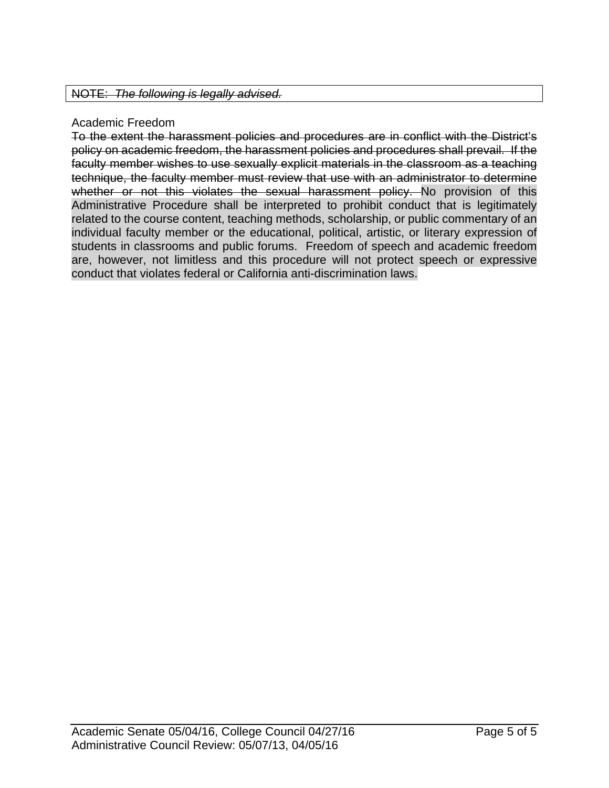## Academic Freedom

To the extent the harassment policies and procedures are in conflict with the District's policy on academic freedom, the harassment policies and procedures shall prevail. If the faculty member wishes to use sexually explicit materials in the classroom as a teaching technique, the faculty member must review that use with an administrator to determine whether or not this violates the sexual harassment policy. No provision of this Administrative Procedure shall be interpreted to prohibit conduct that is legitimately related to the course content, teaching methods, scholarship, or public commentary of an individual faculty member or the educational, political, artistic, or literary expression of students in classrooms and public forums. Freedom of speech and academic freedom are, however, not limitless and this procedure will not protect speech or expressive conduct that violates federal or California anti-discrimination laws.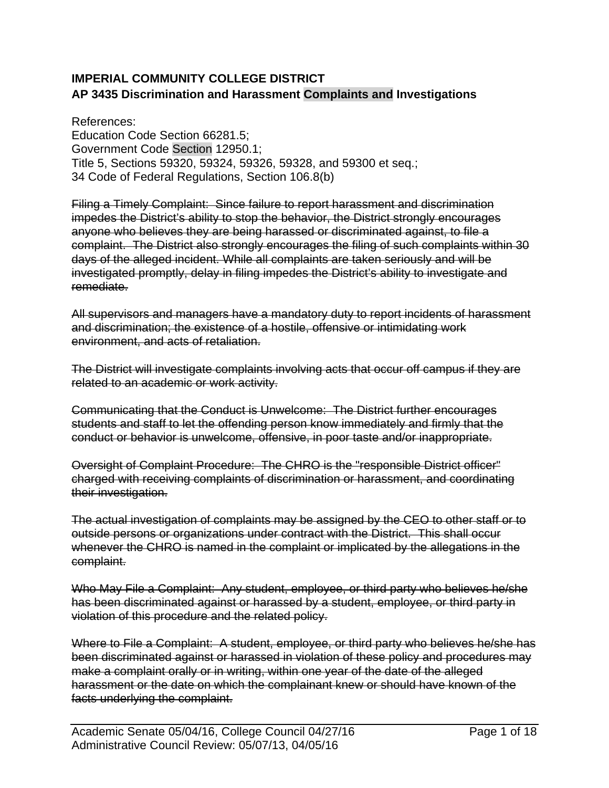# **IMPERIAL COMMUNITY COLLEGE DISTRICT AP 3435 Discrimination and Harassment Complaints and Investigations**

References: Education Code Section 66281.5; Government Code Section 12950.1; Title 5, Sections 59320, 59324, 59326, 59328, and 59300 et seq.; 34 Code of Federal Regulations, Section 106.8(b)

Filing a Timely Complaint: Since failure to report harassment and discrimination impedes the District's ability to stop the behavior, the District strongly encourages anyone who believes they are being harassed or discriminated against, to file a complaint. The District also strongly encourages the filing of such complaints within 30 days of the alleged incident. While all complaints are taken seriously and will be investigated promptly, delay in filing impedes the District's ability to investigate and remediate.

All supervisors and managers have a mandatory duty to report incidents of harassment and discrimination; the existence of a hostile, offensive or intimidating work environment, and acts of retaliation.

The District will investigate complaints involving acts that occur off campus if they are related to an academic or work activity.

Communicating that the Conduct is Unwelcome: The District further encourages students and staff to let the offending person know immediately and firmly that the conduct or behavior is unwelcome, offensive, in poor taste and/or inappropriate.

Oversight of Complaint Procedure: The CHRO is the "responsible District officer" charged with receiving complaints of discrimination or harassment, and coordinating their investigation.

The actual investigation of complaints may be assigned by the CEO to other staff or to outside persons or organizations under contract with the District. This shall occur whenever the CHRO is named in the complaint or implicated by the allegations in the complaint.

Who May File a Complaint: Any student, employee, or third party who believes he/she has been discriminated against or harassed by a student, employee, or third party in violation of this procedure and the related policy.

Where to File a Complaint: A student, employee, or third party who believes he/she has been discriminated against or harassed in violation of these policy and procedures may make a complaint orally or in writing, within one year of the date of the alleged harassment or the date on which the complainant knew or should have known of the facts underlying the complaint.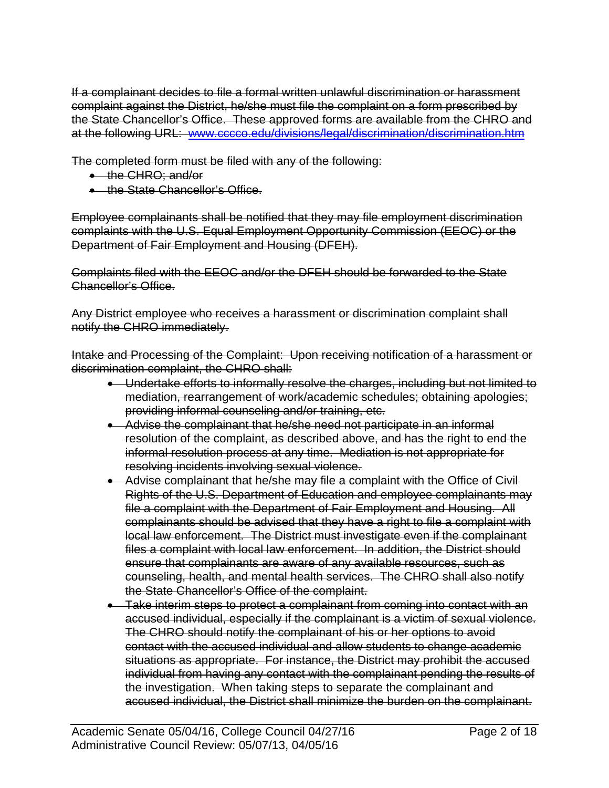If a complainant decides to file a formal written unlawful discrimination or harassment complaint against the District, he/she must file the complaint on a form prescribed by the State Chancellor's Office. These approved forms are available from the CHRO and at the following URL: www.cccco.edu/divisions/legal/discrimination/discrimination.htm

The completed form must be filed with any of the following:

- the CHRO; and/or
- the State Chancellor's Office.

Employee complainants shall be notified that they may file employment discrimination complaints with the U.S. Equal Employment Opportunity Commission (EEOC) or the Department of Fair Employment and Housing (DFEH).

Complaints filed with the EEOC and/or the DFEH should be forwarded to the State Chancellor's Office.

Any District employee who receives a harassment or discrimination complaint shall notify the CHRO immediately.

Intake and Processing of the Complaint: Upon receiving notification of a harassment or discrimination complaint, the CHRO shall:

- Undertake efforts to informally resolve the charges, including but not limited to mediation, rearrangement of work/academic schedules; obtaining apologies; providing informal counseling and/or training, etc.
- Advise the complainant that he/she need not participate in an informal resolution of the complaint, as described above, and has the right to end the informal resolution process at any time. Mediation is not appropriate for resolving incidents involving sexual violence.
- Advise complainant that he/she may file a complaint with the Office of Civil Rights of the U.S. Department of Education and employee complainants may file a complaint with the Department of Fair Employment and Housing. All complainants should be advised that they have a right to file a complaint with local law enforcement. The District must investigate even if the complainant files a complaint with local law enforcement. In addition, the District should ensure that complainants are aware of any available resources, such as counseling, health, and mental health services. The CHRO shall also notify the State Chancellor's Office of the complaint.
- Take interim steps to protect a complainant from coming into contact with an accused individual, especially if the complainant is a victim of sexual violence. The CHRO should notify the complainant of his or her options to avoid contact with the accused individual and allow students to change academic situations as appropriate. For instance, the District may prohibit the accused individual from having any contact with the complainant pending the results of the investigation. When taking steps to separate the complainant and accused individual, the District shall minimize the burden on the complainant.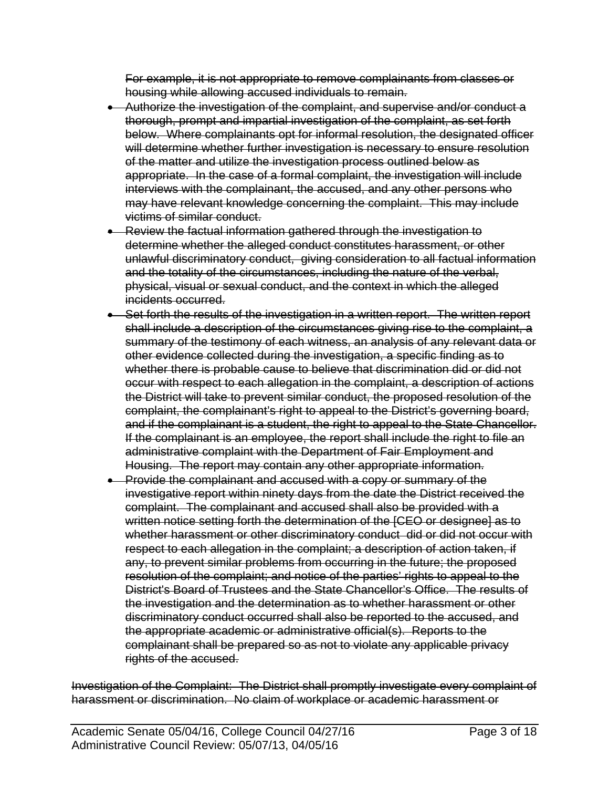For example, it is not appropriate to remove complainants from classes or housing while allowing accused individuals to remain.

- Authorize the investigation of the complaint, and supervise and/or conduct a thorough, prompt and impartial investigation of the complaint, as set forth below. Where complainants opt for informal resolution, the designated officer will determine whether further investigation is necessary to ensure resolution of the matter and utilize the investigation process outlined below as appropriate. In the case of a formal complaint, the investigation will include interviews with the complainant, the accused, and any other persons who may have relevant knowledge concerning the complaint. This may include victims of similar conduct.
- Review the factual information gathered through the investigation to determine whether the alleged conduct constitutes harassment, or other unlawful discriminatory conduct, giving consideration to all factual information and the totality of the circumstances, including the nature of the verbal, physical, visual or sexual conduct, and the context in which the alleged incidents occurred.
- Set forth the results of the investigation in a written report. The written report shall include a description of the circumstances giving rise to the complaint, a summary of the testimony of each witness, an analysis of any relevant data or other evidence collected during the investigation, a specific finding as to whether there is probable cause to believe that discrimination did or did not occur with respect to each allegation in the complaint, a description of actions the District will take to prevent similar conduct, the proposed resolution of the complaint, the complainant's right to appeal to the District's governing board, and if the complainant is a student, the right to appeal to the State Chancellor. If the complainant is an employee, the report shall include the right to file an administrative complaint with the Department of Fair Employment and Housing. The report may contain any other appropriate information.
- Provide the complainant and accused with a copy or summary of the investigative report within ninety days from the date the District received the complaint. The complainant and accused shall also be provided with a written notice setting forth the determination of the [CEO or designee] as to whether harassment or other discriminatory conduct did or did not occur with respect to each allegation in the complaint; a description of action taken, if any, to prevent similar problems from occurring in the future; the proposed resolution of the complaint; and notice of the parties' rights to appeal to the District's Board of Trustees and the State Chancellor's Office. The results of the investigation and the determination as to whether harassment or other discriminatory conduct occurred shall also be reported to the accused, and the appropriate academic or administrative official(s). Reports to the complainant shall be prepared so as not to violate any applicable privacy rights of the accused.

Investigation of the Complaint: The District shall promptly investigate every complaint of harassment or discrimination. No claim of workplace or academic harassment or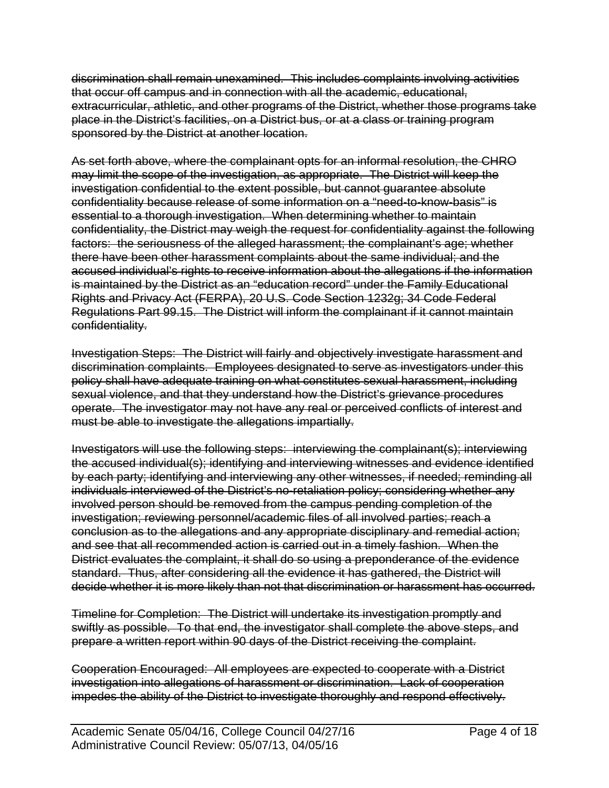discrimination shall remain unexamined. This includes complaints involving activities that occur off campus and in connection with all the academic, educational, extracurricular, athletic, and other programs of the District, whether those programs take place in the District's facilities, on a District bus, or at a class or training program sponsored by the District at another location.

As set forth above, where the complainant opts for an informal resolution, the CHRO may limit the scope of the investigation, as appropriate. The District will keep the investigation confidential to the extent possible, but cannot guarantee absolute confidentiality because release of some information on a "need-to-know-basis" is essential to a thorough investigation. When determining whether to maintain confidentiality, the District may weigh the request for confidentiality against the following factors: the seriousness of the alleged harassment; the complainant's age; whether there have been other harassment complaints about the same individual; and the accused individual's rights to receive information about the allegations if the information is maintained by the District as an "education record" under the Family Educational Rights and Privacy Act (FERPA), 20 U.S. Code Section 1232g; 34 Code Federal Regulations Part 99.15. The District will inform the complainant if it cannot maintain confidentiality.

Investigation Steps: The District will fairly and objectively investigate harassment and discrimination complaints. Employees designated to serve as investigators under this policy shall have adequate training on what constitutes sexual harassment, including sexual violence, and that they understand how the District's grievance procedures operate. The investigator may not have any real or perceived conflicts of interest and must be able to investigate the allegations impartially.

Investigators will use the following steps: interviewing the complainant(s); interviewing the accused individual(s); identifying and interviewing witnesses and evidence identified by each party; identifying and interviewing any other witnesses, if needed; reminding all individuals interviewed of the District's no-retaliation policy; considering whether any involved person should be removed from the campus pending completion of the investigation; reviewing personnel/academic files of all involved parties; reach a conclusion as to the allegations and any appropriate disciplinary and remedial action; and see that all recommended action is carried out in a timely fashion. When the District evaluates the complaint, it shall do so using a preponderance of the evidence standard. Thus, after considering all the evidence it has gathered, the District will decide whether it is more likely than not that discrimination or harassment has occurred.

Timeline for Completion: The District will undertake its investigation promptly and swiftly as possible. To that end, the investigator shall complete the above steps, and prepare a written report within 90 days of the District receiving the complaint.

Cooperation Encouraged: All employees are expected to cooperate with a District investigation into allegations of harassment or discrimination. Lack of cooperation impedes the ability of the District to investigate thoroughly and respond effectively.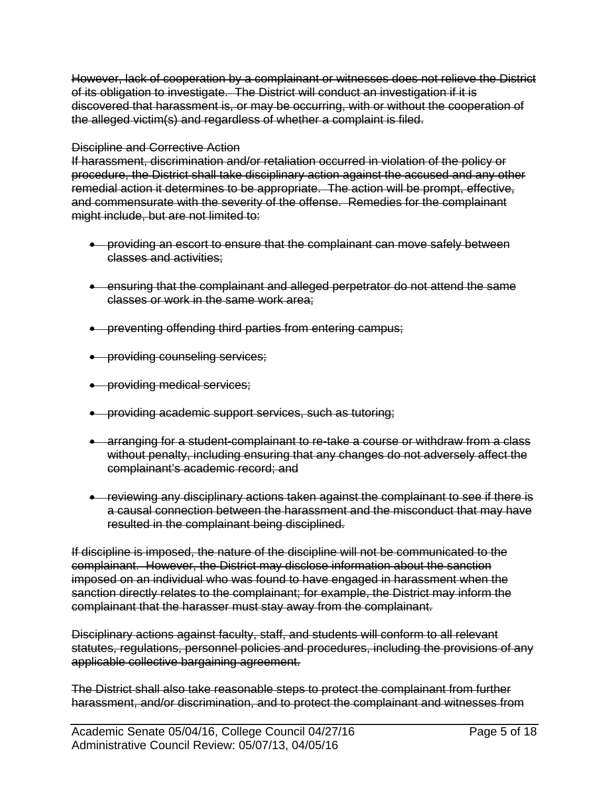However, lack of cooperation by a complainant or witnesses does not relieve the District of its obligation to investigate. The District will conduct an investigation if it is discovered that harassment is, or may be occurring, with or without the cooperation of the alleged victim(s) and regardless of whether a complaint is filed.

### Discipline and Corrective Action

If harassment, discrimination and/or retaliation occurred in violation of the policy or procedure, the District shall take disciplinary action against the accused and any other remedial action it determines to be appropriate. The action will be prompt, effective, and commensurate with the severity of the offense. Remedies for the complainant might include, but are not limited to:

- providing an escort to ensure that the complainant can move safely between classes and activities;
- ensuring that the complainant and alleged perpetrator do not attend the same classes or work in the same work area;
- preventing offending third parties from entering campus;
- **•** providing counseling services;
- providing medical services;
- providing academic support services, such as tutoring;
- arranging for a student-complainant to re-take a course or withdraw from a class without penalty, including ensuring that any changes do not adversely affect the complainant's academic record; and
- reviewing any disciplinary actions taken against the complainant to see if there is a causal connection between the harassment and the misconduct that may have resulted in the complainant being disciplined.

If discipline is imposed, the nature of the discipline will not be communicated to the complainant. However, the District may disclose information about the sanction imposed on an individual who was found to have engaged in harassment when the sanction directly relates to the complainant; for example, the District may inform the complainant that the harasser must stay away from the complainant.

Disciplinary actions against faculty, staff, and students will conform to all relevant statutes, regulations, personnel policies and procedures, including the provisions of any applicable collective bargaining agreement.

The District shall also take reasonable steps to protect the complainant from further harassment, and/or discrimination, and to protect the complainant and witnesses from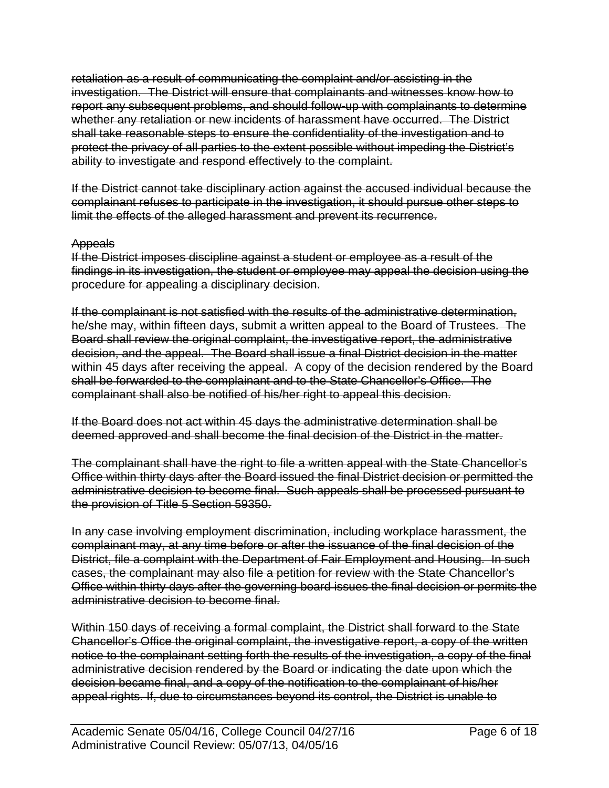retaliation as a result of communicating the complaint and/or assisting in the investigation. The District will ensure that complainants and witnesses know how to report any subsequent problems, and should follow-up with complainants to determine whether any retaliation or new incidents of harassment have occurred. The District shall take reasonable steps to ensure the confidentiality of the investigation and to protect the privacy of all parties to the extent possible without impeding the District's ability to investigate and respond effectively to the complaint.

If the District cannot take disciplinary action against the accused individual because the complainant refuses to participate in the investigation, it should pursue other steps to limit the effects of the alleged harassment and prevent its recurrence.

#### Appeals

If the District imposes discipline against a student or employee as a result of the findings in its investigation, the student or employee may appeal the decision using the procedure for appealing a disciplinary decision.

If the complainant is not satisfied with the results of the administrative determination, he/she may, within fifteen days, submit a written appeal to the Board of Trustees. The Board shall review the original complaint, the investigative report, the administrative decision, and the appeal. The Board shall issue a final District decision in the matter within 45 days after receiving the appeal. A copy of the decision rendered by the Board shall be forwarded to the complainant and to the State Chancellor's Office. The complainant shall also be notified of his/her right to appeal this decision.

If the Board does not act within 45 days the administrative determination shall be deemed approved and shall become the final decision of the District in the matter.

The complainant shall have the right to file a written appeal with the State Chancellor's Office within thirty days after the Board issued the final District decision or permitted the administrative decision to become final. Such appeals shall be processed pursuant to the provision of Title 5 Section 59350.

In any case involving employment discrimination, including workplace harassment, the complainant may, at any time before or after the issuance of the final decision of the District, file a complaint with the Department of Fair Employment and Housing. In such cases, the complainant may also file a petition for review with the State Chancellor's Office within thirty days after the governing board issues the final decision or permits the administrative decision to become final.

Within 150 days of receiving a formal complaint, the District shall forward to the State Chancellor's Office the original complaint, the investigative report, a copy of the written notice to the complainant setting forth the results of the investigation, a copy of the final administrative decision rendered by the Board or indicating the date upon which the decision became final, and a copy of the notification to the complainant of his/her appeal rights. If, due to circumstances beyond its control, the District is unable to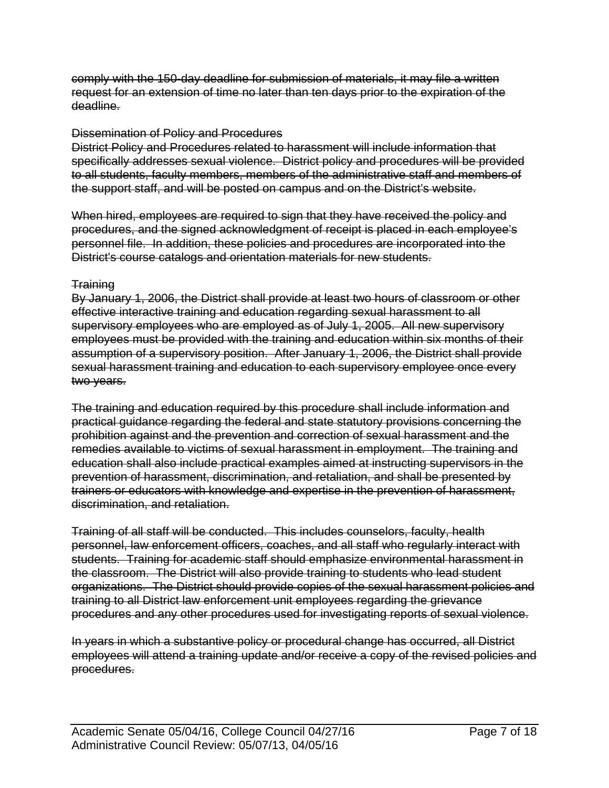comply with the 150-day deadline for submission of materials, it may file a written request for an extension of time no later than ten days prior to the expiration of the deadline.

#### Dissemination of Policy and Procedures

District Policy and Procedures related to harassment will include information that specifically addresses sexual violence. District policy and procedures will be provided to all students, faculty members, members of the administrative staff and members of the support staff, and will be posted on campus and on the District's website.

When hired, employees are required to sign that they have received the policy and procedures, and the signed acknowledgment of receipt is placed in each employee's personnel file. In addition, these policies and procedures are incorporated into the District's course catalogs and orientation materials for new students.

#### **Training**

By January 1, 2006, the District shall provide at least two hours of classroom or other effective interactive training and education regarding sexual harassment to all supervisory employees who are employed as of July 1, 2005. All new supervisory employees must be provided with the training and education within six months of their assumption of a supervisory position. After January 1, 2006, the District shall provide sexual harassment training and education to each supervisory employee once every two years.

The training and education required by this procedure shall include information and practical guidance regarding the federal and state statutory provisions concerning the prohibition against and the prevention and correction of sexual harassment and the remedies available to victims of sexual harassment in employment. The training and education shall also include practical examples aimed at instructing supervisors in the prevention of harassment, discrimination, and retaliation, and shall be presented by trainers or educators with knowledge and expertise in the prevention of harassment, discrimination, and retaliation.

Training of all staff will be conducted. This includes counselors, faculty, health personnel, law enforcement officers, coaches, and all staff who regularly interact with students. Training for academic staff should emphasize environmental harassment in the classroom. The District will also provide training to students who lead student organizations. The District should provide copies of the sexual harassment policies and training to all District law enforcement unit employees regarding the grievance procedures and any other procedures used for investigating reports of sexual violence.

In years in which a substantive policy or procedural change has occurred, all District employees will attend a training update and/or receive a copy of the revised policies and procedures.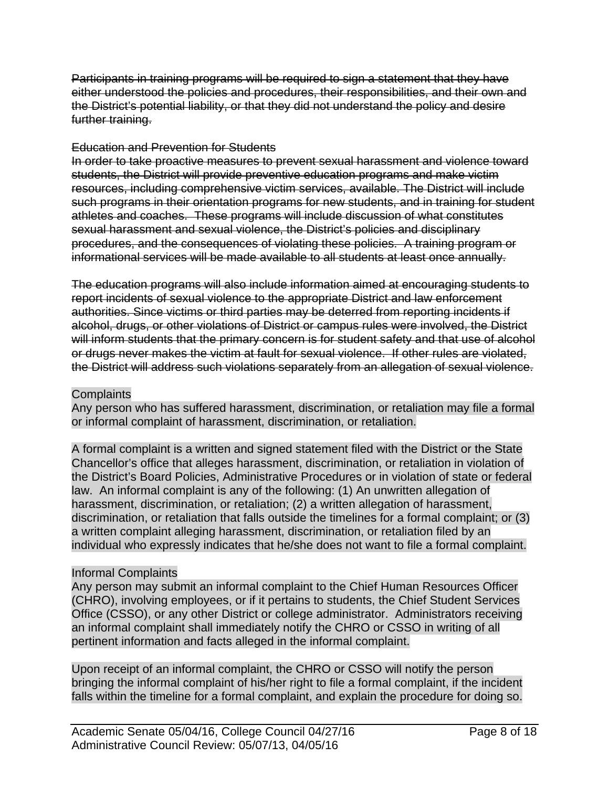Participants in training programs will be required to sign a statement that they have either understood the policies and procedures, their responsibilities, and their own and the District's potential liability, or that they did not understand the policy and desire further training.

#### Education and Prevention for Students

In order to take proactive measures to prevent sexual harassment and violence toward students, the District will provide preventive education programs and make victim resources, including comprehensive victim services, available. The District will include such programs in their orientation programs for new students, and in training for student athletes and coaches. These programs will include discussion of what constitutes sexual harassment and sexual violence, the District's policies and disciplinary procedures, and the consequences of violating these policies. A training program or informational services will be made available to all students at least once annually.

The education programs will also include information aimed at encouraging students to report incidents of sexual violence to the appropriate District and law enforcement authorities. Since victims or third parties may be deterred from reporting incidents if alcohol, drugs, or other violations of District or campus rules were involved, the District will inform students that the primary concern is for student safety and that use of alcohol or drugs never makes the victim at fault for sexual violence. If other rules are violated, the District will address such violations separately from an allegation of sexual violence.

#### **Complaints**

Any person who has suffered harassment, discrimination, or retaliation may file a formal or informal complaint of harassment, discrimination, or retaliation.

A formal complaint is a written and signed statement filed with the District or the State Chancellor's office that alleges harassment, discrimination, or retaliation in violation of the District's Board Policies, Administrative Procedures or in violation of state or federal law. An informal complaint is any of the following: (1) An unwritten allegation of harassment, discrimination, or retaliation; (2) a written allegation of harassment, discrimination, or retaliation that falls outside the timelines for a formal complaint; or (3) a written complaint alleging harassment, discrimination, or retaliation filed by an individual who expressly indicates that he/she does not want to file a formal complaint.

# Informal Complaints

Any person may submit an informal complaint to the Chief Human Resources Officer (CHRO), involving employees, or if it pertains to students, the Chief Student Services Office (CSSO), or any other District or college administrator. Administrators receiving an informal complaint shall immediately notify the CHRO or CSSO in writing of all pertinent information and facts alleged in the informal complaint.

Upon receipt of an informal complaint, the CHRO or CSSO will notify the person bringing the informal complaint of his/her right to file a formal complaint, if the incident falls within the timeline for a formal complaint, and explain the procedure for doing so.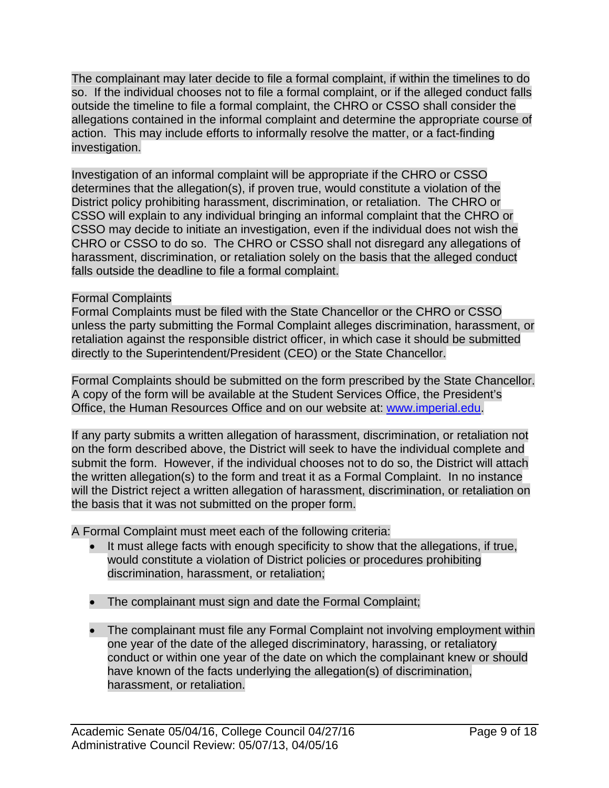The complainant may later decide to file a formal complaint, if within the timelines to do so. If the individual chooses not to file a formal complaint, or if the alleged conduct falls outside the timeline to file a formal complaint, the CHRO or CSSO shall consider the allegations contained in the informal complaint and determine the appropriate course of action. This may include efforts to informally resolve the matter, or a fact-finding investigation.

Investigation of an informal complaint will be appropriate if the CHRO or CSSO determines that the allegation(s), if proven true, would constitute a violation of the District policy prohibiting harassment, discrimination, or retaliation. The CHRO or CSSO will explain to any individual bringing an informal complaint that the CHRO or CSSO may decide to initiate an investigation, even if the individual does not wish the CHRO or CSSO to do so. The CHRO or CSSO shall not disregard any allegations of harassment, discrimination, or retaliation solely on the basis that the alleged conduct falls outside the deadline to file a formal complaint.

# Formal Complaints

Formal Complaints must be filed with the State Chancellor or the CHRO or CSSO unless the party submitting the Formal Complaint alleges discrimination, harassment, or retaliation against the responsible district officer, in which case it should be submitted directly to the Superintendent/President (CEO) or the State Chancellor.

Formal Complaints should be submitted on the form prescribed by the State Chancellor. A copy of the form will be available at the Student Services Office, the President's Office, the Human Resources Office and on our website at: www.imperial.edu.

If any party submits a written allegation of harassment, discrimination, or retaliation not on the form described above, the District will seek to have the individual complete and submit the form. However, if the individual chooses not to do so, the District will attach the written allegation(s) to the form and treat it as a Formal Complaint. In no instance will the District reject a written allegation of harassment, discrimination, or retaliation on the basis that it was not submitted on the proper form.

A Formal Complaint must meet each of the following criteria:

- It must allege facts with enough specificity to show that the allegations, if true, would constitute a violation of District policies or procedures prohibiting discrimination, harassment, or retaliation;
- The complainant must sign and date the Formal Complaint;
- The complainant must file any Formal Complaint not involving employment within one year of the date of the alleged discriminatory, harassing, or retaliatory conduct or within one year of the date on which the complainant knew or should have known of the facts underlying the allegation(s) of discrimination, harassment, or retaliation.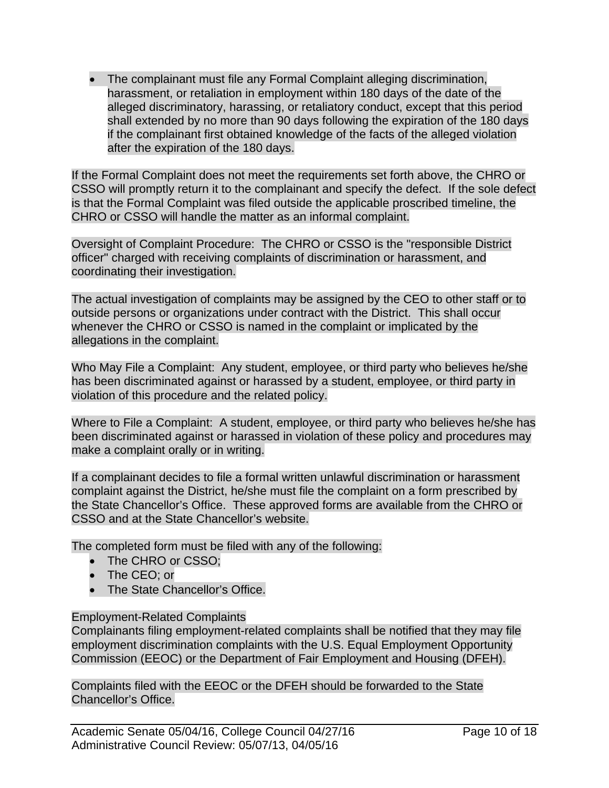The complainant must file any Formal Complaint alleging discrimination, harassment, or retaliation in employment within 180 days of the date of the alleged discriminatory, harassing, or retaliatory conduct, except that this period shall extended by no more than 90 days following the expiration of the 180 days if the complainant first obtained knowledge of the facts of the alleged violation after the expiration of the 180 days.

If the Formal Complaint does not meet the requirements set forth above, the CHRO or CSSO will promptly return it to the complainant and specify the defect. If the sole defect is that the Formal Complaint was filed outside the applicable proscribed timeline, the CHRO or CSSO will handle the matter as an informal complaint.

Oversight of Complaint Procedure: The CHRO or CSSO is the "responsible District officer" charged with receiving complaints of discrimination or harassment, and coordinating their investigation.

The actual investigation of complaints may be assigned by the CEO to other staff or to outside persons or organizations under contract with the District. This shall occur whenever the CHRO or CSSO is named in the complaint or implicated by the allegations in the complaint.

Who May File a Complaint: Any student, employee, or third party who believes he/she has been discriminated against or harassed by a student, employee, or third party in violation of this procedure and the related policy.

Where to File a Complaint: A student, employee, or third party who believes he/she has been discriminated against or harassed in violation of these policy and procedures may make a complaint orally or in writing.

If a complainant decides to file a formal written unlawful discrimination or harassment complaint against the District, he/she must file the complaint on a form prescribed by the State Chancellor's Office. These approved forms are available from the CHRO or CSSO and at the State Chancellor's website.

The completed form must be filed with any of the following:

- The CHRO or CSSO:
- The CEO; or
- The State Chancellor's Office.

# Employment-Related Complaints

Complainants filing employment-related complaints shall be notified that they may file employment discrimination complaints with the U.S. Equal Employment Opportunity Commission (EEOC) or the Department of Fair Employment and Housing (DFEH).

Complaints filed with the EEOC or the DFEH should be forwarded to the State Chancellor's Office.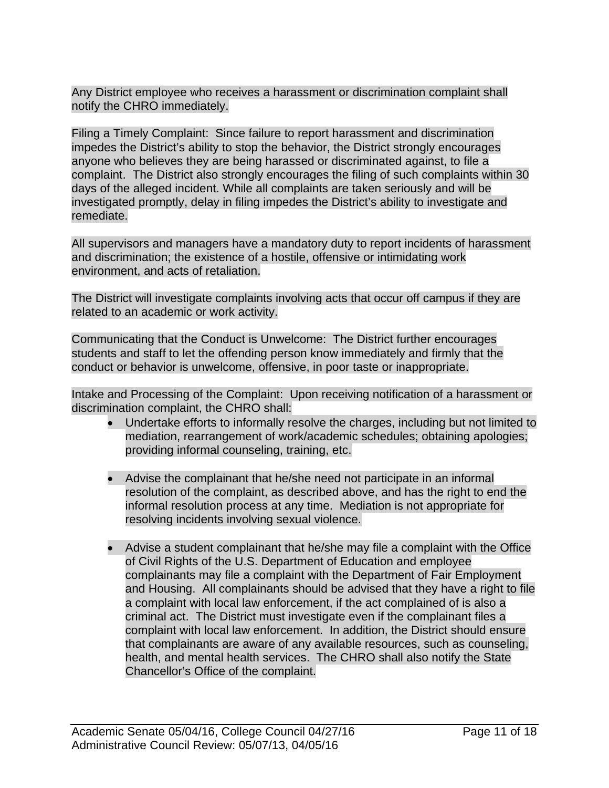Any District employee who receives a harassment or discrimination complaint shall notify the CHRO immediately.

Filing a Timely Complaint: Since failure to report harassment and discrimination impedes the District's ability to stop the behavior, the District strongly encourages anyone who believes they are being harassed or discriminated against, to file a complaint. The District also strongly encourages the filing of such complaints within 30 days of the alleged incident. While all complaints are taken seriously and will be investigated promptly, delay in filing impedes the District's ability to investigate and remediate.

All supervisors and managers have a mandatory duty to report incidents of harassment and discrimination; the existence of a hostile, offensive or intimidating work environment, and acts of retaliation.

The District will investigate complaints involving acts that occur off campus if they are related to an academic or work activity.

Communicating that the Conduct is Unwelcome: The District further encourages students and staff to let the offending person know immediately and firmly that the conduct or behavior is unwelcome, offensive, in poor taste or inappropriate.

Intake and Processing of the Complaint: Upon receiving notification of a harassment or discrimination complaint, the CHRO shall:

- Undertake efforts to informally resolve the charges, including but not limited to mediation, rearrangement of work/academic schedules; obtaining apologies; providing informal counseling, training, etc.
- Advise the complainant that he/she need not participate in an informal resolution of the complaint, as described above, and has the right to end the informal resolution process at any time. Mediation is not appropriate for resolving incidents involving sexual violence.
- Advise a student complainant that he/she may file a complaint with the Office of Civil Rights of the U.S. Department of Education and employee complainants may file a complaint with the Department of Fair Employment and Housing. All complainants should be advised that they have a right to file a complaint with local law enforcement, if the act complained of is also a criminal act. The District must investigate even if the complainant files a complaint with local law enforcement. In addition, the District should ensure that complainants are aware of any available resources, such as counseling, health, and mental health services. The CHRO shall also notify the State Chancellor's Office of the complaint.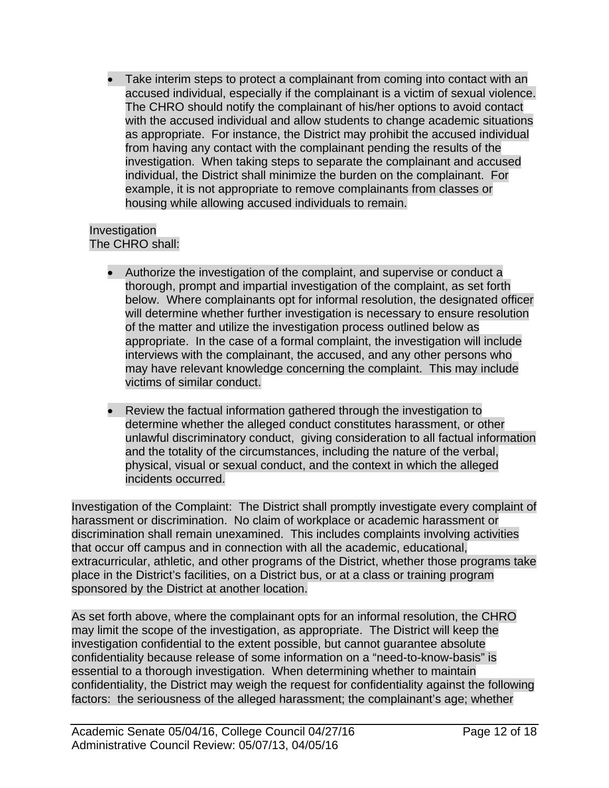Take interim steps to protect a complainant from coming into contact with an accused individual, especially if the complainant is a victim of sexual violence. The CHRO should notify the complainant of his/her options to avoid contact with the accused individual and allow students to change academic situations as appropriate. For instance, the District may prohibit the accused individual from having any contact with the complainant pending the results of the investigation. When taking steps to separate the complainant and accused individual, the District shall minimize the burden on the complainant. For example, it is not appropriate to remove complainants from classes or housing while allowing accused individuals to remain.

#### Investigation The CHRO shall:

- Authorize the investigation of the complaint, and supervise or conduct a thorough, prompt and impartial investigation of the complaint, as set forth below. Where complainants opt for informal resolution, the designated officer will determine whether further investigation is necessary to ensure resolution of the matter and utilize the investigation process outlined below as appropriate. In the case of a formal complaint, the investigation will include interviews with the complainant, the accused, and any other persons who may have relevant knowledge concerning the complaint. This may include victims of similar conduct.
- Review the factual information gathered through the investigation to determine whether the alleged conduct constitutes harassment, or other unlawful discriminatory conduct, giving consideration to all factual information and the totality of the circumstances, including the nature of the verbal, physical, visual or sexual conduct, and the context in which the alleged incidents occurred.

Investigation of the Complaint: The District shall promptly investigate every complaint of harassment or discrimination. No claim of workplace or academic harassment or discrimination shall remain unexamined. This includes complaints involving activities that occur off campus and in connection with all the academic, educational, extracurricular, athletic, and other programs of the District, whether those programs take place in the District's facilities, on a District bus, or at a class or training program sponsored by the District at another location.

As set forth above, where the complainant opts for an informal resolution, the CHRO may limit the scope of the investigation, as appropriate. The District will keep the investigation confidential to the extent possible, but cannot guarantee absolute confidentiality because release of some information on a "need-to-know-basis" is essential to a thorough investigation. When determining whether to maintain confidentiality, the District may weigh the request for confidentiality against the following factors: the seriousness of the alleged harassment; the complainant's age; whether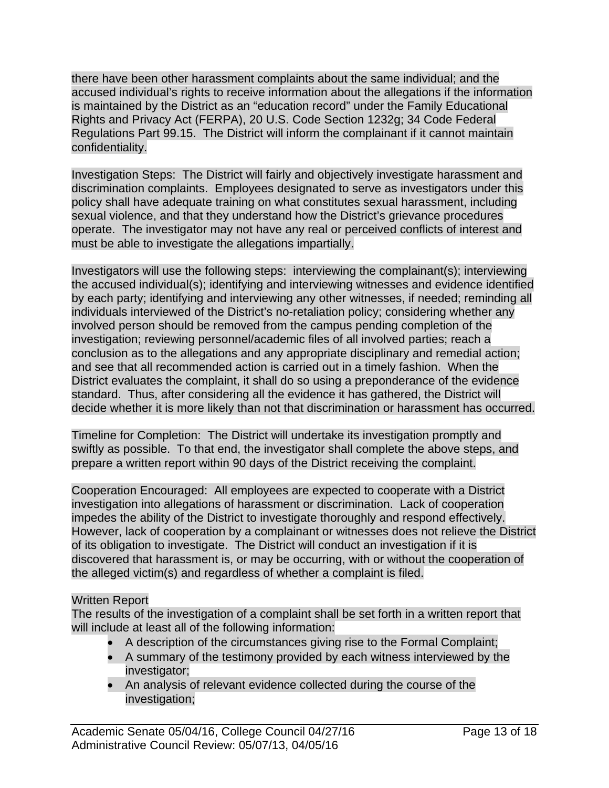there have been other harassment complaints about the same individual; and the accused individual's rights to receive information about the allegations if the information is maintained by the District as an "education record" under the Family Educational Rights and Privacy Act (FERPA), 20 U.S. Code Section 1232g; 34 Code Federal Regulations Part 99.15. The District will inform the complainant if it cannot maintain confidentiality.

Investigation Steps: The District will fairly and objectively investigate harassment and discrimination complaints. Employees designated to serve as investigators under this policy shall have adequate training on what constitutes sexual harassment, including sexual violence, and that they understand how the District's grievance procedures operate. The investigator may not have any real or perceived conflicts of interest and must be able to investigate the allegations impartially.

Investigators will use the following steps: interviewing the complainant(s); interviewing the accused individual(s); identifying and interviewing witnesses and evidence identified by each party; identifying and interviewing any other witnesses, if needed; reminding all individuals interviewed of the District's no-retaliation policy; considering whether any involved person should be removed from the campus pending completion of the investigation; reviewing personnel/academic files of all involved parties; reach a conclusion as to the allegations and any appropriate disciplinary and remedial action; and see that all recommended action is carried out in a timely fashion. When the District evaluates the complaint, it shall do so using a preponderance of the evidence standard. Thus, after considering all the evidence it has gathered, the District will decide whether it is more likely than not that discrimination or harassment has occurred.

Timeline for Completion: The District will undertake its investigation promptly and swiftly as possible. To that end, the investigator shall complete the above steps, and prepare a written report within 90 days of the District receiving the complaint.

Cooperation Encouraged: All employees are expected to cooperate with a District investigation into allegations of harassment or discrimination. Lack of cooperation impedes the ability of the District to investigate thoroughly and respond effectively. However, lack of cooperation by a complainant or witnesses does not relieve the District of its obligation to investigate. The District will conduct an investigation if it is discovered that harassment is, or may be occurring, with or without the cooperation of the alleged victim(s) and regardless of whether a complaint is filed.

# Written Report

The results of the investigation of a complaint shall be set forth in a written report that will include at least all of the following information:

- A description of the circumstances giving rise to the Formal Complaint;
- A summary of the testimony provided by each witness interviewed by the investigator;
- An analysis of relevant evidence collected during the course of the investigation;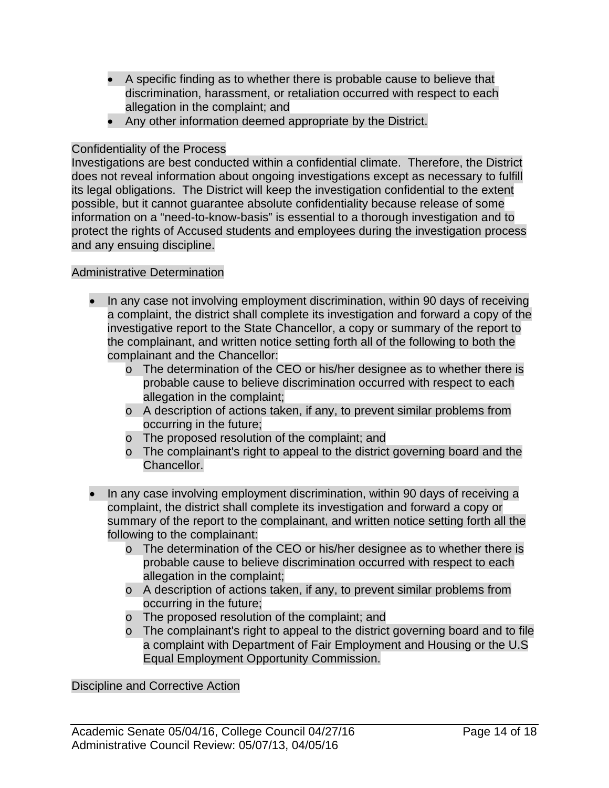- A specific finding as to whether there is probable cause to believe that discrimination, harassment, or retaliation occurred with respect to each allegation in the complaint; and
- Any other information deemed appropriate by the District.

### Confidentiality of the Process

Investigations are best conducted within a confidential climate. Therefore, the District does not reveal information about ongoing investigations except as necessary to fulfill its legal obligations. The District will keep the investigation confidential to the extent possible, but it cannot guarantee absolute confidentiality because release of some information on a "need-to-know-basis" is essential to a thorough investigation and to protect the rights of Accused students and employees during the investigation process and any ensuing discipline.

### Administrative Determination

- In any case not involving employment discrimination, within 90 days of receiving a complaint, the district shall complete its investigation and forward a copy of the investigative report to the State Chancellor, a copy or summary of the report to the complainant, and written notice setting forth all of the following to both the complainant and the Chancellor:
	- o The determination of the CEO or his/her designee as to whether there is probable cause to believe discrimination occurred with respect to each allegation in the complaint;
	- o A description of actions taken, if any, to prevent similar problems from occurring in the future;
	- o The proposed resolution of the complaint; and
	- o The complainant's right to appeal to the district governing board and the Chancellor.
- In any case involving employment discrimination, within 90 days of receiving a complaint, the district shall complete its investigation and forward a copy or summary of the report to the complainant, and written notice setting forth all the following to the complainant:
	- o The determination of the CEO or his/her designee as to whether there is probable cause to believe discrimination occurred with respect to each allegation in the complaint;
	- o A description of actions taken, if any, to prevent similar problems from occurring in the future;
	- o The proposed resolution of the complaint; and
	- o The complainant's right to appeal to the district governing board and to file a complaint with Department of Fair Employment and Housing or the U.S Equal Employment Opportunity Commission.

Discipline and Corrective Action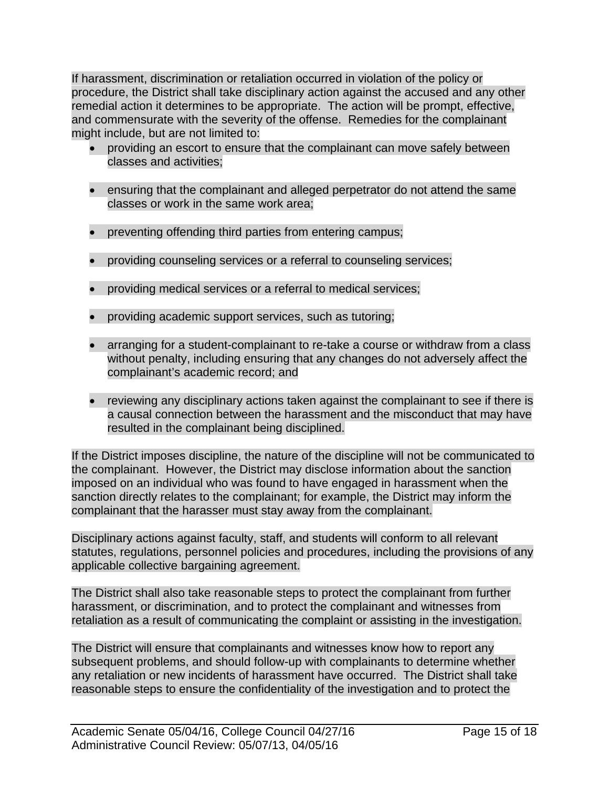If harassment, discrimination or retaliation occurred in violation of the policy or procedure, the District shall take disciplinary action against the accused and any other remedial action it determines to be appropriate. The action will be prompt, effective, and commensurate with the severity of the offense. Remedies for the complainant might include, but are not limited to:

- providing an escort to ensure that the complainant can move safely between classes and activities;
- ensuring that the complainant and alleged perpetrator do not attend the same classes or work in the same work area;
- preventing offending third parties from entering campus;
- providing counseling services or a referral to counseling services;
- providing medical services or a referral to medical services;
- providing academic support services, such as tutoring;
- arranging for a student-complainant to re-take a course or withdraw from a class without penalty, including ensuring that any changes do not adversely affect the complainant's academic record; and
- reviewing any disciplinary actions taken against the complainant to see if there is a causal connection between the harassment and the misconduct that may have resulted in the complainant being disciplined.

If the District imposes discipline, the nature of the discipline will not be communicated to the complainant. However, the District may disclose information about the sanction imposed on an individual who was found to have engaged in harassment when the sanction directly relates to the complainant; for example, the District may inform the complainant that the harasser must stay away from the complainant.

Disciplinary actions against faculty, staff, and students will conform to all relevant statutes, regulations, personnel policies and procedures, including the provisions of any applicable collective bargaining agreement.

The District shall also take reasonable steps to protect the complainant from further harassment, or discrimination, and to protect the complainant and witnesses from retaliation as a result of communicating the complaint or assisting in the investigation.

The District will ensure that complainants and witnesses know how to report any subsequent problems, and should follow-up with complainants to determine whether any retaliation or new incidents of harassment have occurred. The District shall take reasonable steps to ensure the confidentiality of the investigation and to protect the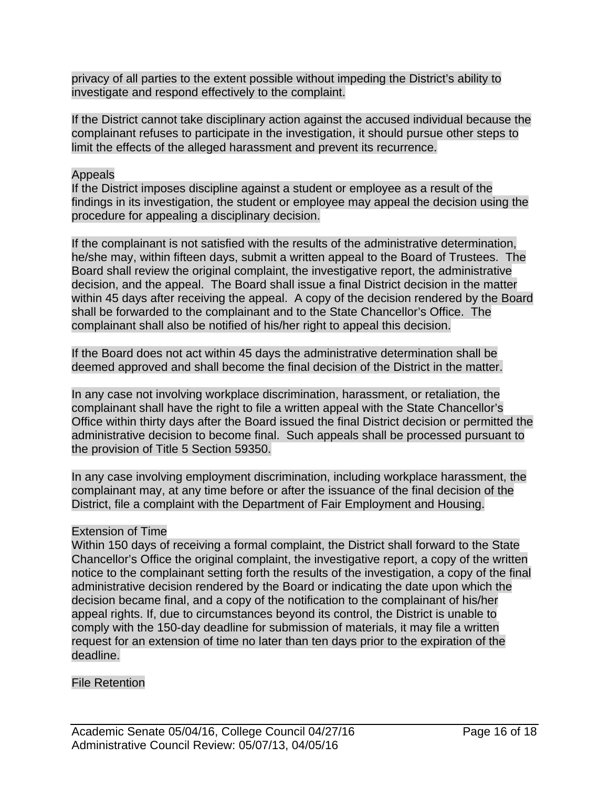privacy of all parties to the extent possible without impeding the District's ability to investigate and respond effectively to the complaint.

If the District cannot take disciplinary action against the accused individual because the complainant refuses to participate in the investigation, it should pursue other steps to limit the effects of the alleged harassment and prevent its recurrence.

#### Appeals

If the District imposes discipline against a student or employee as a result of the findings in its investigation, the student or employee may appeal the decision using the procedure for appealing a disciplinary decision.

If the complainant is not satisfied with the results of the administrative determination, he/she may, within fifteen days, submit a written appeal to the Board of Trustees. The Board shall review the original complaint, the investigative report, the administrative decision, and the appeal. The Board shall issue a final District decision in the matter within 45 days after receiving the appeal. A copy of the decision rendered by the Board shall be forwarded to the complainant and to the State Chancellor's Office. The complainant shall also be notified of his/her right to appeal this decision.

If the Board does not act within 45 days the administrative determination shall be deemed approved and shall become the final decision of the District in the matter.

In any case not involving workplace discrimination, harassment, or retaliation, the complainant shall have the right to file a written appeal with the State Chancellor's Office within thirty days after the Board issued the final District decision or permitted the administrative decision to become final. Such appeals shall be processed pursuant to the provision of Title 5 Section 59350.

In any case involving employment discrimination, including workplace harassment, the complainant may, at any time before or after the issuance of the final decision of the District, file a complaint with the Department of Fair Employment and Housing.

## Extension of Time

Within 150 days of receiving a formal complaint, the District shall forward to the State Chancellor's Office the original complaint, the investigative report, a copy of the written notice to the complainant setting forth the results of the investigation, a copy of the final administrative decision rendered by the Board or indicating the date upon which the decision became final, and a copy of the notification to the complainant of his/her appeal rights. If, due to circumstances beyond its control, the District is unable to comply with the 150-day deadline for submission of materials, it may file a written request for an extension of time no later than ten days prior to the expiration of the deadline.

#### File Retention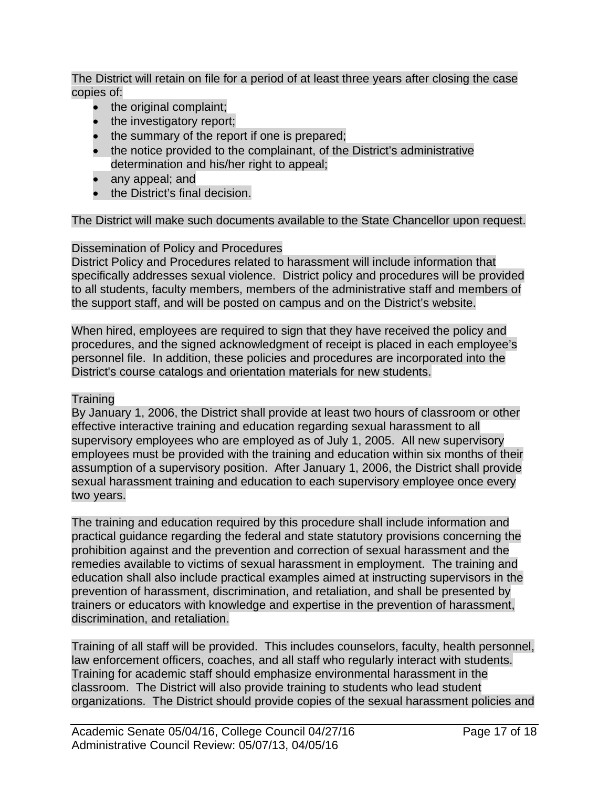The District will retain on file for a period of at least three years after closing the case copies of:

- the original complaint;
- the investigatory report;
- the summary of the report if one is prepared;
- the notice provided to the complainant, of the District's administrative determination and his/her right to appeal;
- any appeal; and
- the District's final decision.

### The District will make such documents available to the State Chancellor upon request.

## Dissemination of Policy and Procedures

District Policy and Procedures related to harassment will include information that specifically addresses sexual violence. District policy and procedures will be provided to all students, faculty members, members of the administrative staff and members of the support staff, and will be posted on campus and on the District's website.

When hired, employees are required to sign that they have received the policy and procedures, and the signed acknowledgment of receipt is placed in each employee's personnel file. In addition, these policies and procedures are incorporated into the District's course catalogs and orientation materials for new students.

#### **Training**

By January 1, 2006, the District shall provide at least two hours of classroom or other effective interactive training and education regarding sexual harassment to all supervisory employees who are employed as of July 1, 2005. All new supervisory employees must be provided with the training and education within six months of their assumption of a supervisory position. After January 1, 2006, the District shall provide sexual harassment training and education to each supervisory employee once every two years.

The training and education required by this procedure shall include information and practical guidance regarding the federal and state statutory provisions concerning the prohibition against and the prevention and correction of sexual harassment and the remedies available to victims of sexual harassment in employment. The training and education shall also include practical examples aimed at instructing supervisors in the prevention of harassment, discrimination, and retaliation, and shall be presented by trainers or educators with knowledge and expertise in the prevention of harassment, discrimination, and retaliation.

Training of all staff will be provided. This includes counselors, faculty, health personnel, law enforcement officers, coaches, and all staff who regularly interact with students. Training for academic staff should emphasize environmental harassment in the classroom. The District will also provide training to students who lead student organizations. The District should provide copies of the sexual harassment policies and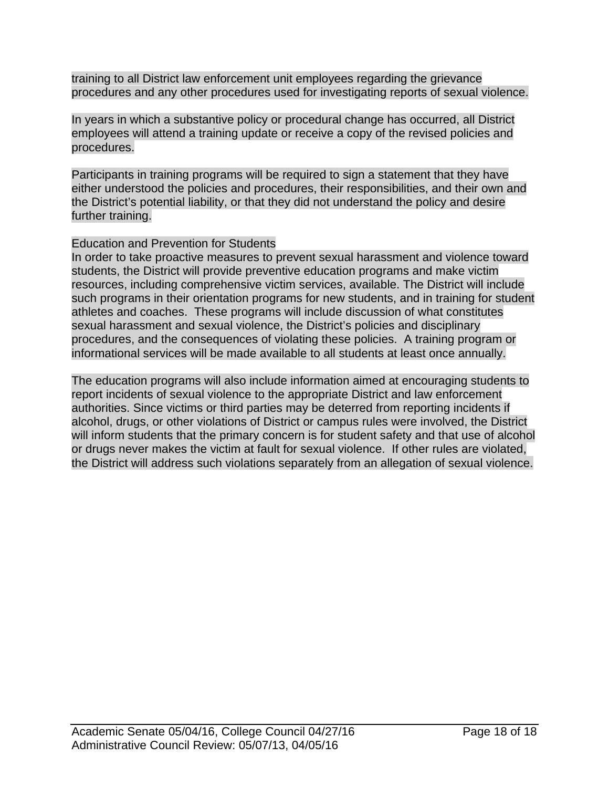training to all District law enforcement unit employees regarding the grievance procedures and any other procedures used for investigating reports of sexual violence.

In years in which a substantive policy or procedural change has occurred, all District employees will attend a training update or receive a copy of the revised policies and procedures.

Participants in training programs will be required to sign a statement that they have either understood the policies and procedures, their responsibilities, and their own and the District's potential liability, or that they did not understand the policy and desire further training.

## Education and Prevention for Students

In order to take proactive measures to prevent sexual harassment and violence toward students, the District will provide preventive education programs and make victim resources, including comprehensive victim services, available. The District will include such programs in their orientation programs for new students, and in training for student athletes and coaches. These programs will include discussion of what constitutes sexual harassment and sexual violence, the District's policies and disciplinary procedures, and the consequences of violating these policies. A training program or informational services will be made available to all students at least once annually.

The education programs will also include information aimed at encouraging students to report incidents of sexual violence to the appropriate District and law enforcement authorities. Since victims or third parties may be deterred from reporting incidents if alcohol, drugs, or other violations of District or campus rules were involved, the District will inform students that the primary concern is for student safety and that use of alcohol or drugs never makes the victim at fault for sexual violence. If other rules are violated, the District will address such violations separately from an allegation of sexual violence.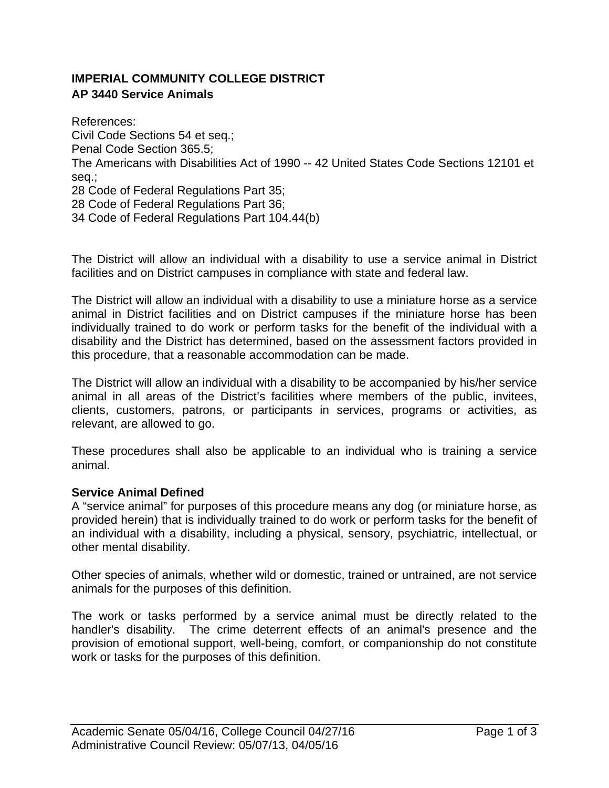## **IMPERIAL COMMUNITY COLLEGE DISTRICT AP 3440 Service Animals**

References: Civil Code Sections 54 et seq.; Penal Code Section 365.5; The Americans with Disabilities Act of 1990 -- 42 United States Code Sections 12101 et seq.; 28 Code of Federal Regulations Part 35; 28 Code of Federal Regulations Part 36; 34 Code of Federal Regulations Part 104.44(b)

The District will allow an individual with a disability to use a service animal in District facilities and on District campuses in compliance with state and federal law.

The District will allow an individual with a disability to use a miniature horse as a service animal in District facilities and on District campuses if the miniature horse has been individually trained to do work or perform tasks for the benefit of the individual with a disability and the District has determined, based on the assessment factors provided in this procedure, that a reasonable accommodation can be made.

The District will allow an individual with a disability to be accompanied by his/her service animal in all areas of the District's facilities where members of the public, invitees, clients, customers, patrons, or participants in services, programs or activities, as relevant, are allowed to go.

These procedures shall also be applicable to an individual who is training a service animal.

#### **Service Animal Defined**

A "service animal" for purposes of this procedure means any dog (or miniature horse, as provided herein) that is individually trained to do work or perform tasks for the benefit of an individual with a disability, including a physical, sensory, psychiatric, intellectual, or other mental disability.

Other species of animals, whether wild or domestic, trained or untrained, are not service animals for the purposes of this definition.

The work or tasks performed by a service animal must be directly related to the handler's disability. The crime deterrent effects of an animal's presence and the provision of emotional support, well-being, comfort, or companionship do not constitute work or tasks for the purposes of this definition.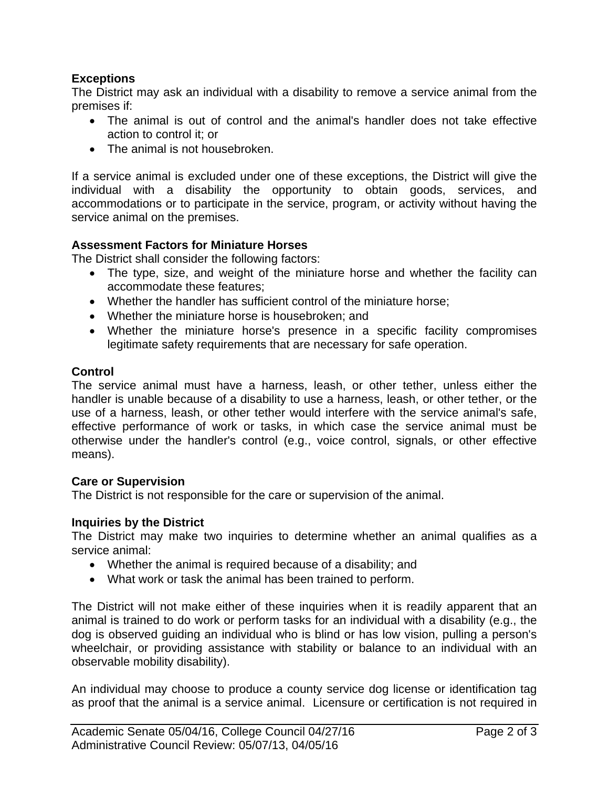## **Exceptions**

The District may ask an individual with a disability to remove a service animal from the premises if:

- The animal is out of control and the animal's handler does not take effective action to control it; or
- The animal is not housebroken.

If a service animal is excluded under one of these exceptions, the District will give the individual with a disability the opportunity to obtain goods, services, and accommodations or to participate in the service, program, or activity without having the service animal on the premises.

### **Assessment Factors for Miniature Horses**

The District shall consider the following factors:

- The type, size, and weight of the miniature horse and whether the facility can accommodate these features;
- Whether the handler has sufficient control of the miniature horse;
- Whether the miniature horse is housebroken; and
- Whether the miniature horse's presence in a specific facility compromises legitimate safety requirements that are necessary for safe operation.

#### **Control**

The service animal must have a harness, leash, or other tether, unless either the handler is unable because of a disability to use a harness, leash, or other tether, or the use of a harness, leash, or other tether would interfere with the service animal's safe, effective performance of work or tasks, in which case the service animal must be otherwise under the handler's control (e.g., voice control, signals, or other effective means).

#### **Care or Supervision**

The District is not responsible for the care or supervision of the animal.

#### **Inquiries by the District**

The District may make two inquiries to determine whether an animal qualifies as a service animal:

- Whether the animal is required because of a disability; and
- What work or task the animal has been trained to perform.

The District will not make either of these inquiries when it is readily apparent that an animal is trained to do work or perform tasks for an individual with a disability (e.g., the dog is observed guiding an individual who is blind or has low vision, pulling a person's wheelchair, or providing assistance with stability or balance to an individual with an observable mobility disability).

An individual may choose to produce a county service dog license or identification tag as proof that the animal is a service animal. Licensure or certification is not required in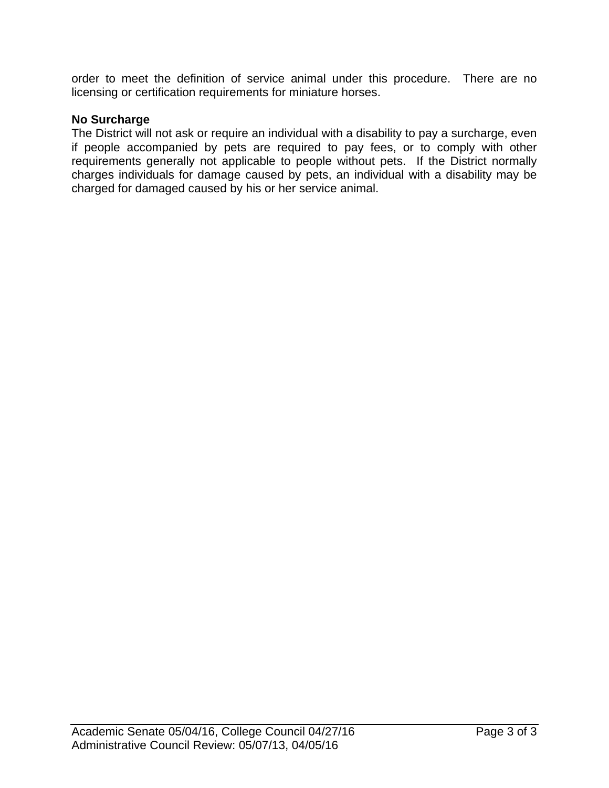order to meet the definition of service animal under this procedure. There are no licensing or certification requirements for miniature horses.

### **No Surcharge**

The District will not ask or require an individual with a disability to pay a surcharge, even if people accompanied by pets are required to pay fees, or to comply with other requirements generally not applicable to people without pets. If the District normally charges individuals for damage caused by pets, an individual with a disability may be charged for damaged caused by his or her service animal.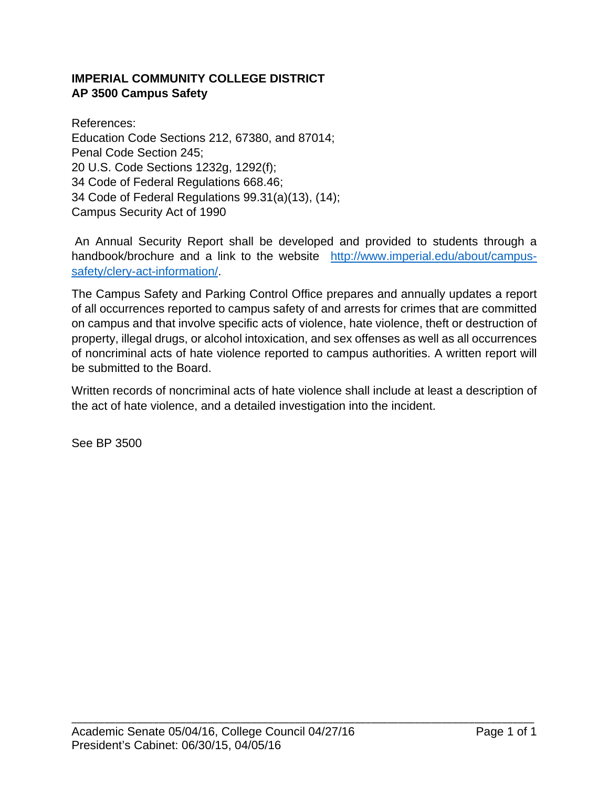## **IMPERIAL COMMUNITY COLLEGE DISTRICT AP 3500 Campus Safety**

References: Education Code Sections 212, 67380, and 87014; Penal Code Section 245; 20 U.S. Code Sections 1232g, 1292(f); 34 Code of Federal Regulations 668.46; 34 Code of Federal Regulations 99.31(a)(13), (14); Campus Security Act of 1990

 An Annual Security Report shall be developed and provided to students through a handbook/brochure and a link to the website http://www.imperial.edu/about/campussafety/clery-act-information/.

The Campus Safety and Parking Control Office prepares and annually updates a report of all occurrences reported to campus safety of and arrests for crimes that are committed on campus and that involve specific acts of violence, hate violence, theft or destruction of property, illegal drugs, or alcohol intoxication, and sex offenses as well as all occurrences of noncriminal acts of hate violence reported to campus authorities. A written report will be submitted to the Board.

Written records of noncriminal acts of hate violence shall include at least a description of the act of hate violence, and a detailed investigation into the incident.

See BP 3500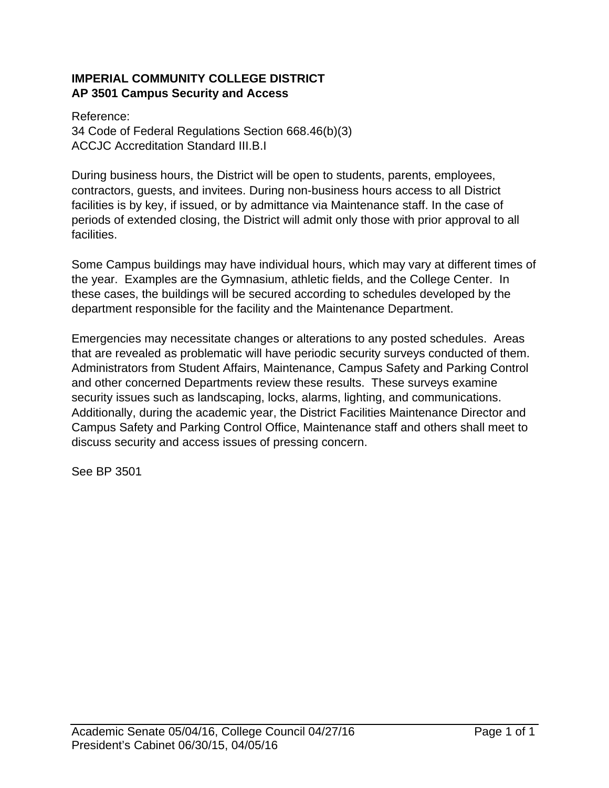## **IMPERIAL COMMUNITY COLLEGE DISTRICT AP 3501 Campus Security and Access**

Reference: 34 Code of Federal Regulations Section 668.46(b)(3) ACCJC Accreditation Standard III.B.I

During business hours, the District will be open to students, parents, employees, contractors, guests, and invitees. During non-business hours access to all District facilities is by key, if issued, or by admittance via Maintenance staff. In the case of periods of extended closing, the District will admit only those with prior approval to all facilities.

Some Campus buildings may have individual hours, which may vary at different times of the year. Examples are the Gymnasium, athletic fields, and the College Center. In these cases, the buildings will be secured according to schedules developed by the department responsible for the facility and the Maintenance Department.

Emergencies may necessitate changes or alterations to any posted schedules. Areas that are revealed as problematic will have periodic security surveys conducted of them. Administrators from Student Affairs, Maintenance, Campus Safety and Parking Control and other concerned Departments review these results. These surveys examine security issues such as landscaping, locks, alarms, lighting, and communications. Additionally, during the academic year, the District Facilities Maintenance Director and Campus Safety and Parking Control Office, Maintenance staff and others shall meet to discuss security and access issues of pressing concern.

See BP 3501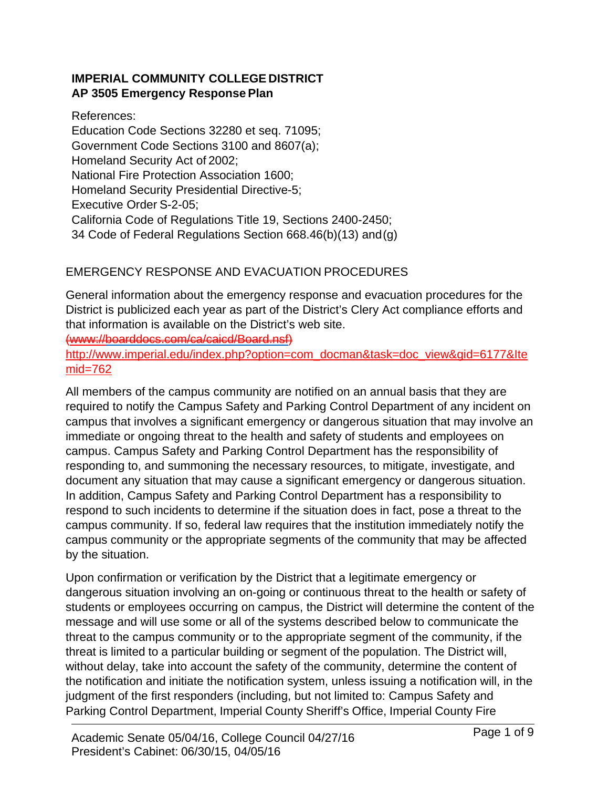## **IMPERIAL COMMUNITY COLLEGE DISTRICT AP 3505 Emergency Response Plan**

References:

Education Code Sections 32280 et seq. 71095; Government Code Sections 3100 and 8607(a); Homeland Security Act of 2002; National Fire Protection Association 1600; Homeland Security Presidential Directive-5; Executive Order S-2-05; California Code of Regulations Title 19, Sections 2400-2450; 34 Code of Federal Regulations Section 668.46(b)(13) and (g)

# EMERGENCY RESPONSE AND EVACUATION PROCEDURES

General information about the emergency response and evacuation procedures for the District is publicized each year as part of the District's Clery Act compliance efforts and that information is available on the District's web site.

(www://boarddocs.com/ca/caicd/Board.nsf)

http://www.imperial.edu/index.php?option=com\_docman&task=doc\_view&gid=6177&Ite mid=762

All members of the campus community are notified on an annual basis that they are required to notify the Campus Safety and Parking Control Department of any incident on campus that involves a significant emergency or dangerous situation that may involve an immediate or ongoing threat to the health and safety of students and employees on campus. Campus Safety and Parking Control Department has the responsibility of responding to, and summoning the necessary resources, to mitigate, investigate, and document any situation that may cause a significant emergency or dangerous situation. In addition, Campus Safety and Parking Control Department has a responsibility to respond to such incidents to determine if the situation does in fact, pose a threat to the campus community. If so, federal law requires that the institution immediately notify the campus community or the appropriate segments of the community that may be affected by the situation.

Upon confirmation or verification by the District that a legitimate emergency or dangerous situation involving an on-going or continuous threat to the health or safety of students or employees occurring on campus, the District will determine the content of the message and will use some or all of the systems described below to communicate the threat to the campus community or to the appropriate segment of the community, if the threat is limited to a particular building or segment of the population. The District will, without delay, take into account the safety of the community, determine the content of the notification and initiate the notification system, unless issuing a notification will, in the judgment of the first responders (including, but not limited to: Campus Safety and Parking Control Department, Imperial County Sheriff's Office, Imperial County Fire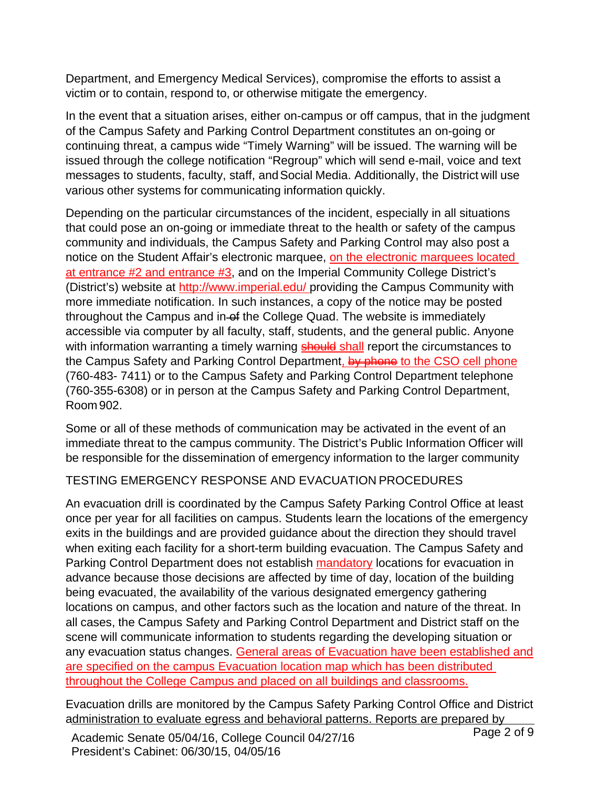Department, and Emergency Medical Services), compromise the efforts to assist a victim or to contain, respond to, or otherwise mitigate the emergency.

In the event that a situation arises, either on-campus or off campus, that in the judgment of the Campus Safety and Parking Control Department constitutes an on-going or continuing threat, a campus wide "Timely Warning" will be issued. The warning will be issued through the college notification "Regroup" which will send e-mail, voice and text messages to students, faculty, staff, and Social Media. Additionally, the District will use various other systems for communicating information quickly.

Depending on the particular circumstances of the incident, especially in all situations that could pose an on-going or immediate threat to the health or safety of the campus community and individuals, the Campus Safety and Parking Control may also post a notice on the Student Affair's electronic marquee, on the electronic marquees located at entrance #2 and entrance #3, and on the Imperial Community College District's (District's) website at http://www.imperial.edu/ providing the Campus Community with more immediate notification. In such instances, a copy of the notice may be posted throughout the Campus and in of the College Quad. The website is immediately accessible via computer by all faculty, staff, students, and the general public. Anyone with information warranting a timely warning **should shall** report the circumstances to the Campus Safety and Parking Control Department, by phone to the CSO cell phone (760-483- 7411) or to the Campus Safety and Parking Control Department telephone (760-355-6308) or in person at the Campus Safety and Parking Control Department, Room 902.

Some or all of these methods of communication may be activated in the event of an immediate threat to the campus community. The District's Public Information Officer will be responsible for the dissemination of emergency information to the larger community

# TESTING EMERGENCY RESPONSE AND EVACUATION PROCEDURES

An evacuation drill is coordinated by the Campus Safety Parking Control Office at least once per year for all facilities on campus. Students learn the locations of the emergency exits in the buildings and are provided guidance about the direction they should travel when exiting each facility for a short-term building evacuation. The Campus Safety and Parking Control Department does not establish mandatory locations for evacuation in advance because those decisions are affected by time of day, location of the building being evacuated, the availability of the various designated emergency gathering locations on campus, and other factors such as the location and nature of the threat. In all cases, the Campus Safety and Parking Control Department and District staff on the scene will communicate information to students regarding the developing situation or any evacuation status changes. General areas of Evacuation have been established and are specified on the campus Evacuation location map which has been distributed throughout the College Campus and placed on all buildings and classrooms.

Evacuation drills are monitored by the Campus Safety Parking Control Office and District administration to evaluate egress and behavioral patterns. Reports are prepared by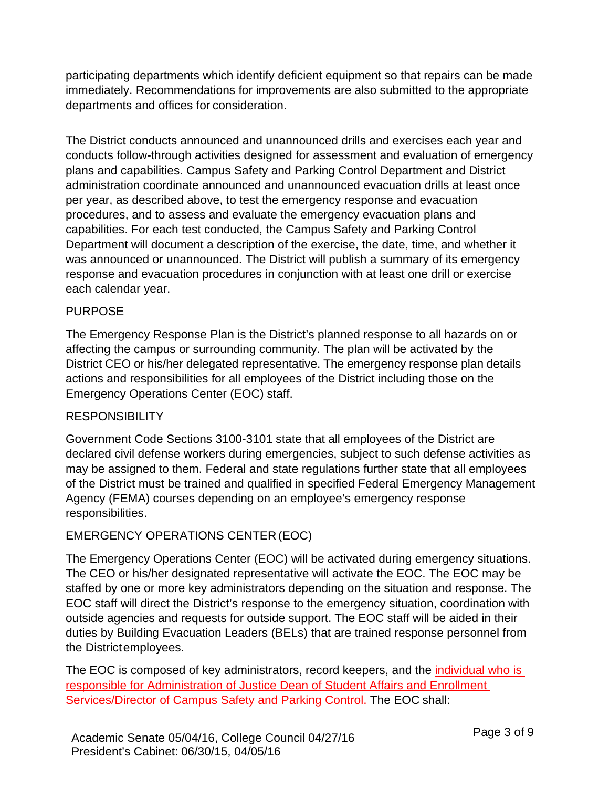participating departments which identify deficient equipment so that repairs can be made immediately. Recommendations for improvements are also submitted to the appropriate departments and offices for consideration.

The District conducts announced and unannounced drills and exercises each year and conducts follow-through activities designed for assessment and evaluation of emergency plans and capabilities. Campus Safety and Parking Control Department and District administration coordinate announced and unannounced evacuation drills at least once per year, as described above, to test the emergency response and evacuation procedures, and to assess and evaluate the emergency evacuation plans and capabilities. For each test conducted, the Campus Safety and Parking Control Department will document a description of the exercise, the date, time, and whether it was announced or unannounced. The District will publish a summary of its emergency response and evacuation procedures in conjunction with at least one drill or exercise each calendar year.

## PURPOSE

The Emergency Response Plan is the District's planned response to all hazards on or affecting the campus or surrounding community. The plan will be activated by the District CEO or his/her delegated representative. The emergency response plan details actions and responsibilities for all employees of the District including those on the Emergency Operations Center (EOC) staff.

## RESPONSIBILITY

Government Code Sections 3100-3101 state that all employees of the District are declared civil defense workers during emergencies, subject to such defense activities as may be assigned to them. Federal and state regulations further state that all employees of the District must be trained and qualified in specified Federal Emergency Management Agency (FEMA) courses depending on an employee's emergency response responsibilities.

# EMERGENCY OPERATIONS CENTER (EOC)

The Emergency Operations Center (EOC) will be activated during emergency situations. The CEO or his/her designated representative will activate the EOC. The EOC may be staffed by one or more key administrators depending on the situation and response. The EOC staff will direct the District's response to the emergency situation, coordination with outside agencies and requests for outside support. The EOC staff will be aided in their duties by Building Evacuation Leaders (BELs) that are trained response personnel from the District employees.

The EOC is composed of key administrators, record keepers, and the *individual who is* responsible for Administration of Justice Dean of Student Affairs and Enrollment Services/Director of Campus Safety and Parking Control. The EOC shall: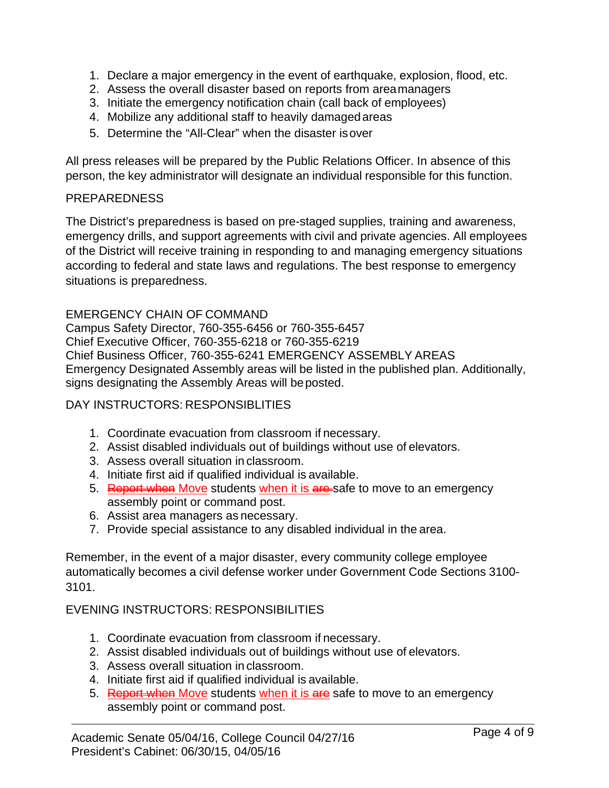- 1. Declare a major emergency in the event of earthquake, explosion, flood, etc.
- 2. Assess the overall disaster based on reports from area managers
- 3. Initiate the emergency notification chain (call back of employees)
- 4. Mobilize any additional staff to heavily damaged areas
- 5. Determine the "All-Clear" when the disaster is over

All press releases will be prepared by the Public Relations Officer. In absence of this person, the key administrator will designate an individual responsible for this function.

### PREPAREDNESS

The District's preparedness is based on pre-staged supplies, training and awareness, emergency drills, and support agreements with civil and private agencies. All employees of the District will receive training in responding to and managing emergency situations according to federal and state laws and regulations. The best response to emergency situations is preparedness.

EMERGENCY CHAIN OF COMMAND Campus Safety Director, 760-355-6456 or 760-355-6457 Chief Executive Officer, 760-355-6218 or 760-355-6219 Chief Business Officer, 760-355-6241 EMERGENCY ASSEMBLY AREAS Emergency Designated Assembly areas will be listed in the published plan. Additionally, signs designating the Assembly Areas will be posted.

## DAY INSTRUCTORS: RESPONSIBLITIES

- 1. Coordinate evacuation from classroom if necessary.
- 2. Assist disabled individuals out of buildings without use of elevators.
- 3. Assess overall situation in classroom.
- 4. Initiate first aid if qualified individual is available.
- 5. Report when Move students when it is are-safe to move to an emergency assembly point or command post.
- 6. Assist area managers as necessary.
- 7. Provide special assistance to any disabled individual in the area.

Remember, in the event of a major disaster, every community college employee automatically becomes a civil defense worker under Government Code Sections 3100- 3101.

## EVENING INSTRUCTORS: RESPONSIBILITIES

- 1. Coordinate evacuation from classroom if necessary.
- 2. Assist disabled individuals out of buildings without use of elevators.
- 3. Assess overall situation in classroom.
- 4. Initiate first aid if qualified individual is available.
- 5. Report when Move students when it is are safe to move to an emergency assembly point or command post.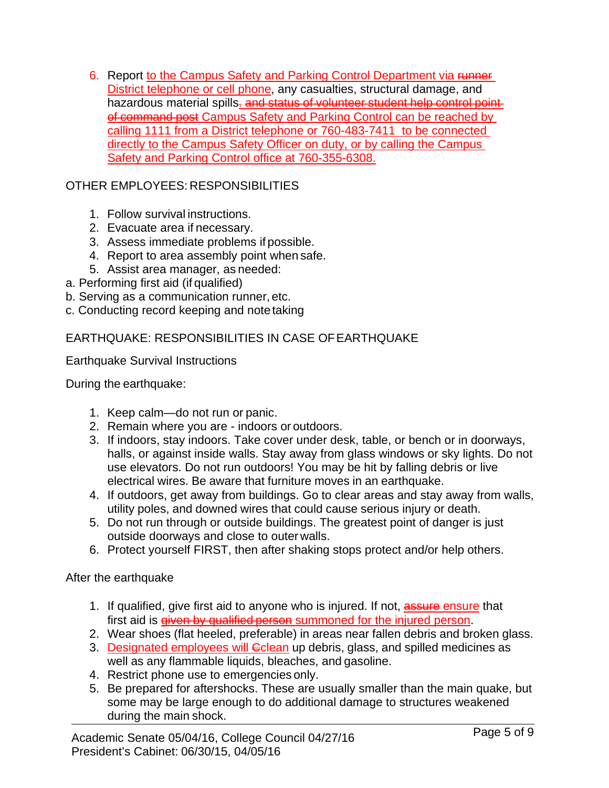6. Report to the Campus Safety and Parking Control Department via Funner District telephone or cell phone, any casualties, structural damage, and hazardous material spills. and status of volunteer student help control point of command post Campus Safety and Parking Control can be reached by calling 1111 from a District telephone or 760-483-7411 to be connected directly to the Campus Safety Officer on duty, or by calling the Campus Safety and Parking Control office at 760-355-6308.

# OTHER EMPLOYEES: RESPONSIBILITIES

- 1. Follow survival instructions.
- 2. Evacuate area if necessary.
- 3. Assess immediate problems if possible.
- 4. Report to area assembly point when safe.
- 5. Assist area manager, as needed:
- a. Performing first aid (if qualified)
- b. Serving as a communication runner, etc.
- c. Conducting record keeping and note taking

# EARTHQUAKE: RESPONSIBILITIES IN CASE OF EARTHQUAKE

Earthquake Survival Instructions

During the earthquake:

- 1. Keep calm—do not run or panic.
- 2. Remain where you are indoors or outdoors.
- 3. If indoors, stay indoors. Take cover under desk, table, or bench or in doorways, halls, or against inside walls. Stay away from glass windows or sky lights. Do not use elevators. Do not run outdoors! You may be hit by falling debris or live electrical wires. Be aware that furniture moves in an earthquake.
- 4. If outdoors, get away from buildings. Go to clear areas and stay away from walls, utility poles, and downed wires that could cause serious injury or death.
- 5. Do not run through or outside buildings. The greatest point of danger is just outside doorways and close to outer walls.
- 6. Protect yourself FIRST, then after shaking stops protect and/or help others.

After the earthquake

- 1. If qualified, give first aid to anyone who is injured. If not, assure ensure that first aid is given by qualified person summoned for the injured person.
- 2. Wear shoes (flat heeled, preferable) in areas near fallen debris and broken glass.
- 3. Designated employees will Colean up debris, glass, and spilled medicines as well as any flammable liquids, bleaches, and gasoline.
- 4. Restrict phone use to emergencies only.
- 5. Be prepared for aftershocks. These are usually smaller than the main quake, but some may be large enough to do additional damage to structures weakened during the main shock.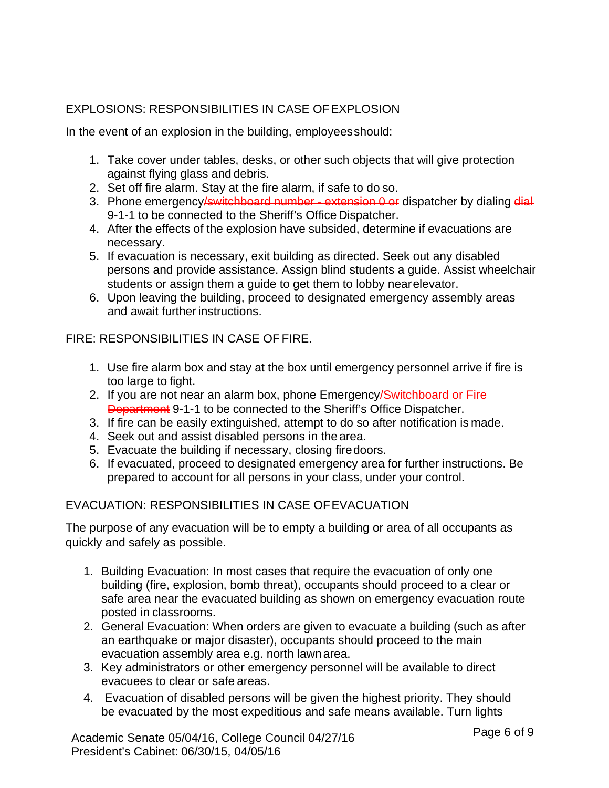# EXPLOSIONS: RESPONSIBILITIES IN CASE OF EXPLOSION

In the event of an explosion in the building, employees should:

- 1. Take cover under tables, desks, or other such objects that will give protection against flying glass and debris.
- 2. Set off fire alarm. Stay at the fire alarm, if safe to do so.
- 3. Phone emergency **/switchboard number extension 0 or** dispatcher by dialing dial-9-1-1 to be connected to the Sheriff's Office Dispatcher.
- 4. After the effects of the explosion have subsided, determine if evacuations are necessary.
- 5. If evacuation is necessary, exit building as directed. Seek out any disabled persons and provide assistance. Assign blind students a guide. Assist wheelchair students or assign them a guide to get them to lobby near elevator.
- 6. Upon leaving the building, proceed to designated emergency assembly areas and await further instructions.

FIRE: RESPONSIBILITIES IN CASE OF FIRE.

- 1. Use fire alarm box and stay at the box until emergency personnel arrive if fire is too large to fight.
- 2. If you are not near an alarm box, phone Emergency **Switchboard or Fire Department** 9-1-1 to be connected to the Sheriff's Office Dispatcher.
- 3. If fire can be easily extinguished, attempt to do so after notification is made.
- 4. Seek out and assist disabled persons in the area.
- 5. Evacuate the building if necessary, closing fire doors.
- 6. If evacuated, proceed to designated emergency area for further instructions. Be prepared to account for all persons in your class, under your control.

# EVACUATION: RESPONSIBILITIES IN CASE OF EVACUATION

The purpose of any evacuation will be to empty a building or area of all occupants as quickly and safely as possible.

- 1. Building Evacuation: In most cases that require the evacuation of only one building (fire, explosion, bomb threat), occupants should proceed to a clear or safe area near the evacuated building as shown on emergency evacuation route posted in classrooms.
- 2. General Evacuation: When orders are given to evacuate a building (such as after an earthquake or major disaster), occupants should proceed to the main evacuation assembly area e.g. north lawn area.
- 3. Key administrators or other emergency personnel will be available to direct evacuees to clear or safe areas.
- 4. Evacuation of disabled persons will be given the highest priority. They should be evacuated by the most expeditious and safe means available. Turn lights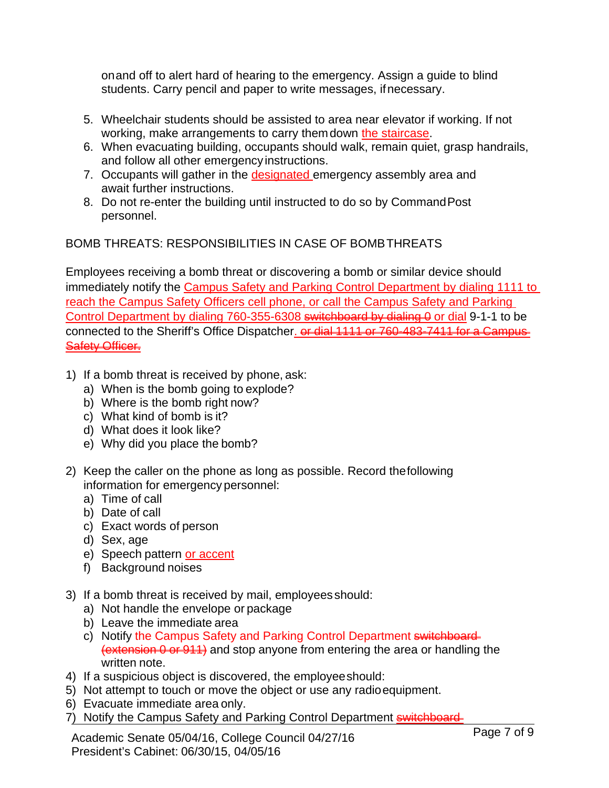on and off to alert hard of hearing to the emergency. Assign a guide to blind students. Carry pencil and paper to write messages, if necessary.

- 5. Wheelchair students should be assisted to area near elevator if working. If not working, make arrangements to carry them down the staircase.
- 6. When evacuating building, occupants should walk, remain quiet, grasp handrails, and follow all other emergency instructions.
- 7. Occupants will gather in the designated emergency assembly area and await further instructions.
- 8. Do not re-enter the building until instructed to do so by Command Post personnel.

BOMB THREATS: RESPONSIBILITIES IN CASE OF BOMB THREATS

Employees receiving a bomb threat or discovering a bomb or similar device should immediately notify the Campus Safety and Parking Control Department by dialing 1111 to reach the Campus Safety Officers cell phone, or call the Campus Safety and Parking Control Department by dialing 760-355-6308 switchboard by dialing 0 or dial 9-1-1 to be connected to the Sheriff's Office Dispatcher. or dial 1111 or 760-483-7411 for a Campus Safety Officer.

- 1) If a bomb threat is received by phone, ask:
	- a) When is the bomb going to explode?
	- b) Where is the bomb right now?
	- c) What kind of bomb is it?
	- d) What does it look like?
	- e) Why did you place the bomb?
- 2) Keep the caller on the phone as long as possible. Record the following information for emergency personnel:
	- a) Time of call
	- b) Date of call
	- c) Exact words of person
	- d) Sex, age
	- e) Speech pattern or accent
	- f) Background noises
- 3) If a bomb threat is received by mail, employees should:
	- a) Not handle the envelope or package
	- b) Leave the immediate area
	- c) Notify the Campus Safety and Parking Control Department switchboard-(extension 0 or 911) and stop anyone from entering the area or handling the written note.
- 4) If a suspicious object is discovered, the employee should:
- 5) Not attempt to touch or move the object or use any radio equipment.
- 6) Evacuate immediate area only.
- 7) Notify the Campus Safety and Parking Control Department **switchboard**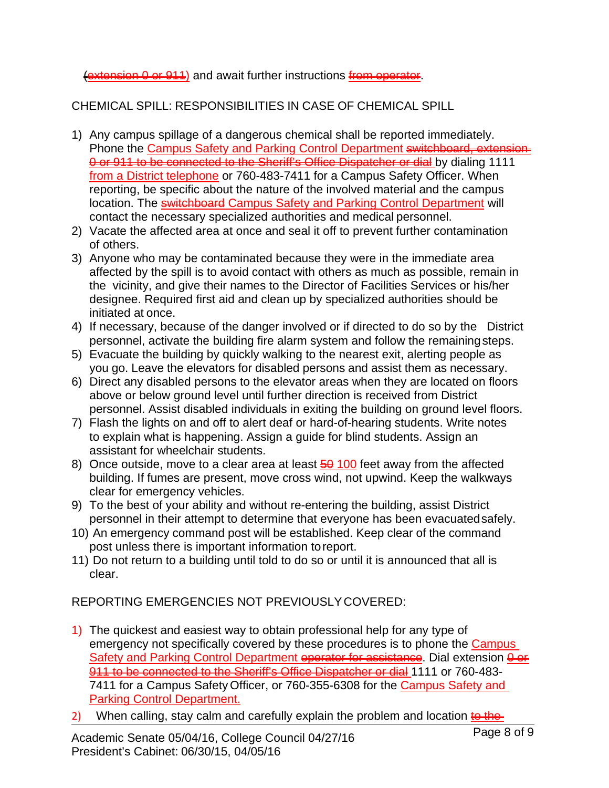## (extension 0 or 911) and await further instructions from operator.

# CHEMICAL SPILL: RESPONSIBILITIES IN CASE OF CHEMICAL SPILL

- 1) Any campus spillage of a dangerous chemical shall be reported immediately. Phone the Campus Safety and Parking Control Department switchboard, 0 or 911 to be connected to the Sheriff's Office Dispatcher or dial by dialing 1111 from a District telephone or 760-483-7411 for a Campus Safety Officer. When reporting, be specific about the nature of the involved material and the campus location. The **switchboard** Campus Safety and Parking Control Department will contact the necessary specialized authorities and medical personnel.
- 2) Vacate the affected area at once and seal it off to prevent further contamination of others.
- 3) Anyone who may be contaminated because they were in the immediate area affected by the spill is to avoid contact with others as much as possible, remain in the vicinity, and give their names to the Director of Facilities Services or his/her designee. Required first aid and clean up by specialized authorities should be initiated at once.
- 4) If necessary, because of the danger involved or if directed to do so by the District personnel, activate the building fire alarm system and follow the remaining steps.
- 5) Evacuate the building by quickly walking to the nearest exit, alerting people as you go. Leave the elevators for disabled persons and assist them as necessary.
- 6) Direct any disabled persons to the elevator areas when they are located on floors above or below ground level until further direction is received from District personnel. Assist disabled individuals in exiting the building on ground level floors.
- 7) Flash the lights on and off to alert deaf or hard-of-hearing students. Write notes to explain what is happening. Assign a guide for blind students. Assign an assistant for wheelchair students.
- 8) Once outside, move to a clear area at least  $\frac{60}{100}$  feet away from the affected building. If fumes are present, move cross wind, not upwind. Keep the walkways clear for emergency vehicles.
- 9) To the best of your ability and without re-entering the building, assist District personnel in their attempt to determine that everyone has been evacuated safely.
- 10) An emergency command post will be established. Keep clear of the command post unless there is important information to report.
- 11) Do not return to a building until told to do so or until it is announced that all is clear.

REPORTING EMERGENCIES NOT PREVIOUSLY COVERED:

- 1) The quickest and easiest way to obtain professional help for any type of emergency not specifically covered by these procedures is to phone the Campus Safety and Parking Control Department operator for assistance. Dial extension  $\overline{\theta}$  or 911 to be connected to the Sheriff's Office Dispatcher or dial 1111 or 760-483-7411 for a Campus Safety Officer, or 760-355-6308 for the Campus Safety and Parking Control Department.
- 2) When calling, stay calm and carefully explain the problem and location  $\frac{1}{2}$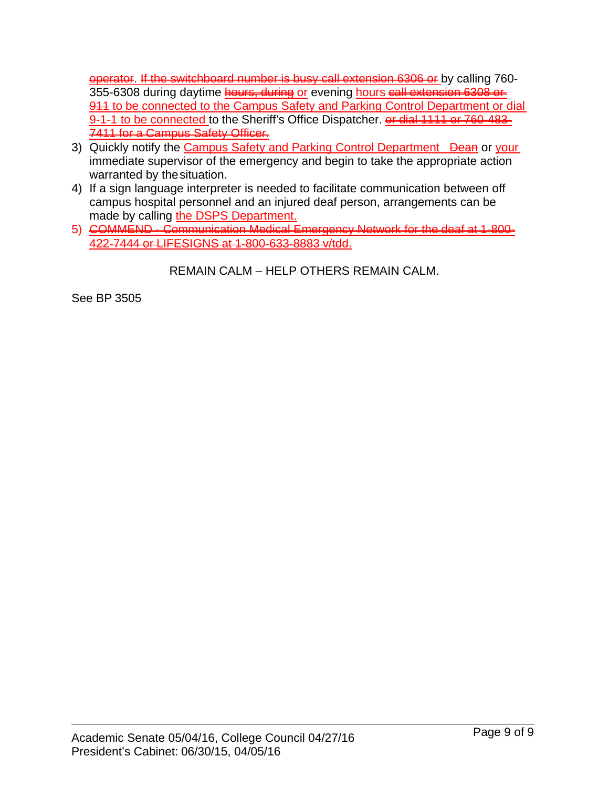operator. If the switchboard number is busy call extension 6306 or by calling 760- 355-6308 during daytime **hours, during or** evening hours call extension 6308 or 944 to be connected to the Campus Safety and Parking Control Department or dial 9-1-1 to be connected to the Sheriff's Office Dispatcher. **or dial 1111 or 760-483-**7411 for a Campus Safety Officer.

- 3) Quickly notify the Campus Safety and Parking Control Department Dean or your immediate supervisor of the emergency and begin to take the appropriate action warranted by the situation.
- 4) If a sign language interpreter is needed to facilitate communication between off campus hospital personnel and an injured deaf person, arrangements can be made by calling the DSPS Department.
- 5) COMMEND Communication Medical Emergency Network for the deaf at 1-800- 422-7444 or LIFESIGNS at 1-800-633-8883 v/tdd.

REMAIN CALM – HELP OTHERS REMAIN CALM.

See BP 3505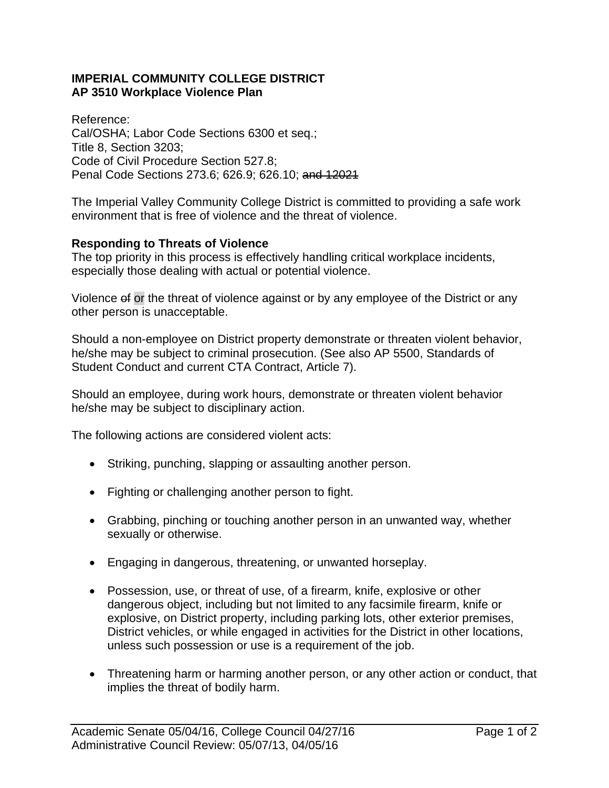#### **IMPERIAL COMMUNITY COLLEGE DISTRICT AP 3510 Workplace Violence Plan**

Reference: Cal/OSHA; Labor Code Sections 6300 et seq.; Title 8, Section 3203; Code of Civil Procedure Section 527.8; Penal Code Sections 273.6; 626.9; 626.10; and 12021

The Imperial Valley Community College District is committed to providing a safe work environment that is free of violence and the threat of violence.

### **Responding to Threats of Violence**

The top priority in this process is effectively handling critical workplace incidents, especially those dealing with actual or potential violence.

Violence of or the threat of violence against or by any employee of the District or any other person is unacceptable.

Should a non-employee on District property demonstrate or threaten violent behavior, he/she may be subject to criminal prosecution. (See also AP 5500, Standards of Student Conduct and current CTA Contract, Article 7).

Should an employee, during work hours, demonstrate or threaten violent behavior he/she may be subject to disciplinary action.

The following actions are considered violent acts:

- Striking, punching, slapping or assaulting another person.
- Fighting or challenging another person to fight.
- Grabbing, pinching or touching another person in an unwanted way, whether sexually or otherwise.
- Engaging in dangerous, threatening, or unwanted horseplay.
- Possession, use, or threat of use, of a firearm, knife, explosive or other dangerous object, including but not limited to any facsimile firearm, knife or explosive, on District property, including parking lots, other exterior premises, District vehicles, or while engaged in activities for the District in other locations, unless such possession or use is a requirement of the job.
- Threatening harm or harming another person, or any other action or conduct, that implies the threat of bodily harm.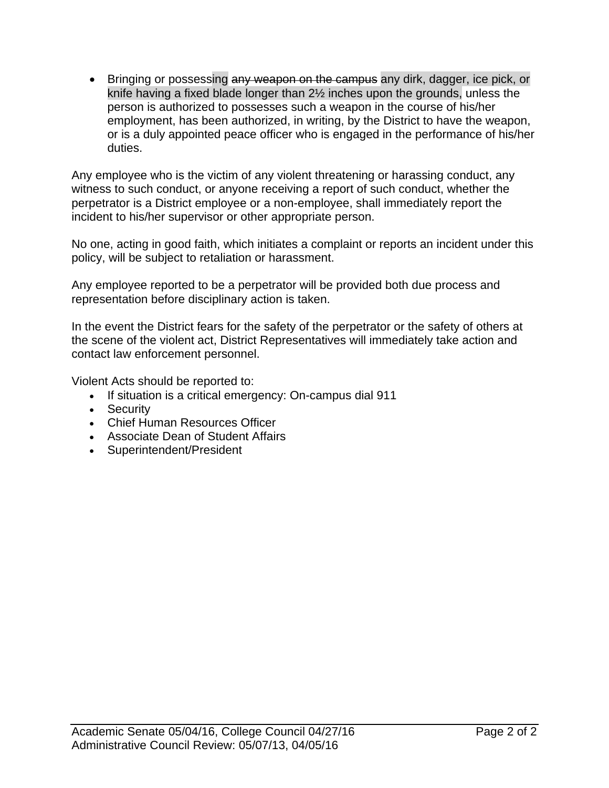• Bringing or possessing any weapon on the campus any dirk, dagger, ice pick, or knife having a fixed blade longer than 2½ inches upon the grounds, unless the person is authorized to possesses such a weapon in the course of his/her employment, has been authorized, in writing, by the District to have the weapon, or is a duly appointed peace officer who is engaged in the performance of his/her duties.

Any employee who is the victim of any violent threatening or harassing conduct, any witness to such conduct, or anyone receiving a report of such conduct, whether the perpetrator is a District employee or a non-employee, shall immediately report the incident to his/her supervisor or other appropriate person.

No one, acting in good faith, which initiates a complaint or reports an incident under this policy, will be subject to retaliation or harassment.

Any employee reported to be a perpetrator will be provided both due process and representation before disciplinary action is taken.

In the event the District fears for the safety of the perpetrator or the safety of others at the scene of the violent act, District Representatives will immediately take action and contact law enforcement personnel.

Violent Acts should be reported to:

- If situation is a critical emergency: On-campus dial 911
- Security
- Chief Human Resources Officer
- Associate Dean of Student Affairs
- Superintendent/President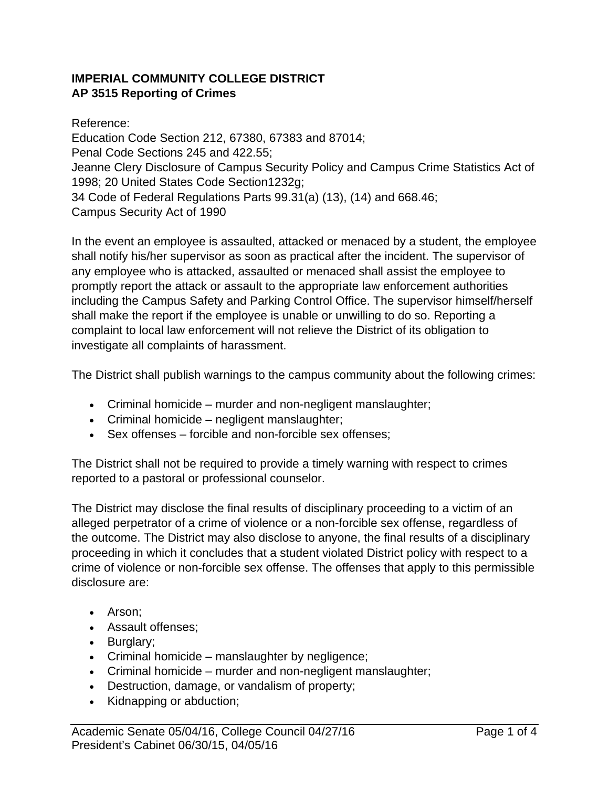## **IMPERIAL COMMUNITY COLLEGE DISTRICT AP 3515 Reporting of Crimes**

Reference: Education Code Section 212, 67380, 67383 and 87014; Penal Code Sections 245 and 422.55; Jeanne Clery Disclosure of Campus Security Policy and Campus Crime Statistics Act of 1998; 20 United States Code Section1232g; 34 Code of Federal Regulations Parts 99.31(a) (13), (14) and 668.46; Campus Security Act of 1990

In the event an employee is assaulted, attacked or menaced by a student, the employee shall notify his/her supervisor as soon as practical after the incident. The supervisor of any employee who is attacked, assaulted or menaced shall assist the employee to promptly report the attack or assault to the appropriate law enforcement authorities including the Campus Safety and Parking Control Office. The supervisor himself/herself shall make the report if the employee is unable or unwilling to do so. Reporting a complaint to local law enforcement will not relieve the District of its obligation to investigate all complaints of harassment.

The District shall publish warnings to the campus community about the following crimes:

- Criminal homicide murder and non-negligent manslaughter;
- Criminal homicide negligent manslaughter;
- Sex offenses forcible and non-forcible sex offenses;

The District shall not be required to provide a timely warning with respect to crimes reported to a pastoral or professional counselor.

The District may disclose the final results of disciplinary proceeding to a victim of an alleged perpetrator of a crime of violence or a non-forcible sex offense, regardless of the outcome. The District may also disclose to anyone, the final results of a disciplinary proceeding in which it concludes that a student violated District policy with respect to a crime of violence or non-forcible sex offense. The offenses that apply to this permissible disclosure are:

- Arson;
- Assault offenses;
- Burglary;
- Criminal homicide manslaughter by negligence;
- Criminal homicide murder and non-negligent manslaughter;
- Destruction, damage, or vandalism of property;
- Kidnapping or abduction;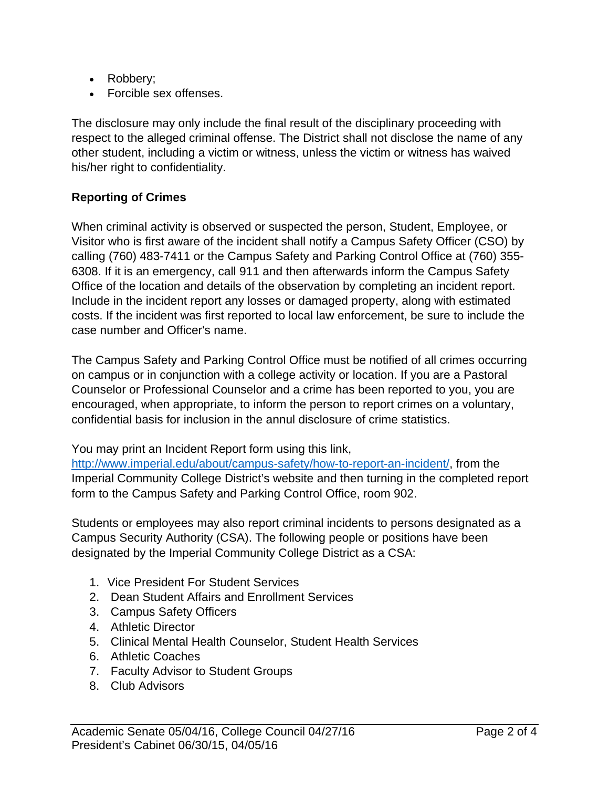- Robbery;
- Forcible sex offenses.

The disclosure may only include the final result of the disciplinary proceeding with respect to the alleged criminal offense. The District shall not disclose the name of any other student, including a victim or witness, unless the victim or witness has waived his/her right to confidentiality.

# **Reporting of Crimes**

When criminal activity is observed or suspected the person, Student, Employee, or Visitor who is first aware of the incident shall notify a Campus Safety Officer (CSO) by calling (760) 483-7411 or the Campus Safety and Parking Control Office at (760) 355- 6308. If it is an emergency, call 911 and then afterwards inform the Campus Safety Office of the location and details of the observation by completing an incident report. Include in the incident report any losses or damaged property, along with estimated costs. If the incident was first reported to local law enforcement, be sure to include the case number and Officer's name.

The Campus Safety and Parking Control Office must be notified of all crimes occurring on campus or in conjunction with a college activity or location. If you are a Pastoral Counselor or Professional Counselor and a crime has been reported to you, you are encouraged, when appropriate, to inform the person to report crimes on a voluntary, confidential basis for inclusion in the annul disclosure of crime statistics.

You may print an Incident Report form using this link,

http://www.imperial.edu/about/campus-safety/how-to-report-an-incident/, from the Imperial Community College District's website and then turning in the completed report form to the Campus Safety and Parking Control Office, room 902.

Students or employees may also report criminal incidents to persons designated as a Campus Security Authority (CSA). The following people or positions have been designated by the Imperial Community College District as a CSA:

- 1. Vice President For Student Services
- 2. Dean Student Affairs and Enrollment Services
- 3. Campus Safety Officers
- 4. Athletic Director
- 5. Clinical Mental Health Counselor, Student Health Services
- 6. Athletic Coaches
- 7. Faculty Advisor to Student Groups
- 8. Club Advisors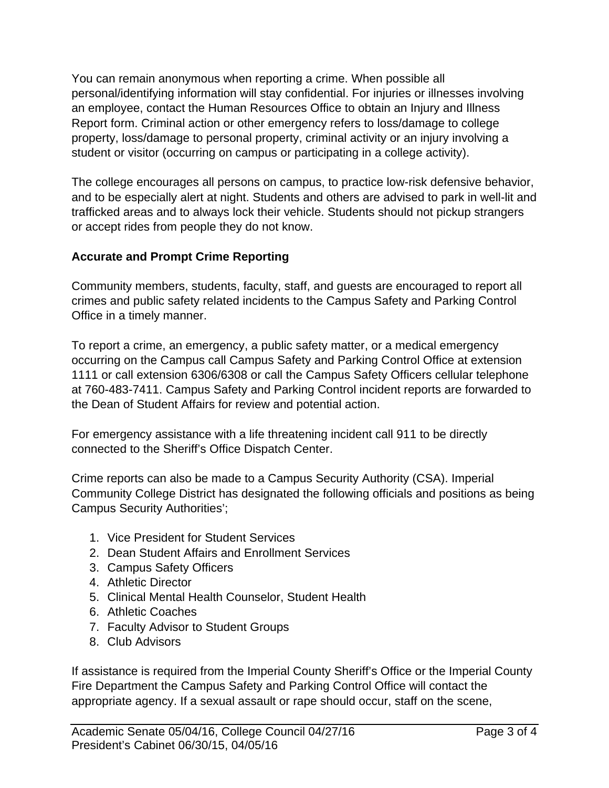You can remain anonymous when reporting a crime. When possible all personal/identifying information will stay confidential. For injuries or illnesses involving an employee, contact the Human Resources Office to obtain an Injury and Illness Report form. Criminal action or other emergency refers to loss/damage to college property, loss/damage to personal property, criminal activity or an injury involving a student or visitor (occurring on campus or participating in a college activity).

The college encourages all persons on campus, to practice low-risk defensive behavior, and to be especially alert at night. Students and others are advised to park in well-lit and trafficked areas and to always lock their vehicle. Students should not pickup strangers or accept rides from people they do not know.

# **Accurate and Prompt Crime Reporting**

Community members, students, faculty, staff, and guests are encouraged to report all crimes and public safety related incidents to the Campus Safety and Parking Control Office in a timely manner.

To report a crime, an emergency, a public safety matter, or a medical emergency occurring on the Campus call Campus Safety and Parking Control Office at extension 1111 or call extension 6306/6308 or call the Campus Safety Officers cellular telephone at 760-483-7411. Campus Safety and Parking Control incident reports are forwarded to the Dean of Student Affairs for review and potential action.

For emergency assistance with a life threatening incident call 911 to be directly connected to the Sheriff's Office Dispatch Center.

Crime reports can also be made to a Campus Security Authority (CSA). Imperial Community College District has designated the following officials and positions as being Campus Security Authorities';

- 1. Vice President for Student Services
- 2. Dean Student Affairs and Enrollment Services
- 3. Campus Safety Officers
- 4. Athletic Director
- 5. Clinical Mental Health Counselor, Student Health
- 6. Athletic Coaches
- 7. Faculty Advisor to Student Groups
- 8. Club Advisors

If assistance is required from the Imperial County Sheriff's Office or the Imperial County Fire Department the Campus Safety and Parking Control Office will contact the appropriate agency. If a sexual assault or rape should occur, staff on the scene,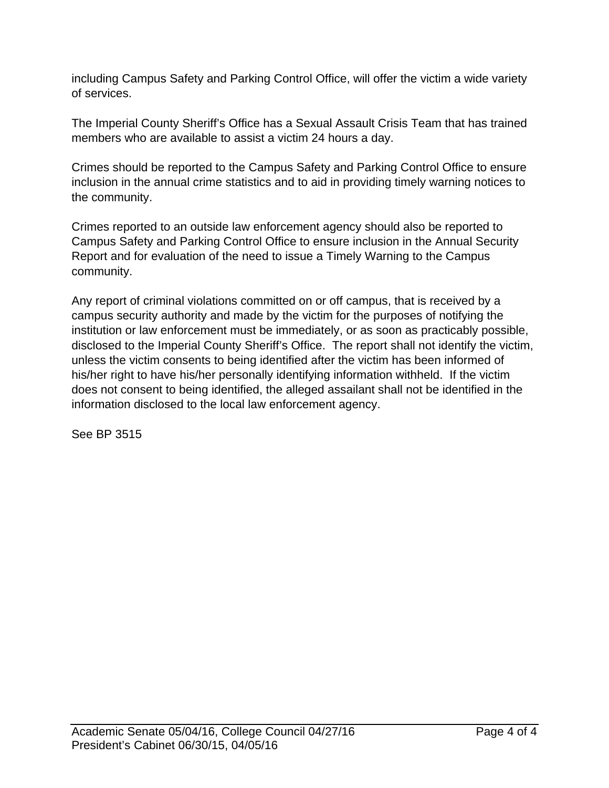including Campus Safety and Parking Control Office, will offer the victim a wide variety of services.

The Imperial County Sheriff's Office has a Sexual Assault Crisis Team that has trained members who are available to assist a victim 24 hours a day.

Crimes should be reported to the Campus Safety and Parking Control Office to ensure inclusion in the annual crime statistics and to aid in providing timely warning notices to the community.

Crimes reported to an outside law enforcement agency should also be reported to Campus Safety and Parking Control Office to ensure inclusion in the Annual Security Report and for evaluation of the need to issue a Timely Warning to the Campus community.

Any report of criminal violations committed on or off campus, that is received by a campus security authority and made by the victim for the purposes of notifying the institution or law enforcement must be immediately, or as soon as practicably possible, disclosed to the Imperial County Sheriff's Office. The report shall not identify the victim, unless the victim consents to being identified after the victim has been informed of his/her right to have his/her personally identifying information withheld. If the victim does not consent to being identified, the alleged assailant shall not be identified in the information disclosed to the local law enforcement agency.

See BP 3515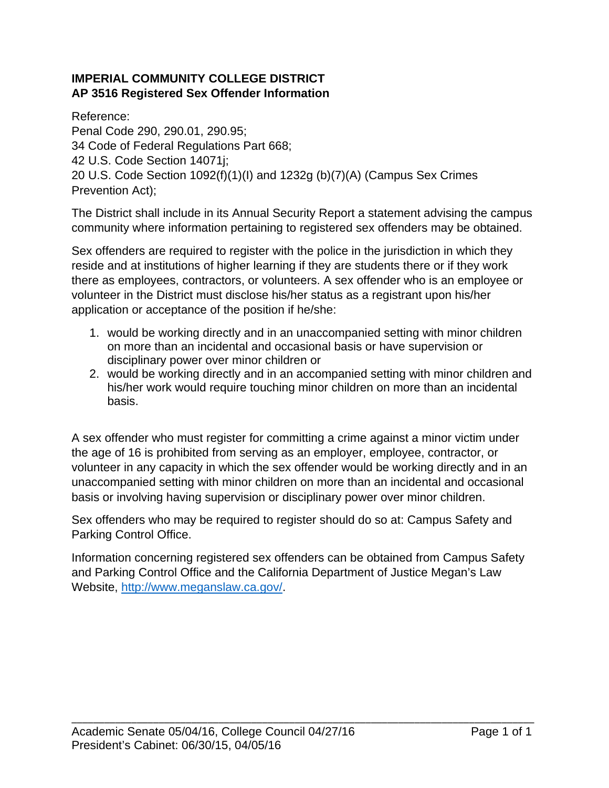## **IMPERIAL COMMUNITY COLLEGE DISTRICT AP 3516 Registered Sex Offender Information**

Reference:

Penal Code 290, 290.01, 290.95; 34 Code of Federal Regulations Part 668; 42 U.S. Code Section 14071j; 20 U.S. Code Section 1092(f)(1)(I) and 1232g (b)(7)(A) (Campus Sex Crimes Prevention Act);

The District shall include in its Annual Security Report a statement advising the campus community where information pertaining to registered sex offenders may be obtained.

Sex offenders are required to register with the police in the jurisdiction in which they reside and at institutions of higher learning if they are students there or if they work there as employees, contractors, or volunteers. A sex offender who is an employee or volunteer in the District must disclose his/her status as a registrant upon his/her application or acceptance of the position if he/she:

- 1. would be working directly and in an unaccompanied setting with minor children on more than an incidental and occasional basis or have supervision or disciplinary power over minor children or
- 2. would be working directly and in an accompanied setting with minor children and his/her work would require touching minor children on more than an incidental basis.

A sex offender who must register for committing a crime against a minor victim under the age of 16 is prohibited from serving as an employer, employee, contractor, or volunteer in any capacity in which the sex offender would be working directly and in an unaccompanied setting with minor children on more than an incidental and occasional basis or involving having supervision or disciplinary power over minor children.

Sex offenders who may be required to register should do so at: Campus Safety and Parking Control Office.

Information concerning registered sex offenders can be obtained from Campus Safety and Parking Control Office and the California Department of Justice Megan's Law Website, http://www.meganslaw.ca.gov/.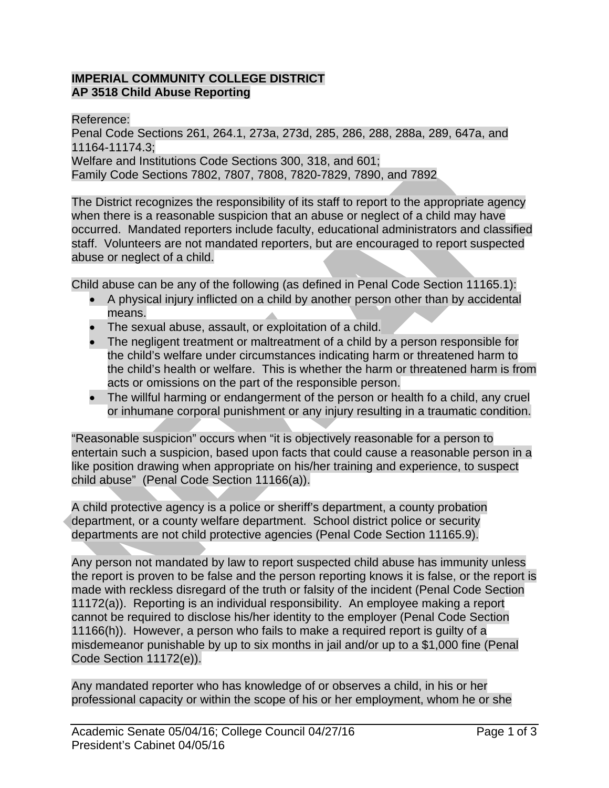## **IMPERIAL COMMUNITY COLLEGE DISTRICT AP 3518 Child Abuse Reporting**

Reference: Penal Code Sections 261, 264.1, 273a, 273d, 285, 286, 288, 288a, 289, 647a, and 11164-11174.3; Welfare and Institutions Code Sections 300, 318, and 601; Family Code Sections 7802, 7807, 7808, 7820-7829, 7890, and 7892

The District recognizes the responsibility of its staff to report to the appropriate agency when there is a reasonable suspicion that an abuse or neglect of a child may have occurred. Mandated reporters include faculty, educational administrators and classified staff. Volunteers are not mandated reporters, but are encouraged to report suspected abuse or neglect of a child.

Child abuse can be any of the following (as defined in Penal Code Section 11165.1):

- A physical injury inflicted on a child by another person other than by accidental means.
- The sexual abuse, assault, or exploitation of a child.
- The negligent treatment or maltreatment of a child by a person responsible for the child's welfare under circumstances indicating harm or threatened harm to the child's health or welfare. This is whether the harm or threatened harm is from acts or omissions on the part of the responsible person.
- The willful harming or endangerment of the person or health fo a child, any cruel or inhumane corporal punishment or any injury resulting in a traumatic condition.

"Reasonable suspicion" occurs when "it is objectively reasonable for a person to entertain such a suspicion, based upon facts that could cause a reasonable person in a like position drawing when appropriate on his/her training and experience, to suspect child abuse" (Penal Code Section 11166(a)).

A child protective agency is a police or sheriff's department, a county probation department, or a county welfare department. School district police or security departments are not child protective agencies (Penal Code Section 11165.9).

Any person not mandated by law to report suspected child abuse has immunity unless the report is proven to be false and the person reporting knows it is false, or the report is made with reckless disregard of the truth or falsity of the incident (Penal Code Section 11172(a)). Reporting is an individual responsibility. An employee making a report cannot be required to disclose his/her identity to the employer (Penal Code Section 11166(h)). However, a person who fails to make a required report is guilty of a misdemeanor punishable by up to six months in jail and/or up to a \$1,000 fine (Penal Code Section 11172(e)).

Any mandated reporter who has knowledge of or observes a child, in his or her professional capacity or within the scope of his or her employment, whom he or she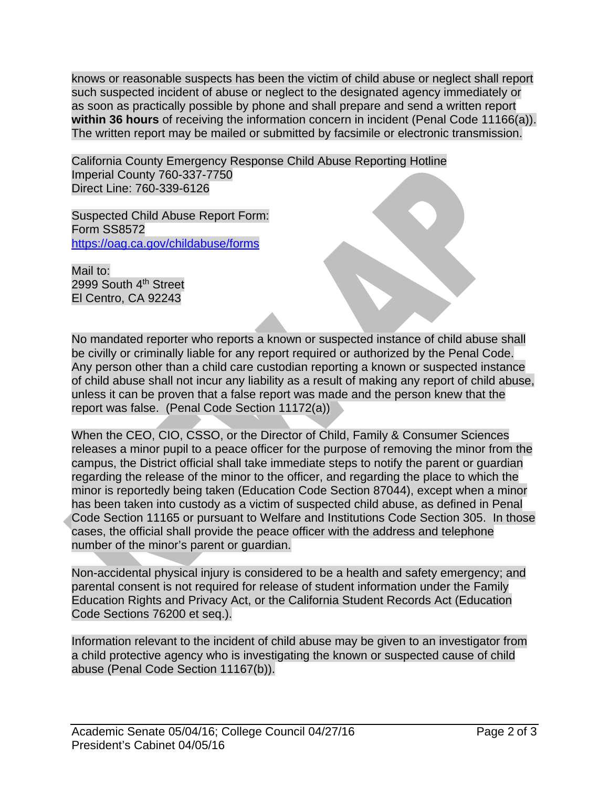knows or reasonable suspects has been the victim of child abuse or neglect shall report such suspected incident of abuse or neglect to the designated agency immediately or as soon as practically possible by phone and shall prepare and send a written report **within 36 hours** of receiving the information concern in incident (Penal Code 11166(a)). The written report may be mailed or submitted by facsimile or electronic transmission.

California County Emergency Response Child Abuse Reporting Hotline Imperial County 760-337-7750 Direct Line: 760-339-6126

Suspected Child Abuse Report Form: Form SS8572 https://oag.ca.gov/childabuse/forms

Mail to: 2999 South 4<sup>th</sup> Street El Centro, CA 92243

No mandated reporter who reports a known or suspected instance of child abuse shall be civilly or criminally liable for any report required or authorized by the Penal Code. Any person other than a child care custodian reporting a known or suspected instance of child abuse shall not incur any liability as a result of making any report of child abuse, unless it can be proven that a false report was made and the person knew that the report was false. (Penal Code Section 11172(a))

When the CEO, CIO, CSSO, or the Director of Child, Family & Consumer Sciences releases a minor pupil to a peace officer for the purpose of removing the minor from the campus, the District official shall take immediate steps to notify the parent or guardian regarding the release of the minor to the officer, and regarding the place to which the minor is reportedly being taken (Education Code Section 87044), except when a minor has been taken into custody as a victim of suspected child abuse, as defined in Penal Code Section 11165 or pursuant to Welfare and Institutions Code Section 305. In those cases, the official shall provide the peace officer with the address and telephone number of the minor's parent or guardian.

Non-accidental physical injury is considered to be a health and safety emergency; and parental consent is not required for release of student information under the Family Education Rights and Privacy Act, or the California Student Records Act (Education Code Sections 76200 et seq.).

Information relevant to the incident of child abuse may be given to an investigator from a child protective agency who is investigating the known or suspected cause of child abuse (Penal Code Section 11167(b)).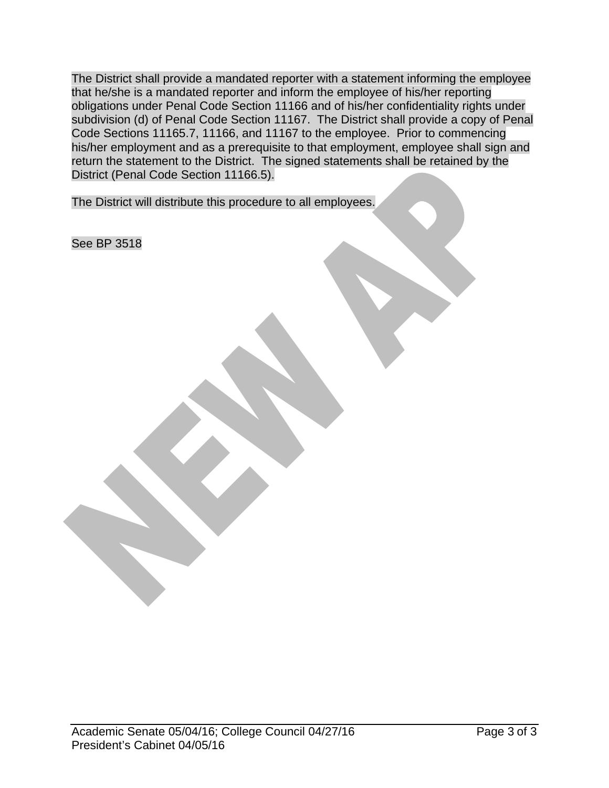The District shall provide a mandated reporter with a statement informing the employee that he/she is a mandated reporter and inform the employee of his/her reporting obligations under Penal Code Section 11166 and of his/her confidentiality rights under subdivision (d) of Penal Code Section 11167. The District shall provide a copy of Penal Code Sections 11165.7, 11166, and 11167 to the employee. Prior to commencing his/her employment and as a prerequisite to that employment, employee shall sign and return the statement to the District. The signed statements shall be retained by the District (Penal Code Section 11166.5).

The District will distribute this procedure to all employees.

See BP 3518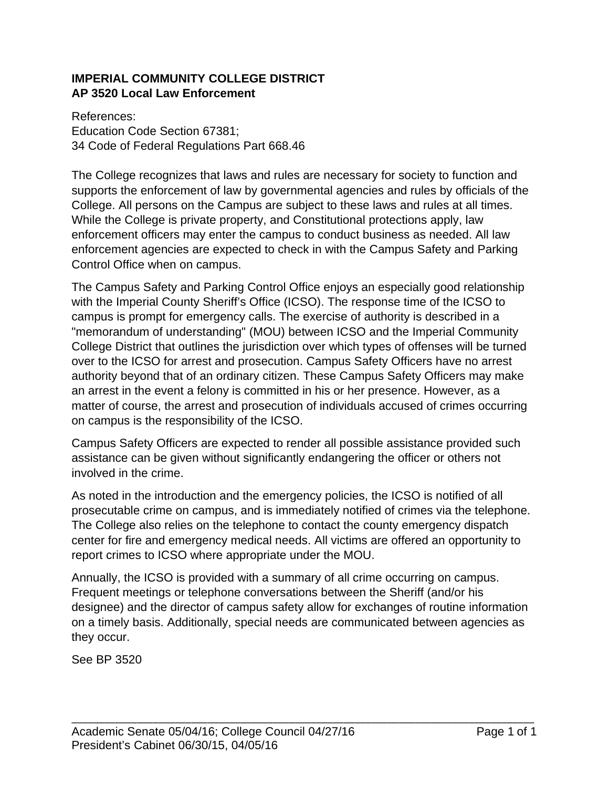## **IMPERIAL COMMUNITY COLLEGE DISTRICT AP 3520 Local Law Enforcement**

References: Education Code Section 67381; 34 Code of Federal Regulations Part 668.46

The College recognizes that laws and rules are necessary for society to function and supports the enforcement of law by governmental agencies and rules by officials of the College. All persons on the Campus are subject to these laws and rules at all times. While the College is private property, and Constitutional protections apply, law enforcement officers may enter the campus to conduct business as needed. All law enforcement agencies are expected to check in with the Campus Safety and Parking Control Office when on campus.

The Campus Safety and Parking Control Office enjoys an especially good relationship with the Imperial County Sheriff's Office (ICSO). The response time of the ICSO to campus is prompt for emergency calls. The exercise of authority is described in a "memorandum of understanding" (MOU) between ICSO and the Imperial Community College District that outlines the jurisdiction over which types of offenses will be turned over to the ICSO for arrest and prosecution. Campus Safety Officers have no arrest authority beyond that of an ordinary citizen. These Campus Safety Officers may make an arrest in the event a felony is committed in his or her presence. However, as a matter of course, the arrest and prosecution of individuals accused of crimes occurring on campus is the responsibility of the ICSO.

Campus Safety Officers are expected to render all possible assistance provided such assistance can be given without significantly endangering the officer or others not involved in the crime.

As noted in the introduction and the emergency policies, the ICSO is notified of all prosecutable crime on campus, and is immediately notified of crimes via the telephone. The College also relies on the telephone to contact the county emergency dispatch center for fire and emergency medical needs. All victims are offered an opportunity to report crimes to ICSO where appropriate under the MOU.

Annually, the ICSO is provided with a summary of all crime occurring on campus. Frequent meetings or telephone conversations between the Sheriff (and/or his designee) and the director of campus safety allow for exchanges of routine information on a timely basis. Additionally, special needs are communicated between agencies as they occur.

See BP 3520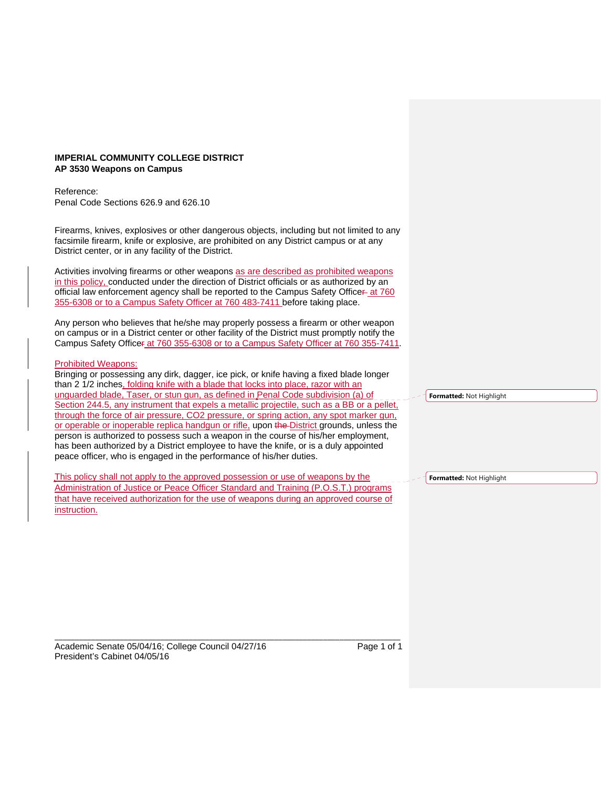#### **IMPERIAL COMMUNITY COLLEGE DISTRICT AP 3530 Weapons on Campus**

Reference:

Penal Code Sections 626.9 and 626.10

Firearms, knives, explosives or other dangerous objects, including but not limited to any facsimile firearm, knife or explosive, are prohibited on any District campus or at any District center, or in any facility of the District.

Activities involving firearms or other weapons as are described as prohibited weapons in this policy, conducted under the direction of District officials or as authorized by an official law enforcement agency shall be reported to the Campus Safety Officer-at 760 355-6308 or to a Campus Safety Officer at 760 483-7411 before taking place.

Any person who believes that he/she may properly possess a firearm or other weapon on campus or in a District center or other facility of the District must promptly notify the Campus Safety Officer at 760 355-6308 or to a Campus Safety Officer at 760 355-7411.

#### Prohibited Weapons:

Bringing or possessing any dirk, dagger, ice pick, or knife having a fixed blade longer than 2 1/2 inches, folding knife with a blade that locks into place, razor with an unguarded blade, Taser, or stun gun, as defined in Penal Code subdivision (a) of Section 244.5, any instrument that expels a metallic projectile, such as a BB or a pellet, through the force of air pressure, CO2 pressure, or spring action, any spot marker gun, or operable or inoperable replica handgun or rifle, upon the District grounds, unless the person is authorized to possess such a weapon in the course of his/her employment, has been authorized by a District employee to have the knife, or is a duly appointed peace officer, who is engaged in the performance of his/her duties.

This policy shall not apply to the approved possession or use of weapons by the Administration of Justice or Peace Officer Standard and Training (P.O.S.T.) programs that have received authorization for the use of weapons during an approved course of instruction.

\_\_\_\_\_\_\_\_\_\_\_\_\_\_\_\_\_\_\_\_\_\_\_\_\_\_\_\_\_\_\_\_\_\_\_\_\_\_\_\_\_\_\_\_\_\_\_\_\_\_\_\_\_\_\_\_\_\_\_\_\_\_\_\_\_\_\_\_\_\_\_\_\_\_\_\_\_\_\_\_\_\_\_\_\_

**Formatted:** Not Highlight

**Formatted:** Not Highlight

Academic Senate 05/04/16; College Council 04/27/16 Page 1 of 1 President's Cabinet 04/05/16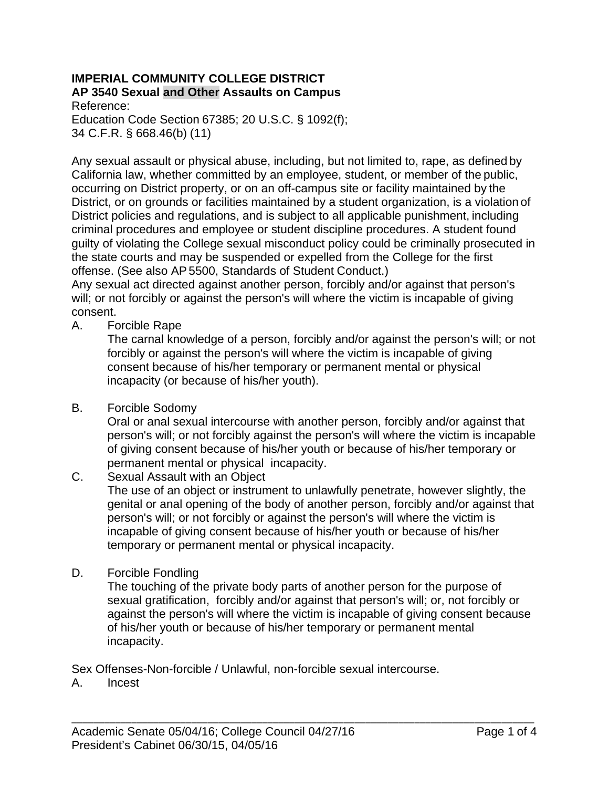### **IMPERIAL COMMUNITY COLLEGE DISTRICT AP 3540 Sexual and Other Assaults on Campus**

Reference: Education Code Section 67385; 20 U.S.C. § 1092(f); 34 C.F.R. § 668.46(b) (11)

Any sexual assault or physical abuse, including, but not limited to, rape, as defined by California law, whether committed by an employee, student, or member of the public, occurring on District property, or on an off-campus site or facility maintained by the District, or on grounds or facilities maintained by a student organization, is a violation of District policies and regulations, and is subject to all applicable punishment, including criminal procedures and employee or student discipline procedures. A student found guilty of violating the College sexual misconduct policy could be criminally prosecuted in the state courts and may be suspended or expelled from the College for the first offense. (See also AP 5500, Standards of Student Conduct.)

Any sexual act directed against another person, forcibly and/or against that person's will; or not forcibly or against the person's will where the victim is incapable of giving consent.

A. Forcible Rape

The carnal knowledge of a person, forcibly and/or against the person's will; or not forcibly or against the person's will where the victim is incapable of giving consent because of his/her temporary or permanent mental or physical incapacity (or because of his/her youth).

B. Forcible Sodomy

Oral or anal sexual intercourse with another person, forcibly and/or against that person's will; or not forcibly against the person's will where the victim is incapable of giving consent because of his/her youth or because of his/her temporary or permanent mental or physical incapacity.

C. Sexual Assault with an Object

The use of an object or instrument to unlawfully penetrate, however slightly, the genital or anal opening of the body of another person, forcibly and/or against that person's will; or not forcibly or against the person's will where the victim is incapable of giving consent because of his/her youth or because of his/her temporary or permanent mental or physical incapacity.

D. Forcible Fondling

The touching of the private body parts of another person for the purpose of sexual gratification, forcibly and/or against that person's will; or, not forcibly or against the person's will where the victim is incapable of giving consent because of his/her youth or because of his/her temporary or permanent mental incapacity.

Sex Offenses-Non-forcible / Unlawful, non-forcible sexual intercourse.

A. Incest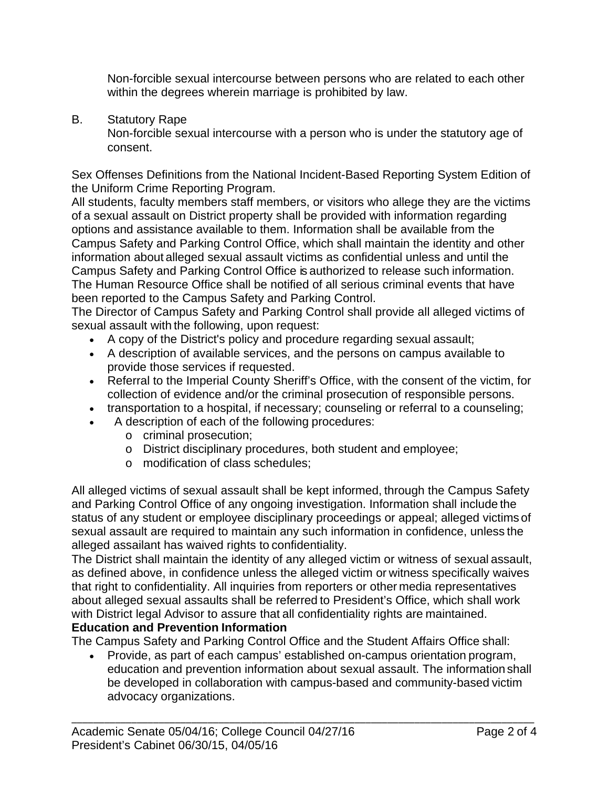Non-forcible sexual intercourse between persons who are related to each other within the degrees wherein marriage is prohibited by law.

B. Statutory Rape

Non-forcible sexual intercourse with a person who is under the statutory age of consent.

Sex Offenses Definitions from the National Incident-Based Reporting System Edition of the Uniform Crime Reporting Program.

All students, faculty members staff members, or visitors who allege they are the victims of a sexual assault on District property shall be provided with information regarding options and assistance available to them. Information shall be available from the Campus Safety and Parking Control Office, which shall maintain the identity and other information about alleged sexual assault victims as confidential unless and until the Campus Safety and Parking Control Office is authorized to release such information. The Human Resource Office shall be notified of all serious criminal events that have been reported to the Campus Safety and Parking Control.

The Director of Campus Safety and Parking Control shall provide all alleged victims of sexual assault with the following, upon request:

- A copy of the District's policy and procedure regarding sexual assault;
- A description of available services, and the persons on campus available to provide those services if requested.
- Referral to the Imperial County Sheriff's Office, with the consent of the victim, for collection of evidence and/or the criminal prosecution of responsible persons.
- transportation to a hospital, if necessary; counseling or referral to a counseling;
- A description of each of the following procedures:
	- o criminal prosecution;
	- o District disciplinary procedures, both student and employee;
	- o modification of class schedules;

All alleged victims of sexual assault shall be kept informed, through the Campus Safety and Parking Control Office of any ongoing investigation. Information shall include the status of any student or employee disciplinary proceedings or appeal; alleged victims of sexual assault are required to maintain any such information in confidence, unless the alleged assailant has waived rights to confidentiality.

The District shall maintain the identity of any alleged victim or witness of sexual assault, as defined above, in confidence unless the alleged victim or witness specifically waives that right to confidentiality. All inquiries from reporters or other media representatives about alleged sexual assaults shall be referred to President's Office, which shall work with District legal Advisor to assure that all confidentiality rights are maintained.

# **Education and Prevention Information**

The Campus Safety and Parking Control Office and the Student Affairs Office shall:

 Provide, as part of each campus' established on-campus orientation program, education and prevention information about sexual assault. The information shall be developed in collaboration with campus-based and community-based victim advocacy organizations.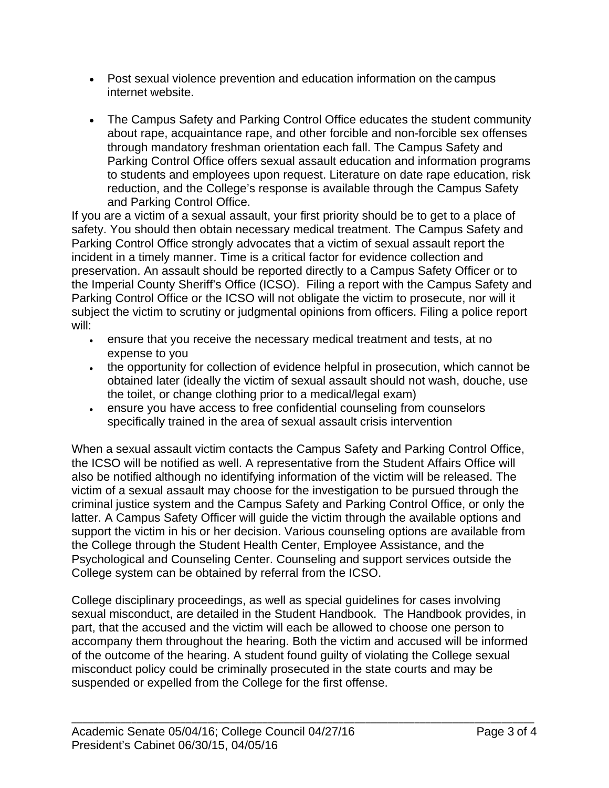- Post sexual violence prevention and education information on the campus internet website.
- The Campus Safety and Parking Control Office educates the student community about rape, acquaintance rape, and other forcible and non-forcible sex offenses through mandatory freshman orientation each fall. The Campus Safety and Parking Control Office offers sexual assault education and information programs to students and employees upon request. Literature on date rape education, risk reduction, and the College's response is available through the Campus Safety and Parking Control Office.

If you are a victim of a sexual assault, your first priority should be to get to a place of safety. You should then obtain necessary medical treatment. The Campus Safety and Parking Control Office strongly advocates that a victim of sexual assault report the incident in a timely manner. Time is a critical factor for evidence collection and preservation. An assault should be reported directly to a Campus Safety Officer or to the Imperial County Sheriff's Office (ICSO). Filing a report with the Campus Safety and Parking Control Office or the ICSO will not obligate the victim to prosecute, nor will it subject the victim to scrutiny or judgmental opinions from officers. Filing a police report will:

- ensure that you receive the necessary medical treatment and tests, at no expense to you
- the opportunity for collection of evidence helpful in prosecution, which cannot be obtained later (ideally the victim of sexual assault should not wash, douche, use the toilet, or change clothing prior to a medical/legal exam)
- ensure you have access to free confidential counseling from counselors specifically trained in the area of sexual assault crisis intervention

When a sexual assault victim contacts the Campus Safety and Parking Control Office, the ICSO will be notified as well. A representative from the Student Affairs Office will also be notified although no identifying information of the victim will be released. The victim of a sexual assault may choose for the investigation to be pursued through the criminal justice system and the Campus Safety and Parking Control Office, or only the latter. A Campus Safety Officer will guide the victim through the available options and support the victim in his or her decision. Various counseling options are available from the College through the Student Health Center, Employee Assistance, and the Psychological and Counseling Center. Counseling and support services outside the College system can be obtained by referral from the ICSO.

College disciplinary proceedings, as well as special guidelines for cases involving sexual misconduct, are detailed in the Student Handbook. The Handbook provides, in part, that the accused and the victim will each be allowed to choose one person to accompany them throughout the hearing. Both the victim and accused will be informed of the outcome of the hearing. A student found guilty of violating the College sexual misconduct policy could be criminally prosecuted in the state courts and may be suspended or expelled from the College for the first offense.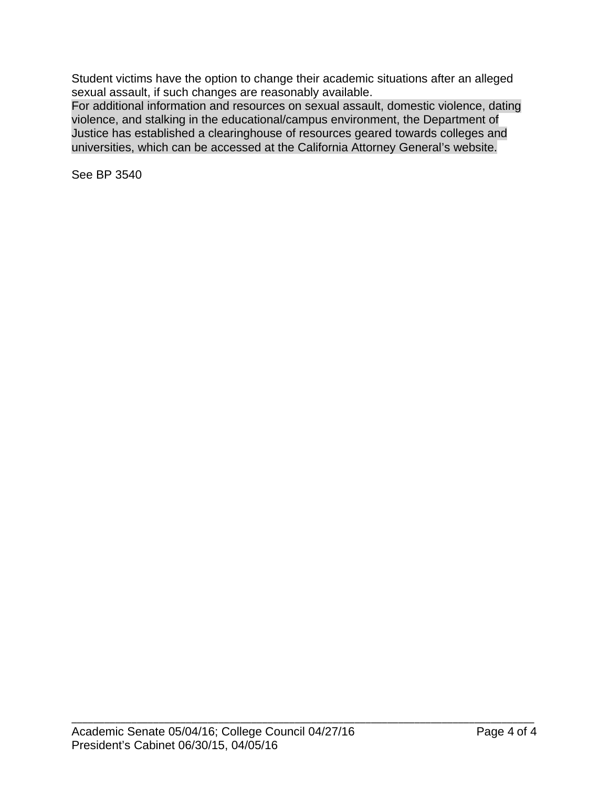Student victims have the option to change their academic situations after an alleged sexual assault, if such changes are reasonably available.

For additional information and resources on sexual assault, domestic violence, dating violence, and stalking in the educational/campus environment, the Department of Justice has established a clearinghouse of resources geared towards colleges and universities, which can be accessed at the California Attorney General's website.

See BP 3540

\_\_\_\_\_\_\_\_\_\_\_\_\_\_\_\_\_\_\_\_\_\_\_\_\_\_\_\_\_\_\_\_\_\_\_\_\_\_\_\_\_\_\_\_\_\_\_\_\_\_\_\_\_\_\_\_\_\_\_\_\_\_\_\_\_\_\_\_\_\_\_\_\_\_\_\_\_\_\_\_\_\_\_\_\_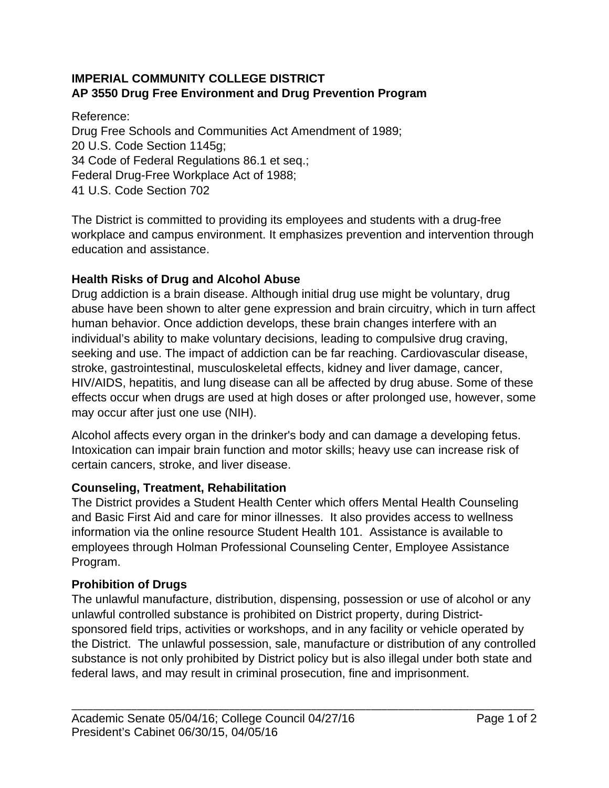# **IMPERIAL COMMUNITY COLLEGE DISTRICT AP 3550 Drug Free Environment and Drug Prevention Program**

Reference:

Drug Free Schools and Communities Act Amendment of 1989; 20 U.S. Code Section 1145g; 34 Code of Federal Regulations 86.1 et seq.; Federal Drug-Free Workplace Act of 1988; 41 U.S. Code Section 702

The District is committed to providing its employees and students with a drug-free workplace and campus environment. It emphasizes prevention and intervention through education and assistance.

# **Health Risks of Drug and Alcohol Abuse**

Drug addiction is a brain disease. Although initial drug use might be voluntary, drug abuse have been shown to alter gene expression and brain circuitry, which in turn affect human behavior. Once addiction develops, these brain changes interfere with an individual's ability to make voluntary decisions, leading to compulsive drug craving, seeking and use. The impact of addiction can be far reaching. Cardiovascular disease, stroke, gastrointestinal, musculoskeletal effects, kidney and liver damage, cancer, HIV/AIDS, hepatitis, and lung disease can all be affected by drug abuse. Some of these effects occur when drugs are used at high doses or after prolonged use, however, some may occur after just one use (NIH).

Alcohol affects every organ in the drinker's body and can damage a developing fetus. Intoxication can impair brain function and motor skills; heavy use can increase risk of certain cancers, stroke, and liver disease.

# **Counseling, Treatment, Rehabilitation**

The District provides a Student Health Center which offers Mental Health Counseling and Basic First Aid and care for minor illnesses. It also provides access to wellness information via the online resource Student Health 101. Assistance is available to employees through Holman Professional Counseling Center, Employee Assistance Program.

# **Prohibition of Drugs**

The unlawful manufacture, distribution, dispensing, possession or use of alcohol or any unlawful controlled substance is prohibited on District property, during Districtsponsored field trips, activities or workshops, and in any facility or vehicle operated by the District. The unlawful possession, sale, manufacture or distribution of any controlled substance is not only prohibited by District policy but is also illegal under both state and federal laws, and may result in criminal prosecution, fine and imprisonment.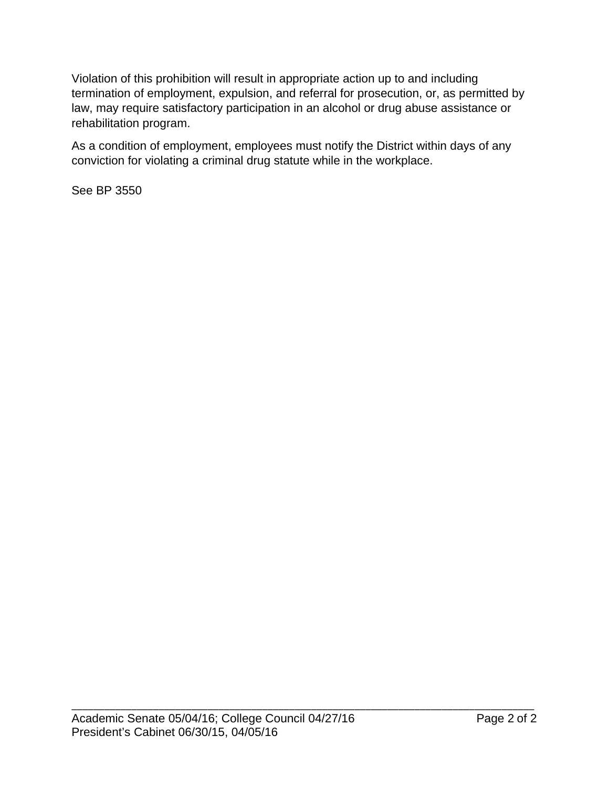Violation of this prohibition will result in appropriate action up to and including termination of employment, expulsion, and referral for prosecution, or, as permitted by law, may require satisfactory participation in an alcohol or drug abuse assistance or rehabilitation program.

As a condition of employment, employees must notify the District within days of any conviction for violating a criminal drug statute while in the workplace.

See BP 3550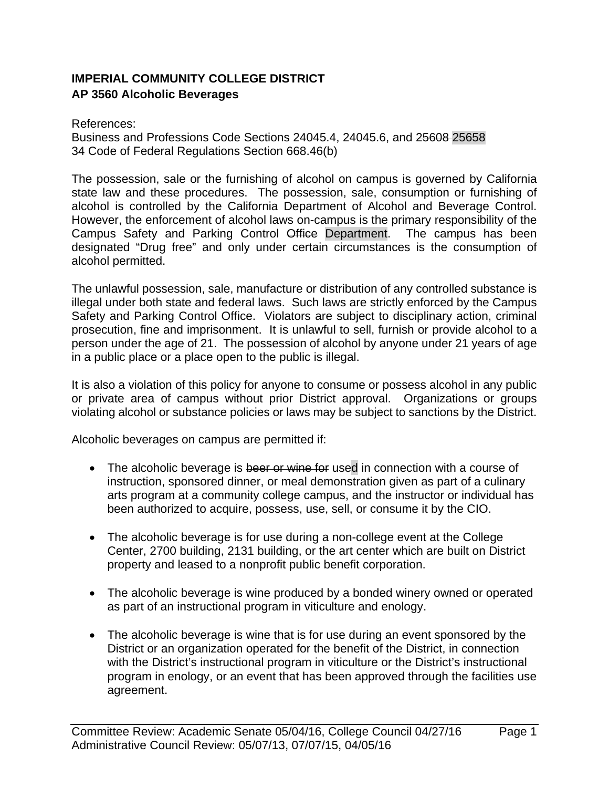# **IMPERIAL COMMUNITY COLLEGE DISTRICT AP 3560 Alcoholic Beverages**

#### References:

Business and Professions Code Sections 24045.4, 24045.6, and 25608 25658 34 Code of Federal Regulations Section 668.46(b)

The possession, sale or the furnishing of alcohol on campus is governed by California state law and these procedures. The possession, sale, consumption or furnishing of alcohol is controlled by the California Department of Alcohol and Beverage Control. However, the enforcement of alcohol laws on-campus is the primary responsibility of the Campus Safety and Parking Control Office Department. The campus has been designated "Drug free" and only under certain circumstances is the consumption of alcohol permitted.

The unlawful possession, sale, manufacture or distribution of any controlled substance is illegal under both state and federal laws. Such laws are strictly enforced by the Campus Safety and Parking Control Office. Violators are subject to disciplinary action, criminal prosecution, fine and imprisonment. It is unlawful to sell, furnish or provide alcohol to a person under the age of 21. The possession of alcohol by anyone under 21 years of age in a public place or a place open to the public is illegal.

It is also a violation of this policy for anyone to consume or possess alcohol in any public or private area of campus without prior District approval. Organizations or groups violating alcohol or substance policies or laws may be subject to sanctions by the District.

Alcoholic beverages on campus are permitted if:

- The alcoholic beverage is beer or wine for used in connection with a course of instruction, sponsored dinner, or meal demonstration given as part of a culinary arts program at a community college campus, and the instructor or individual has been authorized to acquire, possess, use, sell, or consume it by the CIO.
- The alcoholic beverage is for use during a non-college event at the College Center, 2700 building, 2131 building, or the art center which are built on District property and leased to a nonprofit public benefit corporation.
- The alcoholic beverage is wine produced by a bonded winery owned or operated as part of an instructional program in viticulture and enology.
- The alcoholic beverage is wine that is for use during an event sponsored by the District or an organization operated for the benefit of the District, in connection with the District's instructional program in viticulture or the District's instructional program in enology, or an event that has been approved through the facilities use agreement.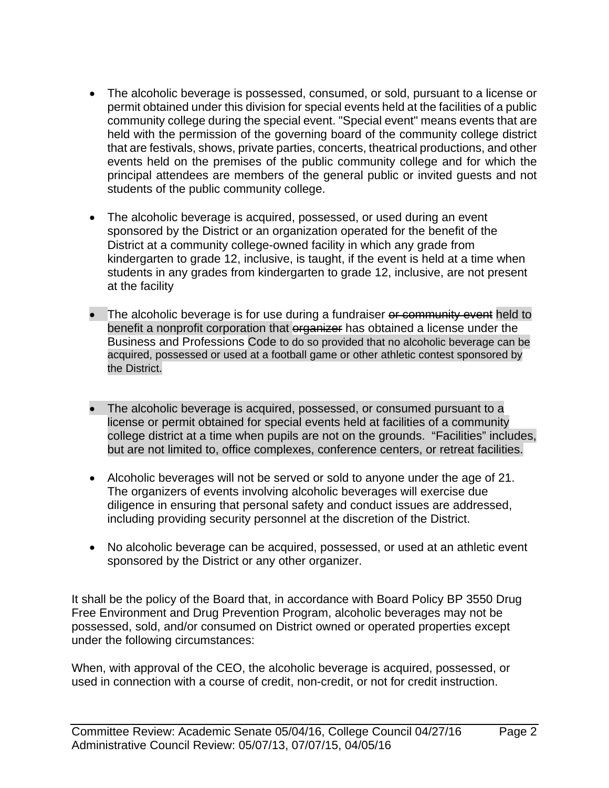- The alcoholic beverage is possessed, consumed, or sold, pursuant to a license or permit obtained under this division for special events held at the facilities of a public community college during the special event. "Special event" means events that are held with the permission of the governing board of the community college district that are festivals, shows, private parties, concerts, theatrical productions, and other events held on the premises of the public community college and for which the principal attendees are members of the general public or invited guests and not students of the public community college.
- The alcoholic beverage is acquired, possessed, or used during an event sponsored by the District or an organization operated for the benefit of the District at a community college-owned facility in which any grade from kindergarten to grade 12, inclusive, is taught, if the event is held at a time when students in any grades from kindergarten to grade 12, inclusive, are not present at the facility
- The alcoholic beverage is for use during a fundraiser or community event held to benefit a nonprofit corporation that organizer has obtained a license under the Business and Professions Code to do so provided that no alcoholic beverage can be acquired, possessed or used at a football game or other athletic contest sponsored by the District.
- The alcoholic beverage is acquired, possessed, or consumed pursuant to a license or permit obtained for special events held at facilities of a community college district at a time when pupils are not on the grounds. "Facilities" includes, but are not limited to, office complexes, conference centers, or retreat facilities.
- Alcoholic beverages will not be served or sold to anyone under the age of 21. The organizers of events involving alcoholic beverages will exercise due diligence in ensuring that personal safety and conduct issues are addressed, including providing security personnel at the discretion of the District.
- No alcoholic beverage can be acquired, possessed, or used at an athletic event sponsored by the District or any other organizer.

It shall be the policy of the Board that, in accordance with Board Policy BP 3550 Drug Free Environment and Drug Prevention Program, alcoholic beverages may not be possessed, sold, and/or consumed on District owned or operated properties except under the following circumstances:

When, with approval of the CEO, the alcoholic beverage is acquired, possessed, or used in connection with a course of credit, non-credit, or not for credit instruction.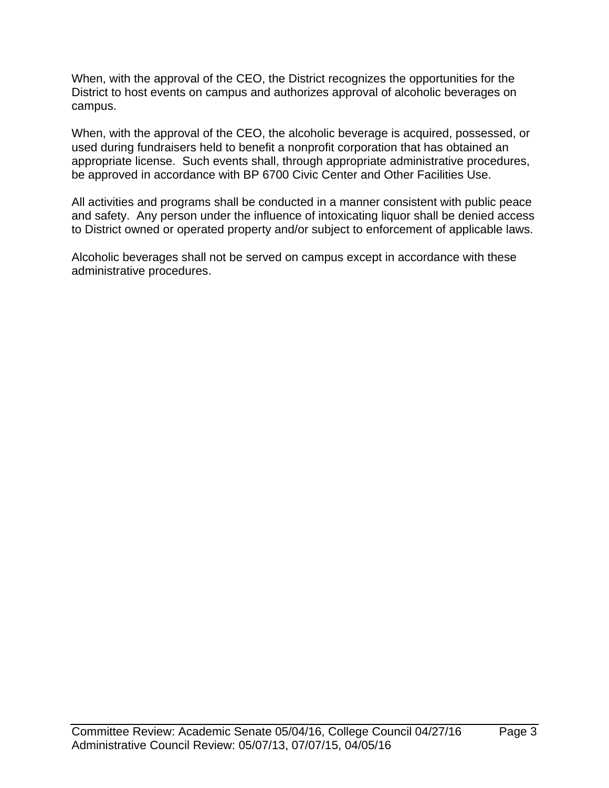When, with the approval of the CEO, the District recognizes the opportunities for the District to host events on campus and authorizes approval of alcoholic beverages on campus.

When, with the approval of the CEO, the alcoholic beverage is acquired, possessed, or used during fundraisers held to benefit a nonprofit corporation that has obtained an appropriate license. Such events shall, through appropriate administrative procedures, be approved in accordance with BP 6700 Civic Center and Other Facilities Use.

All activities and programs shall be conducted in a manner consistent with public peace and safety. Any person under the influence of intoxicating liquor shall be denied access to District owned or operated property and/or subject to enforcement of applicable laws.

Alcoholic beverages shall not be served on campus except in accordance with these administrative procedures.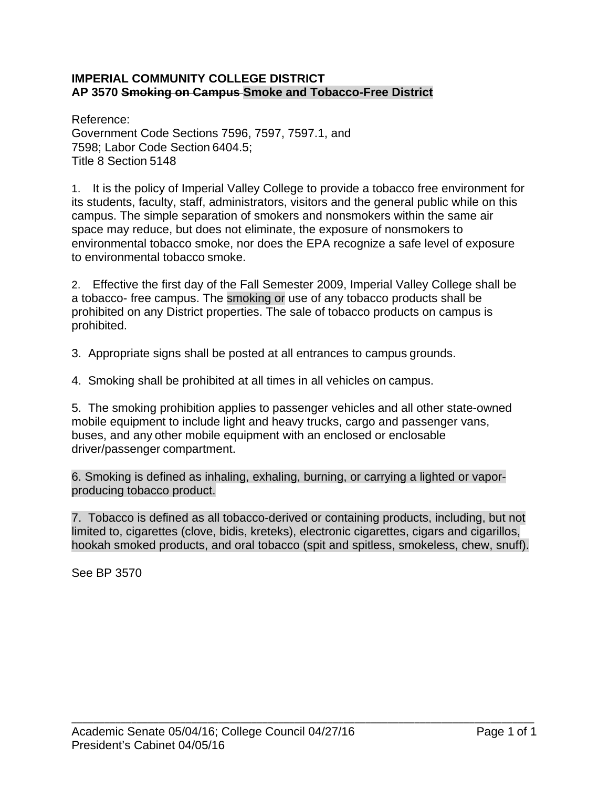#### **IMPERIAL COMMUNITY COLLEGE DISTRICT AP 3570 Smoking on Campus Smoke and Tobacco-Free District**

Reference: Government Code Sections 7596, 7597, 7597.1, and 7598; Labor Code Section 6404.5; Title 8 Section 5148

1. It is the policy of Imperial Valley College to provide a tobacco free environment for its students, faculty, staff, administrators, visitors and the general public while on this campus. The simple separation of smokers and nonsmokers within the same air space may reduce, but does not eliminate, the exposure of nonsmokers to environmental tobacco smoke, nor does the EPA recognize a safe level of exposure to environmental tobacco smoke.

2. Effective the first day of the Fall Semester 2009, Imperial Valley College shall be a tobacco- free campus. The smoking or use of any tobacco products shall be prohibited on any District properties. The sale of tobacco products on campus is prohibited.

3. Appropriate signs shall be posted at all entrances to campus grounds.

4. Smoking shall be prohibited at all times in all vehicles on campus.

5. The smoking prohibition applies to passenger vehicles and all other state-owned mobile equipment to include light and heavy trucks, cargo and passenger vans, buses, and any other mobile equipment with an enclosed or enclosable driver/passenger compartment.

6. Smoking is defined as inhaling, exhaling, burning, or carrying a lighted or vaporproducing tobacco product.

7. Tobacco is defined as all tobacco-derived or containing products, including, but not limited to, cigarettes (clove, bidis, kreteks), electronic cigarettes, cigars and cigarillos, hookah smoked products, and oral tobacco (spit and spitless, smokeless, chew, snuff).

See BP 3570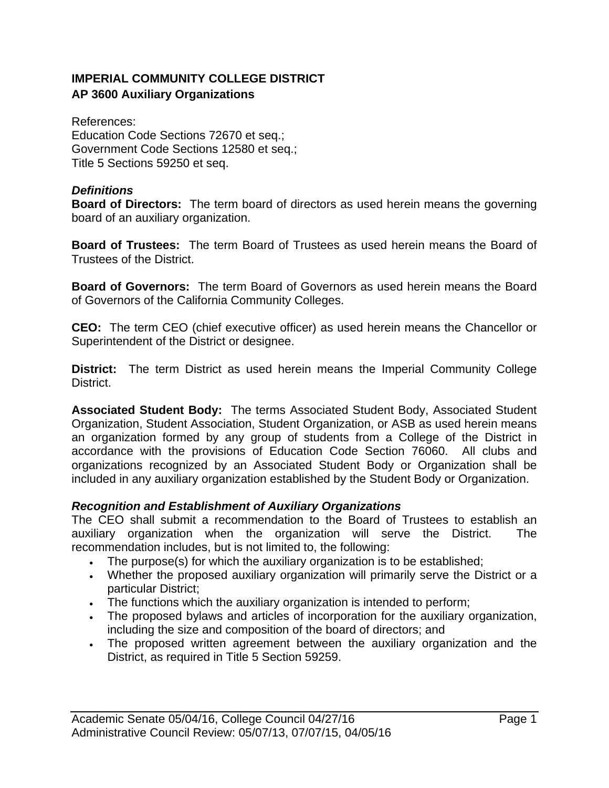# **IMPERIAL COMMUNITY COLLEGE DISTRICT AP 3600 Auxiliary Organizations**

References: Education Code Sections 72670 et seq.; Government Code Sections 12580 et seq.; Title 5 Sections 59250 et seq.

#### *Definitions*

**Board of Directors:** The term board of directors as used herein means the governing board of an auxiliary organization.

**Board of Trustees:** The term Board of Trustees as used herein means the Board of Trustees of the District.

**Board of Governors:** The term Board of Governors as used herein means the Board of Governors of the California Community Colleges.

**CEO:** The term CEO (chief executive officer) as used herein means the Chancellor or Superintendent of the District or designee.

**District:** The term District as used herein means the Imperial Community College District.

**Associated Student Body:** The terms Associated Student Body, Associated Student Organization, Student Association, Student Organization, or ASB as used herein means an organization formed by any group of students from a College of the District in accordance with the provisions of Education Code Section 76060. All clubs and organizations recognized by an Associated Student Body or Organization shall be included in any auxiliary organization established by the Student Body or Organization.

## *Recognition and Establishment of Auxiliary Organizations*

The CEO shall submit a recommendation to the Board of Trustees to establish an auxiliary organization when the organization will serve the District. The recommendation includes, but is not limited to, the following:

- The purpose(s) for which the auxiliary organization is to be established;
- Whether the proposed auxiliary organization will primarily serve the District or a particular District;
- The functions which the auxiliary organization is intended to perform;
- The proposed bylaws and articles of incorporation for the auxiliary organization, including the size and composition of the board of directors; and
- The proposed written agreement between the auxiliary organization and the District, as required in Title 5 Section 59259.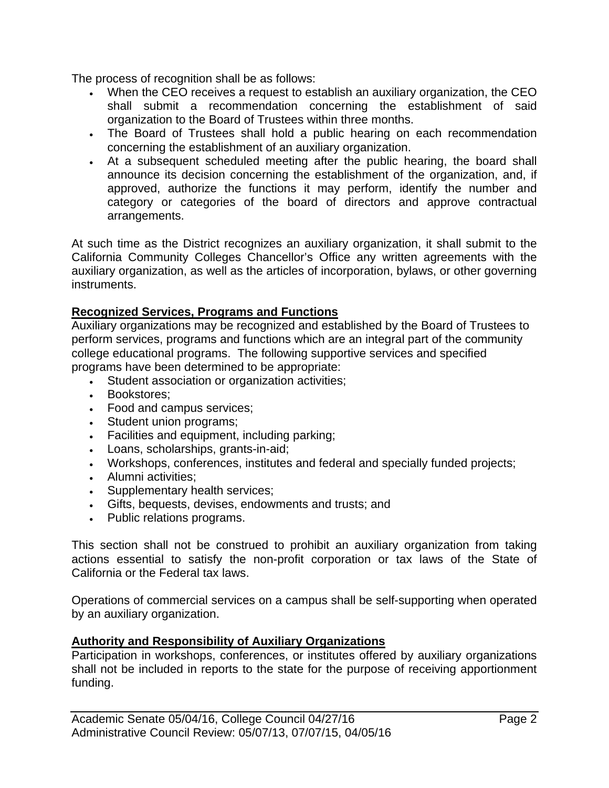The process of recognition shall be as follows:

- When the CEO receives a request to establish an auxiliary organization, the CEO shall submit a recommendation concerning the establishment of said organization to the Board of Trustees within three months.
- The Board of Trustees shall hold a public hearing on each recommendation concerning the establishment of an auxiliary organization.
- At a subsequent scheduled meeting after the public hearing, the board shall announce its decision concerning the establishment of the organization, and, if approved, authorize the functions it may perform, identify the number and category or categories of the board of directors and approve contractual arrangements.

At such time as the District recognizes an auxiliary organization, it shall submit to the California Community Colleges Chancellor's Office any written agreements with the auxiliary organization, as well as the articles of incorporation, bylaws, or other governing instruments.

## **Recognized Services, Programs and Functions**

Auxiliary organizations may be recognized and established by the Board of Trustees to perform services, programs and functions which are an integral part of the community college educational programs. The following supportive services and specified programs have been determined to be appropriate:

- Student association or organization activities;
- Bookstores;
- Food and campus services;
- Student union programs;
- Facilities and equipment, including parking;
- Loans, scholarships, grants-in-aid;
- Workshops, conferences, institutes and federal and specially funded projects;
- Alumni activities;
- Supplementary health services;
- Gifts, bequests, devises, endowments and trusts; and
- Public relations programs.

This section shall not be construed to prohibit an auxiliary organization from taking actions essential to satisfy the non-profit corporation or tax laws of the State of California or the Federal tax laws.

Operations of commercial services on a campus shall be self-supporting when operated by an auxiliary organization.

#### **Authority and Responsibility of Auxiliary Organizations**

Participation in workshops, conferences, or institutes offered by auxiliary organizations shall not be included in reports to the state for the purpose of receiving apportionment funding.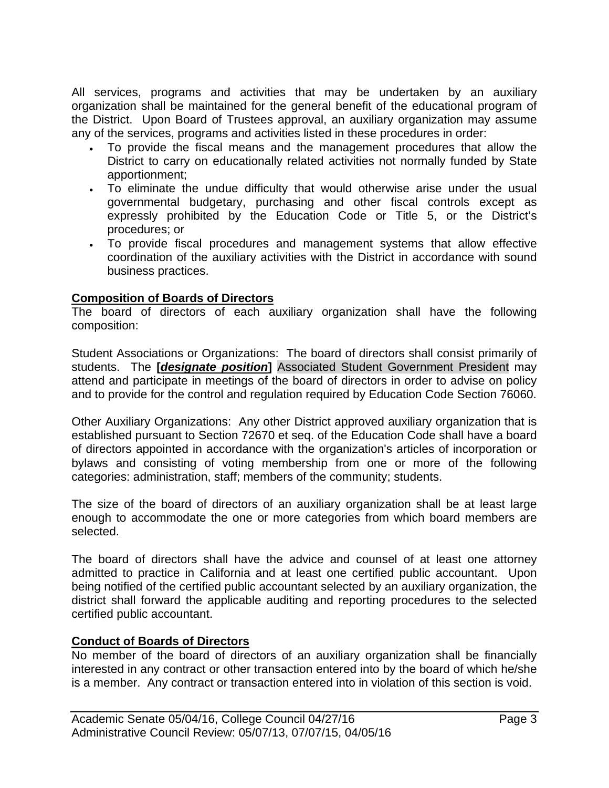All services, programs and activities that may be undertaken by an auxiliary organization shall be maintained for the general benefit of the educational program of the District. Upon Board of Trustees approval, an auxiliary organization may assume any of the services, programs and activities listed in these procedures in order:

- To provide the fiscal means and the management procedures that allow the District to carry on educationally related activities not normally funded by State apportionment;
- To eliminate the undue difficulty that would otherwise arise under the usual governmental budgetary, purchasing and other fiscal controls except as expressly prohibited by the Education Code or Title 5, or the District's procedures; or
- To provide fiscal procedures and management systems that allow effective coordination of the auxiliary activities with the District in accordance with sound business practices.

# **Composition of Boards of Directors**

The board of directors of each auxiliary organization shall have the following composition:

Student Associations or Organizations: The board of directors shall consist primarily of students. The **[***designate position***]** Associated Student Government President may attend and participate in meetings of the board of directors in order to advise on policy and to provide for the control and regulation required by Education Code Section 76060.

Other Auxiliary Organizations: Any other District approved auxiliary organization that is established pursuant to Section 72670 et seq. of the Education Code shall have a board of directors appointed in accordance with the organization's articles of incorporation or bylaws and consisting of voting membership from one or more of the following categories: administration, staff; members of the community; students.

The size of the board of directors of an auxiliary organization shall be at least large enough to accommodate the one or more categories from which board members are selected.

The board of directors shall have the advice and counsel of at least one attorney admitted to practice in California and at least one certified public accountant. Upon being notified of the certified public accountant selected by an auxiliary organization, the district shall forward the applicable auditing and reporting procedures to the selected certified public accountant.

## **Conduct of Boards of Directors**

No member of the board of directors of an auxiliary organization shall be financially interested in any contract or other transaction entered into by the board of which he/she is a member. Any contract or transaction entered into in violation of this section is void.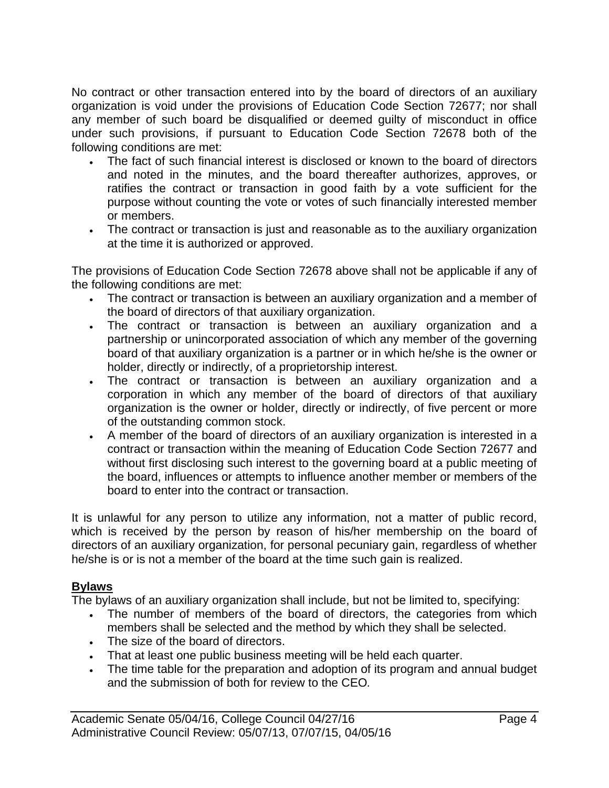No contract or other transaction entered into by the board of directors of an auxiliary organization is void under the provisions of Education Code Section 72677; nor shall any member of such board be disqualified or deemed guilty of misconduct in office under such provisions, if pursuant to Education Code Section 72678 both of the following conditions are met:

- The fact of such financial interest is disclosed or known to the board of directors and noted in the minutes, and the board thereafter authorizes, approves, or ratifies the contract or transaction in good faith by a vote sufficient for the purpose without counting the vote or votes of such financially interested member or members.
- The contract or transaction is just and reasonable as to the auxiliary organization at the time it is authorized or approved.

The provisions of Education Code Section 72678 above shall not be applicable if any of the following conditions are met:

- The contract or transaction is between an auxiliary organization and a member of the board of directors of that auxiliary organization.
- The contract or transaction is between an auxiliary organization and a partnership or unincorporated association of which any member of the governing board of that auxiliary organization is a partner or in which he/she is the owner or holder, directly or indirectly, of a proprietorship interest.
- The contract or transaction is between an auxiliary organization and a corporation in which any member of the board of directors of that auxiliary organization is the owner or holder, directly or indirectly, of five percent or more of the outstanding common stock.
- A member of the board of directors of an auxiliary organization is interested in a contract or transaction within the meaning of Education Code Section 72677 and without first disclosing such interest to the governing board at a public meeting of the board, influences or attempts to influence another member or members of the board to enter into the contract or transaction.

It is unlawful for any person to utilize any information, not a matter of public record, which is received by the person by reason of his/her membership on the board of directors of an auxiliary organization, for personal pecuniary gain, regardless of whether he/she is or is not a member of the board at the time such gain is realized.

## **Bylaws**

The bylaws of an auxiliary organization shall include, but not be limited to, specifying:

- The number of members of the board of directors, the categories from which members shall be selected and the method by which they shall be selected.
- The size of the board of directors.
- That at least one public business meeting will be held each quarter.
- The time table for the preparation and adoption of its program and annual budget and the submission of both for review to the CEO*.*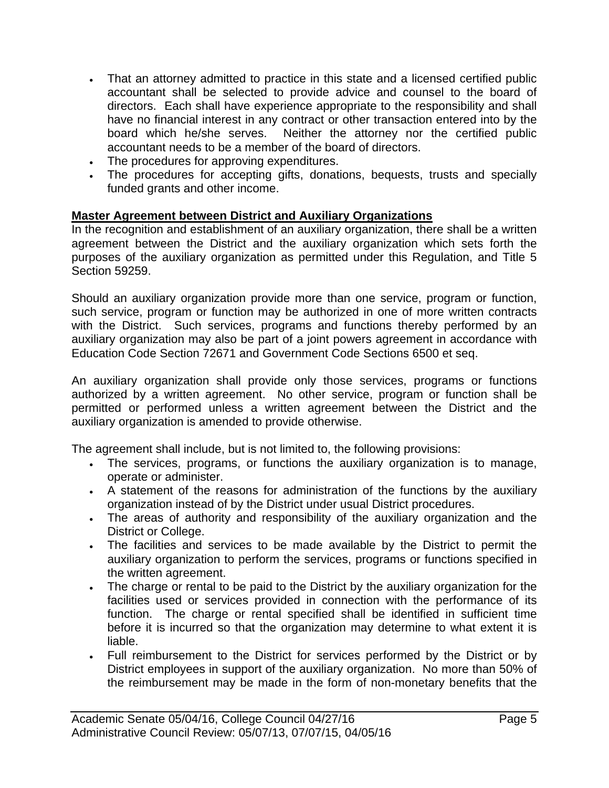- That an attorney admitted to practice in this state and a licensed certified public accountant shall be selected to provide advice and counsel to the board of directors. Each shall have experience appropriate to the responsibility and shall have no financial interest in any contract or other transaction entered into by the board which he/she serves. Neither the attorney nor the certified public accountant needs to be a member of the board of directors.
- The procedures for approving expenditures.
- The procedures for accepting gifts, donations, bequests, trusts and specially funded grants and other income.

# **Master Agreement between District and Auxiliary Organizations**

In the recognition and establishment of an auxiliary organization, there shall be a written agreement between the District and the auxiliary organization which sets forth the purposes of the auxiliary organization as permitted under this Regulation, and Title 5 Section 59259.

Should an auxiliary organization provide more than one service, program or function, such service, program or function may be authorized in one of more written contracts with the District. Such services, programs and functions thereby performed by an auxiliary organization may also be part of a joint powers agreement in accordance with Education Code Section 72671 and Government Code Sections 6500 et seq.

An auxiliary organization shall provide only those services, programs or functions authorized by a written agreement. No other service, program or function shall be permitted or performed unless a written agreement between the District and the auxiliary organization is amended to provide otherwise.

The agreement shall include, but is not limited to, the following provisions:

- The services, programs, or functions the auxiliary organization is to manage, operate or administer.
- A statement of the reasons for administration of the functions by the auxiliary organization instead of by the District under usual District procedures.
- The areas of authority and responsibility of the auxiliary organization and the District or College.
- The facilities and services to be made available by the District to permit the auxiliary organization to perform the services, programs or functions specified in the written agreement.
- The charge or rental to be paid to the District by the auxiliary organization for the facilities used or services provided in connection with the performance of its function. The charge or rental specified shall be identified in sufficient time before it is incurred so that the organization may determine to what extent it is liable.
- Full reimbursement to the District for services performed by the District or by District employees in support of the auxiliary organization. No more than 50% of the reimbursement may be made in the form of non-monetary benefits that the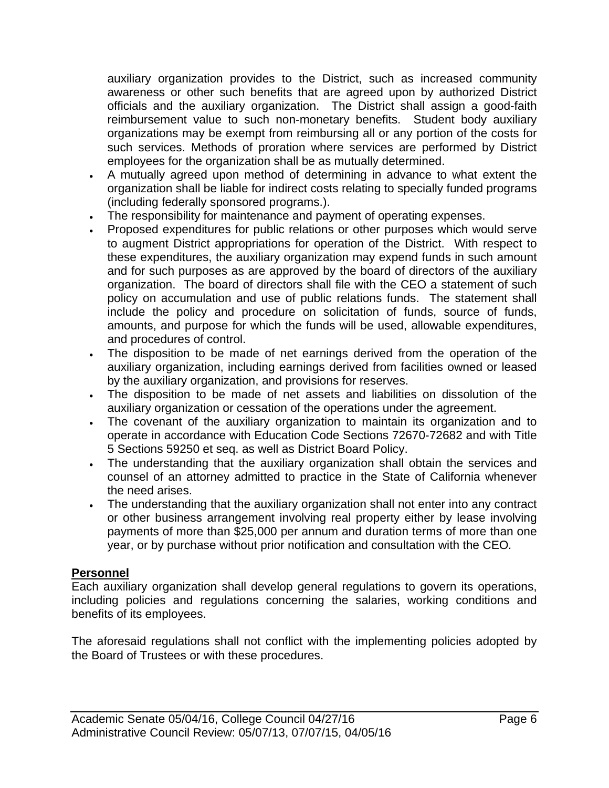auxiliary organization provides to the District, such as increased community awareness or other such benefits that are agreed upon by authorized District officials and the auxiliary organization. The District shall assign a good-faith reimbursement value to such non-monetary benefits. Student body auxiliary organizations may be exempt from reimbursing all or any portion of the costs for such services. Methods of proration where services are performed by District employees for the organization shall be as mutually determined.

- A mutually agreed upon method of determining in advance to what extent the organization shall be liable for indirect costs relating to specially funded programs (including federally sponsored programs.).
- The responsibility for maintenance and payment of operating expenses.
- Proposed expenditures for public relations or other purposes which would serve to augment District appropriations for operation of the District. With respect to these expenditures, the auxiliary organization may expend funds in such amount and for such purposes as are approved by the board of directors of the auxiliary organization. The board of directors shall file with the CEO a statement of such policy on accumulation and use of public relations funds. The statement shall include the policy and procedure on solicitation of funds, source of funds, amounts, and purpose for which the funds will be used, allowable expenditures, and procedures of control.
- The disposition to be made of net earnings derived from the operation of the auxiliary organization, including earnings derived from facilities owned or leased by the auxiliary organization, and provisions for reserves.
- The disposition to be made of net assets and liabilities on dissolution of the auxiliary organization or cessation of the operations under the agreement.
- The covenant of the auxiliary organization to maintain its organization and to operate in accordance with Education Code Sections 72670-72682 and with Title 5 Sections 59250 et seq. as well as District Board Policy.
- The understanding that the auxiliary organization shall obtain the services and counsel of an attorney admitted to practice in the State of California whenever the need arises.
- The understanding that the auxiliary organization shall not enter into any contract or other business arrangement involving real property either by lease involving payments of more than \$25,000 per annum and duration terms of more than one year, or by purchase without prior notification and consultation with the CEO*.*

## **Personnel**

Each auxiliary organization shall develop general regulations to govern its operations, including policies and regulations concerning the salaries, working conditions and benefits of its employees.

The aforesaid regulations shall not conflict with the implementing policies adopted by the Board of Trustees or with these procedures.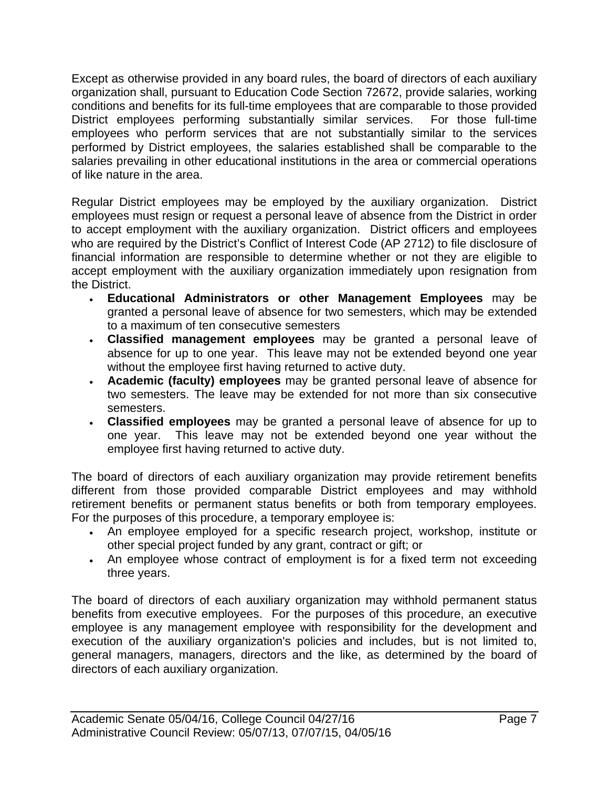Except as otherwise provided in any board rules, the board of directors of each auxiliary organization shall, pursuant to Education Code Section 72672, provide salaries, working conditions and benefits for its full-time employees that are comparable to those provided District employees performing substantially similar services. For those full-time employees who perform services that are not substantially similar to the services performed by District employees, the salaries established shall be comparable to the salaries prevailing in other educational institutions in the area or commercial operations of like nature in the area.

Regular District employees may be employed by the auxiliary organization. District employees must resign or request a personal leave of absence from the District in order to accept employment with the auxiliary organization. District officers and employees who are required by the District's Conflict of Interest Code (AP 2712) to file disclosure of financial information are responsible to determine whether or not they are eligible to accept employment with the auxiliary organization immediately upon resignation from the District.

- **Educational Administrators or other Management Employees** may be granted a personal leave of absence for two semesters, which may be extended to a maximum of ten consecutive semesters
- **Classified management employees** may be granted a personal leave of absence for up to one year. This leave may not be extended beyond one year without the employee first having returned to active duty.
- **Academic (faculty) employees** may be granted personal leave of absence for two semesters. The leave may be extended for not more than six consecutive semesters.
- **Classified employees** may be granted a personal leave of absence for up to one year. This leave may not be extended beyond one year without the employee first having returned to active duty.

The board of directors of each auxiliary organization may provide retirement benefits different from those provided comparable District employees and may withhold retirement benefits or permanent status benefits or both from temporary employees. For the purposes of this procedure, a temporary employee is:

- An employee employed for a specific research project, workshop, institute or other special project funded by any grant, contract or gift; or
- An employee whose contract of employment is for a fixed term not exceeding three years.

The board of directors of each auxiliary organization may withhold permanent status benefits from executive employees. For the purposes of this procedure, an executive employee is any management employee with responsibility for the development and execution of the auxiliary organization's policies and includes, but is not limited to, general managers, managers, directors and the like, as determined by the board of directors of each auxiliary organization.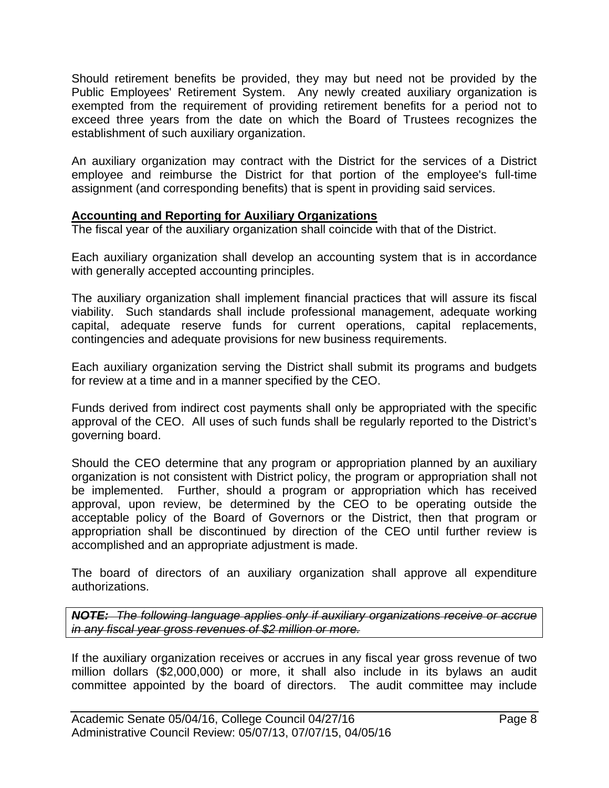Should retirement benefits be provided, they may but need not be provided by the Public Employees' Retirement System. Any newly created auxiliary organization is exempted from the requirement of providing retirement benefits for a period not to exceed three years from the date on which the Board of Trustees recognizes the establishment of such auxiliary organization.

An auxiliary organization may contract with the District for the services of a District employee and reimburse the District for that portion of the employee's full-time assignment (and corresponding benefits) that is spent in providing said services.

## **Accounting and Reporting for Auxiliary Organizations**

The fiscal year of the auxiliary organization shall coincide with that of the District.

Each auxiliary organization shall develop an accounting system that is in accordance with generally accepted accounting principles.

The auxiliary organization shall implement financial practices that will assure its fiscal viability. Such standards shall include professional management, adequate working capital, adequate reserve funds for current operations, capital replacements, contingencies and adequate provisions for new business requirements.

Each auxiliary organization serving the District shall submit its programs and budgets for review at a time and in a manner specified by the CEO.

Funds derived from indirect cost payments shall only be appropriated with the specific approval of the CEO. All uses of such funds shall be regularly reported to the District's governing board.

Should the CEO determine that any program or appropriation planned by an auxiliary organization is not consistent with District policy, the program or appropriation shall not be implemented. Further, should a program or appropriation which has received approval, upon review, be determined by the CEO to be operating outside the acceptable policy of the Board of Governors or the District, then that program or appropriation shall be discontinued by direction of the CEO until further review is accomplished and an appropriate adjustment is made.

The board of directors of an auxiliary organization shall approve all expenditure authorizations.

*NOTE: The following language applies only if auxiliary organizations receive or accrue in any fiscal year gross revenues of \$2 million or more.*

If the auxiliary organization receives or accrues in any fiscal year gross revenue of two million dollars (\$2,000,000) or more, it shall also include in its bylaws an audit committee appointed by the board of directors. The audit committee may include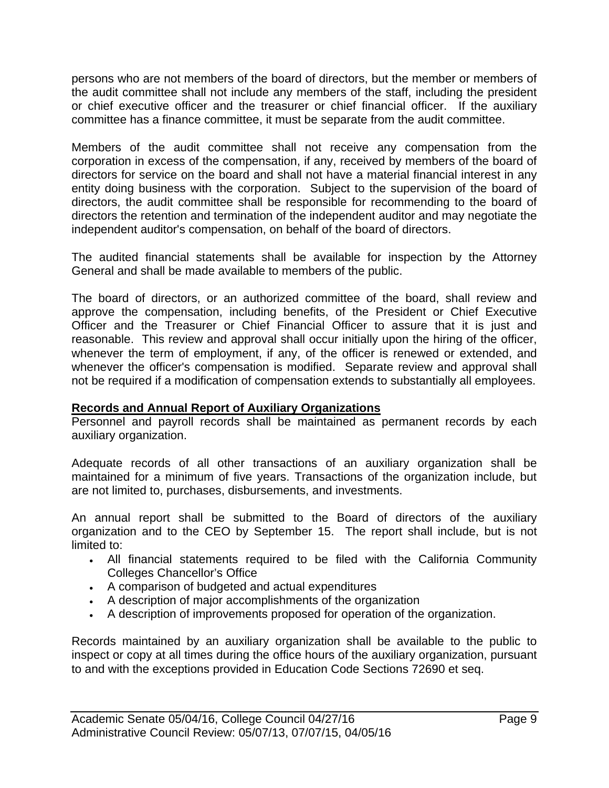persons who are not members of the board of directors, but the member or members of the audit committee shall not include any members of the staff, including the president or chief executive officer and the treasurer or chief financial officer. If the auxiliary committee has a finance committee, it must be separate from the audit committee.

Members of the audit committee shall not receive any compensation from the corporation in excess of the compensation, if any, received by members of the board of directors for service on the board and shall not have a material financial interest in any entity doing business with the corporation. Subject to the supervision of the board of directors, the audit committee shall be responsible for recommending to the board of directors the retention and termination of the independent auditor and may negotiate the independent auditor's compensation, on behalf of the board of directors.

The audited financial statements shall be available for inspection by the Attorney General and shall be made available to members of the public.

The board of directors, or an authorized committee of the board, shall review and approve the compensation, including benefits, of the President or Chief Executive Officer and the Treasurer or Chief Financial Officer to assure that it is just and reasonable. This review and approval shall occur initially upon the hiring of the officer, whenever the term of employment, if any, of the officer is renewed or extended, and whenever the officer's compensation is modified. Separate review and approval shall not be required if a modification of compensation extends to substantially all employees.

## **Records and Annual Report of Auxiliary Organizations**

Personnel and payroll records shall be maintained as permanent records by each auxiliary organization.

Adequate records of all other transactions of an auxiliary organization shall be maintained for a minimum of five years. Transactions of the organization include, but are not limited to, purchases, disbursements, and investments.

An annual report shall be submitted to the Board of directors of the auxiliary organization and to the CEO by September 15. The report shall include, but is not limited to:

- All financial statements required to be filed with the California Community Colleges Chancellor's Office
- A comparison of budgeted and actual expenditures
- A description of major accomplishments of the organization
- A description of improvements proposed for operation of the organization.

Records maintained by an auxiliary organization shall be available to the public to inspect or copy at all times during the office hours of the auxiliary organization, pursuant to and with the exceptions provided in Education Code Sections 72690 et seq.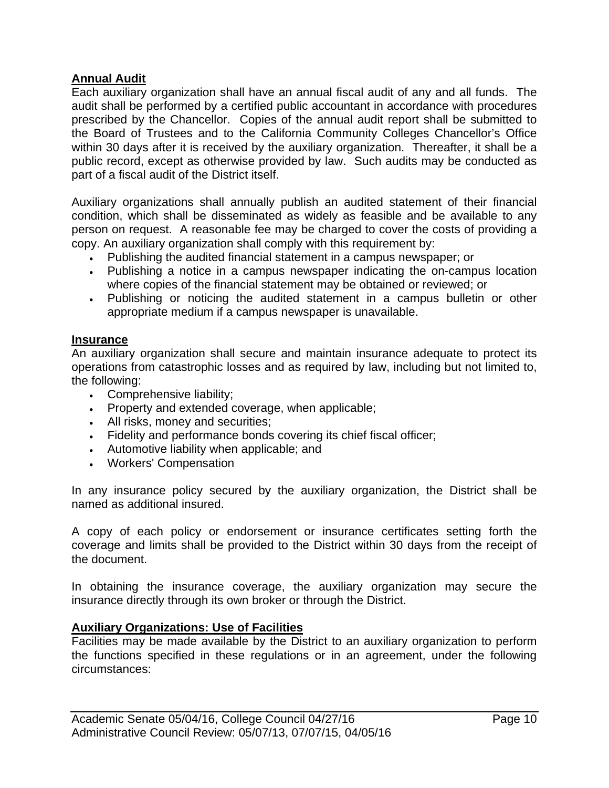## **Annual Audit**

Each auxiliary organization shall have an annual fiscal audit of any and all funds. The audit shall be performed by a certified public accountant in accordance with procedures prescribed by the Chancellor.Copies of the annual audit report shall be submitted to the Board of Trustees and to the California Community Colleges Chancellor's Office within 30 days after it is received by the auxiliary organization. Thereafter, it shall be a public record, except as otherwise provided by law. Such audits may be conducted as part of a fiscal audit of the District itself.

Auxiliary organizations shall annually publish an audited statement of their financial condition, which shall be disseminated as widely as feasible and be available to any person on request. A reasonable fee may be charged to cover the costs of providing a copy. An auxiliary organization shall comply with this requirement by:

- Publishing the audited financial statement in a campus newspaper; or
- Publishing a notice in a campus newspaper indicating the on-campus location where copies of the financial statement may be obtained or reviewed; or
- Publishing or noticing the audited statement in a campus bulletin or other appropriate medium if a campus newspaper is unavailable.

#### **Insurance**

An auxiliary organization shall secure and maintain insurance adequate to protect its operations from catastrophic losses and as required by law, including but not limited to, the following:

- Comprehensive liability;
- Property and extended coverage, when applicable;
- All risks, money and securities;
- Fidelity and performance bonds covering its chief fiscal officer;
- Automotive liability when applicable; and
- Workers' Compensation

In any insurance policy secured by the auxiliary organization, the District shall be named as additional insured.

A copy of each policy or endorsement or insurance certificates setting forth the coverage and limits shall be provided to the District within 30 days from the receipt of the document.

In obtaining the insurance coverage, the auxiliary organization may secure the insurance directly through its own broker or through the District.

## **Auxiliary Organizations: Use of Facilities**

Facilities may be made available by the District to an auxiliary organization to perform the functions specified in these regulations or in an agreement, under the following circumstances: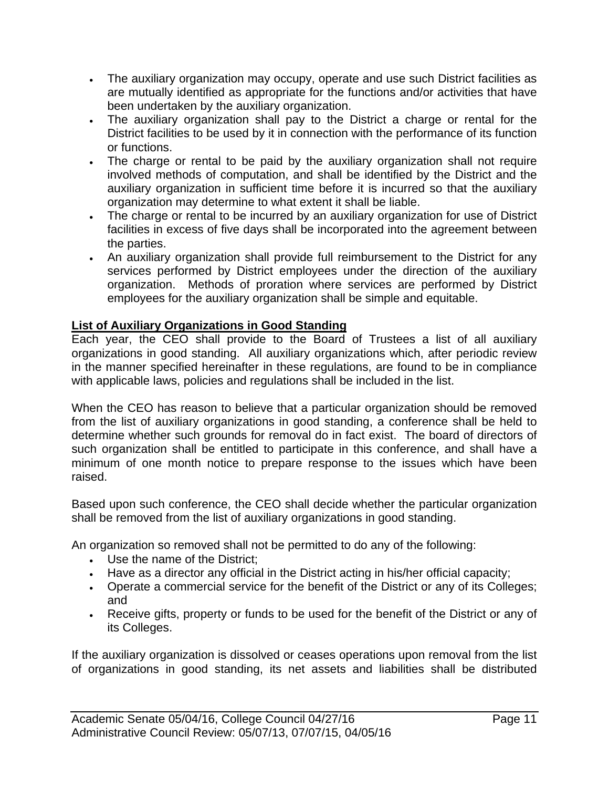- The auxiliary organization may occupy, operate and use such District facilities as are mutually identified as appropriate for the functions and/or activities that have been undertaken by the auxiliary organization.
- The auxiliary organization shall pay to the District a charge or rental for the District facilities to be used by it in connection with the performance of its function or functions.
- The charge or rental to be paid by the auxiliary organization shall not require involved methods of computation, and shall be identified by the District and the auxiliary organization in sufficient time before it is incurred so that the auxiliary organization may determine to what extent it shall be liable.
- The charge or rental to be incurred by an auxiliary organization for use of District facilities in excess of five days shall be incorporated into the agreement between the parties.
- An auxiliary organization shall provide full reimbursement to the District for any services performed by District employees under the direction of the auxiliary organization. Methods of proration where services are performed by District employees for the auxiliary organization shall be simple and equitable.

# **List of Auxiliary Organizations in Good Standing**

Each year, the CEO shall provide to the Board of Trustees a list of all auxiliary organizations in good standing. All auxiliary organizations which, after periodic review in the manner specified hereinafter in these regulations, are found to be in compliance with applicable laws, policies and regulations shall be included in the list.

When the CEO has reason to believe that a particular organization should be removed from the list of auxiliary organizations in good standing, a conference shall be held to determine whether such grounds for removal do in fact exist. The board of directors of such organization shall be entitled to participate in this conference, and shall have a minimum of one month notice to prepare response to the issues which have been raised.

Based upon such conference, the CEO shall decide whether the particular organization shall be removed from the list of auxiliary organizations in good standing.

An organization so removed shall not be permitted to do any of the following:

- Use the name of the District;
- Have as a director any official in the District acting in his/her official capacity;
- Operate a commercial service for the benefit of the District or any of its Colleges; and
- Receive gifts, property or funds to be used for the benefit of the District or any of its Colleges.

If the auxiliary organization is dissolved or ceases operations upon removal from the list of organizations in good standing, its net assets and liabilities shall be distributed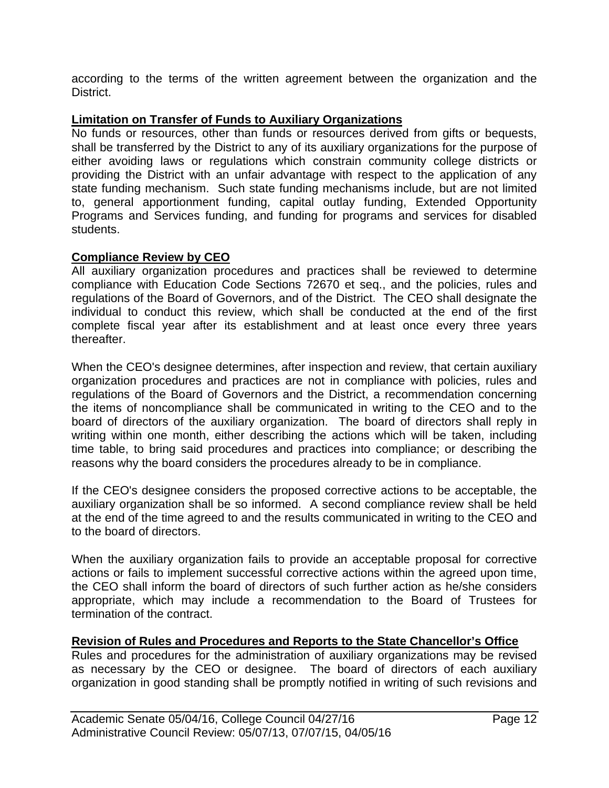according to the terms of the written agreement between the organization and the District.

# **Limitation on Transfer of Funds to Auxiliary Organizations**

No funds or resources, other than funds or resources derived from gifts or bequests, shall be transferred by the District to any of its auxiliary organizations for the purpose of either avoiding laws or regulations which constrain community college districts or providing the District with an unfair advantage with respect to the application of any state funding mechanism. Such state funding mechanisms include, but are not limited to, general apportionment funding, capital outlay funding, Extended Opportunity Programs and Services funding, and funding for programs and services for disabled students.

# **Compliance Review by CEO**

All auxiliary organization procedures and practices shall be reviewed to determine compliance with Education Code Sections 72670 et seq., and the policies, rules and regulations of the Board of Governors, and of the District. The CEO shall designate the individual to conduct this review, which shall be conducted at the end of the first complete fiscal year after its establishment and at least once every three years thereafter.

When the CEO's designee determines, after inspection and review, that certain auxiliary organization procedures and practices are not in compliance with policies, rules and regulations of the Board of Governors and the District, a recommendation concerning the items of noncompliance shall be communicated in writing to the CEO and to the board of directors of the auxiliary organization. The board of directors shall reply in writing within one month, either describing the actions which will be taken, including time table, to bring said procedures and practices into compliance; or describing the reasons why the board considers the procedures already to be in compliance.

If the CEO's designee considers the proposed corrective actions to be acceptable, the auxiliary organization shall be so informed. A second compliance review shall be held at the end of the time agreed to and the results communicated in writing to the CEO and to the board of directors.

When the auxiliary organization fails to provide an acceptable proposal for corrective actions or fails to implement successful corrective actions within the agreed upon time, the CEO shall inform the board of directors of such further action as he/she considers appropriate, which may include a recommendation to the Board of Trustees for termination of the contract.

## **Revision of Rules and Procedures and Reports to the State Chancellor's Office**

Rules and procedures for the administration of auxiliary organizations may be revised as necessary by the CEO or designee. The board of directors of each auxiliary organization in good standing shall be promptly notified in writing of such revisions and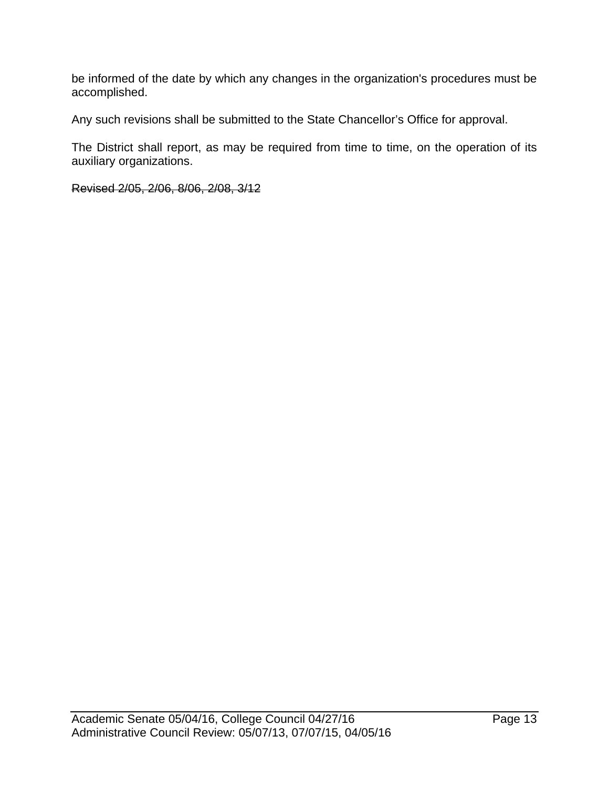be informed of the date by which any changes in the organization's procedures must be accomplished.

Any such revisions shall be submitted to the State Chancellor's Office for approval.

The District shall report, as may be required from time to time, on the operation of its auxiliary organizations.

Revised 2/05, 2/06, 8/06, 2/08, 3/12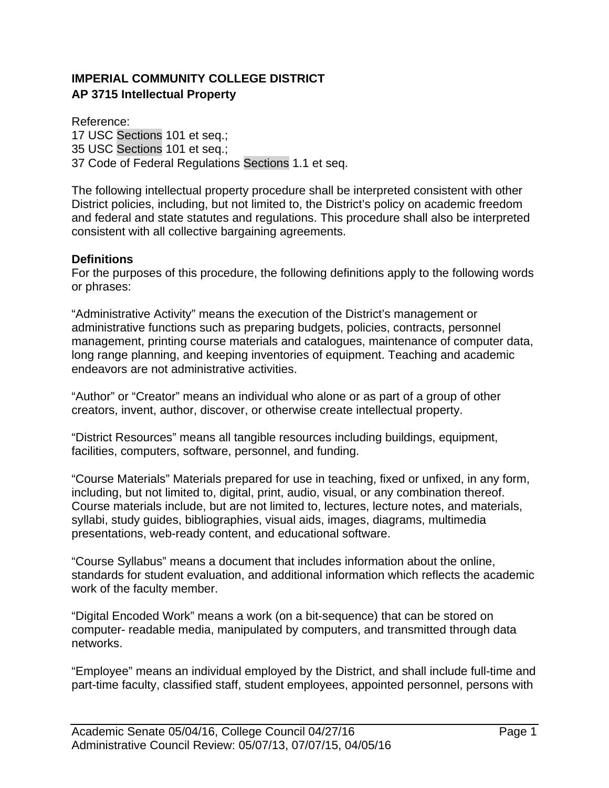# **IMPERIAL COMMUNITY COLLEGE DISTRICT AP 3715 Intellectual Property**

Reference: 17 USC Sections 101 et seq.; 35 USC Sections 101 et seq.; 37 Code of Federal Regulations Sections 1.1 et seq.

The following intellectual property procedure shall be interpreted consistent with other District policies, including, but not limited to, the District's policy on academic freedom and federal and state statutes and regulations. This procedure shall also be interpreted consistent with all collective bargaining agreements.

#### **Definitions**

For the purposes of this procedure, the following definitions apply to the following words or phrases:

"Administrative Activity" means the execution of the District's management or administrative functions such as preparing budgets, policies, contracts, personnel management, printing course materials and catalogues, maintenance of computer data, long range planning, and keeping inventories of equipment. Teaching and academic endeavors are not administrative activities.

"Author" or "Creator" means an individual who alone or as part of a group of other creators, invent, author, discover, or otherwise create intellectual property.

"District Resources" means all tangible resources including buildings, equipment, facilities, computers, software, personnel, and funding.

"Course Materials" Materials prepared for use in teaching, fixed or unfixed, in any form, including, but not limited to, digital, print, audio, visual, or any combination thereof. Course materials include, but are not limited to, lectures, lecture notes, and materials, syllabi, study guides, bibliographies, visual aids, images, diagrams, multimedia presentations, web-ready content, and educational software.

"Course Syllabus" means a document that includes information about the online, standards for student evaluation, and additional information which reflects the academic work of the faculty member.

"Digital Encoded Work" means a work (on a bit-sequence) that can be stored on computer- readable media, manipulated by computers, and transmitted through data networks.

"Employee" means an individual employed by the District, and shall include full-time and part-time faculty, classified staff, student employees, appointed personnel, persons with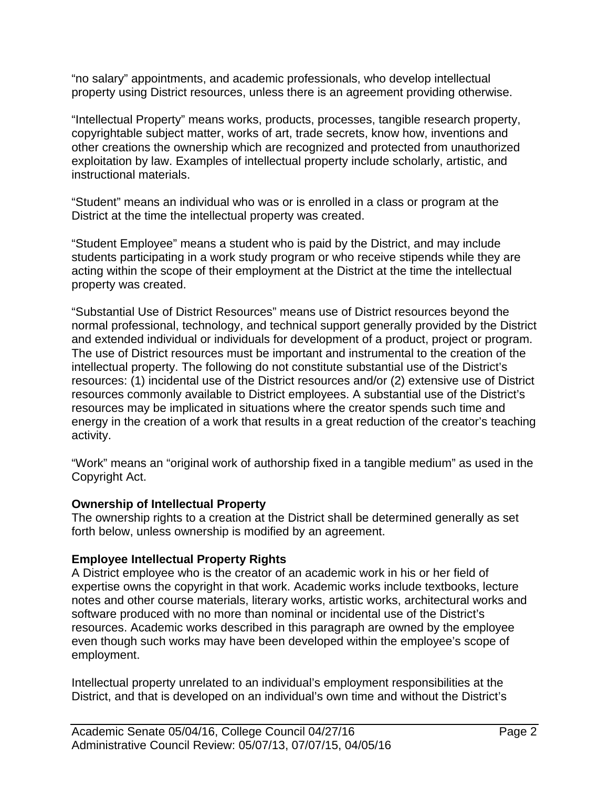"no salary" appointments, and academic professionals, who develop intellectual property using District resources, unless there is an agreement providing otherwise.

"Intellectual Property" means works, products, processes, tangible research property, copyrightable subject matter, works of art, trade secrets, know how, inventions and other creations the ownership which are recognized and protected from unauthorized exploitation by law. Examples of intellectual property include scholarly, artistic, and instructional materials.

"Student" means an individual who was or is enrolled in a class or program at the District at the time the intellectual property was created.

"Student Employee" means a student who is paid by the District, and may include students participating in a work study program or who receive stipends while they are acting within the scope of their employment at the District at the time the intellectual property was created.

"Substantial Use of District Resources" means use of District resources beyond the normal professional, technology, and technical support generally provided by the District and extended individual or individuals for development of a product, project or program. The use of District resources must be important and instrumental to the creation of the intellectual property. The following do not constitute substantial use of the District's resources: (1) incidental use of the District resources and/or (2) extensive use of District resources commonly available to District employees. A substantial use of the District's resources may be implicated in situations where the creator spends such time and energy in the creation of a work that results in a great reduction of the creator's teaching activity.

"Work" means an "original work of authorship fixed in a tangible medium" as used in the Copyright Act.

## **Ownership of Intellectual Property**

The ownership rights to a creation at the District shall be determined generally as set forth below, unless ownership is modified by an agreement.

#### **Employee Intellectual Property Rights**

A District employee who is the creator of an academic work in his or her field of expertise owns the copyright in that work. Academic works include textbooks, lecture notes and other course materials, literary works, artistic works, architectural works and software produced with no more than nominal or incidental use of the District's resources. Academic works described in this paragraph are owned by the employee even though such works may have been developed within the employee's scope of employment.

Intellectual property unrelated to an individual's employment responsibilities at the District, and that is developed on an individual's own time and without the District's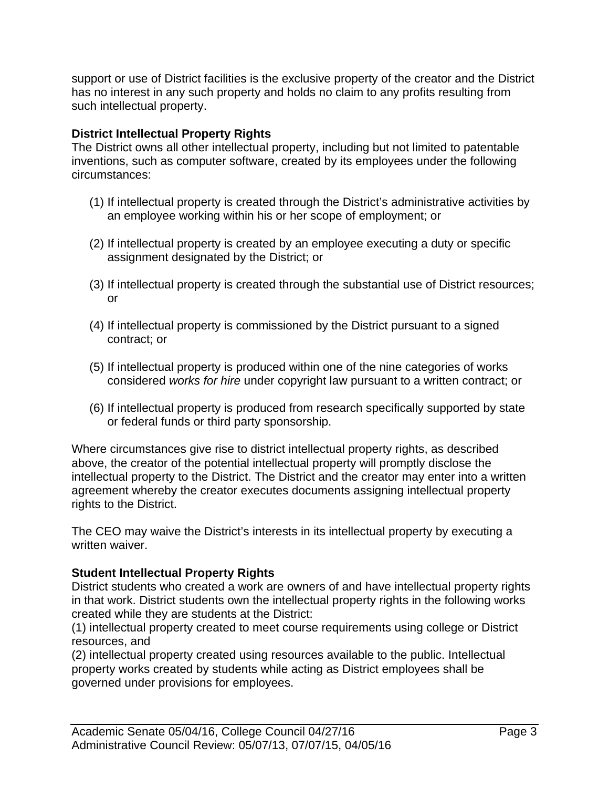support or use of District facilities is the exclusive property of the creator and the District has no interest in any such property and holds no claim to any profits resulting from such intellectual property.

# **District Intellectual Property Rights**

The District owns all other intellectual property, including but not limited to patentable inventions, such as computer software, created by its employees under the following circumstances:

- (1) If intellectual property is created through the District's administrative activities by an employee working within his or her scope of employment; or
- (2) If intellectual property is created by an employee executing a duty or specific assignment designated by the District; or
- (3) If intellectual property is created through the substantial use of District resources; or
- (4) If intellectual property is commissioned by the District pursuant to a signed contract; or
- (5) If intellectual property is produced within one of the nine categories of works considered *works for hire* under copyright law pursuant to a written contract; or
- (6) If intellectual property is produced from research specifically supported by state or federal funds or third party sponsorship.

Where circumstances give rise to district intellectual property rights, as described above, the creator of the potential intellectual property will promptly disclose the intellectual property to the District. The District and the creator may enter into a written agreement whereby the creator executes documents assigning intellectual property rights to the District.

The CEO may waive the District's interests in its intellectual property by executing a written waiver.

## **Student Intellectual Property Rights**

District students who created a work are owners of and have intellectual property rights in that work. District students own the intellectual property rights in the following works created while they are students at the District:

(1) intellectual property created to meet course requirements using college or District resources, and

(2) intellectual property created using resources available to the public. Intellectual property works created by students while acting as District employees shall be governed under provisions for employees.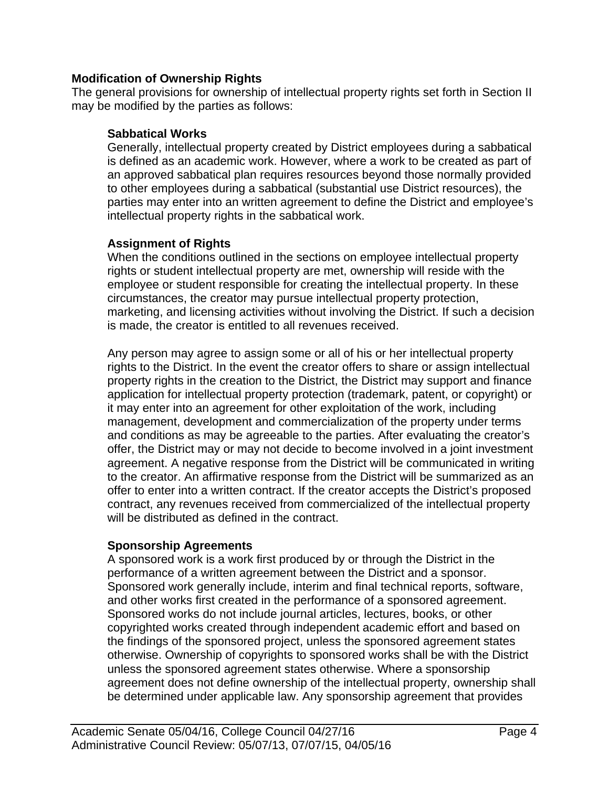#### **Modification of Ownership Rights**

The general provisions for ownership of intellectual property rights set forth in Section II may be modified by the parties as follows:

#### **Sabbatical Works**

Generally, intellectual property created by District employees during a sabbatical is defined as an academic work. However, where a work to be created as part of an approved sabbatical plan requires resources beyond those normally provided to other employees during a sabbatical (substantial use District resources), the parties may enter into an written agreement to define the District and employee's intellectual property rights in the sabbatical work.

## **Assignment of Rights**

When the conditions outlined in the sections on employee intellectual property rights or student intellectual property are met, ownership will reside with the employee or student responsible for creating the intellectual property. In these circumstances, the creator may pursue intellectual property protection, marketing, and licensing activities without involving the District. If such a decision is made, the creator is entitled to all revenues received.

Any person may agree to assign some or all of his or her intellectual property rights to the District. In the event the creator offers to share or assign intellectual property rights in the creation to the District, the District may support and finance application for intellectual property protection (trademark, patent, or copyright) or it may enter into an agreement for other exploitation of the work, including management, development and commercialization of the property under terms and conditions as may be agreeable to the parties. After evaluating the creator's offer, the District may or may not decide to become involved in a joint investment agreement. A negative response from the District will be communicated in writing to the creator. An affirmative response from the District will be summarized as an offer to enter into a written contract. If the creator accepts the District's proposed contract, any revenues received from commercialized of the intellectual property will be distributed as defined in the contract.

## **Sponsorship Agreements**

A sponsored work is a work first produced by or through the District in the performance of a written agreement between the District and a sponsor. Sponsored work generally include, interim and final technical reports, software, and other works first created in the performance of a sponsored agreement. Sponsored works do not include journal articles, lectures, books, or other copyrighted works created through independent academic effort and based on the findings of the sponsored project, unless the sponsored agreement states otherwise. Ownership of copyrights to sponsored works shall be with the District unless the sponsored agreement states otherwise. Where a sponsorship agreement does not define ownership of the intellectual property, ownership shall be determined under applicable law. Any sponsorship agreement that provides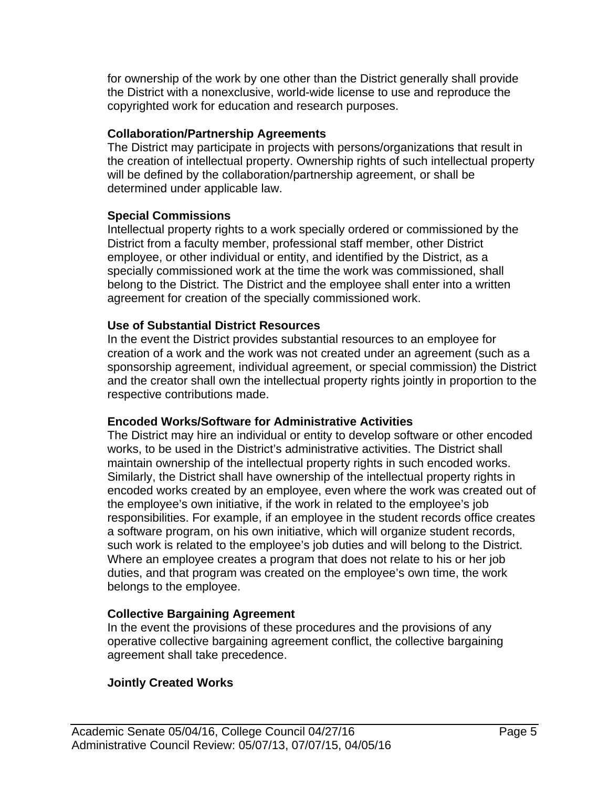for ownership of the work by one other than the District generally shall provide the District with a nonexclusive, world-wide license to use and reproduce the copyrighted work for education and research purposes.

#### **Collaboration/Partnership Agreements**

The District may participate in projects with persons/organizations that result in the creation of intellectual property. Ownership rights of such intellectual property will be defined by the collaboration/partnership agreement, or shall be determined under applicable law.

#### **Special Commissions**

Intellectual property rights to a work specially ordered or commissioned by the District from a faculty member, professional staff member, other District employee, or other individual or entity, and identified by the District, as a specially commissioned work at the time the work was commissioned, shall belong to the District. The District and the employee shall enter into a written agreement for creation of the specially commissioned work.

#### **Use of Substantial District Resources**

In the event the District provides substantial resources to an employee for creation of a work and the work was not created under an agreement (such as a sponsorship agreement, individual agreement, or special commission) the District and the creator shall own the intellectual property rights jointly in proportion to the respective contributions made.

## **Encoded Works/Software for Administrative Activities**

The District may hire an individual or entity to develop software or other encoded works, to be used in the District's administrative activities. The District shall maintain ownership of the intellectual property rights in such encoded works. Similarly, the District shall have ownership of the intellectual property rights in encoded works created by an employee, even where the work was created out of the employee's own initiative, if the work in related to the employee's job responsibilities. For example, if an employee in the student records office creates a software program, on his own initiative, which will organize student records, such work is related to the employee's job duties and will belong to the District. Where an employee creates a program that does not relate to his or her job duties, and that program was created on the employee's own time, the work belongs to the employee.

## **Collective Bargaining Agreement**

In the event the provisions of these procedures and the provisions of any operative collective bargaining agreement conflict, the collective bargaining agreement shall take precedence.

## **Jointly Created Works**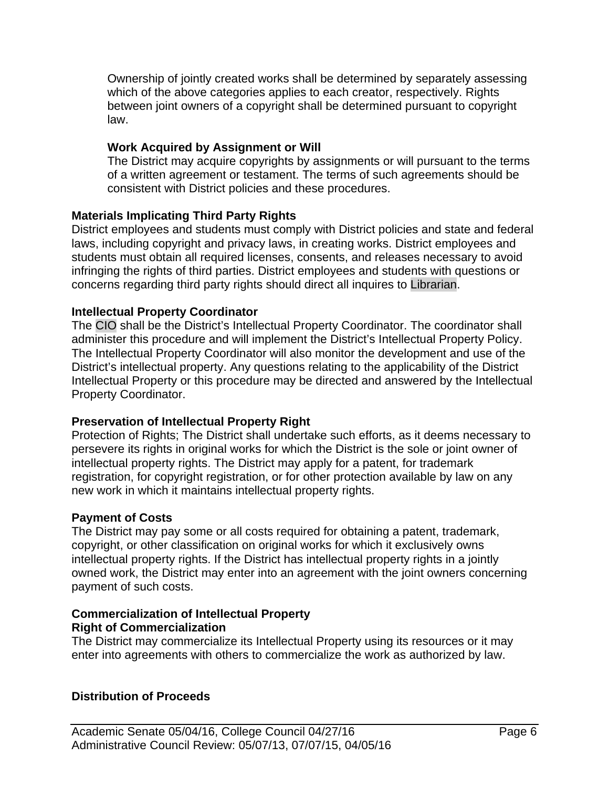Ownership of jointly created works shall be determined by separately assessing which of the above categories applies to each creator, respectively. Rights between joint owners of a copyright shall be determined pursuant to copyright law.

# **Work Acquired by Assignment or Will**

The District may acquire copyrights by assignments or will pursuant to the terms of a written agreement or testament. The terms of such agreements should be consistent with District policies and these procedures.

# **Materials Implicating Third Party Rights**

District employees and students must comply with District policies and state and federal laws, including copyright and privacy laws, in creating works. District employees and students must obtain all required licenses, consents, and releases necessary to avoid infringing the rights of third parties. District employees and students with questions or concerns regarding third party rights should direct all inquires to Librarian.

## **Intellectual Property Coordinator**

The CIO shall be the District's Intellectual Property Coordinator. The coordinator shall administer this procedure and will implement the District's Intellectual Property Policy. The Intellectual Property Coordinator will also monitor the development and use of the District's intellectual property. Any questions relating to the applicability of the District Intellectual Property or this procedure may be directed and answered by the Intellectual Property Coordinator.

# **Preservation of Intellectual Property Right**

Protection of Rights; The District shall undertake such efforts, as it deems necessary to persevere its rights in original works for which the District is the sole or joint owner of intellectual property rights. The District may apply for a patent, for trademark registration, for copyright registration, or for other protection available by law on any new work in which it maintains intellectual property rights.

## **Payment of Costs**

The District may pay some or all costs required for obtaining a patent, trademark, copyright, or other classification on original works for which it exclusively owns intellectual property rights. If the District has intellectual property rights in a jointly owned work, the District may enter into an agreement with the joint owners concerning payment of such costs.

# **Commercialization of Intellectual Property Right of Commercialization**

The District may commercialize its Intellectual Property using its resources or it may enter into agreements with others to commercialize the work as authorized by law.

## **Distribution of Proceeds**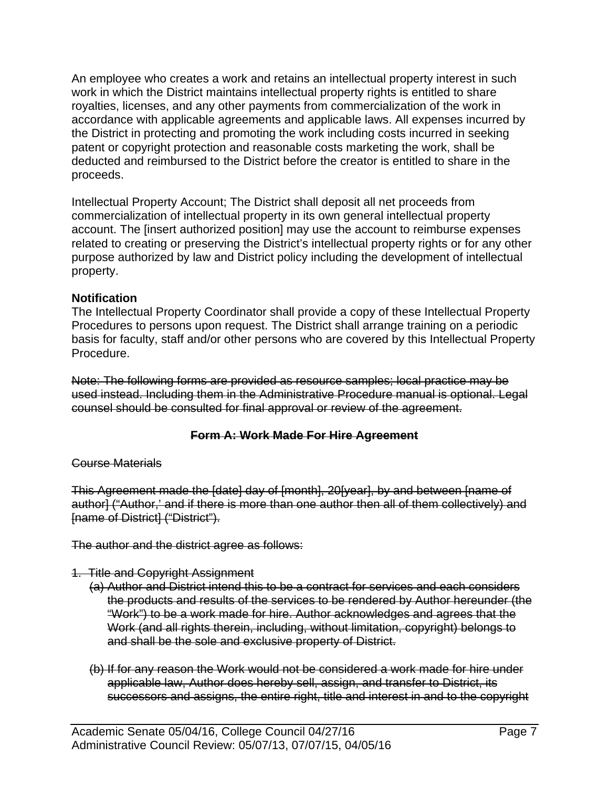An employee who creates a work and retains an intellectual property interest in such work in which the District maintains intellectual property rights is entitled to share royalties, licenses, and any other payments from commercialization of the work in accordance with applicable agreements and applicable laws. All expenses incurred by the District in protecting and promoting the work including costs incurred in seeking patent or copyright protection and reasonable costs marketing the work, shall be deducted and reimbursed to the District before the creator is entitled to share in the proceeds.

Intellectual Property Account; The District shall deposit all net proceeds from commercialization of intellectual property in its own general intellectual property account. The [insert authorized position] may use the account to reimburse expenses related to creating or preserving the District's intellectual property rights or for any other purpose authorized by law and District policy including the development of intellectual property.

## **Notification**

The Intellectual Property Coordinator shall provide a copy of these Intellectual Property Procedures to persons upon request. The District shall arrange training on a periodic basis for faculty, staff and/or other persons who are covered by this Intellectual Property Procedure.

Note: The following forms are provided as resource samples; local practice may be used instead. Including them in the Administrative Procedure manual is optional. Legal counsel should be consulted for final approval or review of the agreement.

## **Form A: Work Made For Hire Agreement**

#### Course Materials

This Agreement made the [date] day of [month], 20[year], by and between [name of author] ("Author,' and if there is more than one author then all of them collectively) and [name of District] ("District").

The author and the district agree as follows:

- 1.Title and Copyright Assignment
	- (a) Author and District intend this to be a contract for services and each considers the products and results of the services to be rendered by Author hereunder (the "Work") to be a work made for hire. Author acknowledges and agrees that the Work (and all rights therein, including, without limitation, copyright) belongs to and shall be the sole and exclusive property of District.
	- (b) If for any reason the Work would not be considered a work made for hire under applicable law, Author does hereby sell, assign, and transfer to District, its successors and assigns, the entire right, title and interest in and to the copyright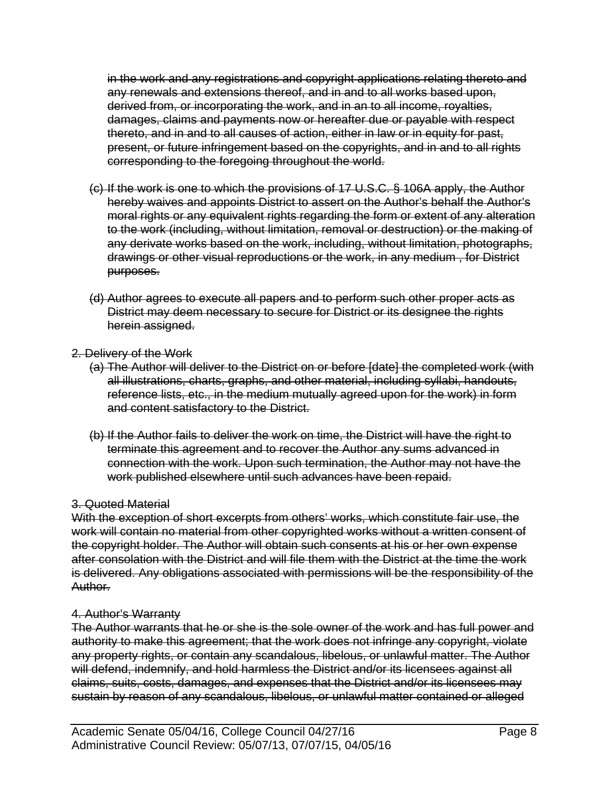in the work and any registrations and copyright applications relating thereto and any renewals and extensions thereof, and in and to all works based upon, derived from, or incorporating the work, and in an to all income, royalties, damages, claims and payments now or hereafter due or payable with respect thereto, and in and to all causes of action, either in law or in equity for past, present, or future infringement based on the copyrights, and in and to all rights corresponding to the foregoing throughout the world.

- (c) If the work is one to which the provisions of 17 U.S.C. § 106A apply, the Author hereby waives and appoints District to assert on the Author's behalf the Author's moral rights or any equivalent rights regarding the form or extent of any alteration to the work (including, without limitation, removal or destruction) or the making of any derivate works based on the work, including, without limitation, photographs, drawings or other visual reproductions or the work, in any medium , for District purposes.
- (d) Author agrees to execute all papers and to perform such other proper acts as District may deem necessary to secure for District or its designee the rights herein assigned.
- 2. Delivery of the Work
	- (a) The Author will deliver to the District on or before [date] the completed work (with all illustrations, charts, graphs, and other material, including syllabi, handouts, reference lists, etc., in the medium mutually agreed upon for the work) in form and content satisfactory to the District.
	- (b) If the Author fails to deliver the work on time, the District will have the right to terminate this agreement and to recover the Author any sums advanced in connection with the work. Upon such termination, the Author may not have the work published elsewhere until such advances have been repaid.

## 3. Quoted Material

With the exception of short excerpts from others' works, which constitute fair use, the work will contain no material from other copyrighted works without a written consent of the copyright holder. The Author will obtain such consents at his or her own expense after consolation with the District and will file them with the District at the time the work is delivered. Any obligations associated with permissions will be the responsibility of the Author.

## 4. Author's Warranty

The Author warrants that he or she is the sole owner of the work and has full power and authority to make this agreement; that the work does not infringe any copyright, violate any property rights, or contain any scandalous, libelous, or unlawful matter. The Author will defend, indemnify, and hold harmless the District and/or its licensees against all claims, suits, costs, damages, and expenses that the District and/or its licensees may sustain by reason of any scandalous, libelous, or unlawful matter contained or alleged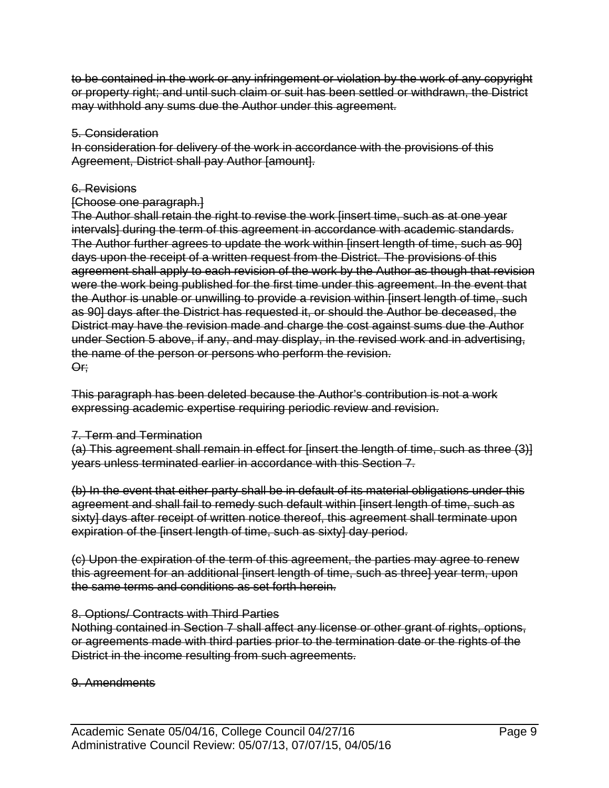to be contained in the work or any infringement or violation by the work of any copyright or property right; and until such claim or suit has been settled or withdrawn, the District may withhold any sums due the Author under this agreement.

#### 5. Consideration

In consideration for delivery of the work in accordance with the provisions of this Agreement, District shall pay Author [amount].

#### 6. Revisions

#### [Choose one paragraph.]

The Author shall retain the right to revise the work [insert time, such as at one year intervals] during the term of this agreement in accordance with academic standards. The Author further agrees to update the work within [insert length of time, such as 90] days upon the receipt of a written request from the District. The provisions of this agreement shall apply to each revision of the work by the Author as though that revision were the work being published for the first time under this agreement. In the event that the Author is unable or unwilling to provide a revision within [insert length of time, such as 90] days after the District has requested it, or should the Author be deceased, the District may have the revision made and charge the cost against sums due the Author under Section 5 above, if any, and may display, in the revised work and in advertising, the name of the person or persons who perform the revision. Or;

This paragraph has been deleted because the Author's contribution is not a work expressing academic expertise requiring periodic review and revision.

#### 7. Term and Termination

(a) This agreement shall remain in effect for [insert the length of time, such as three (3)] years unless terminated earlier in accordance with this Section 7.

(b) In the event that either party shall be in default of its material obligations under this agreement and shall fail to remedy such default within [insert length of time, such as sixty] days after receipt of written notice thereof, this agreement shall terminate upon expiration of the finsert length of time, such as sixty] day period.

(c) Upon the expiration of the term of this agreement, the parties may agree to renew this agreement for an additional [insert length of time, such as three] year term, upon the same terms and conditions as set forth herein.

#### 8. Options/ Contracts with Third Parties

Nothing contained in Section 7 shall affect any license or other grant of rights, options, or agreements made with third parties prior to the termination date or the rights of the District in the income resulting from such agreements.

#### 9. Amendments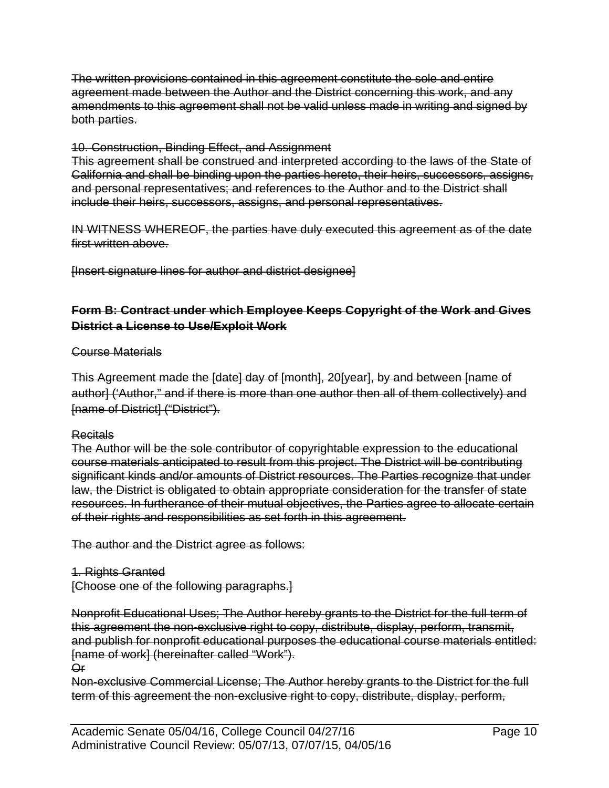The written provisions contained in this agreement constitute the sole and entire agreement made between the Author and the District concerning this work, and any amendments to this agreement shall not be valid unless made in writing and signed by both parties.

# 10. Construction, Binding Effect, and Assignment

This agreement shall be construed and interpreted according to the laws of the State of California and shall be binding upon the parties hereto, their heirs, successors, assigns, and personal representatives; and references to the Author and to the District shall include their heirs, successors, assigns, and personal representatives.

IN WITNESS WHEREOF, the parties have duly executed this agreement as of the date first written above.

[Insert signature lines for author and district designee]

# **Form B: Contract under which Employee Keeps Copyright of the Work and Gives District a License to Use/Exploit Work**

## Course Materials

This Agreement made the [date] day of [month], 20[year], by and between [name of author] ('Author," and if there is more than one author then all of them collectively) and [name of District] ("District").

## Recitals

The Author will be the sole contributor of copyrightable expression to the educational course materials anticipated to result from this project. The District will be contributing significant kinds and/or amounts of District resources. The Parties recognize that under law, the District is obligated to obtain appropriate consideration for the transfer of state resources. In furtherance of their mutual objectives, the Parties agree to allocate certain of their rights and responsibilities as set forth in this agreement.

The author and the District agree as follows:

## 1. Rights Granted

[Choose one of the following paragraphs.]

Nonprofit Educational Uses; The Author hereby grants to the District for the full term of this agreement the non-exclusive right to copy, distribute, display, perform, transmit, and publish for nonprofit educational purposes the educational course materials entitled: [name of work] (hereinafter called "Work").

Or

Non-exclusive Commercial License; The Author hereby grants to the District for the full term of this agreement the non-exclusive right to copy, distribute, display, perform,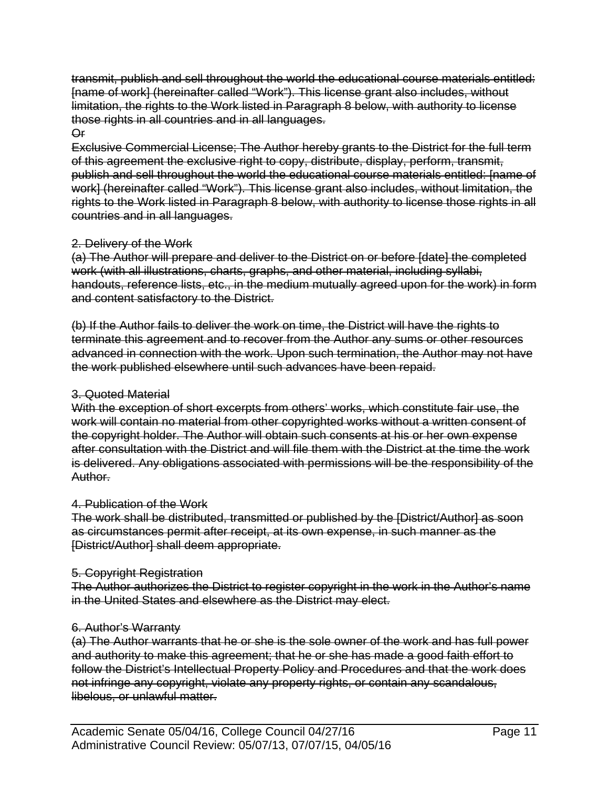transmit, publish and sell throughout the world the educational course materials entitled: [name of work] (hereinafter called "Work"). This license grant also includes, without limitation, the rights to the Work listed in Paragraph 8 below, with authority to license those rights in all countries and in all languages.

## Or

Exclusive Commercial License; The Author hereby grants to the District for the full term of this agreement the exclusive right to copy, distribute, display, perform, transmit, publish and sell throughout the world the educational course materials entitled: [name of work] (hereinafter called "Work"). This license grant also includes, without limitation, the rights to the Work listed in Paragraph 8 below, with authority to license those rights in all countries and in all languages.

#### 2. Delivery of the Work

(a) The Author will prepare and deliver to the District on or before [date] the completed work (with all illustrations, charts, graphs, and other material, including syllabi, handouts, reference lists, etc., in the medium mutually agreed upon for the work) in form and content satisfactory to the District.

(b) If the Author fails to deliver the work on time, the District will have the rights to terminate this agreement and to recover from the Author any sums or other resources advanced in connection with the work. Upon such termination, the Author may not have the work published elsewhere until such advances have been repaid.

#### 3. Quoted Material

With the exception of short excerpts from others' works, which constitute fair use, the work will contain no material from other copyrighted works without a written consent of the copyright holder. The Author will obtain such consents at his or her own expense after consultation with the District and will file them with the District at the time the work is delivered. Any obligations associated with permissions will be the responsibility of the Author.

#### 4. Publication of the Work

The work shall be distributed, transmitted or published by the [District/Author] as soon as circumstances permit after receipt, at its own expense, in such manner as the [District/Author] shall deem appropriate.

## 5. Copyright Registration

The Author authorizes the District to register copyright in the work in the Author's name in the United States and elsewhere as the District may elect.

## 6. Author's Warranty

(a) The Author warrants that he or she is the sole owner of the work and has full power and authority to make this agreement; that he or she has made a good faith effort to follow the District's Intellectual Property Policy and Procedures and that the work does not infringe any copyright, violate any property rights, or contain any scandalous, libelous, or unlawful matter.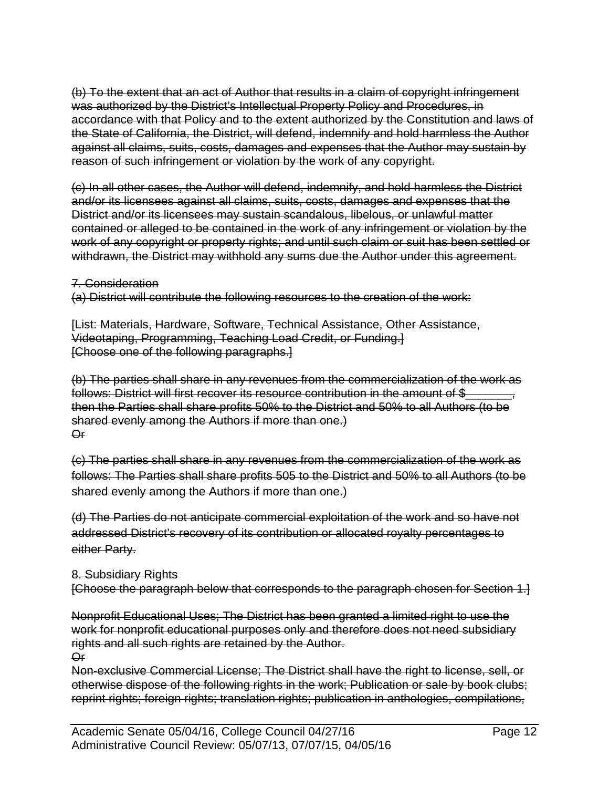(b) To the extent that an act of Author that results in a claim of copyright infringement was authorized by the District's Intellectual Property Policy and Procedures, in accordance with that Policy and to the extent authorized by the Constitution and laws of the State of California, the District, will defend, indemnify and hold harmless the Author against all claims, suits, costs, damages and expenses that the Author may sustain by reason of such infringement or violation by the work of any copyright.

(c) In all other cases, the Author will defend, indemnify, and hold harmless the District and/or its licensees against all claims, suits, costs, damages and expenses that the District and/or its licensees may sustain scandalous, libelous, or unlawful matter contained or alleged to be contained in the work of any infringement or violation by the work of any copyright or property rights; and until such claim or suit has been settled or withdrawn, the District may withhold any sums due the Author under this agreement.

#### 7. Consideration

(a) District will contribute the following resources to the creation of the work:

[List: Materials, Hardware, Software, Technical Assistance, Other Assistance, Videotaping, Programming, Teaching Load Credit, or Funding.] [Choose one of the following paragraphs.]

(b) The parties shall share in any revenues from the commercialization of the work as follows: District will first recover its resource contribution in the amount of \$ then the Parties shall share profits 50% to the District and 50% to all Authors (to be shared evenly among the Authors if more than one.) Or

(c) The parties shall share in any revenues from the commercialization of the work as follows: The Parties shall share profits 505 to the District and 50% to all Authors (to be shared evenly among the Authors if more than one.)

(d) The Parties do not anticipate commercial exploitation of the work and so have not addressed District's recovery of its contribution or allocated royalty percentages to either Party.

#### 8. Subsidiary Rights

[Choose the paragraph below that corresponds to the paragraph chosen for Section 1.]

Nonprofit Educational Uses; The District has been granted a limited right to use the work for nonprofit educational purposes only and therefore does not need subsidiary rights and all such rights are retained by the Author. Or

Non-exclusive Commercial License; The District shall have the right to license, sell, or otherwise dispose of the following rights in the work; Publication or sale by book clubs; reprint rights; foreign rights; translation rights; publication in anthologies, compilations,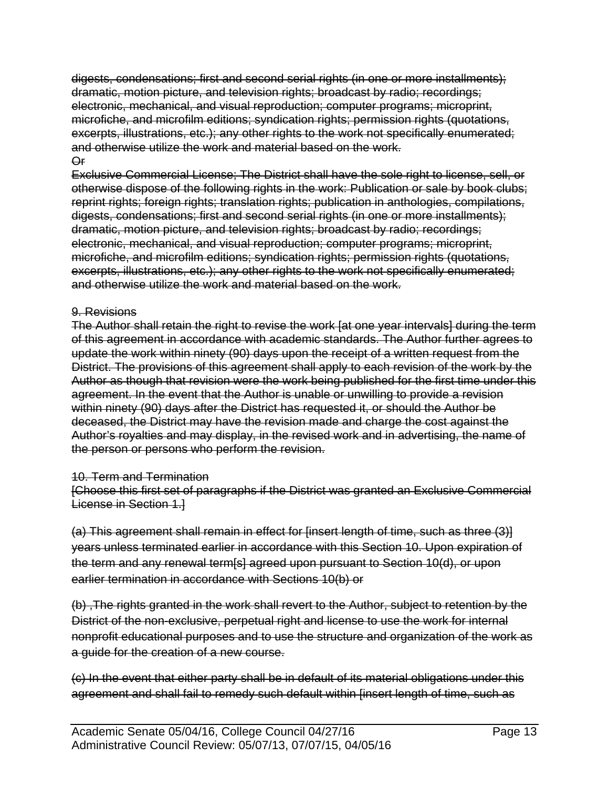digests, condensations; first and second serial rights (in one or more installments); dramatic, motion picture, and television rights; broadcast by radio; recordings; electronic, mechanical, and visual reproduction; computer programs; microprint, microfiche, and microfilm editions; syndication rights; permission rights (quotations, excerpts, illustrations, etc.); any other rights to the work not specifically enumerated; and otherwise utilize the work and material based on the work. Or

Exclusive Commercial License; The District shall have the sole right to license, sell, or otherwise dispose of the following rights in the work: Publication or sale by book clubs; reprint rights; foreign rights; translation rights; publication in anthologies, compilations, digests, condensations; first and second serial rights (in one or more installments); dramatic, motion picture, and television rights; broadcast by radio; recordings; electronic, mechanical, and visual reproduction; computer programs; microprint, microfiche, and microfilm editions; syndication rights; permission rights (quotations, excerpts, illustrations, etc.); any other rights to the work not specifically enumerated; and otherwise utilize the work and material based on the work.

#### 9. Revisions

The Author shall retain the right to revise the work [at one year intervals] during the term of this agreement in accordance with academic standards. The Author further agrees to update the work within ninety (90) days upon the receipt of a written request from the District. The provisions of this agreement shall apply to each revision of the work by the Author as though that revision were the work being published for the first time under this agreement. In the event that the Author is unable or unwilling to provide a revision within ninety (90) days after the District has requested it, or should the Author be deceased, the District may have the revision made and charge the cost against the Author's royalties and may display, in the revised work and in advertising, the name of the person or persons who perform the revision.

#### 10. Term and Termination

[Choose this first set of paragraphs if the District was granted an Exclusive Commercial License in Section 1.]

(a) This agreement shall remain in effect for [insert length of time, such as three (3)] years unless terminated earlier in accordance with this Section 10. Upon expiration of the term and any renewal term[s] agreed upon pursuant to Section 10(d), or upon earlier termination in accordance with Sections 10(b) or

(b) ,The rights granted in the work shall revert to the Author, subject to retention by the District of the non-exclusive, perpetual right and license to use the work for internal nonprofit educational purposes and to use the structure and organization of the work as a guide for the creation of a new course.

(c) In the event that either party shall be in default of its material obligations under this agreement and shall fail to remedy such default within [insert length of time, such as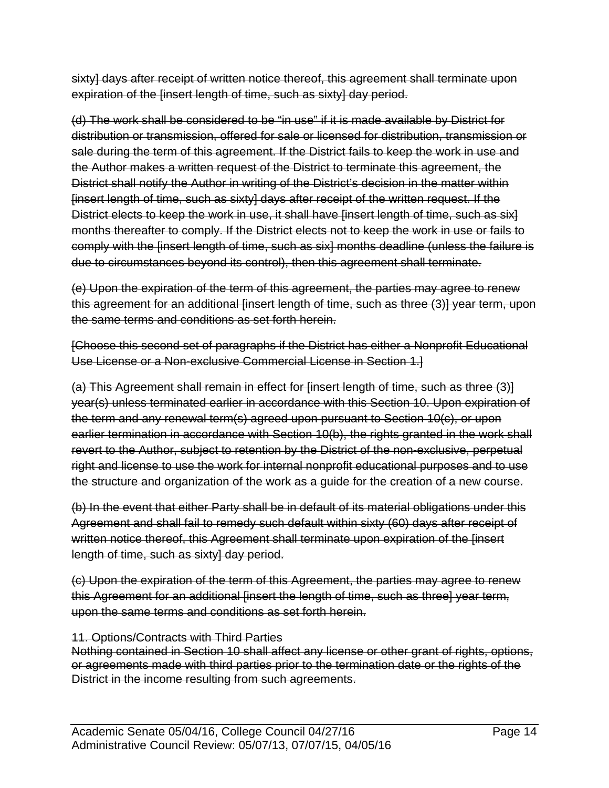sixty] days after receipt of written notice thereof, this agreement shall terminate upon expiration of the [insert length of time, such as sixty] day period.

(d) The work shall be considered to be "in use" if it is made available by District for distribution or transmission, offered for sale or licensed for distribution, transmission or sale during the term of this agreement. If the District fails to keep the work in use and the Author makes a written request of the District to terminate this agreement, the District shall notify the Author in writing of the District's decision in the matter within [insert length of time, such as sixty] days after receipt of the written request. If the District elects to keep the work in use, it shall have finsert length of time, such as six] months thereafter to comply. If the District elects not to keep the work in use or fails to comply with the [insert length of time, such as six] months deadline (unless the failure is due to circumstances beyond its control), then this agreement shall terminate.

(e) Upon the expiration of the term of this agreement, the parties may agree to renew this agreement for an additional [insert length of time, such as three (3)] year term, upon the same terms and conditions as set forth herein.

[Choose this second set of paragraphs if the District has either a Nonprofit Educational Use License or a Non-exclusive Commercial License in Section 1.]

(a) This Agreement shall remain in effect for [insert length of time, such as three (3)] year(s) unless terminated earlier in accordance with this Section 10. Upon expiration of the term and any renewal term(s) agreed upon pursuant to Section 10(c), or upon earlier termination in accordance with Section 10(b), the rights granted in the work shall revert to the Author, subject to retention by the District of the non-exclusive, perpetual right and license to use the work for internal nonprofit educational purposes and to use the structure and organization of the work as a guide for the creation of a new course.

(b) In the event that either Party shall be in default of its material obligations under this Agreement and shall fail to remedy such default within sixty (60) days after receipt of written notice thereof, this Agreement shall terminate upon expiration of the [insert length of time, such as sixtyl day period.

(c) Upon the expiration of the term of this Agreement, the parties may agree to renew this Agreement for an additional linsert the length of time, such as three] year term, upon the same terms and conditions as set forth herein.

## 11. Options/Contracts with Third Parties

Nothing contained in Section 10 shall affect any license or other grant of rights, options, or agreements made with third parties prior to the termination date or the rights of the District in the income resulting from such agreements.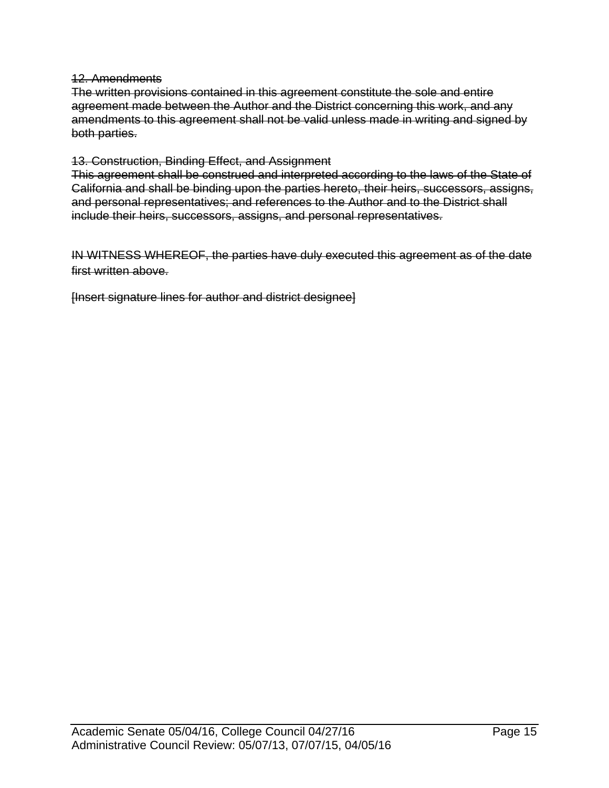#### 12. Amendments

The written provisions contained in this agreement constitute the sole and entire agreement made between the Author and the District concerning this work, and any amendments to this agreement shall not be valid unless made in writing and signed by both parties.

#### 13. Construction, Binding Effect, and Assignment

This agreement shall be construed and interpreted according to the laws of the State of California and shall be binding upon the parties hereto, their heirs, successors, assigns, and personal representatives; and references to the Author and to the District shall include their heirs, successors, assigns, and personal representatives.

IN WITNESS WHEREOF, the parties have duly executed this agreement as of the date first written above.

[Insert signature lines for author and district designee]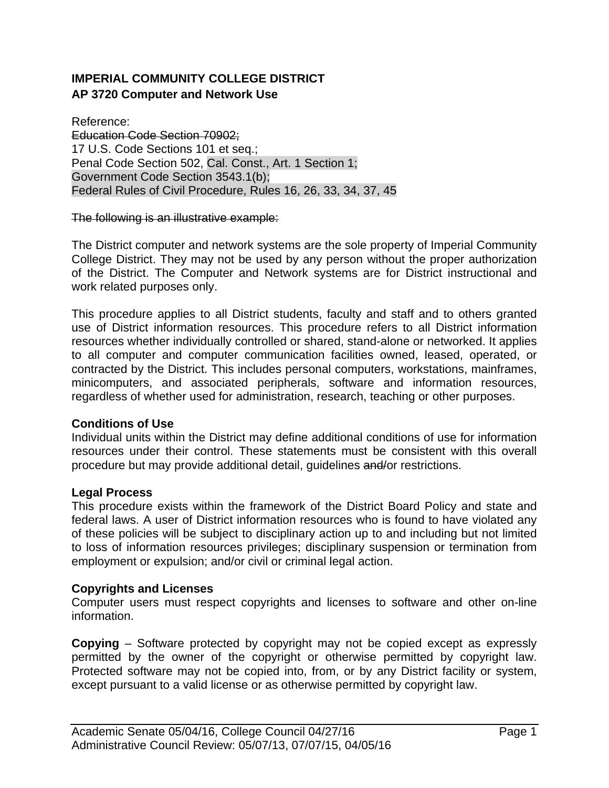# **IMPERIAL COMMUNITY COLLEGE DISTRICT AP 3720 Computer and Network Use**

Reference: Education Code Section 70902; 17 U.S. Code Sections 101 et seq.; Penal Code Section 502, Cal. Const., Art. 1 Section 1; Government Code Section 3543.1(b); Federal Rules of Civil Procedure, Rules 16, 26, 33, 34, 37, 45

#### The following is an illustrative example:

The District computer and network systems are the sole property of Imperial Community College District. They may not be used by any person without the proper authorization of the District. The Computer and Network systems are for District instructional and work related purposes only.

This procedure applies to all District students, faculty and staff and to others granted use of District information resources. This procedure refers to all District information resources whether individually controlled or shared, stand-alone or networked. It applies to all computer and computer communication facilities owned, leased, operated, or contracted by the District. This includes personal computers, workstations, mainframes, minicomputers, and associated peripherals, software and information resources, regardless of whether used for administration, research, teaching or other purposes.

#### **Conditions of Use**

Individual units within the District may define additional conditions of use for information resources under their control. These statements must be consistent with this overall procedure but may provide additional detail, guidelines and/or restrictions.

#### **Legal Process**

This procedure exists within the framework of the District Board Policy and state and federal laws. A user of District information resources who is found to have violated any of these policies will be subject to disciplinary action up to and including but not limited to loss of information resources privileges; disciplinary suspension or termination from employment or expulsion; and/or civil or criminal legal action.

#### **Copyrights and Licenses**

Computer users must respect copyrights and licenses to software and other on-line information.

**Copying** – Software protected by copyright may not be copied except as expressly permitted by the owner of the copyright or otherwise permitted by copyright law. Protected software may not be copied into, from, or by any District facility or system, except pursuant to a valid license or as otherwise permitted by copyright law.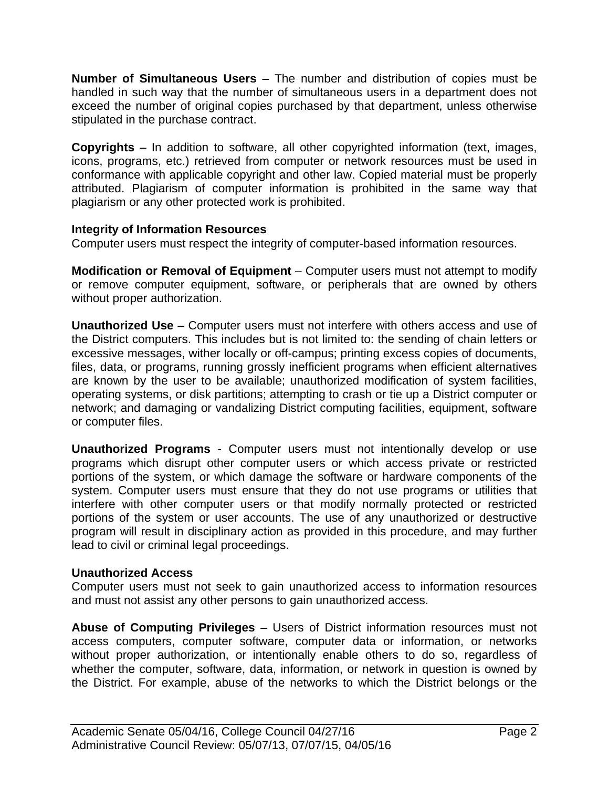**Number of Simultaneous Users** – The number and distribution of copies must be handled in such way that the number of simultaneous users in a department does not exceed the number of original copies purchased by that department, unless otherwise stipulated in the purchase contract.

**Copyrights** – In addition to software, all other copyrighted information (text, images, icons, programs, etc.) retrieved from computer or network resources must be used in conformance with applicable copyright and other law. Copied material must be properly attributed. Plagiarism of computer information is prohibited in the same way that plagiarism or any other protected work is prohibited.

## **Integrity of Information Resources**

Computer users must respect the integrity of computer-based information resources.

**Modification or Removal of Equipment** – Computer users must not attempt to modify or remove computer equipment, software, or peripherals that are owned by others without proper authorization.

**Unauthorized Use** – Computer users must not interfere with others access and use of the District computers. This includes but is not limited to: the sending of chain letters or excessive messages, wither locally or off-campus; printing excess copies of documents, files, data, or programs, running grossly inefficient programs when efficient alternatives are known by the user to be available; unauthorized modification of system facilities, operating systems, or disk partitions; attempting to crash or tie up a District computer or network; and damaging or vandalizing District computing facilities, equipment, software or computer files.

**Unauthorized Programs** - Computer users must not intentionally develop or use programs which disrupt other computer users or which access private or restricted portions of the system, or which damage the software or hardware components of the system. Computer users must ensure that they do not use programs or utilities that interfere with other computer users or that modify normally protected or restricted portions of the system or user accounts. The use of any unauthorized or destructive program will result in disciplinary action as provided in this procedure, and may further lead to civil or criminal legal proceedings.

## **Unauthorized Access**

Computer users must not seek to gain unauthorized access to information resources and must not assist any other persons to gain unauthorized access.

**Abuse of Computing Privileges** – Users of District information resources must not access computers, computer software, computer data or information, or networks without proper authorization, or intentionally enable others to do so, regardless of whether the computer, software, data, information, or network in question is owned by the District. For example, abuse of the networks to which the District belongs or the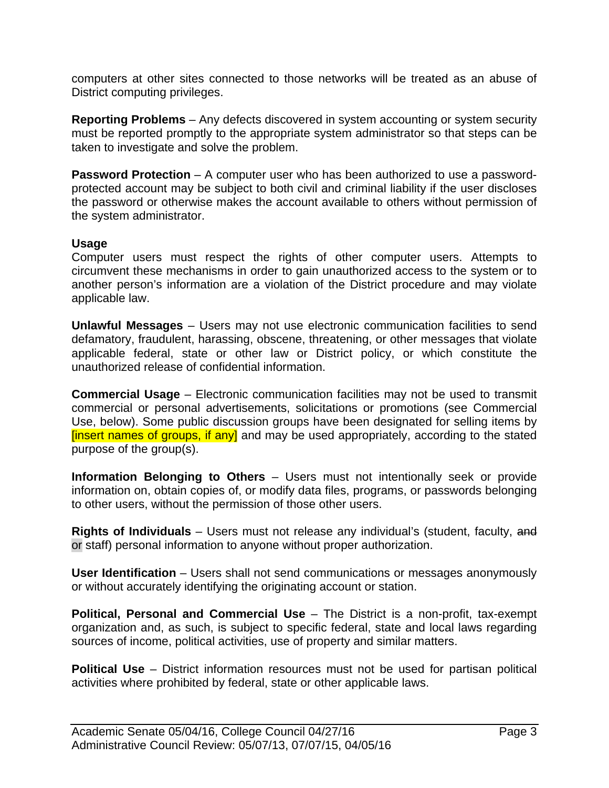computers at other sites connected to those networks will be treated as an abuse of District computing privileges.

**Reporting Problems** – Any defects discovered in system accounting or system security must be reported promptly to the appropriate system administrator so that steps can be taken to investigate and solve the problem.

**Password Protection** – A computer user who has been authorized to use a passwordprotected account may be subject to both civil and criminal liability if the user discloses the password or otherwise makes the account available to others without permission of the system administrator.

#### **Usage**

Computer users must respect the rights of other computer users. Attempts to circumvent these mechanisms in order to gain unauthorized access to the system or to another person's information are a violation of the District procedure and may violate applicable law.

**Unlawful Messages** – Users may not use electronic communication facilities to send defamatory, fraudulent, harassing, obscene, threatening, or other messages that violate applicable federal, state or other law or District policy, or which constitute the unauthorized release of confidential information.

**Commercial Usage** – Electronic communication facilities may not be used to transmit commercial or personal advertisements, solicitations or promotions (see Commercial Use, below). Some public discussion groups have been designated for selling items by [insert names of groups, if any] and may be used appropriately, according to the stated purpose of the group(s).

**Information Belonging to Others** – Users must not intentionally seek or provide information on, obtain copies of, or modify data files, programs, or passwords belonging to other users, without the permission of those other users.

**Rights of Individuals** – Users must not release any individual's (student, faculty, and or staff) personal information to anyone without proper authorization.

**User Identification** – Users shall not send communications or messages anonymously or without accurately identifying the originating account or station.

**Political, Personal and Commercial Use** – The District is a non-profit, tax-exempt organization and, as such, is subject to specific federal, state and local laws regarding sources of income, political activities, use of property and similar matters.

**Political Use** – District information resources must not be used for partisan political activities where prohibited by federal, state or other applicable laws.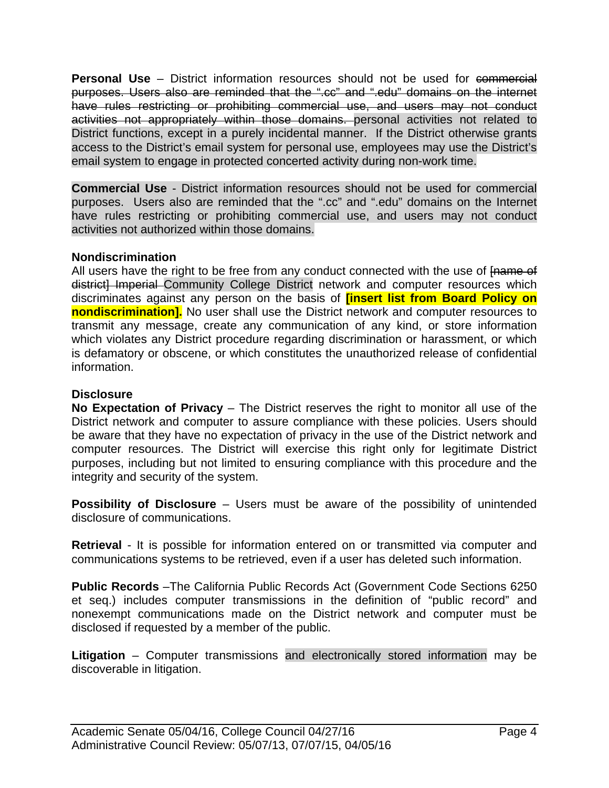**Personal Use** – District information resources should not be used for commercial purposes. Users also are reminded that the ".cc" and ".edu" domains on the internet have rules restricting or prohibiting commercial use, and users may not conduct activities not appropriately within those domains. personal activities not related to District functions, except in a purely incidental manner. If the District otherwise grants access to the District's email system for personal use, employees may use the District's email system to engage in protected concerted activity during non-work time.

**Commercial Use** - District information resources should not be used for commercial purposes. Users also are reminded that the ".cc" and ".edu" domains on the Internet have rules restricting or prohibiting commercial use, and users may not conduct activities not authorized within those domains.

#### **Nondiscrimination**

All users have the right to be free from any conduct connected with the use of Frame of district] Imperial Community College District network and computer resources which discriminates against any person on the basis of **[insert list from Board Policy on nondiscrimination].** No user shall use the District network and computer resources to transmit any message, create any communication of any kind, or store information which violates any District procedure regarding discrimination or harassment, or which is defamatory or obscene, or which constitutes the unauthorized release of confidential information.

#### **Disclosure**

**No Expectation of Privacy** – The District reserves the right to monitor all use of the District network and computer to assure compliance with these policies. Users should be aware that they have no expectation of privacy in the use of the District network and computer resources. The District will exercise this right only for legitimate District purposes, including but not limited to ensuring compliance with this procedure and the integrity and security of the system.

**Possibility of Disclosure** – Users must be aware of the possibility of unintended disclosure of communications.

**Retrieval** - It is possible for information entered on or transmitted via computer and communications systems to be retrieved, even if a user has deleted such information.

**Public Records** –The California Public Records Act (Government Code Sections 6250 et seq.) includes computer transmissions in the definition of "public record" and nonexempt communications made on the District network and computer must be disclosed if requested by a member of the public.

**Litigation** – Computer transmissions and electronically stored information may be discoverable in litigation.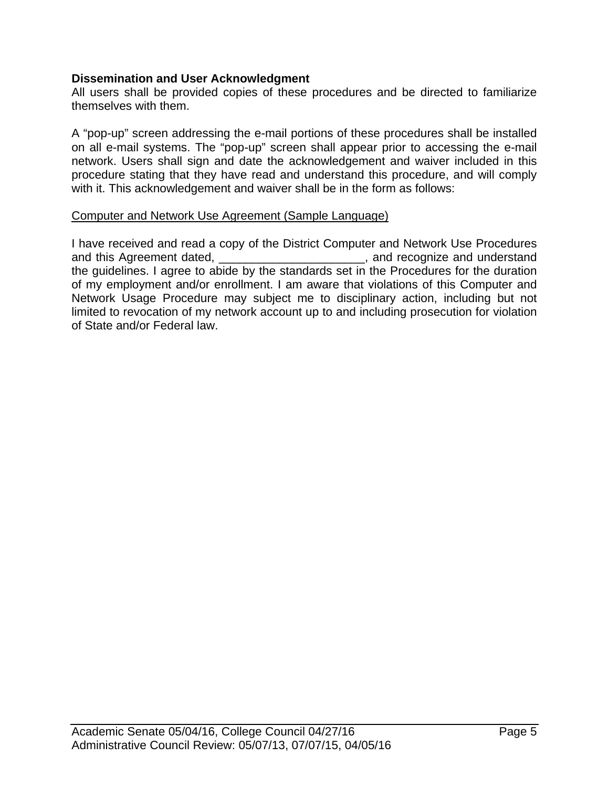#### **Dissemination and User Acknowledgment**

All users shall be provided copies of these procedures and be directed to familiarize themselves with them.

A "pop-up" screen addressing the e-mail portions of these procedures shall be installed on all e-mail systems. The "pop-up" screen shall appear prior to accessing the e-mail network. Users shall sign and date the acknowledgement and waiver included in this procedure stating that they have read and understand this procedure, and will comply with it. This acknowledgement and waiver shall be in the form as follows:

#### Computer and Network Use Agreement (Sample Language)

I have received and read a copy of the District Computer and Network Use Procedures and this Agreement dated, \_\_\_\_\_\_\_\_\_\_\_\_\_\_\_\_\_\_\_\_\_\_\_, and recognize and understand the guidelines. I agree to abide by the standards set in the Procedures for the duration of my employment and/or enrollment. I am aware that violations of this Computer and Network Usage Procedure may subject me to disciplinary action, including but not limited to revocation of my network account up to and including prosecution for violation of State and/or Federal law.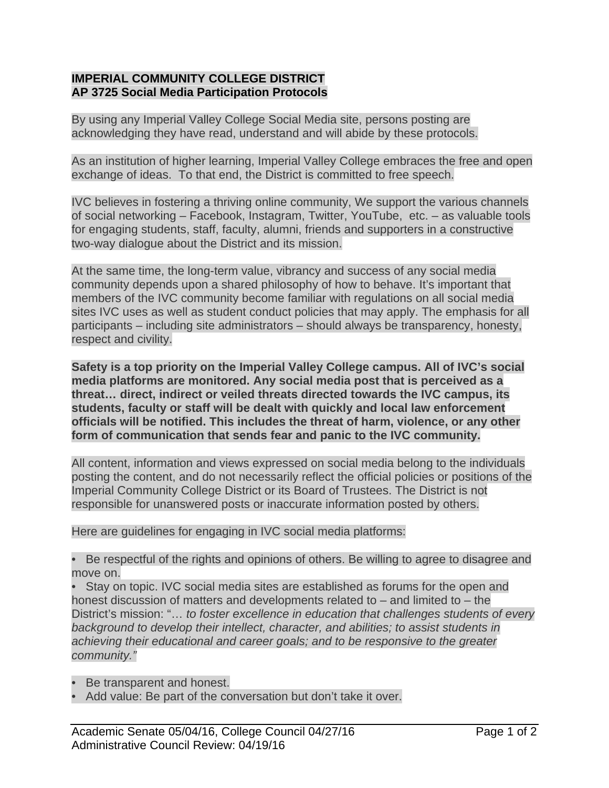## **IMPERIAL COMMUNITY COLLEGE DISTRICT AP 3725 Social Media Participation Protocols**

By using any Imperial Valley College Social Media site, persons posting are acknowledging they have read, understand and will abide by these protocols.

As an institution of higher learning, Imperial Valley College embraces the free and open exchange of ideas. To that end, the District is committed to free speech.

IVC believes in fostering a thriving online community, We support the various channels of social networking – Facebook, Instagram, Twitter, YouTube, etc. – as valuable tools for engaging students, staff, faculty, alumni, friends and supporters in a constructive two-way dialogue about the District and its mission.

At the same time, the long-term value, vibrancy and success of any social media community depends upon a shared philosophy of how to behave. It's important that members of the IVC community become familiar with regulations on all social media sites IVC uses as well as student conduct policies that may apply. The emphasis for all participants – including site administrators – should always be transparency, honesty, respect and civility.

**Safety is a top priority on the Imperial Valley College campus. All of IVC's social media platforms are monitored. Any social media post that is perceived as a threat… direct, indirect or veiled threats directed towards the IVC campus, its students, faculty or staff will be dealt with quickly and local law enforcement officials will be notified. This includes the threat of harm, violence, or any other form of communication that sends fear and panic to the IVC community.** 

All content, information and views expressed on social media belong to the individuals posting the content, and do not necessarily reflect the official policies or positions of the Imperial Community College District or its Board of Trustees. The District is not responsible for unanswered posts or inaccurate information posted by others.

Here are guidelines for engaging in IVC social media platforms:

• Be respectful of the rights and opinions of others. Be willing to agree to disagree and move on.

Stay on topic. IVC social media sites are established as forums for the open and honest discussion of matters and developments related to – and limited to – the District's mission: "… *to foster excellence in education that challenges students of every background to develop their intellect, character, and abilities; to assist students in achieving their educational and career goals; and to be responsive to the greater community."* 

- Be transparent and honest.
- Add value: Be part of the conversation but don't take it over.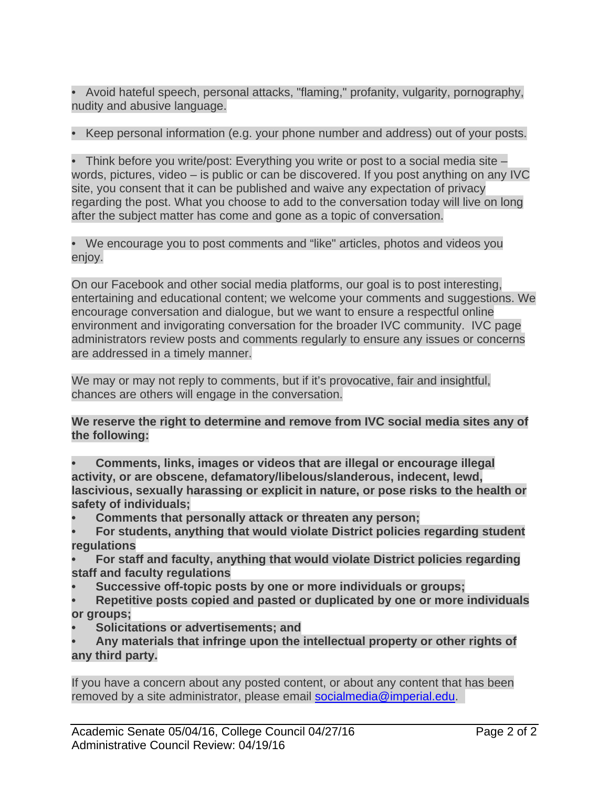• Avoid hateful speech, personal attacks, "flaming," profanity, vulgarity, pornography, nudity and abusive language.

• Keep personal information (e.g. your phone number and address) out of your posts.

• Think before you write/post: Everything you write or post to a social media site – words, pictures, video – is public or can be discovered. If you post anything on any IVC site, you consent that it can be published and waive any expectation of privacy regarding the post. What you choose to add to the conversation today will live on long after the subject matter has come and gone as a topic of conversation.

• We encourage you to post comments and "like" articles, photos and videos you enjoy.

On our Facebook and other social media platforms, our goal is to post interesting, entertaining and educational content; we welcome your comments and suggestions. We encourage conversation and dialogue, but we want to ensure a respectful online environment and invigorating conversation for the broader IVC community. IVC page administrators review posts and comments regularly to ensure any issues or concerns are addressed in a timely manner.

We may or may not reply to comments, but if it's provocative, fair and insightful, chances are others will engage in the conversation.

## **We reserve the right to determine and remove from IVC social media sites any of the following:**

- **Comments, links, images or videos that are illegal or encourage illegal activity, or are obscene, defamatory/libelous/slanderous, indecent, lewd, lascivious, sexually harassing or explicit in nature, or pose risks to the health or safety of individuals;**
- **Comments that personally attack or threaten any person;**
- **For students, anything that would violate District policies regarding student regulations**
- **For staff and faculty, anything that would violate District policies regarding staff and faculty regulations**
- **Successive off-topic posts by one or more individuals or groups;**
- **Repetitive posts copied and pasted or duplicated by one or more individuals or groups;**
- **Solicitations or advertisements; and**
- **Any materials that infringe upon the intellectual property or other rights of any third party.**

If you have a concern about any posted content, or about any content that has been removed by a site administrator, please email socialmedia@imperial.edu.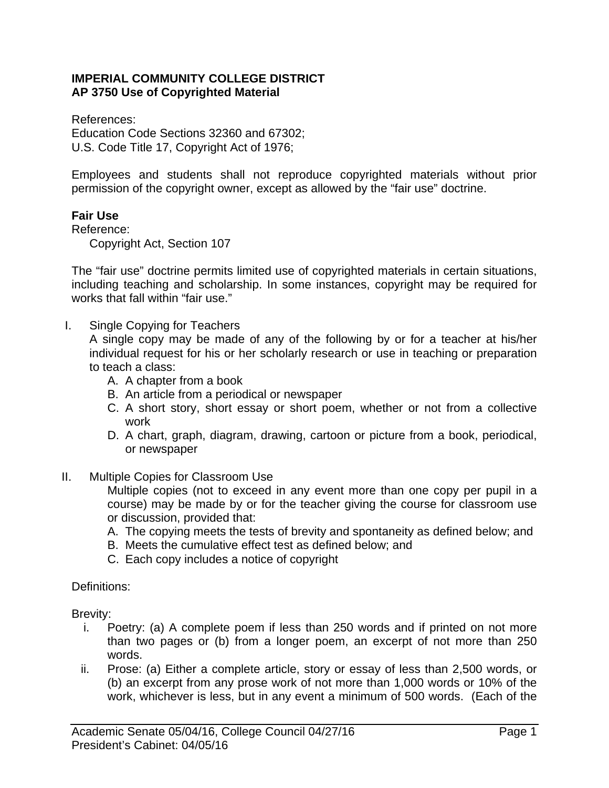#### **IMPERIAL COMMUNITY COLLEGE DISTRICT AP 3750 Use of Copyrighted Material**

References: Education Code Sections 32360 and 67302; U.S. Code Title 17, Copyright Act of 1976;

Employees and students shall not reproduce copyrighted materials without prior permission of the copyright owner, except as allowed by the "fair use" doctrine.

# **Fair Use**

Reference:

Copyright Act, Section 107

The "fair use" doctrine permits limited use of copyrighted materials in certain situations, including teaching and scholarship. In some instances, copyright may be required for works that fall within "fair use."

I. Single Copying for Teachers

A single copy may be made of any of the following by or for a teacher at his/her individual request for his or her scholarly research or use in teaching or preparation to teach a class:

- A. A chapter from a book
- B. An article from a periodical or newspaper
- C. A short story, short essay or short poem, whether or not from a collective work
- D. A chart, graph, diagram, drawing, cartoon or picture from a book, periodical, or newspaper
- II. Multiple Copies for Classroom Use

Multiple copies (not to exceed in any event more than one copy per pupil in a course) may be made by or for the teacher giving the course for classroom use or discussion, provided that:

- A. The copying meets the tests of brevity and spontaneity as defined below; and
- B. Meets the cumulative effect test as defined below; and
- C. Each copy includes a notice of copyright

Definitions:

Brevity:

- i. Poetry: (a) A complete poem if less than 250 words and if printed on not more than two pages or (b) from a longer poem, an excerpt of not more than 250 words.
- ii. Prose: (a) Either a complete article, story or essay of less than 2,500 words, or (b) an excerpt from any prose work of not more than 1,000 words or 10% of the work, whichever is less, but in any event a minimum of 500 words. (Each of the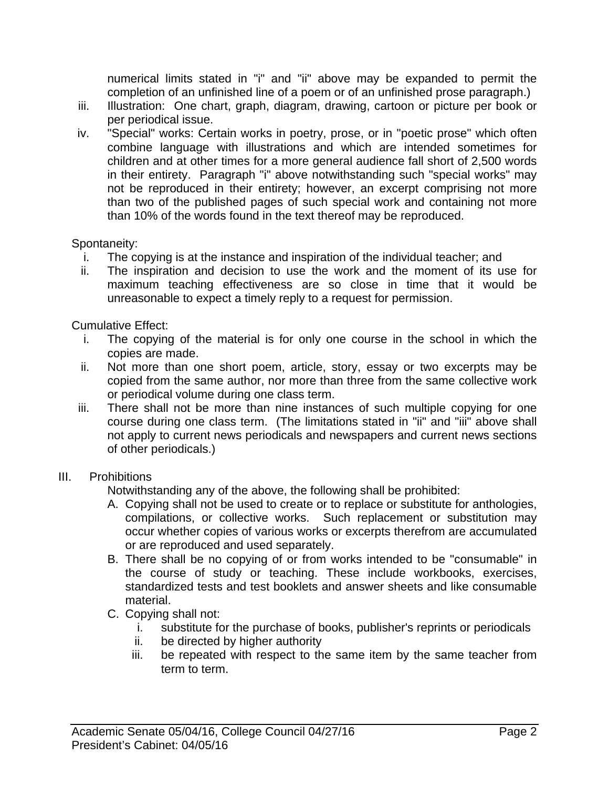numerical limits stated in "i" and "ii" above may be expanded to permit the completion of an unfinished line of a poem or of an unfinished prose paragraph.)

- iii. Illustration: One chart, graph, diagram, drawing, cartoon or picture per book or per periodical issue.
- iv. "Special" works: Certain works in poetry, prose, or in "poetic prose" which often combine language with illustrations and which are intended sometimes for children and at other times for a more general audience fall short of 2,500 words in their entirety. Paragraph "i" above notwithstanding such "special works" may not be reproduced in their entirety; however, an excerpt comprising not more than two of the published pages of such special work and containing not more than 10% of the words found in the text thereof may be reproduced.

# Spontaneity:

- The copying is at the instance and inspiration of the individual teacher; and
- ii. The inspiration and decision to use the work and the moment of its use for maximum teaching effectiveness are so close in time that it would be unreasonable to expect a timely reply to a request for permission.

Cumulative Effect:

- i. The copying of the material is for only one course in the school in which the copies are made.
- ii. Not more than one short poem, article, story, essay or two excerpts may be copied from the same author, nor more than three from the same collective work or periodical volume during one class term.
- iii. There shall not be more than nine instances of such multiple copying for one course during one class term. (The limitations stated in "ii" and "iii" above shall not apply to current news periodicals and newspapers and current news sections of other periodicals.)

# III. Prohibitions

Notwithstanding any of the above, the following shall be prohibited:

- A. Copying shall not be used to create or to replace or substitute for anthologies, compilations, or collective works. Such replacement or substitution may occur whether copies of various works or excerpts therefrom are accumulated or are reproduced and used separately.
- B. There shall be no copying of or from works intended to be "consumable" in the course of study or teaching. These include workbooks, exercises, standardized tests and test booklets and answer sheets and like consumable material.
- C. Copying shall not:
	- i. substitute for the purchase of books, publisher's reprints or periodicals
	- ii. be directed by higher authority
	- iii. be repeated with respect to the same item by the same teacher from term to term.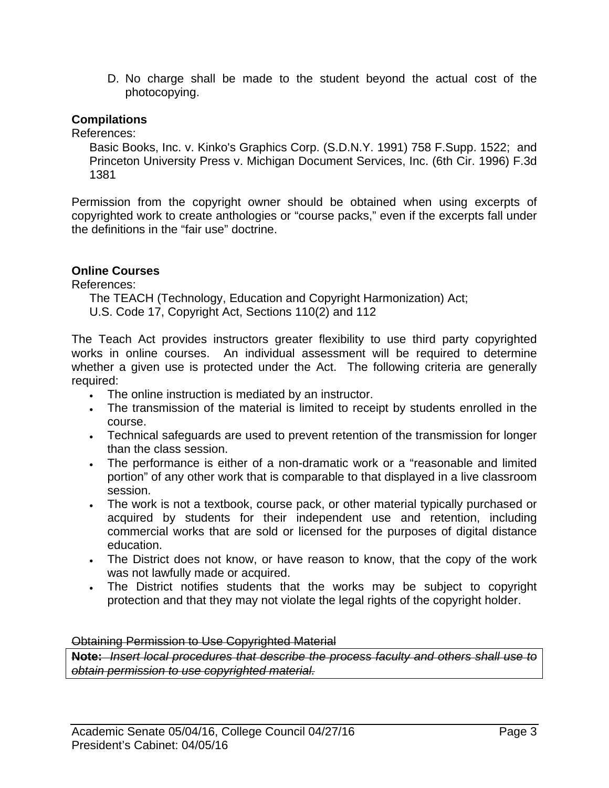D. No charge shall be made to the student beyond the actual cost of the photocopying.

#### **Compilations**

References:

Basic Books, Inc. v. Kinko's Graphics Corp. (S.D.N.Y. 1991) 758 F.Supp. 1522; and Princeton University Press v. Michigan Document Services, Inc. (6th Cir. 1996) F.3d 1381

Permission from the copyright owner should be obtained when using excerpts of copyrighted work to create anthologies or "course packs," even if the excerpts fall under the definitions in the "fair use" doctrine.

## **Online Courses**

References:

- The TEACH (Technology, Education and Copyright Harmonization) Act;
- U.S. Code 17, Copyright Act, Sections 110(2) and 112

The Teach Act provides instructors greater flexibility to use third party copyrighted works in online courses. An individual assessment will be required to determine whether a given use is protected under the Act. The following criteria are generally required:

- The online instruction is mediated by an instructor.
- The transmission of the material is limited to receipt by students enrolled in the course.
- Technical safeguards are used to prevent retention of the transmission for longer than the class session.
- The performance is either of a non-dramatic work or a "reasonable and limited portion" of any other work that is comparable to that displayed in a live classroom session.
- The work is not a textbook, course pack, or other material typically purchased or acquired by students for their independent use and retention, including commercial works that are sold or licensed for the purposes of digital distance education.
- The District does not know, or have reason to know, that the copy of the work was not lawfully made or acquired.
- The District notifies students that the works may be subject to copyright protection and that they may not violate the legal rights of the copyright holder.

#### Obtaining Permission to Use Copyrighted Material

**Note:** *Insert local procedures that describe the process faculty and others shall use to obtain permission to use copyrighted material.*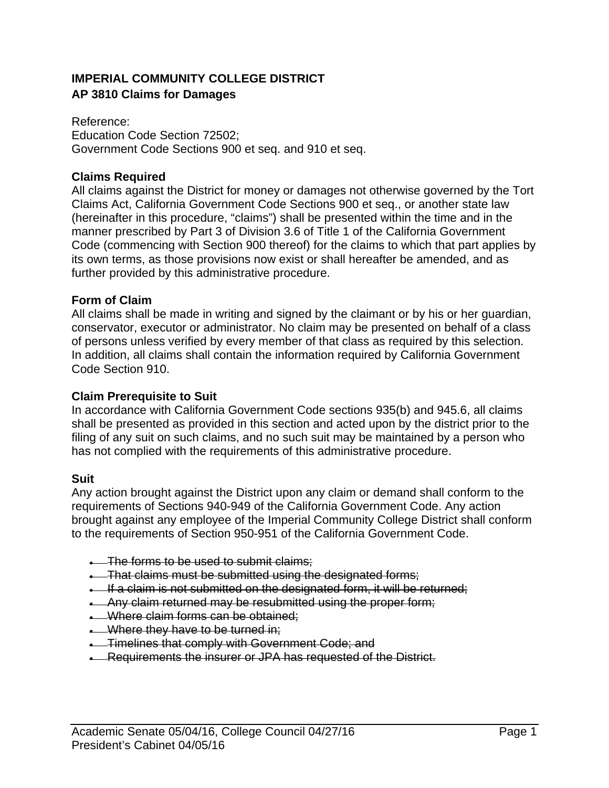# **IMPERIAL COMMUNITY COLLEGE DISTRICT AP 3810 Claims for Damages**

Reference: Education Code Section 72502; Government Code Sections 900 et seq. and 910 et seq.

## **Claims Required**

All claims against the District for money or damages not otherwise governed by the Tort Claims Act, California Government Code Sections 900 et seq., or another state law (hereinafter in this procedure, "claims") shall be presented within the time and in the manner prescribed by Part 3 of Division 3.6 of Title 1 of the California Government Code (commencing with Section 900 thereof) for the claims to which that part applies by its own terms, as those provisions now exist or shall hereafter be amended, and as further provided by this administrative procedure.

#### **Form of Claim**

All claims shall be made in writing and signed by the claimant or by his or her guardian, conservator, executor or administrator. No claim may be presented on behalf of a class of persons unless verified by every member of that class as required by this selection. In addition, all claims shall contain the information required by California Government Code Section 910.

#### **Claim Prerequisite to Suit**

In accordance with California Government Code sections 935(b) and 945.6, all claims shall be presented as provided in this section and acted upon by the district prior to the filing of any suit on such claims, and no such suit may be maintained by a person who has not complied with the requirements of this administrative procedure.

#### **Suit**

Any action brought against the District upon any claim or demand shall conform to the requirements of Sections 940-949 of the California Government Code. Any action brought against any employee of the Imperial Community College District shall conform to the requirements of Section 950-951 of the California Government Code.

- **The forms to be used to submit claims;**
- **.** That claims must be submitted using the designated forms;
- If a claim is not submitted on the designated form, it will be returned;
- Any claim returned may be resubmitted using the proper form;
- **Where claim forms can be obtained;**
- **Where they have to be turned in:**
- **.** Timelines that comply with Government Code; and
- **EXECUTE THE INSTERNAL EXAMPLE AT A FEATH CONTRANT A FEATH CONTRANT A FEATH CONTRANT CONTRANT CONTRANT CONTRANT CONTRANT CONTRANT CONTRANT CONTRANT CONTRANT CONTRANT CONTRANT CONTRANT CONTRANT CONTRANT CONTRANT CONTRANT CO**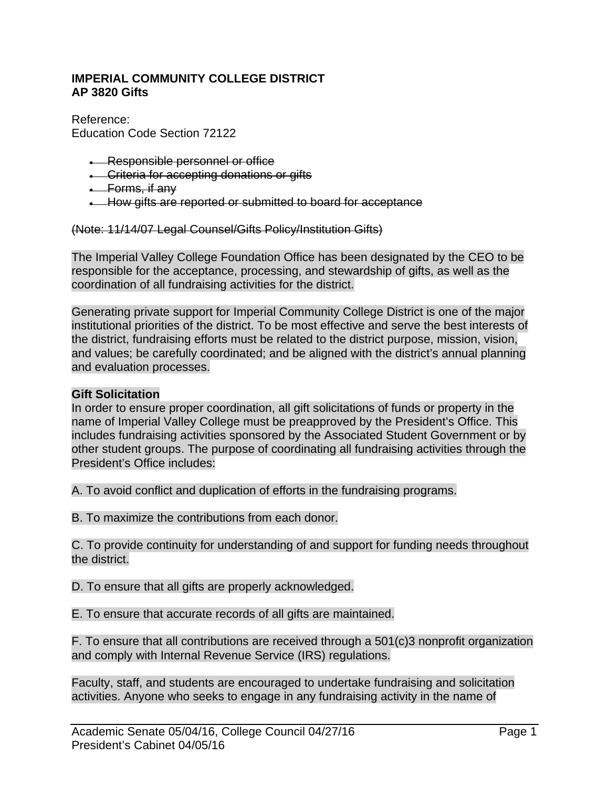#### **IMPERIAL COMMUNITY COLLEGE DISTRICT AP 3820 Gifts**

Reference: Education Code Section 72122

- **Responsible personnel or office**
- **.** Criteria for accepting donations or gifts
- **Eorms**, if any
- **-** How gifts are reported or submitted to board for acceptance

(Note: 11/14/07 Legal Counsel/Gifts Policy/Institution Gifts)

The Imperial Valley College Foundation Office has been designated by the CEO to be responsible for the acceptance, processing, and stewardship of gifts, as well as the coordination of all fundraising activities for the district.

Generating private support for Imperial Community College District is one of the major institutional priorities of the district. To be most effective and serve the best interests of the district, fundraising efforts must be related to the district purpose, mission, vision, and values; be carefully coordinated; and be aligned with the district's annual planning and evaluation processes.

#### **Gift Solicitation**

In order to ensure proper coordination, all gift solicitations of funds or property in the name of Imperial Valley College must be preapproved by the President's Office. This includes fundraising activities sponsored by the Associated Student Government or by other student groups. The purpose of coordinating all fundraising activities through the President's Office includes:

A. To avoid conflict and duplication of efforts in the fundraising programs.

B. To maximize the contributions from each donor.

C. To provide continuity for understanding of and support for funding needs throughout the district.

D. To ensure that all gifts are properly acknowledged.

E. To ensure that accurate records of all gifts are maintained.

F. To ensure that all contributions are received through a 501(c)3 nonprofit organization and comply with Internal Revenue Service (IRS) regulations.

Faculty, staff, and students are encouraged to undertake fundraising and solicitation activities. Anyone who seeks to engage in any fundraising activity in the name of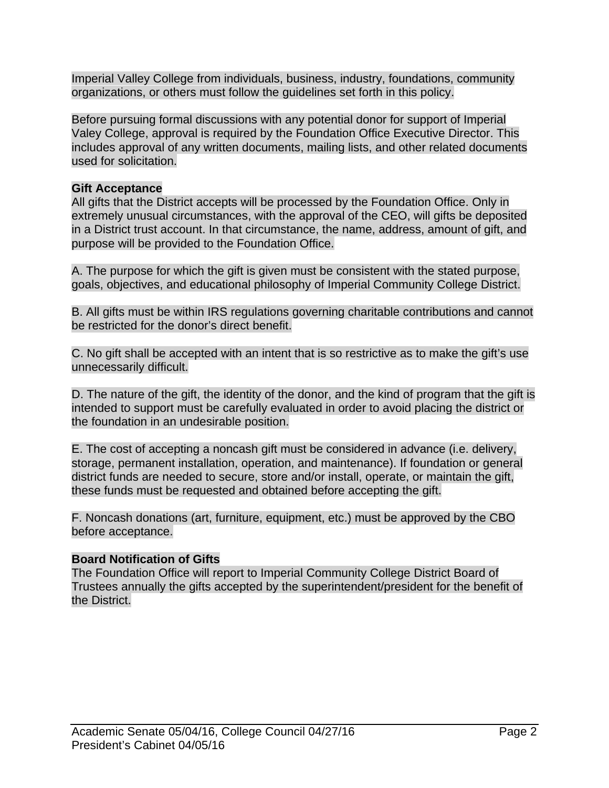Imperial Valley College from individuals, business, industry, foundations, community organizations, or others must follow the guidelines set forth in this policy.

Before pursuing formal discussions with any potential donor for support of Imperial Valey College, approval is required by the Foundation Office Executive Director. This includes approval of any written documents, mailing lists, and other related documents used for solicitation.

## **Gift Acceptance**

All gifts that the District accepts will be processed by the Foundation Office. Only in extremely unusual circumstances, with the approval of the CEO, will gifts be deposited in a District trust account. In that circumstance, the name, address, amount of gift, and purpose will be provided to the Foundation Office.

A. The purpose for which the gift is given must be consistent with the stated purpose, goals, objectives, and educational philosophy of Imperial Community College District.

B. All gifts must be within IRS regulations governing charitable contributions and cannot be restricted for the donor's direct benefit.

C. No gift shall be accepted with an intent that is so restrictive as to make the gift's use unnecessarily difficult.

D. The nature of the gift, the identity of the donor, and the kind of program that the gift is intended to support must be carefully evaluated in order to avoid placing the district or the foundation in an undesirable position.

E. The cost of accepting a noncash gift must be considered in advance (i.e. delivery, storage, permanent installation, operation, and maintenance). If foundation or general district funds are needed to secure, store and/or install, operate, or maintain the gift, these funds must be requested and obtained before accepting the gift.

F. Noncash donations (art, furniture, equipment, etc.) must be approved by the CBO before acceptance.

# **Board Notification of Gifts**

The Foundation Office will report to Imperial Community College District Board of Trustees annually the gifts accepted by the superintendent/president for the benefit of the District.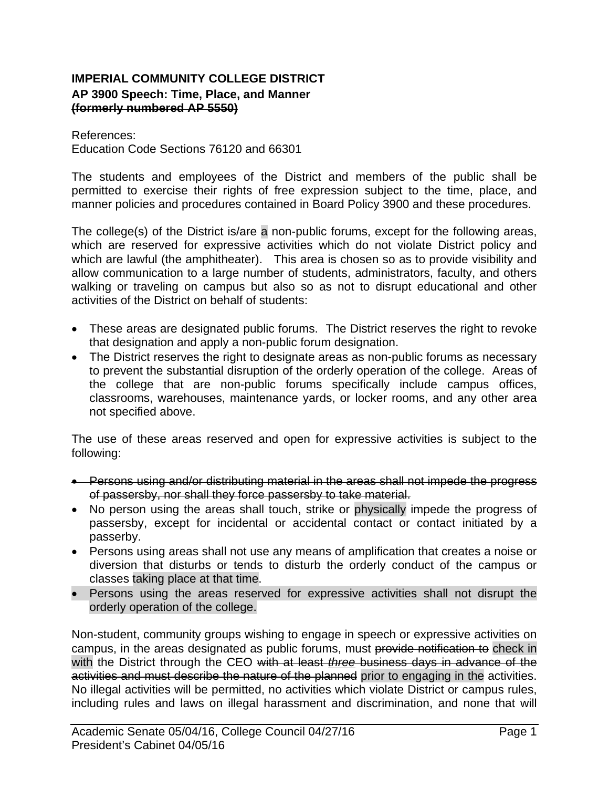## **IMPERIAL COMMUNITY COLLEGE DISTRICT AP 3900 Speech: Time, Place, and Manner (formerly numbered AP 5550)**

References: Education Code Sections 76120 and 66301

The students and employees of the District and members of the public shall be permitted to exercise their rights of free expression subject to the time, place, and manner policies and procedures contained in Board Policy 3900 and these procedures.

The college(s) of the District is/are a non-public forums, except for the following areas, which are reserved for expressive activities which do not violate District policy and which are lawful (the amphitheater). This area is chosen so as to provide visibility and allow communication to a large number of students, administrators, faculty, and others walking or traveling on campus but also so as not to disrupt educational and other activities of the District on behalf of students:

- These areas are designated public forums. The District reserves the right to revoke that designation and apply a non-public forum designation.
- The District reserves the right to designate areas as non-public forums as necessary to prevent the substantial disruption of the orderly operation of the college. Areas of the college that are non-public forums specifically include campus offices, classrooms, warehouses, maintenance yards, or locker rooms, and any other area not specified above.

The use of these areas reserved and open for expressive activities is subject to the following:

- Persons using and/or distributing material in the areas shall not impede the progress of passersby, nor shall they force passersby to take material.
- No person using the areas shall touch, strike or physically impede the progress of passersby, except for incidental or accidental contact or contact initiated by a passerby.
- Persons using areas shall not use any means of amplification that creates a noise or diversion that disturbs or tends to disturb the orderly conduct of the campus or classes taking place at that time.
- Persons using the areas reserved for expressive activities shall not disrupt the orderly operation of the college.

Non-student, community groups wishing to engage in speech or expressive activities on campus, in the areas designated as public forums, must provide notification to check in with the District through the CEO with at least *three* business days in advance of the activities and must describe the nature of the planned prior to engaging in the activities. No illegal activities will be permitted, no activities which violate District or campus rules, including rules and laws on illegal harassment and discrimination, and none that will